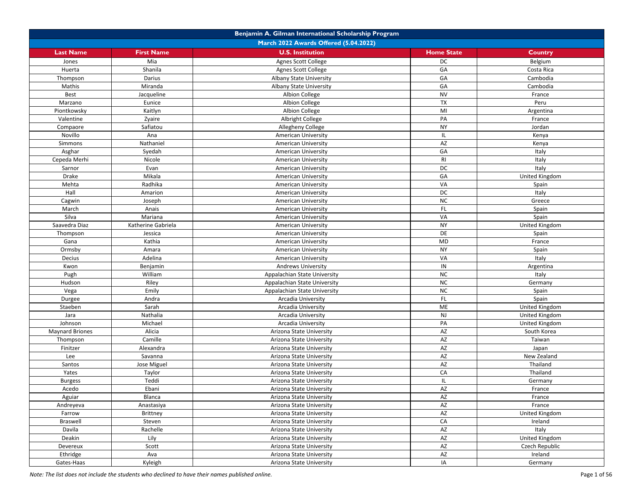|                        |                                       | Benjamin A. Gilman International Scholarship Program |                        |                |  |  |
|------------------------|---------------------------------------|------------------------------------------------------|------------------------|----------------|--|--|
|                        | March 2022 Awards Offered (5.04.2022) |                                                      |                        |                |  |  |
| <b>Last Name</b>       | <b>First Name</b>                     | <b>U.S. Institution</b>                              | <b>Home State</b>      | Country        |  |  |
| Jones                  | Mia                                   | <b>Agnes Scott College</b>                           | DC                     | Belgium        |  |  |
| Huerta                 | Shanila                               | Agnes Scott College                                  | GA                     | Costa Rica     |  |  |
| Thompson               | Darius                                | Albany State University                              | GA                     | Cambodia       |  |  |
| Mathis                 | Miranda                               | Albany State University                              | GA                     | Cambodia       |  |  |
| Best                   | Jacqueline                            | Albion College                                       | <b>NV</b>              | France         |  |  |
| Marzano                | Eunice                                | Albion College                                       | <b>TX</b>              | Peru           |  |  |
| Piontkowsky            | Kaitlyn                               | Albion College                                       | MI                     | Argentina      |  |  |
| Valentine              | Zyaire                                | Albright College                                     | PA                     | France         |  |  |
| Compaore               | Safiatou                              | Allegheny College                                    | <b>NY</b>              | Jordan         |  |  |
| Novillo                | Ana                                   | American University                                  | IL.                    | Kenya          |  |  |
| Simmons                | Nathaniel                             | American University                                  | AZ                     | Kenya          |  |  |
| Asghar                 | Syedah                                | <b>American University</b>                           | GA                     | Italy          |  |  |
| Cepeda Merhi           | Nicole                                | American University                                  | RI                     | Italy          |  |  |
| Sarnor                 | Evan                                  | <b>American University</b>                           | DC                     | Italy          |  |  |
| Drake                  | Mikala                                | <b>American University</b>                           | GA                     | United Kingdom |  |  |
| Mehta                  | Radhika                               | American University                                  | VA                     | Spain          |  |  |
| Hall                   | Amarion                               | <b>American University</b>                           | DC                     | Italy          |  |  |
| Cagwin                 | Joseph                                | American University                                  | NC                     | Greece         |  |  |
| March                  | Anais                                 | American University                                  | FL.                    | Spain          |  |  |
| Silva                  | Mariana                               | American University                                  | VA                     | Spain          |  |  |
| Saavedra Diaz          | Katherine Gabriela                    | American University                                  | <b>NY</b>              | United Kingdom |  |  |
| Thompson               | Jessica                               | <b>American University</b>                           | DE                     | Spain          |  |  |
| Gana                   | Kathia                                | <b>American University</b>                           | <b>MD</b>              | France         |  |  |
| Ormsby                 | Amara                                 | American University                                  | <b>NY</b>              | Spain          |  |  |
| Decius                 | Adelina                               | American University                                  | VA                     | Italy          |  |  |
| Kwon                   | Benjamin                              | <b>Andrews University</b>                            | IN                     | Argentina      |  |  |
| Pugh                   | William                               | Appalachian State University                         | NC                     | Italy          |  |  |
| Hudson                 | Riley                                 | Appalachian State University                         | NC                     | Germany        |  |  |
| Vega                   | Emily                                 | Appalachian State University                         | <b>NC</b>              | Spain          |  |  |
| Durgee                 | Andra                                 | Arcadia University                                   | FL.                    | Spain          |  |  |
| Staeben                | Sarah                                 | Arcadia University                                   | ME                     | United Kingdom |  |  |
| Jara                   | Nathalia                              | Arcadia University                                   | <b>NJ</b>              | United Kingdom |  |  |
| Johnson                | Michael                               | Arcadia University                                   | PA                     | United Kingdom |  |  |
| <b>Maynard Briones</b> | Alicia                                | Arizona State University                             | AZ                     | South Korea    |  |  |
| Thompson               | Camille                               | Arizona State University                             | AZ                     | Taiwan         |  |  |
| Finitzer               | Alexandra                             | Arizona State University                             | AZ                     | Japan          |  |  |
| Lee                    | Savanna                               | Arizona State University                             | AZ                     | New Zealand    |  |  |
| Santos                 | Jose Miguel                           | Arizona State University                             | AZ                     | Thailand       |  |  |
| Yates                  | Taylor                                | Arizona State University                             | CA                     | Thailand       |  |  |
| <b>Burgess</b>         | Teddi                                 | Arizona State University                             | IL.                    | Germany        |  |  |
| Acedo                  | Ebani                                 | Arizona State University                             | AZ                     | France         |  |  |
| Aguiar                 | Blanca                                | Arizona State University                             | AZ                     | France         |  |  |
| Andreyeva              | Anastasiya                            | Arizona State University                             | $\mathsf{A}\mathsf{Z}$ | France         |  |  |
| Farrow                 | Brittney                              | Arizona State University                             | AZ                     | United Kingdom |  |  |
| <b>Braswell</b>        | Steven                                | Arizona State University                             | CA                     | Ireland        |  |  |
| Davila                 | Rachelle                              | Arizona State University                             | AZ                     | Italy          |  |  |
| Deakin                 | Lily                                  | Arizona State University                             | AZ                     | United Kingdom |  |  |
| Devereux               | Scott                                 | Arizona State University                             | AZ                     | Czech Republic |  |  |
| Ethridge               | Ava                                   | Arizona State University                             | AZ                     | Ireland        |  |  |
| Gates-Haas             | Kyleigh                               | Arizona State University                             | IA                     | Germany        |  |  |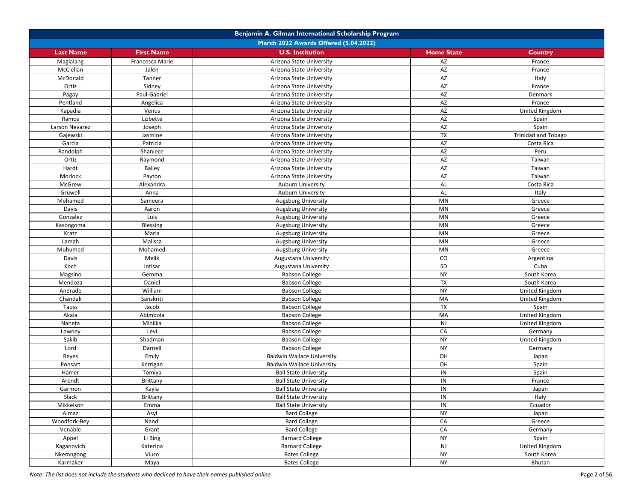|                  |                   | Benjamin A. Gilman International Scholarship Program         |                        |                            |
|------------------|-------------------|--------------------------------------------------------------|------------------------|----------------------------|
|                  |                   | March 2022 Awards Offered (5.04.2022)                        |                        |                            |
| <b>Last Name</b> | <b>First Name</b> | <b>U.S. Institution</b>                                      | <b>Home State</b>      | Country                    |
| Maglalang        | Francesca Marie   | Arizona State University                                     | AZ                     | France                     |
| McClellan        | Jalen             | Arizona State University                                     | AZ                     | France                     |
| McDonald         | Tanner            | Arizona State University                                     | AZ                     | Italy                      |
| Ortiz            | Sidney            | Arizona State University                                     | AZ                     | France                     |
| Pagay            | Paul-Gabriel      | Arizona State University                                     | AZ                     | Denmark                    |
| Pentland         | Angelica          | Arizona State University                                     | AZ                     | France                     |
| Kapadia          | Venus             | Arizona State University                                     | AZ                     | United Kingdom             |
| Ramos            | Lizbette          | Arizona State University                                     | AZ                     | Spain                      |
| Larson Nevarez   | Joseph            | Arizona State University                                     | AZ                     | Spain                      |
| Gajewski         | Jasmine           | Arizona State University                                     | TX                     | <b>Trinidad and Tobago</b> |
| Garcia           | Patricia          | Arizona State University                                     | AZ                     | Costa Rica                 |
| Randolph         | Shaniece          | Arizona State University                                     | AZ                     | Peru                       |
| Ortiz            | Raymond           | Arizona State University                                     | AZ                     | Taiwan                     |
| Hardt            | Bailey            | Arizona State University                                     | AZ                     | Taiwan                     |
| Morlock          | Payton            | Arizona State University                                     | AZ                     | Taiwan                     |
| McGrew           | Alexandra         | <b>Auburn University</b>                                     | AL                     | Costa Rica                 |
| Gruwell          | Anna              | <b>Auburn University</b>                                     | AL                     | Italy                      |
| Mohamed          | Sameera           | Augsburg University                                          | MN                     | Greece                     |
| Davis            | Aaron             | <b>Augsburg University</b>                                   | $\mathsf{M}\mathsf{N}$ | Greece                     |
| Gonzalez         | Luis              | <b>Augsburg University</b>                                   | MN                     | Greece                     |
| Kasongoma        | Blessing          | Augsburg University                                          | $\mathsf{M}\mathsf{N}$ | Greece                     |
| Kratz            | Maria             | Augsburg University                                          | MN                     | Greece                     |
| Lamah            | Malissa           | <b>Augsburg University</b>                                   | MN                     | Greece                     |
| Muhumed          | Mohamed           | <b>Augsburg University</b>                                   | MN                     | Greece                     |
| Davis            | Melik             | Augustana University                                         | CO                     | Argentina                  |
| Koch             | Intisar           | Augustana University                                         | SD                     | Cuba                       |
| Magsino          | Gemma             | <b>Babson College</b>                                        | <b>NY</b>              | South Korea                |
| Mendoza          | Daniel            | <b>Babson College</b>                                        | <b>TX</b>              | South Korea                |
| Andrade          | William           | <b>Babson College</b>                                        | <b>NY</b>              | United Kingdom             |
| Chandak          | Sanskriti         | <b>Babson College</b>                                        | MA                     | United Kingdom             |
| Tauss            | Jacob             | <b>Babson College</b>                                        | <b>TX</b>              | Spain                      |
| Akala            | Abimbola          | <b>Babson College</b>                                        | MA                     | United Kingdom             |
| Naheta           | Mihiika           | <b>Babson College</b>                                        | <b>NJ</b>              | United Kingdom             |
| Lowney           | Levi              | <b>Babson College</b>                                        | CA                     | Germany                    |
| Sakib            | Shadman           | <b>Babson College</b>                                        | <b>NY</b>              | United Kingdom             |
| Lord             | Darnell           | <b>Babson College</b>                                        | <b>NY</b>              | Germany                    |
| Reyes            | Emily             | <b>Baldwin Wallace University</b>                            | OH                     | Japan                      |
| Ponsart          | Kerrigan          | <b>Baldwin Wallace University</b>                            | OH                     | Spain                      |
| Hamer            | Tomiya            | <b>Ball State University</b>                                 | IN                     | Spain                      |
| Arendt           | Brittany          | <b>Ball State University</b>                                 | IN                     | France                     |
| Garmon           | Kayla             | <b>Ball State University</b>                                 | IN                     |                            |
| Slack            | Brittany          |                                                              | IN                     | Japan<br>Italy             |
| Mikkelson        | Emma              | <b>Ball State University</b><br><b>Ball State University</b> | IN                     | Ecuador                    |
| Almaz            | Asyl              | <b>Bard College</b>                                          | <b>NY</b>              | Japan                      |
| Woodfork-Bey     | Nandi             | <b>Bard College</b>                                          | CA                     | Greece                     |
| Venable          | Grant             | <b>Bard College</b>                                          | CA                     | Germany                    |
| Appel            | Li Bing           | <b>Barnard College</b>                                       | <b>NY</b>              | Spain                      |
| Kaganovich       | Katerina          | <b>Barnard College</b>                                       | <b>NJ</b>              | United Kingdom             |
| Nkemngong        | Viuro             | <b>Bates College</b>                                         | <b>NY</b>              | South Korea                |
| Karmaker         |                   | <b>Bates College</b>                                         | <b>NY</b>              | Bhutan                     |
|                  | Maya              |                                                              |                        |                            |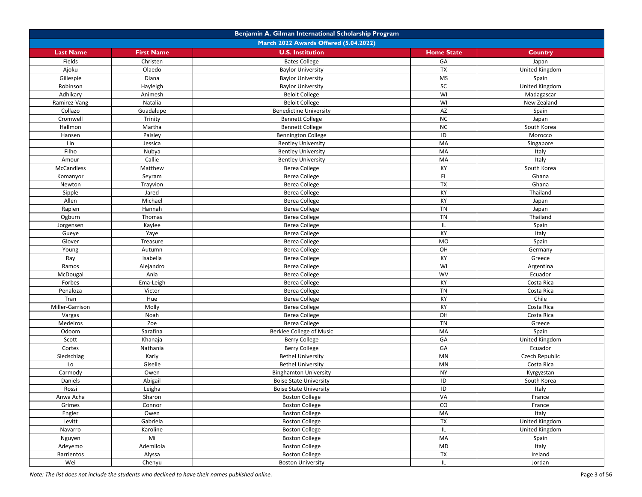|                   |                                       | Benjamin A. Gilman International Scholarship Program           |                          |                                  |  |
|-------------------|---------------------------------------|----------------------------------------------------------------|--------------------------|----------------------------------|--|
|                   | March 2022 Awards Offered (5.04.2022) |                                                                |                          |                                  |  |
| <b>Last Name</b>  | <b>First Name</b>                     | <b>U.S. Institution</b>                                        | <b>Home State</b>        | <b>Country</b>                   |  |
| Fields            | Christen                              | <b>Bates College</b>                                           | GA                       | Japan                            |  |
| Ajoku             | Olaedo                                | <b>Baylor University</b>                                       | TX                       | United Kingdom                   |  |
| Gillespie         | Diana                                 | <b>Baylor University</b>                                       | $\overline{\mathsf{MS}}$ | Spain                            |  |
| Robinson          | Hayleigh                              | <b>Baylor University</b>                                       | SC                       | United Kingdom                   |  |
| Adhikary          | Animesh                               | <b>Beloit College</b>                                          | WI                       | Madagascar                       |  |
| Ramirez-Vang      | Natalia                               | <b>Beloit College</b>                                          | WI                       | New Zealand                      |  |
| Collazo           | Guadalupe                             | <b>Benedictine University</b>                                  | AZ                       | Spain                            |  |
| Cromwell          | Trinity                               | <b>Bennett College</b>                                         | NC                       | Japan                            |  |
| Hallmon           | Martha                                | <b>Bennett College</b>                                         | NC                       | South Korea                      |  |
| Hansen            | Paisley                               | <b>Bennington College</b>                                      | ID                       | Morocco                          |  |
| Lin               | Jessica                               | <b>Bentley University</b>                                      | MA                       | Singapore                        |  |
| Filho             | Nubya                                 | <b>Bentley University</b>                                      | MA                       | Italy                            |  |
| Amour             | Callie                                | <b>Bentley University</b>                                      | MA                       | Italy                            |  |
| <b>McCandless</b> | Matthew                               | Berea College                                                  | KY                       | South Korea                      |  |
| Komanyor          | Seyram                                | <b>Berea College</b>                                           | FL.                      | Ghana                            |  |
| Newton            | Trayvion                              | Berea College                                                  | TX                       | Ghana                            |  |
| Sipple            | Jared                                 | <b>Berea College</b>                                           | KY                       | Thailand                         |  |
| Allen             | Michael                               | <b>Berea College</b>                                           | KY                       | Japan                            |  |
| Rapien            | Hannah                                | <b>Berea College</b>                                           | <b>TN</b>                | Japan                            |  |
| Ogburn            | Thomas                                | <b>Berea College</b>                                           | <b>TN</b>                | Thailand                         |  |
| Jorgensen         | Kaylee                                | <b>Berea College</b>                                           | IL                       | Spain                            |  |
| Gueye             | Yaye                                  | <b>Berea College</b>                                           | KY                       | Italy                            |  |
| Glover            | Treasure                              | <b>Berea College</b>                                           | <b>MO</b>                | Spain                            |  |
| Young             | Autumn                                | <b>Berea College</b>                                           | OH                       | Germany                          |  |
| Ray               | Isabella                              | <b>Berea College</b>                                           | KY                       | Greece                           |  |
| Ramos             | Alejandro                             | <b>Berea College</b>                                           | WI                       |                                  |  |
| McDougal          | Ania                                  | <b>Berea College</b>                                           | WV                       | Argentina<br>Ecuador             |  |
| Forbes            | Ema-Leigh                             | <b>Berea College</b>                                           | KY                       | Costa Rica                       |  |
| Penaloza          | Victor                                | <b>Berea College</b>                                           | <b>TN</b>                | Costa Rica                       |  |
| Tran              | Hue                                   | <b>Berea College</b>                                           | KY                       | Chile                            |  |
| Miller-Garrison   | Molly                                 | <b>Berea College</b>                                           | KY                       | Costa Rica                       |  |
| Vargas            | Noah                                  | <b>Berea College</b>                                           | OH                       | Costa Rica                       |  |
|                   | Zoe                                   | <b>Berea College</b>                                           | <b>TN</b>                |                                  |  |
| Medeiros<br>Odoom | Sarafina                              | Berklee College of Music                                       | MA                       | Greece<br>Spain                  |  |
| Scott             | Khanaja                               | <b>Berry College</b>                                           | GA                       | United Kingdom                   |  |
| Cortes            | Nathania                              | <b>Berry College</b>                                           | GA                       | Ecuador                          |  |
| Siedschlag        | Karly                                 | <b>Bethel University</b>                                       | <b>MN</b>                | Czech Republic                   |  |
| Lo                | Giselle                               |                                                                | $\mathsf{M}\mathsf{N}$   | Costa Rica                       |  |
| Carmody           |                                       | <b>Bethel University</b>                                       | <b>NY</b>                |                                  |  |
| Daniels           | Owen                                  | <b>Binghamton University</b>                                   | ID                       | Kyrgyzstan                       |  |
|                   | Abigail                               | <b>Boise State University</b><br><b>Boise State University</b> | ID                       | South Korea                      |  |
| Rossi             | Leigha                                |                                                                |                          | Italy                            |  |
| Anwa Acha         | Sharon                                | <b>Boston College</b>                                          | VA                       | France                           |  |
| Grimes            | Connor<br>Owen                        | <b>Boston College</b>                                          | ${\rm CO}$<br>MA         | France                           |  |
| Engler<br>Levitt  | Gabriela                              | <b>Boston College</b>                                          | TX                       | Italy                            |  |
|                   |                                       | <b>Boston College</b>                                          |                          | United Kingdom<br>United Kingdom |  |
| Navarro           | Karoline                              | <b>Boston College</b>                                          | IL.                      |                                  |  |
| Nguyen            | Mi<br>Ademilola                       | <b>Boston College</b><br><b>Boston College</b>                 | MA<br>MD                 | Spain                            |  |
| Adeyemo           |                                       |                                                                |                          | Italy<br>Ireland                 |  |
| Barrientos        | Alyssa                                | <b>Boston College</b>                                          | TX                       |                                  |  |
| Wei               | Chenyu                                | <b>Boston University</b>                                       | IL.                      | Jordan                           |  |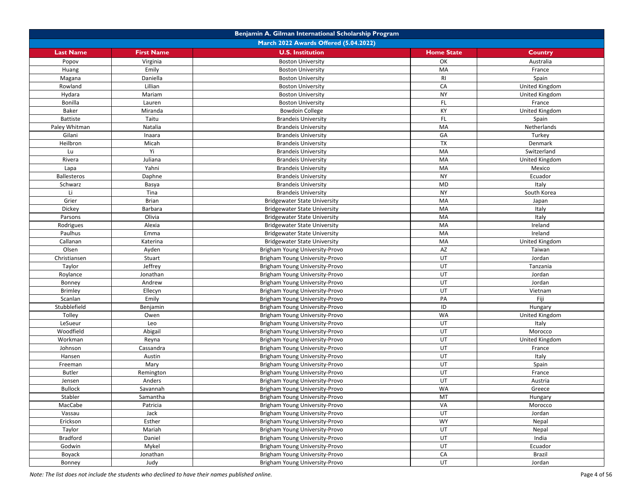|                          |                                       | Benjamin A. Gilman International Scholarship Program             |                   |                |  |  |
|--------------------------|---------------------------------------|------------------------------------------------------------------|-------------------|----------------|--|--|
|                          | March 2022 Awards Offered (5.04.2022) |                                                                  |                   |                |  |  |
| <b>Last Name</b>         | <b>First Name</b>                     | <b>U.S. Institution</b>                                          | <b>Home State</b> | <b>Country</b> |  |  |
| Popov                    | Virginia                              | <b>Boston University</b>                                         | OK                | Australia      |  |  |
| Huang                    | Emily                                 | <b>Boston University</b>                                         | MA                | France         |  |  |
| Magana                   | Daniella                              | <b>Boston University</b>                                         | <b>RI</b>         | Spain          |  |  |
| Rowland                  | Lillian                               | <b>Boston University</b>                                         | CA                | United Kingdom |  |  |
| Hydara                   | Mariam                                | <b>Boston University</b>                                         | <b>NY</b>         | United Kingdom |  |  |
| Bonilla                  | Lauren                                | <b>Boston University</b>                                         | FL                | France         |  |  |
| Baker                    | Miranda                               | <b>Bowdoin College</b>                                           | KY                | United Kingdom |  |  |
| <b>Battiste</b>          | Taitu                                 | <b>Brandeis University</b>                                       | FL                | Spain          |  |  |
| Paley Whitman            | Natalia                               | <b>Brandeis University</b>                                       | MA                | Netherlands    |  |  |
| Gilani                   | Inaara                                | <b>Brandeis University</b>                                       | GA                | Turkey         |  |  |
| Heilbron                 | Micah                                 | <b>Brandeis University</b>                                       | TX                | Denmark        |  |  |
| Lu                       | Υi                                    | <b>Brandeis University</b>                                       | MA                | Switzerland    |  |  |
| Rivera                   | Juliana                               | <b>Brandeis University</b>                                       | MA                | United Kingdom |  |  |
| Lapa                     | Yahni                                 | <b>Brandeis University</b>                                       | MA                | Mexico         |  |  |
| <b>Ballesteros</b>       | Daphne                                | <b>Brandeis University</b>                                       | <b>NY</b>         | Ecuador        |  |  |
| Schwarz                  | Basya                                 | <b>Brandeis University</b>                                       | MD                | Italy          |  |  |
| Li                       | Tina                                  | <b>Brandeis University</b>                                       | <b>NY</b>         | South Korea    |  |  |
| Grier                    | <b>Brian</b>                          | <b>Bridgewater State University</b>                              | MA                | Japan          |  |  |
| Dickey                   | Barbara                               | <b>Bridgewater State University</b>                              | MA                | Italy          |  |  |
| Parsons                  | Olivia                                | <b>Bridgewater State University</b>                              | MA                | Italy          |  |  |
| Rodrigues                | Alexia                                | <b>Bridgewater State University</b>                              | MA                | Ireland        |  |  |
| Paulhus                  | Emma                                  | <b>Bridgewater State University</b>                              | MA                | Ireland        |  |  |
| Callanan                 | Katerina                              | <b>Bridgewater State University</b>                              | MA                | United Kingdom |  |  |
| Olsen                    | Ayden                                 | Brigham Young University-Provo                                   | AZ                | Taiwan         |  |  |
|                          | Stuart                                | Brigham Young University-Provo                                   | UT                | Jordan         |  |  |
| Christiansen             | Jeffrey                               |                                                                  | UT                | Tanzania       |  |  |
| Taylor                   | Jonathan                              | Brigham Young University-Provo<br>Brigham Young University-Provo | UT                | Jordan         |  |  |
| Roylance                 | Andrew                                | Brigham Young University-Provo                                   | UT                | Jordan         |  |  |
| Bonney<br><b>Brimley</b> | Ellecyn                               | Brigham Young University-Provo                                   | UT                | Vietnam        |  |  |
|                          |                                       |                                                                  | PA                | Fiji           |  |  |
| Scanlan                  | Emily                                 | Brigham Young University-Provo                                   |                   |                |  |  |
| Stubblefield             | Benjamin                              | Brigham Young University-Provo                                   | ID<br><b>WA</b>   | Hungary        |  |  |
| Tolley                   | Owen                                  | Brigham Young University-Provo                                   |                   | United Kingdom |  |  |
| LeSueur                  | Leo                                   | Brigham Young University-Provo                                   | UT                | Italy          |  |  |
| Woodfield                | Abigail                               | Brigham Young University-Provo                                   | UT                | Morocco        |  |  |
| Workman                  | Reyna                                 | Brigham Young University-Provo                                   | UT<br>UT          | United Kingdom |  |  |
| Johnson                  | Cassandra                             | Brigham Young University-Provo                                   |                   | France         |  |  |
| Hansen                   | Austin                                | Brigham Young University-Provo                                   | UT                | Italy          |  |  |
| Freeman                  | Mary                                  | Brigham Young University-Provo                                   | UT                | Spain          |  |  |
| <b>Butler</b>            | Remington                             | Brigham Young University-Provo                                   | UT                | France         |  |  |
| Jensen                   | Anders                                | Brigham Young University-Provo                                   | UT                | Austria        |  |  |
| <b>Bullock</b>           | Savannah                              | Brigham Young University-Provo                                   | <b>WA</b>         | Greece         |  |  |
| Stabler                  | Samantha                              | Brigham Young University-Provo                                   | MT                | Hungary        |  |  |
| MacCabe                  | Patricia                              | Brigham Young University-Provo                                   | VA                | Morocco        |  |  |
| Vassau                   | Jack                                  | Brigham Young University-Provo                                   | UT                | Jordan         |  |  |
| Erickson                 | Esther                                | Brigham Young University-Provo                                   | <b>WY</b>         | Nepal          |  |  |
| Taylor                   | Mariah                                | Brigham Young University-Provo                                   | UT                | Nepal          |  |  |
| <b>Bradford</b>          | Daniel                                | Brigham Young University-Provo                                   | UT                | India          |  |  |
| Godwin                   | Mykel                                 | Brigham Young University-Provo                                   | UT                | Ecuador        |  |  |
| Boyack                   | Jonathan                              | Brigham Young University-Provo                                   | CA                | Brazil         |  |  |
| Bonney                   | Judy                                  | Brigham Young University-Provo                                   | UT                | Jordan         |  |  |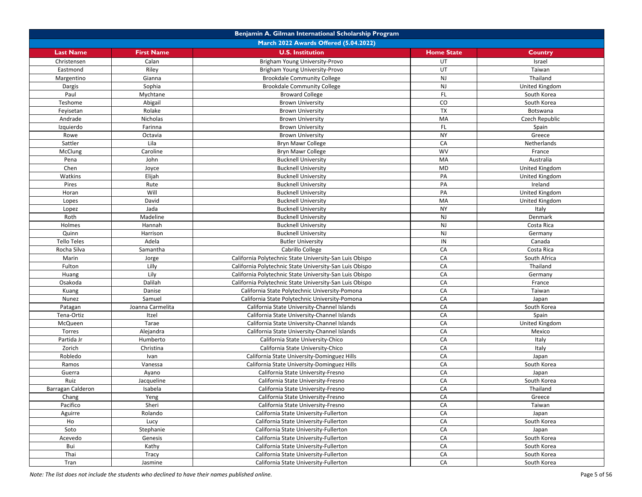| Benjamin A. Gilman International Scholarship Program |                   |                                                         |                   |                |  |
|------------------------------------------------------|-------------------|---------------------------------------------------------|-------------------|----------------|--|
| March 2022 Awards Offered (5.04.2022)                |                   |                                                         |                   |                |  |
| <b>Last Name</b>                                     | <b>First Name</b> | <b>U.S. Institution</b>                                 | <b>Home State</b> | Country        |  |
| Christensen                                          | Calan             | Brigham Young University-Provo                          | UT                | Israel         |  |
| Eastmond                                             | Riley             | Brigham Young University-Provo                          | UT                | Taiwan         |  |
| Margentino                                           | Gianna            | <b>Brookdale Community College</b>                      | NJ                | Thailand       |  |
| Dargis                                               | Sophia            | <b>Brookdale Community College</b>                      | NJ                | United Kingdom |  |
| Paul                                                 | Mychtane          | <b>Broward College</b>                                  | <b>FL</b>         | South Korea    |  |
| Teshome                                              | Abigail           | <b>Brown University</b>                                 | CO                | South Korea    |  |
| Feyisetan                                            | Rolake            | <b>Brown University</b>                                 | <b>TX</b>         | Botswana       |  |
| Andrade                                              | Nicholas          | <b>Brown University</b>                                 | MA                | Czech Republic |  |
| Izquierdo                                            | Farinna           | <b>Brown University</b>                                 | FL.               | Spain          |  |
| Rowe                                                 | Octavia           | <b>Brown University</b>                                 | <b>NY</b>         | Greece         |  |
| Sattler                                              | Lila              | Bryn Mawr College                                       | CA                | Netherlands    |  |
| McClung                                              | Caroline          | Bryn Mawr College                                       | WV                | France         |  |
| Pena                                                 | John              | <b>Bucknell University</b>                              | MA                | Australia      |  |
| Chen                                                 | Joyce             | <b>Bucknell University</b>                              | <b>MD</b>         | United Kingdom |  |
| Watkins                                              | Elijah            | <b>Bucknell University</b>                              | PA                | United Kingdom |  |
| Pires                                                | Rute              | <b>Bucknell University</b>                              | PA                | Ireland        |  |
| Horan                                                | Will              | <b>Bucknell University</b>                              | PA                | United Kingdom |  |
| Lopes                                                | David             | <b>Bucknell University</b>                              | MA                | United Kingdom |  |
| Lopez                                                | Jada              | <b>Bucknell University</b>                              | <b>NY</b>         | Italy          |  |
| Roth                                                 | Madeline          | <b>Bucknell University</b>                              | <b>NJ</b>         | Denmark        |  |
| Holmes                                               | Hannah            | <b>Bucknell University</b>                              | NJ                | Costa Rica     |  |
| Quinn                                                | Harrison          | <b>Bucknell University</b>                              | NJ                | Germany        |  |
| <b>Tello Teles</b>                                   | Adela             | <b>Butler University</b>                                | IN                | Canada         |  |
| Rocha Silva                                          | Samantha          | Cabrillo College                                        | CA                | Costa Rica     |  |
| Marin                                                | Jorge             | California Polytechnic State University-San Luis Obispo | CA                | South Africa   |  |
| Fulton                                               | Lilly             | California Polytechnic State University-San Luis Obispo | CA                | Thailand       |  |
| Huang                                                | Lily              | California Polytechnic State University-San Luis Obispo | CA                | Germany        |  |
| Osakoda                                              | Dalilah           | California Polytechnic State University-San Luis Obispo | CA                | France         |  |
| Kuang                                                | Danise            | California State Polytechnic University-Pomona          | CA                | Taiwan         |  |
| Nunez                                                | Samuel            | California State Polytechnic University-Pomona          | CA                | Japan          |  |
| Patagan                                              | Joanna Carmelita  | California State University-Channel Islands             | CA                | South Korea    |  |
| Tena-Ortiz                                           | Itzel             | California State University-Channel Islands             | CA                | Spain          |  |
| McQueen                                              | Tarae             | California State University-Channel Islands             | CA                | United Kingdom |  |
| Torres                                               | Alejandra         | California State University-Channel Islands             | CA                | Mexico         |  |
| Partida Jr                                           | Humberto          | California State University-Chico                       | CA                | Italy          |  |
| Zorich                                               | Christina         | California State University-Chico                       | CA                | Italy          |  |
| Robledo                                              | Ivan              | California State University-Dominguez Hills             | CA                | Japan          |  |
| Ramos                                                | Vanessa           | California State University-Dominguez Hills             | CA                | South Korea    |  |
| Guerra                                               | Ayano             | California State University-Fresno                      | CA                | Japan          |  |
| Ruiz                                                 | Jacqueline        | California State University-Fresno                      | CA                | South Korea    |  |
| Barragan Calderon                                    | Isabela           | California State University-Fresno                      | CA                | Thailand       |  |
| Chang                                                | Yeng              | California State University-Fresno                      | CA                | Greece         |  |
| Pacifico                                             | Sheri             | California State University-Fresno                      | CA                | Taiwan         |  |
| Aguirre                                              | Rolando           | California State University-Fullerton                   | CA                | Japan          |  |
| Ho                                                   | Lucy              | California State University-Fullerton                   | CA                | South Korea    |  |
| Soto                                                 | Stephanie         | California State University-Fullerton                   | CA                | Japan          |  |
| Acevedo                                              | Genesis           | California State University-Fullerton                   | CA                | South Korea    |  |
| Bui                                                  | Kathy             | California State University-Fullerton                   | CA                | South Korea    |  |
| Thai                                                 | Tracy             | California State University-Fullerton                   | CA                | South Korea    |  |
| Tran                                                 | Jasmine           | California State University-Fullerton                   | CA                | South Korea    |  |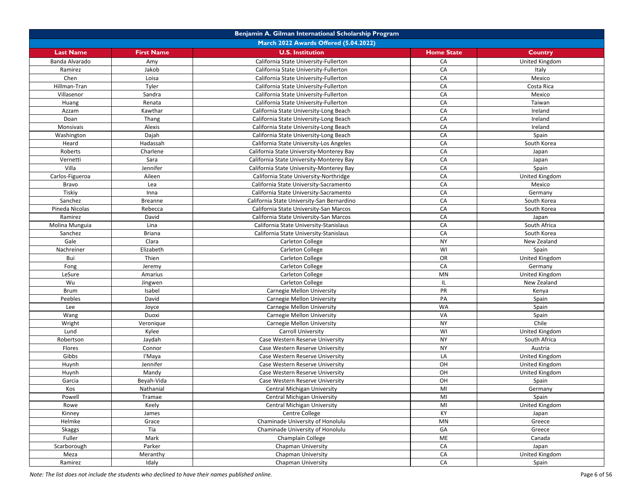|                  | Benjamin A. Gilman International Scholarship Program |                                            |                        |                       |  |
|------------------|------------------------------------------------------|--------------------------------------------|------------------------|-----------------------|--|
|                  | March 2022 Awards Offered (5.04.2022)                |                                            |                        |                       |  |
| <b>Last Name</b> | <b>First Name</b>                                    | <b>U.S. Institution</b>                    | <b>Home State</b>      | <b>Country</b>        |  |
| Banda Alvarado   | Amy                                                  | California State University-Fullerton      | CA                     | <b>United Kingdom</b> |  |
| Ramirez          | Jakob                                                | California State University-Fullerton      | CA                     | Italy                 |  |
| Chen             | Loisa                                                | California State University-Fullerton      | CA                     | Mexico                |  |
| Hillman-Tran     | Tyler                                                | California State University-Fullerton      | CA                     | Costa Rica            |  |
| Villasenor       | Sandra                                               | California State University-Fullerton      | CA                     | Mexico                |  |
| Huang            | Renata                                               | California State University-Fullerton      | CA                     | Taiwan                |  |
| Azzam            | Kawthar                                              | California State University-Long Beach     | CA                     | Ireland               |  |
| Doan             | Thang                                                | California State University-Long Beach     | CA                     | Ireland               |  |
| Monsivais        | Alexis                                               | California State University-Long Beach     | CA                     | Ireland               |  |
| Washington       | Dajah                                                | California State University-Long Beach     | CA                     | Spain                 |  |
| Heard            | Hadassah                                             | California State University-Los Angeles    | CA                     | South Korea           |  |
| Roberts          | Charlene                                             | California State University-Monterey Bay   | CA                     | Japan                 |  |
| Vernetti         | Sara                                                 | California State University-Monterey Bay   | CA                     | Japan                 |  |
| Villa            | Jennifer                                             | California State University-Monterey Bay   | CA                     | Spain                 |  |
| Carlos-Figueroa  | Aileen                                               | California State University-Northridge     | CA                     | United Kingdom        |  |
| Bravo            | Lea                                                  | California State University-Sacramento     | CA                     | Mexico                |  |
| Tiskiy           | Inna                                                 | California State University-Sacramento     | CA                     | Germany               |  |
| Sanchez          | <b>Breanne</b>                                       | California State University-San Bernardino | CA                     | South Korea           |  |
| Pineda Nicolas   | Rebecca                                              | California State University-San Marcos     | CA                     | South Korea           |  |
| Ramirez          | David                                                | California State University-San Marcos     | CA                     | Japan                 |  |
| Molina Munguia   | Lina                                                 | California State University-Stanislaus     | CA                     | South Africa          |  |
| Sanchez          | <b>Briana</b>                                        | California State University-Stanislaus     | CA                     | South Korea           |  |
| Gale             | Clara                                                | Carleton College                           | <b>NY</b>              | New Zealand           |  |
| Nachreiner       | Elizabeth                                            | Carleton College                           | WI                     | Spain                 |  |
| Bui              | Thien                                                | Carleton College                           | OR                     | United Kingdom        |  |
| Fong             | Jeremy                                               | Carleton College                           | CA                     | Germany               |  |
| LeSure           | Amarius                                              | Carleton College                           | $\mathsf{M}\mathsf{N}$ | United Kingdom        |  |
| Wu               | Jingwen                                              | Carleton College                           | IL                     | New Zealand           |  |
| <b>Brum</b>      | Isabel                                               | Carnegie Mellon University                 | PR                     | Kenya                 |  |
| Peebles          | David                                                | Carnegie Mellon University                 | PA                     | Spain                 |  |
| Lee              | Joyce                                                | Carnegie Mellon University                 | WA                     | Spain                 |  |
| Wang             | Duoxi                                                | Carnegie Mellon University                 | VA                     | Spain                 |  |
| Wright           | Veronique                                            | Carnegie Mellon University                 | <b>NY</b>              | Chile                 |  |
| Lund             | Kylee                                                | Carroll University                         | WI                     | United Kingdom        |  |
| Robertson        | Jaydah                                               | Case Western Reserve University            | <b>NY</b>              | South Africa          |  |
| Flores           | Connor                                               | Case Western Reserve University            | <b>NY</b>              | Austria               |  |
| Gibbs            | l'Maya                                               | Case Western Reserve University            | LA                     | United Kingdom        |  |
| Huynh            | Jennifer                                             | Case Western Reserve University            | OH                     | United Kingdom        |  |
| Huynh            | Mandy                                                | Case Western Reserve University            | OH                     | United Kingdom        |  |
| Garcia           | Beyah-Vida                                           | Case Western Reserve University            | OH                     | Spain                 |  |
| Kos              | Nathanial                                            | Central Michigan University                | MI                     | Germany               |  |
| Powell           | Tramae                                               | Central Michigan University                | MI                     | Spain                 |  |
| Rowe             | Keely                                                | Central Michigan University                | MI                     | United Kingdom        |  |
| Kinney           | James                                                | Centre College                             | KY                     | Japan                 |  |
| Helmke           | Grace                                                | Chaminade University of Honolulu           | <b>MN</b>              | Greece                |  |
| <b>Skaggs</b>    | Tia                                                  | Chaminade University of Honolulu           | GA                     | Greece                |  |
| Fuller           | Mark                                                 | Champlain College                          | ME                     | Canada                |  |
| Scarborough      | Parker                                               | Chapman University                         | CA                     | Japan                 |  |
| Meza             | Meranthy                                             | Chapman University                         | CA                     | United Kingdom        |  |
| Ramirez          | Idaly                                                | Chapman University                         | CA                     | Spain                 |  |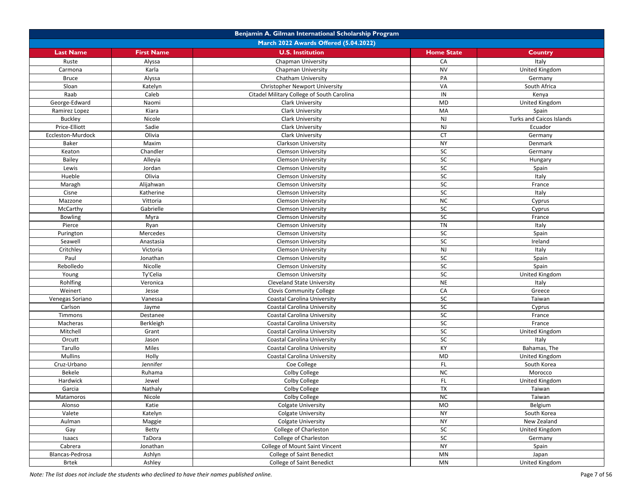|                   |                   | Benjamin A. Gilman International Scholarship Program |                        |                                 |
|-------------------|-------------------|------------------------------------------------------|------------------------|---------------------------------|
|                   |                   | March 2022 Awards Offered (5.04.2022)                |                        |                                 |
| <b>Last Name</b>  | <b>First Name</b> | <b>U.S. Institution</b>                              | <b>Home State</b>      | <b>Country</b>                  |
| Ruste             | Alyssa            | Chapman University                                   | CA                     | Italy                           |
| Carmona           | Karla             | Chapman University                                   | <b>NV</b>              | United Kingdom                  |
| <b>Bruce</b>      | Alyssa            | Chatham University                                   | PA                     | Germany                         |
| Sloan             | Katelyn           | <b>Christopher Newport University</b>                | VA                     | South Africa                    |
| Raab              | Caleb             | Citadel Military College of South Carolina           | IN                     | Kenya                           |
| George-Edward     | Naomi             | <b>Clark University</b>                              | MD                     | United Kingdom                  |
| Ramirez Lopez     | Kiara             | <b>Clark University</b>                              | MA                     | Spain                           |
| <b>Buckley</b>    | Nicole            | Clark University                                     | NJ                     | <b>Turks and Caicos Islands</b> |
| Price-Elliott     | Sadie             | Clark University                                     | <b>NJ</b>              | Ecuador                         |
| Eccleston-Murdock | Olivia            | Clark University                                     | <b>CT</b>              | Germany                         |
| Baker             | Maxim             | <b>Clarkson University</b>                           | <b>NY</b>              | Denmark                         |
| Keaton            | Chandler          | <b>Clemson University</b>                            | <b>SC</b>              | Germany                         |
| Bailey            | Alleyia           | <b>Clemson University</b>                            | SC                     | Hungary                         |
| Lewis             | Jordan            | <b>Clemson University</b>                            | SC                     | Spain                           |
| Hueble            | Olivia            | <b>Clemson University</b>                            | SC                     | Italy                           |
| Maragh            | Alijahwan         | <b>Clemson University</b>                            | SC                     | France                          |
| Cisne             | Katherine         | <b>Clemson University</b>                            | <b>SC</b>              | Italy                           |
| Mazzone           | Vittoria          | <b>Clemson University</b>                            | <b>NC</b>              | Cyprus                          |
| McCarthy          | Gabrielle         | <b>Clemson University</b>                            | SC                     | Cyprus                          |
| <b>Bowling</b>    | Myra              | <b>Clemson University</b>                            | SC                     | France                          |
| Pierce            | Ryan              | <b>Clemson University</b>                            | TN                     | Italy                           |
| Purington         | Mercedes          | <b>Clemson University</b>                            | SC                     | Spain                           |
| Seawell           | Anastasia         | <b>Clemson University</b>                            | SC                     | Ireland                         |
| Critchley         | Victoria          | <b>Clemson University</b>                            | <b>NJ</b>              | Italy                           |
| Paul              | Jonathan          | <b>Clemson University</b>                            | SC                     | Spain                           |
| Rebolledo         | Nicolle           | <b>Clemson University</b>                            | SC                     | Spain                           |
| Young             | Ty'Celia          | <b>Clemson University</b>                            | SC                     | United Kingdom                  |
| Rohlfing          | Veronica          | <b>Cleveland State University</b>                    | <b>NE</b>              | Italy                           |
| Weinert           | Jesse             | <b>Clovis Community College</b>                      | CA                     | Greece                          |
| Venegas Soriano   | Vanessa           | Coastal Carolina University                          | SC                     | Taiwan                          |
| Carlson           | Jayme             | Coastal Carolina University                          | SC                     | Cyprus                          |
| Timmons           | Destanee          | Coastal Carolina University                          | SC                     | France                          |
| Macheras          | Berkleigh         | Coastal Carolina University                          | SC                     | France                          |
| Mitchell          | Grant             | Coastal Carolina University                          | SC                     | United Kingdom                  |
| Orcutt            | Jason             | Coastal Carolina University                          | SC                     | Italy                           |
| Tarullo           | Miles             | Coastal Carolina University                          | KY                     | Bahamas, The                    |
| <b>Mullins</b>    | Holly             | Coastal Carolina University                          | MD                     | United Kingdom                  |
| Cruz-Urbano       | Jennifer          | Coe College                                          | FL                     | South Korea                     |
| Bekele            | Ruhama            | Colby College                                        | <b>NC</b>              | Morocco                         |
| Hardwick          | Jewel             | Colby College                                        | FL                     | United Kingdom                  |
| Garcia            | Nathaly           | Colby College                                        | <b>TX</b>              | Taiwan                          |
| Matamoros         | Nicole            | Colby College                                        | <b>NC</b>              | Taiwan                          |
| Alonso            | Katie             | Colgate University                                   | MO                     | Belgium                         |
| Valete            | Katelyn           | Colgate University                                   | <b>NY</b>              | South Korea                     |
| Aulman            | Maggie            | <b>Colgate University</b>                            | <b>NY</b>              | New Zealand                     |
| Gay               | Betty             | College of Charleston                                | SC                     | United Kingdom                  |
| Isaacs            | TaDora            | College of Charleston                                | SC                     | Germany                         |
| Cabrera           | Jonathan          | College of Mount Saint Vincent                       | <b>NY</b>              | Spain                           |
| Blancas-Pedrosa   | Ashlyn            | College of Saint Benedict                            | $\mathsf{M}\mathsf{N}$ | Japan                           |
|                   |                   |                                                      | $\mathsf{M}\mathsf{N}$ |                                 |
| <b>Brtek</b>      | Ashley            | College of Saint Benedict                            |                        | United Kingdom                  |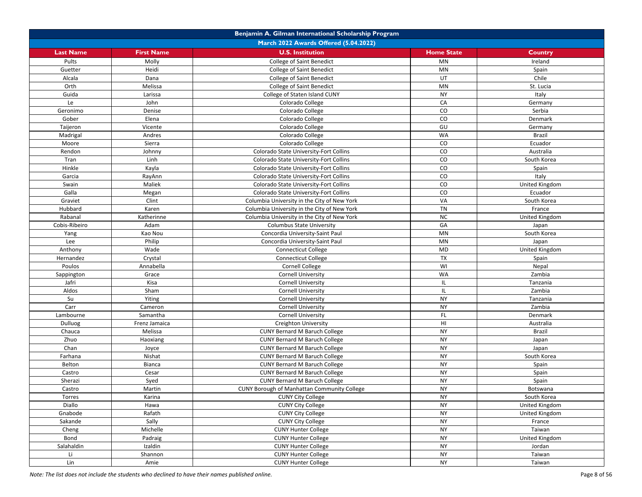|                  |                   | Benjamin A. Gilman International Scholarship Program |                        |                       |
|------------------|-------------------|------------------------------------------------------|------------------------|-----------------------|
|                  |                   | March 2022 Awards Offered (5.04.2022)                |                        |                       |
| <b>Last Name</b> | <b>First Name</b> | <b>U.S. Institution</b>                              | <b>Home State</b>      | Country               |
| Pults            | Molly             | College of Saint Benedict                            | <b>MN</b>              | Ireland               |
| Guetter          | Heidi             | College of Saint Benedict                            | $\mathsf{M}\mathsf{N}$ | Spain                 |
| Alcala           | Dana              | College of Saint Benedict                            | UT                     | Chile                 |
| Orth             | Melissa           | College of Saint Benedict                            | <b>MN</b>              | St. Lucia             |
| Guida            | Larissa           | College of Staten Island CUNY                        | <b>NY</b>              | Italy                 |
| Le               | John              | Colorado College                                     | CA                     | Germany               |
| Geronimo         | Denise            | Colorado College                                     | ${\rm CO}$             | Serbia                |
| Gober            | Elena             | Colorado College                                     | CO                     | Denmark               |
| Taijeron         | Vicente           | Colorado College                                     | GU                     | Germany               |
| Madrigal         | Andres            | Colorado College                                     | <b>WA</b>              | <b>Brazil</b>         |
| Moore            | Sierra            | Colorado College                                     | $\rm CO$               | Ecuador               |
| Rendon           | Johnny            | Colorado State University-Fort Collins               | CO                     | Australia             |
| Tran             | Linh              | Colorado State University-Fort Collins               | ${\rm CO}$             | South Korea           |
| Hinkle           | Kayla             | Colorado State University-Fort Collins               | ${\rm CO}$             | Spain                 |
| Garcia           | RayAnn            | Colorado State University-Fort Collins               | $\rm CO$               | Italy                 |
| Swain            | Maliek            | Colorado State University-Fort Collins               | ${\rm CO}$             | United Kingdom        |
| Galla            | Megan             | Colorado State University-Fort Collins               | CO                     | Ecuador               |
| Graviet          | Clint             | Columbia University in the City of New York          | VA                     | South Korea           |
| Hubbard          | Karen             | Columbia University in the City of New York          | <b>TN</b>              | France                |
| Rabanal          | Katherinne        | Columbia University in the City of New York          | <b>NC</b>              | United Kingdom        |
| Cobis-Ribeiro    | Adam              | <b>Columbus State University</b>                     | GA                     | Japan                 |
| Yang             | Kao Nou           | Concordia University-Saint Paul                      | MN                     | South Korea           |
| Lee              | Philip            | Concordia University-Saint Paul                      | <b>MN</b>              | Japan                 |
| Anthony          | Wade              | <b>Connecticut College</b>                           | MD                     | United Kingdom        |
| Hernandez        | Crystal           | <b>Connecticut College</b>                           | <b>TX</b>              | Spain                 |
| Poulos           | Annabella         | <b>Cornell College</b>                               | WI                     | Nepal                 |
| Sappington       | Grace             | <b>Cornell University</b>                            | WA                     | Zambia                |
| Jafri            | Kisa              | <b>Cornell University</b>                            | IL.                    | Tanzania              |
| Aldos            | Sham              | <b>Cornell University</b>                            | IL                     | Zambia                |
| Su               | Yiting            | <b>Cornell University</b>                            | <b>NY</b>              | Tanzania              |
| Carr             | Cameron           | <b>Cornell University</b>                            | <b>NY</b>              | Zambia                |
| Lambourne        | Samantha          | <b>Cornell University</b>                            | FL                     | Denmark               |
| Dulluog          | Frenz Jamaica     | Creighton University                                 | H <sub>II</sub>        | Australia             |
| Chauca           | Melissa           | <b>CUNY Bernard M Baruch College</b>                 | <b>NY</b>              | <b>Brazil</b>         |
| Zhuo             | Haoxiang          | <b>CUNY Bernard M Baruch College</b>                 | <b>NY</b>              | Japan                 |
| Chan             | Joyce             | CUNY Bernard M Baruch College                        | <b>NY</b>              | Japan                 |
| Farhana          | Nishat            | <b>CUNY Bernard M Baruch College</b>                 | <b>NY</b>              | South Korea           |
| Belton           | Bianca            | <b>CUNY Bernard M Baruch College</b>                 | <b>NY</b>              | Spain                 |
| Castro           | Cesar             | <b>CUNY Bernard M Baruch College</b>                 | <b>NY</b>              | Spain                 |
| Sherazi          | Syed              | <b>CUNY Bernard M Baruch College</b>                 | <b>NY</b>              | Spain                 |
| Castro           | Martin            | <b>CUNY Borough of Manhattan Community College</b>   | <b>NY</b>              | Botswana              |
| Torres           | Karina            | <b>CUNY City College</b>                             | <b>NY</b>              | South Korea           |
| Diallo           | Hawa              | <b>CUNY City College</b>                             | <b>NY</b>              | <b>United Kingdom</b> |
| Gnabode          | Rafath            | <b>CUNY City College</b>                             | <b>NY</b>              | United Kingdom        |
| Sakande          | Sally             | <b>CUNY City College</b>                             | <b>NY</b>              | France                |
| Cheng            | Michelle          | <b>CUNY Hunter College</b>                           | <b>NY</b>              | Taiwan                |
| Bond             | Padraig           | <b>CUNY Hunter College</b>                           | <b>NY</b>              | United Kingdom        |
| Salahaldin       | Izaldin           | <b>CUNY Hunter College</b>                           | <b>NY</b>              | Jordan                |
| Li               | Shannon           | <b>CUNY Hunter College</b>                           | <b>NY</b>              | Taiwan                |
| Lin              | Amie              | <b>CUNY Hunter College</b>                           | <b>NY</b>              | Taiwan                |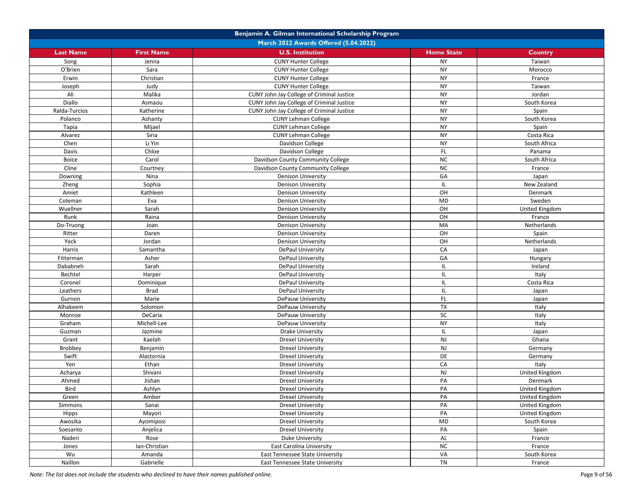|                  |                   | Benjamin A. Gilman International Scholarship Program |                   |                       |
|------------------|-------------------|------------------------------------------------------|-------------------|-----------------------|
|                  |                   | March 2022 Awards Offered (5.04.2022)                |                   |                       |
| <b>Last Name</b> | <b>First Name</b> | <b>U.S. Institution</b>                              | <b>Home State</b> | Country               |
| Song             | Jenna             | <b>CUNY Hunter College</b>                           | <b>NY</b>         | Taiwan                |
| O'Brien          | Sara              | <b>CUNY Hunter College</b>                           | <b>NY</b>         | Morocco               |
| Erwin            | Christian         | <b>CUNY Hunter College</b>                           | <b>NY</b>         | France                |
| Joseph           | Judy              | <b>CUNY Hunter College</b>                           | <b>NY</b>         | Taiwan                |
| Ali              | Malika            | CUNY John Jay College of Criminal Justice            | <b>NY</b>         | Jordan                |
| Diallo           | Asmaou            | CUNY John Jay College of Criminal Justice            | <b>NY</b>         | South Korea           |
| Ralda-Turcios    | Katherine         | CUNY John Jay College of Criminal Justice            | <b>NY</b>         | Spain                 |
| Polanco          | Ashanty           | <b>CUNY Lehman College</b>                           | <b>NY</b>         | South Korea           |
| Tapia            | Mijael            | <b>CUNY Lehman College</b>                           | <b>NY</b>         | Spain                 |
| Alvarez          | Siria             | <b>CUNY Lehman College</b>                           | <b>NY</b>         | Costa Rica            |
| Chen             | Li Yin            | Davidson College                                     | <b>NY</b>         | South Africa          |
| Davis            | Chloe             | Davidson College                                     | FL.               | Panama                |
| Boice            | Carol             | Davidson County Community College                    | ${\sf NC}$        | South Africa          |
| Cline            | Courtney          | Davidson County Community College                    | ${\sf NC}$        | France                |
| Downing          | Nina              | <b>Denison University</b>                            | GA                | Japan                 |
| Zheng            | Sophia            | <b>Denison University</b>                            | IL.               | New Zealand           |
| Amiet            | Kathleen          | <b>Denison University</b>                            | OH                | Denmark               |
| Coleman          | Eva               | <b>Denison University</b>                            | <b>MD</b>         | Sweden                |
| Wuellner         | Sarah             | <b>Denison University</b>                            | OH                | United Kingdom        |
| Runk             | Raina             | <b>Denison University</b>                            | OH                | France                |
| Do-Truong        | Joan              | <b>Denison University</b>                            | MA                | Netherlands           |
| Ritter           | Daren             | <b>Denison University</b>                            | OH                | Spain                 |
| Yeck             | Jordan            | <b>Denison University</b>                            | OH                | Netherlands           |
| Harris           | Samantha          | DePaul University                                    | CA                | Japan                 |
| Fitterman        | Asher             | DePaul University                                    | GA                | Hungary               |
| Dababneh         | Sarah             | DePaul University                                    | IL                | Ireland               |
| Bechtel          | Harper            | DePaul University                                    | IL                | Italy                 |
| Coronel          | Dominique         | <b>DePaul University</b>                             | IL.               | Costa Rica            |
| Leathers         | <b>Brad</b>       | DePaul University                                    | IL                | Japan                 |
| Gurnon           | Marie             | DePauw University                                    | FL.               | Japan                 |
| Alhakeem         | Solomon           | DePauw University                                    | TX                | Italy                 |
| Monroe           | DeCaria           | DePauw University                                    | SC                | Italy                 |
| Graham           | Michell-Lee       | DePauw University                                    | <b>NY</b>         | Italy                 |
| Guzman           | Jazmine           | <b>Drake University</b>                              | IL.               | Japan                 |
| Grant            | Kaelah            | <b>Drexel University</b>                             | NJ                | Ghana                 |
| <b>Brobbey</b>   | Benjamin          | Drexel University                                    | <b>NJ</b>         | Germany               |
| Swift            | Alastornia        | <b>Drexel University</b>                             | DE                | Germany               |
| Yen              | Ethan             | <b>Drexel University</b>                             | CA                | Italy                 |
| Acharya          | Shivani           | <b>Drexel University</b>                             | $\mathsf{NJ}$     | United Kingdom        |
| Ahmed            | Jishan            | <b>Drexel University</b>                             | PA                | Denmark               |
| <b>Bird</b>      | Ashlyn            | <b>Drexel University</b>                             | PA                | United Kingdom        |
| Green            | Amber             | <b>Drexel University</b>                             | PA                | <b>United Kingdom</b> |
| Simmons          | Sanai             | <b>Drexel University</b>                             | PA                | United Kingdom        |
| Hipps            | Mayori            | <b>Drexel University</b>                             | PA                | United Kingdom        |
| Awosika          | Ayomiposi         | <b>Drexel University</b>                             | <b>MD</b>         | South Korea           |
| Soesanto         | Anjelica          | <b>Drexel University</b>                             | PA                | Spain                 |
| Naderi           | Rose              | Duke University                                      | AL                | France                |
| Jones            | Ian-Christian     | East Carolina University                             | <b>NC</b>         | France                |
| Wu               | Amanda            | East Tennessee State University                      | VA                | South Korea           |
| Naillon          | Gabrielle         | East Tennessee State University                      | TN                | France                |
|                  |                   |                                                      |                   |                       |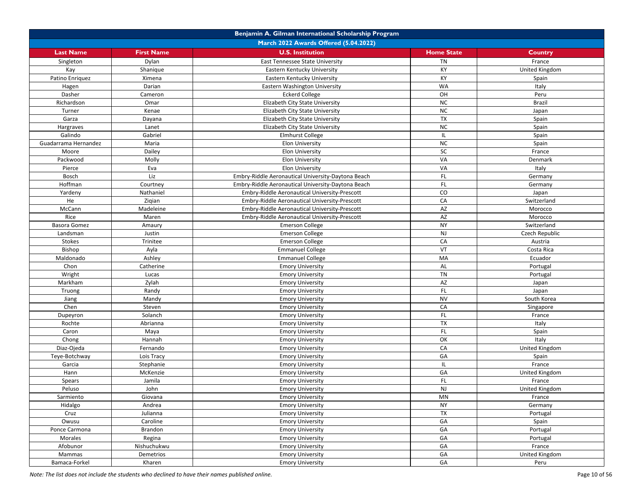|                      | Benjamin A. Gilman International Scholarship Program |                                                    |                   |                |  |
|----------------------|------------------------------------------------------|----------------------------------------------------|-------------------|----------------|--|
|                      |                                                      | March 2022 Awards Offered (5.04.2022)              |                   |                |  |
| <b>Last Name</b>     | <b>First Name</b>                                    | <b>U.S. Institution</b>                            | <b>Home State</b> | <b>Country</b> |  |
| Singleton            | Dylan                                                | East Tennessee State University                    | <b>TN</b>         | France         |  |
| Kay                  | Shanique                                             | Eastern Kentucky University                        | KY                | United Kingdom |  |
| Patino Enriquez      | Ximena                                               | Eastern Kentucky University                        | KY                | Spain          |  |
| Hagen                | Darian                                               | Eastern Washington University                      | <b>WA</b>         | Italy          |  |
| Dasher               | Cameron                                              | <b>Eckerd College</b>                              | OH                | Peru           |  |
| Richardson           | Omar                                                 | Elizabeth City State University                    | <b>NC</b>         | <b>Brazil</b>  |  |
| Turner               | Kenae                                                | Elizabeth City State University                    | $NC$              | Japan          |  |
| Garza                | Dayana                                               | Elizabeth City State University                    | <b>TX</b>         | Spain          |  |
| Hargraves            | Lanet                                                | Elizabeth City State University                    | <b>NC</b>         | Spain          |  |
| Galindo              | Gabriel                                              | <b>Elmhurst College</b>                            | IL                | Spain          |  |
| Guadarrama Hernandez | Maria                                                | Elon University                                    | <b>NC</b>         | Spain          |  |
| Moore                | Dailey                                               | <b>Elon University</b>                             | <b>SC</b>         | France         |  |
| Packwood             | Molly                                                | <b>Elon University</b>                             | VA                | Denmark        |  |
| Pierce               | Eva                                                  | <b>Elon University</b>                             | VA                | Italy          |  |
| Bosch                | Liz                                                  | Embry-Riddle Aeronautical University-Daytona Beach | FL.               | Germany        |  |
| Hoffman              | Courtney                                             | Embry-Riddle Aeronautical University-Daytona Beach | FL                | Germany        |  |
| Yardeny              | Nathaniel                                            | Embry-Riddle Aeronautical University-Prescott      | CO                | Japan          |  |
| He                   | Ziqian                                               | Embry-Riddle Aeronautical University-Prescott      | CA                | Switzerland    |  |
| McCann               | Madeleine                                            | Embry-Riddle Aeronautical University-Prescott      | AZ                | Morocco        |  |
| Rice                 | Maren                                                | Embry-Riddle Aeronautical University-Prescott      | AZ                | Morocco        |  |
| Basora Gomez         |                                                      |                                                    | <b>NY</b>         | Switzerland    |  |
|                      | Amaury<br>Justin                                     | <b>Emerson College</b><br><b>Emerson College</b>   | NJ                |                |  |
| Landsman             |                                                      |                                                    |                   | Czech Republic |  |
| Stokes               | Trinitee                                             | <b>Emerson College</b>                             | CA                | Austria        |  |
| Bishop               | Ayla                                                 | <b>Emmanuel College</b>                            | VT                | Costa Rica     |  |
| Maldonado            | Ashley                                               | <b>Emmanuel College</b>                            | MA                | Ecuador        |  |
| Chon                 | Catherine                                            | <b>Emory University</b>                            | AL                | Portugal       |  |
| Wright               | Lucas                                                | <b>Emory University</b>                            | TN                | Portugal       |  |
| Markham              | Zylah                                                | <b>Emory University</b>                            | AZ                | Japan          |  |
| Truong               | Randy                                                | <b>Emory University</b>                            | FL.               | Japan          |  |
| Jiang                | Mandy                                                | <b>Emory University</b>                            | <b>NV</b>         | South Korea    |  |
| Chen                 | Steven                                               | <b>Emory University</b>                            | CA                | Singapore      |  |
| Dupeyron             | Solanch                                              | <b>Emory University</b>                            | $\mathsf{FL}$     | France         |  |
| Rochte               | Abrianna                                             | <b>Emory University</b>                            | <b>TX</b>         | Italy          |  |
| Caron                | Maya                                                 | <b>Emory University</b>                            | FL.               | Spain          |  |
| Chong                | Hannah                                               | <b>Emory University</b>                            | OK                | Italy          |  |
| Diaz-Ojeda           | Fernando                                             | <b>Emory University</b>                            | CA                | United Kingdom |  |
| Teye-Botchway        | Lois Tracy                                           | <b>Emory University</b>                            | GA                | Spain          |  |
| Garcia               | Stephanie                                            | <b>Emory University</b>                            | IL.               | France         |  |
| Hann                 | McKenzie                                             | <b>Emory University</b>                            | GA                | United Kingdom |  |
| Spears               | Jamila                                               | <b>Emory University</b>                            | FL                | France         |  |
| Peluso               | John                                                 | <b>Emory University</b>                            | NJ                | United Kingdom |  |
| Sarmiento            | Giovana                                              | <b>Emory University</b>                            | MN                | France         |  |
| Hidalgo              | Andrea                                               | <b>Emory University</b>                            | <b>NY</b>         | Germany        |  |
| Cruz                 | Julianna                                             | <b>Emory University</b>                            | TX                | Portugal       |  |
| Owusu                | Caroline                                             | <b>Emory University</b>                            | GA                | Spain          |  |
| Ponce Carmona        | Brandon                                              | <b>Emory University</b>                            | GA                | Portugal       |  |
| Morales              | Regina                                               | <b>Emory University</b>                            | GA                | Portugal       |  |
| Afobunor             | Nishuchukwu                                          | <b>Emory University</b>                            | GA                | France         |  |
| Mammas               | Demetrios                                            | <b>Emory University</b>                            | GA                | United Kingdom |  |
| Bamaca-Forkel        | Kharen                                               | <b>Emory University</b>                            | GA                | Peru           |  |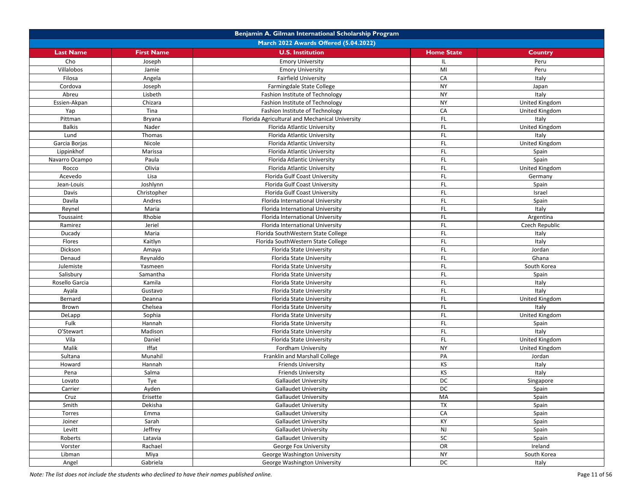|                  |                                       | Benjamin A. Gilman International Scholarship Program |                   |                |  |  |
|------------------|---------------------------------------|------------------------------------------------------|-------------------|----------------|--|--|
|                  | March 2022 Awards Offered (5.04.2022) |                                                      |                   |                |  |  |
| <b>Last Name</b> | <b>First Name</b>                     | <b>U.S. Institution</b>                              | <b>Home State</b> | Country        |  |  |
| Cho              | Joseph                                | <b>Emory University</b>                              | IL                | Peru           |  |  |
| Villalobos       | Jamie                                 | <b>Emory University</b>                              | MI                | Peru           |  |  |
| Filosa           | Angela                                | <b>Fairfield University</b>                          | CA                | Italy          |  |  |
| Cordova          | Joseph                                | Farmingdale State College                            | <b>NY</b>         | Japan          |  |  |
| Abreu            | Lisbeth                               | Fashion Institute of Technology                      | <b>NY</b>         | Italy          |  |  |
| Essien-Akpan     | Chizara                               | Fashion Institute of Technology                      | <b>NY</b>         | United Kingdom |  |  |
| Yap              | Tina                                  | Fashion Institute of Technology                      | CA                | United Kingdom |  |  |
| Pittman          | Bryana                                | Florida Agricultural and Mechanical University       | FL.               | Italy          |  |  |
| <b>Balkis</b>    | Nader                                 | Florida Atlantic University                          | <b>FL</b>         | United Kingdom |  |  |
| Lund             | Thomas                                | Florida Atlantic University                          | FL.               | Italy          |  |  |
| Garcia Borjas    | Nicole                                | Florida Atlantic University                          | <b>FL</b>         | United Kingdom |  |  |
| Lippinkhof       | Marissa                               | Florida Atlantic University                          | FL.               | Spain          |  |  |
| Navarro Ocampo   | Paula                                 | Florida Atlantic University                          | FL.               | Spain          |  |  |
| Rocco            | Olivia                                | Florida Atlantic University                          | FL                | United Kingdom |  |  |
| Acevedo          | Lisa                                  | Florida Gulf Coast University                        | FL.               | Germany        |  |  |
| Jean-Louis       | Joshlynn                              | Florida Gulf Coast University                        | FL.               | Spain          |  |  |
| Davis            | Christopher                           | Florida Gulf Coast University                        | FL.               | Israel         |  |  |
| Davila           | Andres                                | Florida International University                     | FL                | Spain          |  |  |
| Reynel           | Maria                                 | Florida International University                     | FL                | Italy          |  |  |
| Toussaint        | Rhobie                                | Florida International University                     | FL.               | Argentina      |  |  |
| Ramirez          | Jeriel                                | Florida International University                     | FL                | Czech Republic |  |  |
| Ducady           | Maria                                 | Florida SouthWestern State College                   | FL                | Italy          |  |  |
| Flores           | Kaitlyn                               | Florida SouthWestern State College                   | FL                | Italy          |  |  |
| Dickson          | Amaya                                 | Florida State University                             | FL                | Jordan         |  |  |
| Denaud           | Reynaldo                              | Florida State University                             | FL                | Ghana          |  |  |
| Julemiste        | Yasmeen                               | Florida State University                             | FL.               | South Korea    |  |  |
| Salisbury        | Samantha                              | Florida State University                             | FL.               | Spain          |  |  |
| Rosello Garcia   | Kamila                                | Florida State University                             | FL.               | Italy          |  |  |
| Ayala            | Gustavo                               | Florida State University                             | FL                | Italy          |  |  |
| Bernard          | Deanna                                | Florida State University                             | <b>FL</b>         | United Kingdom |  |  |
| Brown            | Chelsea                               | Florida State University                             | FL.               | Italy          |  |  |
| DeLapp           | Sophia                                | Florida State University                             | FL.               | United Kingdom |  |  |
| Fulk             | Hannah                                | Florida State University                             | FL.               | Spain          |  |  |
| O'Stewart        | Madison                               | Florida State University                             | FL                | Italy          |  |  |
| Vila             | Daniel                                | Florida State University                             | FL.               | United Kingdom |  |  |
| Malik            | Iffat                                 | Fordham University                                   | <b>NY</b>         | United Kingdom |  |  |
| Sultana          | Munahil                               | Franklin and Marshall College                        | PA                | Jordan         |  |  |
| Howard           | Hannah                                | <b>Friends University</b>                            | KS                | Italy          |  |  |
| Pena             | Salma                                 | <b>Friends University</b>                            | KS                | Italy          |  |  |
| Lovato           | Tye                                   | <b>Gallaudet University</b>                          | DC                | Singapore      |  |  |
| Carrier          | Ayden                                 | <b>Gallaudet University</b>                          | DC                | Spain          |  |  |
| Cruz             | Erisette                              | <b>Gallaudet University</b>                          | MA                | Spain          |  |  |
| Smith            | Dekisha                               | <b>Gallaudet University</b>                          | TX                | Spain          |  |  |
| Torres           | Emma                                  | <b>Gallaudet University</b>                          | CA                | Spain          |  |  |
| Joiner           | Sarah                                 | <b>Gallaudet University</b>                          | KY                | Spain          |  |  |
| Levitt           | Jeffrey                               | Gallaudet University                                 | NJ                | Spain          |  |  |
| Roberts          | Latavia                               | <b>Gallaudet University</b>                          | SC                | Spain          |  |  |
| Vorster          | Rachael                               | George Fox University                                | OR                | Ireland        |  |  |
| Libman           | Miya                                  | George Washington University                         | <b>NY</b>         | South Korea    |  |  |
| Angel            | Gabriela                              | George Washington University                         | DC                | Italy          |  |  |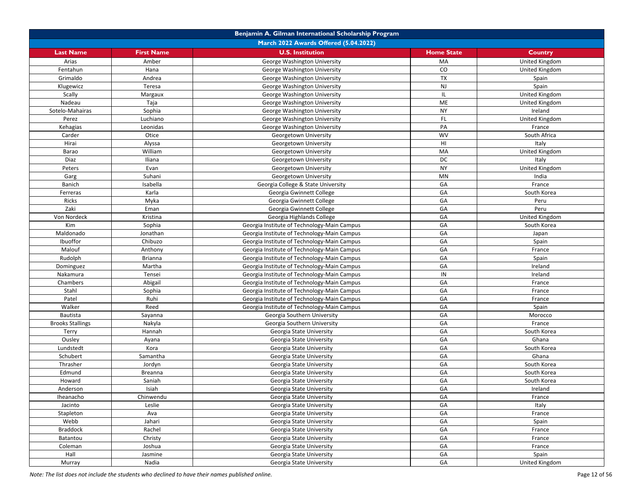| March 2022 Awards Offered (5.04.2022)<br><b>U.S. Institution</b><br><b>Last Name</b><br><b>First Name</b><br><b>Home State</b><br>Country<br>MA<br>Arias<br>Amber<br>George Washington University<br>United Kingdom<br>CO<br>Fentahun<br>Hana<br>George Washington University<br>United Kingdom<br>TX<br>Grimaldo<br>Andrea<br>George Washington University<br>Spain<br>NJ<br>Spain<br>Klugewicz<br>Teresa<br>George Washington University<br>Scally<br>IL.<br>United Kingdom<br>Margaux<br>George Washington University<br>ME<br>Nadeau<br>Taja<br>George Washington University<br>United Kingdom<br><b>NY</b><br>Sotelo-Mahairas<br>Sophia<br>Ireland<br>George Washington University<br>Luchiano<br>FL.<br>Perez<br>United Kingdom<br>George Washington University<br>Leonidas<br>PA<br>Kehagias<br>George Washington University<br>France<br>Otice<br><b>WV</b><br>Carder<br>South Africa<br>Georgetown University<br>HI<br>Hirai<br>Alyssa<br>Italy<br>Georgetown University<br>MA<br>William<br>United Kingdom<br>Barao<br>Georgetown University<br>DC<br>Diaz<br>Iliana<br>Georgetown University<br>Italy<br><b>NY</b><br>Evan<br><b>United Kingdom</b><br>Peters<br>Georgetown University<br>MN<br>Garg<br>Suhani<br>Georgetown University<br>India<br>GA<br>Banich<br>Isabella<br>Georgia College & State University<br>France<br>GA<br>Karla<br>South Korea<br>Ferreras<br>Georgia Gwinnett College<br>Ricks<br>Myka<br>GA<br>Georgia Gwinnett College<br>Peru<br>Zaki<br>GA<br>Eman<br>Georgia Gwinnett College<br>Peru<br>GA<br>Von Nordeck<br>Kristina<br>United Kingdom<br>Georgia Highlands College<br>Kim<br>Sophia<br>GA<br>Georgia Institute of Technology-Main Campus<br>South Korea<br>GA<br>Jonathan<br>Maldonado<br>Georgia Institute of Technology-Main Campus<br>Japan<br>Ibuoffor<br>GA<br>Chibuzo<br>Georgia Institute of Technology-Main Campus<br>Spain<br>GA<br>Malouf<br>Anthony<br>Georgia Institute of Technology-Main Campus<br>France<br>GA<br>Rudolph<br>Brianna<br>Georgia Institute of Technology-Main Campus<br>Spain<br>Martha<br>GA<br>Georgia Institute of Technology-Main Campus<br>Ireland<br>Dominguez<br>IN<br>Nakamura<br>Tensei<br>Georgia Institute of Technology-Main Campus<br>Ireland<br>GA<br>Chambers<br>Abigail<br>Georgia Institute of Technology-Main Campus<br>France<br>GA<br>Stahl<br>Sophia<br>Georgia Institute of Technology-Main Campus<br>France<br>GA<br>Patel<br>Ruhi<br>Georgia Institute of Technology-Main Campus<br>France<br>GA<br>Walker<br>Reed<br>Georgia Institute of Technology-Main Campus<br>Spain<br>GA<br>Bautista<br>Sayanna<br>Georgia Southern University<br>Morocco<br>GA<br><b>Brooks Stallings</b><br>Nakyla<br>Georgia Southern University<br>France<br>GA<br>South Korea<br>Terry<br>Hannah<br>Georgia State University<br>GA<br>Ghana<br>Ousley<br>Ayana<br>Georgia State University<br>GA<br>South Korea<br>Lundstedt<br>Kora<br>Georgia State University<br>GA<br>Schubert<br>Samantha<br>Ghana<br>Georgia State University<br>GA<br>Jordyn<br>South Korea<br>Thrasher<br>Georgia State University<br>GA<br>Edmund<br>South Korea<br>Breanna<br>Georgia State University<br>GA<br>Howard<br>Saniah<br>South Korea<br>Georgia State University<br>GA<br>Isiah<br>Ireland<br>Georgia State University<br>Anderson<br>GA<br>Iheanacho<br>Chinwendu<br>Georgia State University<br>France<br>GA<br>Leslie<br>Georgia State University<br>Italy<br>Jacinto<br>GA<br>Stapleton<br>Ava<br>Georgia State University<br>France<br>GA<br>Webb<br>Jahari<br>Georgia State University<br>Spain<br>GA<br><b>Braddock</b><br>Rachel<br>Georgia State University<br>France<br>GA<br>Batantou<br>Christy<br>Georgia State University<br>France<br>GA<br>Joshua<br>Georgia State University<br>France<br>Coleman |  | Benjamin A. Gilman International Scholarship Program |  |  |  |  |
|--------------------------------------------------------------------------------------------------------------------------------------------------------------------------------------------------------------------------------------------------------------------------------------------------------------------------------------------------------------------------------------------------------------------------------------------------------------------------------------------------------------------------------------------------------------------------------------------------------------------------------------------------------------------------------------------------------------------------------------------------------------------------------------------------------------------------------------------------------------------------------------------------------------------------------------------------------------------------------------------------------------------------------------------------------------------------------------------------------------------------------------------------------------------------------------------------------------------------------------------------------------------------------------------------------------------------------------------------------------------------------------------------------------------------------------------------------------------------------------------------------------------------------------------------------------------------------------------------------------------------------------------------------------------------------------------------------------------------------------------------------------------------------------------------------------------------------------------------------------------------------------------------------------------------------------------------------------------------------------------------------------------------------------------------------------------------------------------------------------------------------------------------------------------------------------------------------------------------------------------------------------------------------------------------------------------------------------------------------------------------------------------------------------------------------------------------------------------------------------------------------------------------------------------------------------------------------------------------------------------------------------------------------------------------------------------------------------------------------------------------------------------------------------------------------------------------------------------------------------------------------------------------------------------------------------------------------------------------------------------------------------------------------------------------------------------------------------------------------------------------------------------------------------------------------------------------------------------------------------------------------------------------------------------------------------------------------------------------------------------------------------------------------------------------------------------------------------------------------------------------------------------------------------------------------------------------------------------------------------------------------------------------------------------------------------------------------------------------------------------------------------------------------------------|--|------------------------------------------------------|--|--|--|--|
|                                                                                                                                                                                                                                                                                                                                                                                                                                                                                                                                                                                                                                                                                                                                                                                                                                                                                                                                                                                                                                                                                                                                                                                                                                                                                                                                                                                                                                                                                                                                                                                                                                                                                                                                                                                                                                                                                                                                                                                                                                                                                                                                                                                                                                                                                                                                                                                                                                                                                                                                                                                                                                                                                                                                                                                                                                                                                                                                                                                                                                                                                                                                                                                                                                                                                                                                                                                                                                                                                                                                                                                                                                                                                                                                                                                            |  |                                                      |  |  |  |  |
|                                                                                                                                                                                                                                                                                                                                                                                                                                                                                                                                                                                                                                                                                                                                                                                                                                                                                                                                                                                                                                                                                                                                                                                                                                                                                                                                                                                                                                                                                                                                                                                                                                                                                                                                                                                                                                                                                                                                                                                                                                                                                                                                                                                                                                                                                                                                                                                                                                                                                                                                                                                                                                                                                                                                                                                                                                                                                                                                                                                                                                                                                                                                                                                                                                                                                                                                                                                                                                                                                                                                                                                                                                                                                                                                                                                            |  |                                                      |  |  |  |  |
|                                                                                                                                                                                                                                                                                                                                                                                                                                                                                                                                                                                                                                                                                                                                                                                                                                                                                                                                                                                                                                                                                                                                                                                                                                                                                                                                                                                                                                                                                                                                                                                                                                                                                                                                                                                                                                                                                                                                                                                                                                                                                                                                                                                                                                                                                                                                                                                                                                                                                                                                                                                                                                                                                                                                                                                                                                                                                                                                                                                                                                                                                                                                                                                                                                                                                                                                                                                                                                                                                                                                                                                                                                                                                                                                                                                            |  |                                                      |  |  |  |  |
|                                                                                                                                                                                                                                                                                                                                                                                                                                                                                                                                                                                                                                                                                                                                                                                                                                                                                                                                                                                                                                                                                                                                                                                                                                                                                                                                                                                                                                                                                                                                                                                                                                                                                                                                                                                                                                                                                                                                                                                                                                                                                                                                                                                                                                                                                                                                                                                                                                                                                                                                                                                                                                                                                                                                                                                                                                                                                                                                                                                                                                                                                                                                                                                                                                                                                                                                                                                                                                                                                                                                                                                                                                                                                                                                                                                            |  |                                                      |  |  |  |  |
|                                                                                                                                                                                                                                                                                                                                                                                                                                                                                                                                                                                                                                                                                                                                                                                                                                                                                                                                                                                                                                                                                                                                                                                                                                                                                                                                                                                                                                                                                                                                                                                                                                                                                                                                                                                                                                                                                                                                                                                                                                                                                                                                                                                                                                                                                                                                                                                                                                                                                                                                                                                                                                                                                                                                                                                                                                                                                                                                                                                                                                                                                                                                                                                                                                                                                                                                                                                                                                                                                                                                                                                                                                                                                                                                                                                            |  |                                                      |  |  |  |  |
|                                                                                                                                                                                                                                                                                                                                                                                                                                                                                                                                                                                                                                                                                                                                                                                                                                                                                                                                                                                                                                                                                                                                                                                                                                                                                                                                                                                                                                                                                                                                                                                                                                                                                                                                                                                                                                                                                                                                                                                                                                                                                                                                                                                                                                                                                                                                                                                                                                                                                                                                                                                                                                                                                                                                                                                                                                                                                                                                                                                                                                                                                                                                                                                                                                                                                                                                                                                                                                                                                                                                                                                                                                                                                                                                                                                            |  |                                                      |  |  |  |  |
|                                                                                                                                                                                                                                                                                                                                                                                                                                                                                                                                                                                                                                                                                                                                                                                                                                                                                                                                                                                                                                                                                                                                                                                                                                                                                                                                                                                                                                                                                                                                                                                                                                                                                                                                                                                                                                                                                                                                                                                                                                                                                                                                                                                                                                                                                                                                                                                                                                                                                                                                                                                                                                                                                                                                                                                                                                                                                                                                                                                                                                                                                                                                                                                                                                                                                                                                                                                                                                                                                                                                                                                                                                                                                                                                                                                            |  |                                                      |  |  |  |  |
|                                                                                                                                                                                                                                                                                                                                                                                                                                                                                                                                                                                                                                                                                                                                                                                                                                                                                                                                                                                                                                                                                                                                                                                                                                                                                                                                                                                                                                                                                                                                                                                                                                                                                                                                                                                                                                                                                                                                                                                                                                                                                                                                                                                                                                                                                                                                                                                                                                                                                                                                                                                                                                                                                                                                                                                                                                                                                                                                                                                                                                                                                                                                                                                                                                                                                                                                                                                                                                                                                                                                                                                                                                                                                                                                                                                            |  |                                                      |  |  |  |  |
|                                                                                                                                                                                                                                                                                                                                                                                                                                                                                                                                                                                                                                                                                                                                                                                                                                                                                                                                                                                                                                                                                                                                                                                                                                                                                                                                                                                                                                                                                                                                                                                                                                                                                                                                                                                                                                                                                                                                                                                                                                                                                                                                                                                                                                                                                                                                                                                                                                                                                                                                                                                                                                                                                                                                                                                                                                                                                                                                                                                                                                                                                                                                                                                                                                                                                                                                                                                                                                                                                                                                                                                                                                                                                                                                                                                            |  |                                                      |  |  |  |  |
|                                                                                                                                                                                                                                                                                                                                                                                                                                                                                                                                                                                                                                                                                                                                                                                                                                                                                                                                                                                                                                                                                                                                                                                                                                                                                                                                                                                                                                                                                                                                                                                                                                                                                                                                                                                                                                                                                                                                                                                                                                                                                                                                                                                                                                                                                                                                                                                                                                                                                                                                                                                                                                                                                                                                                                                                                                                                                                                                                                                                                                                                                                                                                                                                                                                                                                                                                                                                                                                                                                                                                                                                                                                                                                                                                                                            |  |                                                      |  |  |  |  |
|                                                                                                                                                                                                                                                                                                                                                                                                                                                                                                                                                                                                                                                                                                                                                                                                                                                                                                                                                                                                                                                                                                                                                                                                                                                                                                                                                                                                                                                                                                                                                                                                                                                                                                                                                                                                                                                                                                                                                                                                                                                                                                                                                                                                                                                                                                                                                                                                                                                                                                                                                                                                                                                                                                                                                                                                                                                                                                                                                                                                                                                                                                                                                                                                                                                                                                                                                                                                                                                                                                                                                                                                                                                                                                                                                                                            |  |                                                      |  |  |  |  |
|                                                                                                                                                                                                                                                                                                                                                                                                                                                                                                                                                                                                                                                                                                                                                                                                                                                                                                                                                                                                                                                                                                                                                                                                                                                                                                                                                                                                                                                                                                                                                                                                                                                                                                                                                                                                                                                                                                                                                                                                                                                                                                                                                                                                                                                                                                                                                                                                                                                                                                                                                                                                                                                                                                                                                                                                                                                                                                                                                                                                                                                                                                                                                                                                                                                                                                                                                                                                                                                                                                                                                                                                                                                                                                                                                                                            |  |                                                      |  |  |  |  |
|                                                                                                                                                                                                                                                                                                                                                                                                                                                                                                                                                                                                                                                                                                                                                                                                                                                                                                                                                                                                                                                                                                                                                                                                                                                                                                                                                                                                                                                                                                                                                                                                                                                                                                                                                                                                                                                                                                                                                                                                                                                                                                                                                                                                                                                                                                                                                                                                                                                                                                                                                                                                                                                                                                                                                                                                                                                                                                                                                                                                                                                                                                                                                                                                                                                                                                                                                                                                                                                                                                                                                                                                                                                                                                                                                                                            |  |                                                      |  |  |  |  |
|                                                                                                                                                                                                                                                                                                                                                                                                                                                                                                                                                                                                                                                                                                                                                                                                                                                                                                                                                                                                                                                                                                                                                                                                                                                                                                                                                                                                                                                                                                                                                                                                                                                                                                                                                                                                                                                                                                                                                                                                                                                                                                                                                                                                                                                                                                                                                                                                                                                                                                                                                                                                                                                                                                                                                                                                                                                                                                                                                                                                                                                                                                                                                                                                                                                                                                                                                                                                                                                                                                                                                                                                                                                                                                                                                                                            |  |                                                      |  |  |  |  |
|                                                                                                                                                                                                                                                                                                                                                                                                                                                                                                                                                                                                                                                                                                                                                                                                                                                                                                                                                                                                                                                                                                                                                                                                                                                                                                                                                                                                                                                                                                                                                                                                                                                                                                                                                                                                                                                                                                                                                                                                                                                                                                                                                                                                                                                                                                                                                                                                                                                                                                                                                                                                                                                                                                                                                                                                                                                                                                                                                                                                                                                                                                                                                                                                                                                                                                                                                                                                                                                                                                                                                                                                                                                                                                                                                                                            |  |                                                      |  |  |  |  |
|                                                                                                                                                                                                                                                                                                                                                                                                                                                                                                                                                                                                                                                                                                                                                                                                                                                                                                                                                                                                                                                                                                                                                                                                                                                                                                                                                                                                                                                                                                                                                                                                                                                                                                                                                                                                                                                                                                                                                                                                                                                                                                                                                                                                                                                                                                                                                                                                                                                                                                                                                                                                                                                                                                                                                                                                                                                                                                                                                                                                                                                                                                                                                                                                                                                                                                                                                                                                                                                                                                                                                                                                                                                                                                                                                                                            |  |                                                      |  |  |  |  |
|                                                                                                                                                                                                                                                                                                                                                                                                                                                                                                                                                                                                                                                                                                                                                                                                                                                                                                                                                                                                                                                                                                                                                                                                                                                                                                                                                                                                                                                                                                                                                                                                                                                                                                                                                                                                                                                                                                                                                                                                                                                                                                                                                                                                                                                                                                                                                                                                                                                                                                                                                                                                                                                                                                                                                                                                                                                                                                                                                                                                                                                                                                                                                                                                                                                                                                                                                                                                                                                                                                                                                                                                                                                                                                                                                                                            |  |                                                      |  |  |  |  |
|                                                                                                                                                                                                                                                                                                                                                                                                                                                                                                                                                                                                                                                                                                                                                                                                                                                                                                                                                                                                                                                                                                                                                                                                                                                                                                                                                                                                                                                                                                                                                                                                                                                                                                                                                                                                                                                                                                                                                                                                                                                                                                                                                                                                                                                                                                                                                                                                                                                                                                                                                                                                                                                                                                                                                                                                                                                                                                                                                                                                                                                                                                                                                                                                                                                                                                                                                                                                                                                                                                                                                                                                                                                                                                                                                                                            |  |                                                      |  |  |  |  |
|                                                                                                                                                                                                                                                                                                                                                                                                                                                                                                                                                                                                                                                                                                                                                                                                                                                                                                                                                                                                                                                                                                                                                                                                                                                                                                                                                                                                                                                                                                                                                                                                                                                                                                                                                                                                                                                                                                                                                                                                                                                                                                                                                                                                                                                                                                                                                                                                                                                                                                                                                                                                                                                                                                                                                                                                                                                                                                                                                                                                                                                                                                                                                                                                                                                                                                                                                                                                                                                                                                                                                                                                                                                                                                                                                                                            |  |                                                      |  |  |  |  |
|                                                                                                                                                                                                                                                                                                                                                                                                                                                                                                                                                                                                                                                                                                                                                                                                                                                                                                                                                                                                                                                                                                                                                                                                                                                                                                                                                                                                                                                                                                                                                                                                                                                                                                                                                                                                                                                                                                                                                                                                                                                                                                                                                                                                                                                                                                                                                                                                                                                                                                                                                                                                                                                                                                                                                                                                                                                                                                                                                                                                                                                                                                                                                                                                                                                                                                                                                                                                                                                                                                                                                                                                                                                                                                                                                                                            |  |                                                      |  |  |  |  |
|                                                                                                                                                                                                                                                                                                                                                                                                                                                                                                                                                                                                                                                                                                                                                                                                                                                                                                                                                                                                                                                                                                                                                                                                                                                                                                                                                                                                                                                                                                                                                                                                                                                                                                                                                                                                                                                                                                                                                                                                                                                                                                                                                                                                                                                                                                                                                                                                                                                                                                                                                                                                                                                                                                                                                                                                                                                                                                                                                                                                                                                                                                                                                                                                                                                                                                                                                                                                                                                                                                                                                                                                                                                                                                                                                                                            |  |                                                      |  |  |  |  |
|                                                                                                                                                                                                                                                                                                                                                                                                                                                                                                                                                                                                                                                                                                                                                                                                                                                                                                                                                                                                                                                                                                                                                                                                                                                                                                                                                                                                                                                                                                                                                                                                                                                                                                                                                                                                                                                                                                                                                                                                                                                                                                                                                                                                                                                                                                                                                                                                                                                                                                                                                                                                                                                                                                                                                                                                                                                                                                                                                                                                                                                                                                                                                                                                                                                                                                                                                                                                                                                                                                                                                                                                                                                                                                                                                                                            |  |                                                      |  |  |  |  |
|                                                                                                                                                                                                                                                                                                                                                                                                                                                                                                                                                                                                                                                                                                                                                                                                                                                                                                                                                                                                                                                                                                                                                                                                                                                                                                                                                                                                                                                                                                                                                                                                                                                                                                                                                                                                                                                                                                                                                                                                                                                                                                                                                                                                                                                                                                                                                                                                                                                                                                                                                                                                                                                                                                                                                                                                                                                                                                                                                                                                                                                                                                                                                                                                                                                                                                                                                                                                                                                                                                                                                                                                                                                                                                                                                                                            |  |                                                      |  |  |  |  |
|                                                                                                                                                                                                                                                                                                                                                                                                                                                                                                                                                                                                                                                                                                                                                                                                                                                                                                                                                                                                                                                                                                                                                                                                                                                                                                                                                                                                                                                                                                                                                                                                                                                                                                                                                                                                                                                                                                                                                                                                                                                                                                                                                                                                                                                                                                                                                                                                                                                                                                                                                                                                                                                                                                                                                                                                                                                                                                                                                                                                                                                                                                                                                                                                                                                                                                                                                                                                                                                                                                                                                                                                                                                                                                                                                                                            |  |                                                      |  |  |  |  |
|                                                                                                                                                                                                                                                                                                                                                                                                                                                                                                                                                                                                                                                                                                                                                                                                                                                                                                                                                                                                                                                                                                                                                                                                                                                                                                                                                                                                                                                                                                                                                                                                                                                                                                                                                                                                                                                                                                                                                                                                                                                                                                                                                                                                                                                                                                                                                                                                                                                                                                                                                                                                                                                                                                                                                                                                                                                                                                                                                                                                                                                                                                                                                                                                                                                                                                                                                                                                                                                                                                                                                                                                                                                                                                                                                                                            |  |                                                      |  |  |  |  |
|                                                                                                                                                                                                                                                                                                                                                                                                                                                                                                                                                                                                                                                                                                                                                                                                                                                                                                                                                                                                                                                                                                                                                                                                                                                                                                                                                                                                                                                                                                                                                                                                                                                                                                                                                                                                                                                                                                                                                                                                                                                                                                                                                                                                                                                                                                                                                                                                                                                                                                                                                                                                                                                                                                                                                                                                                                                                                                                                                                                                                                                                                                                                                                                                                                                                                                                                                                                                                                                                                                                                                                                                                                                                                                                                                                                            |  |                                                      |  |  |  |  |
|                                                                                                                                                                                                                                                                                                                                                                                                                                                                                                                                                                                                                                                                                                                                                                                                                                                                                                                                                                                                                                                                                                                                                                                                                                                                                                                                                                                                                                                                                                                                                                                                                                                                                                                                                                                                                                                                                                                                                                                                                                                                                                                                                                                                                                                                                                                                                                                                                                                                                                                                                                                                                                                                                                                                                                                                                                                                                                                                                                                                                                                                                                                                                                                                                                                                                                                                                                                                                                                                                                                                                                                                                                                                                                                                                                                            |  |                                                      |  |  |  |  |
|                                                                                                                                                                                                                                                                                                                                                                                                                                                                                                                                                                                                                                                                                                                                                                                                                                                                                                                                                                                                                                                                                                                                                                                                                                                                                                                                                                                                                                                                                                                                                                                                                                                                                                                                                                                                                                                                                                                                                                                                                                                                                                                                                                                                                                                                                                                                                                                                                                                                                                                                                                                                                                                                                                                                                                                                                                                                                                                                                                                                                                                                                                                                                                                                                                                                                                                                                                                                                                                                                                                                                                                                                                                                                                                                                                                            |  |                                                      |  |  |  |  |
|                                                                                                                                                                                                                                                                                                                                                                                                                                                                                                                                                                                                                                                                                                                                                                                                                                                                                                                                                                                                                                                                                                                                                                                                                                                                                                                                                                                                                                                                                                                                                                                                                                                                                                                                                                                                                                                                                                                                                                                                                                                                                                                                                                                                                                                                                                                                                                                                                                                                                                                                                                                                                                                                                                                                                                                                                                                                                                                                                                                                                                                                                                                                                                                                                                                                                                                                                                                                                                                                                                                                                                                                                                                                                                                                                                                            |  |                                                      |  |  |  |  |
|                                                                                                                                                                                                                                                                                                                                                                                                                                                                                                                                                                                                                                                                                                                                                                                                                                                                                                                                                                                                                                                                                                                                                                                                                                                                                                                                                                                                                                                                                                                                                                                                                                                                                                                                                                                                                                                                                                                                                                                                                                                                                                                                                                                                                                                                                                                                                                                                                                                                                                                                                                                                                                                                                                                                                                                                                                                                                                                                                                                                                                                                                                                                                                                                                                                                                                                                                                                                                                                                                                                                                                                                                                                                                                                                                                                            |  |                                                      |  |  |  |  |
|                                                                                                                                                                                                                                                                                                                                                                                                                                                                                                                                                                                                                                                                                                                                                                                                                                                                                                                                                                                                                                                                                                                                                                                                                                                                                                                                                                                                                                                                                                                                                                                                                                                                                                                                                                                                                                                                                                                                                                                                                                                                                                                                                                                                                                                                                                                                                                                                                                                                                                                                                                                                                                                                                                                                                                                                                                                                                                                                                                                                                                                                                                                                                                                                                                                                                                                                                                                                                                                                                                                                                                                                                                                                                                                                                                                            |  |                                                      |  |  |  |  |
|                                                                                                                                                                                                                                                                                                                                                                                                                                                                                                                                                                                                                                                                                                                                                                                                                                                                                                                                                                                                                                                                                                                                                                                                                                                                                                                                                                                                                                                                                                                                                                                                                                                                                                                                                                                                                                                                                                                                                                                                                                                                                                                                                                                                                                                                                                                                                                                                                                                                                                                                                                                                                                                                                                                                                                                                                                                                                                                                                                                                                                                                                                                                                                                                                                                                                                                                                                                                                                                                                                                                                                                                                                                                                                                                                                                            |  |                                                      |  |  |  |  |
|                                                                                                                                                                                                                                                                                                                                                                                                                                                                                                                                                                                                                                                                                                                                                                                                                                                                                                                                                                                                                                                                                                                                                                                                                                                                                                                                                                                                                                                                                                                                                                                                                                                                                                                                                                                                                                                                                                                                                                                                                                                                                                                                                                                                                                                                                                                                                                                                                                                                                                                                                                                                                                                                                                                                                                                                                                                                                                                                                                                                                                                                                                                                                                                                                                                                                                                                                                                                                                                                                                                                                                                                                                                                                                                                                                                            |  |                                                      |  |  |  |  |
|                                                                                                                                                                                                                                                                                                                                                                                                                                                                                                                                                                                                                                                                                                                                                                                                                                                                                                                                                                                                                                                                                                                                                                                                                                                                                                                                                                                                                                                                                                                                                                                                                                                                                                                                                                                                                                                                                                                                                                                                                                                                                                                                                                                                                                                                                                                                                                                                                                                                                                                                                                                                                                                                                                                                                                                                                                                                                                                                                                                                                                                                                                                                                                                                                                                                                                                                                                                                                                                                                                                                                                                                                                                                                                                                                                                            |  |                                                      |  |  |  |  |
|                                                                                                                                                                                                                                                                                                                                                                                                                                                                                                                                                                                                                                                                                                                                                                                                                                                                                                                                                                                                                                                                                                                                                                                                                                                                                                                                                                                                                                                                                                                                                                                                                                                                                                                                                                                                                                                                                                                                                                                                                                                                                                                                                                                                                                                                                                                                                                                                                                                                                                                                                                                                                                                                                                                                                                                                                                                                                                                                                                                                                                                                                                                                                                                                                                                                                                                                                                                                                                                                                                                                                                                                                                                                                                                                                                                            |  |                                                      |  |  |  |  |
|                                                                                                                                                                                                                                                                                                                                                                                                                                                                                                                                                                                                                                                                                                                                                                                                                                                                                                                                                                                                                                                                                                                                                                                                                                                                                                                                                                                                                                                                                                                                                                                                                                                                                                                                                                                                                                                                                                                                                                                                                                                                                                                                                                                                                                                                                                                                                                                                                                                                                                                                                                                                                                                                                                                                                                                                                                                                                                                                                                                                                                                                                                                                                                                                                                                                                                                                                                                                                                                                                                                                                                                                                                                                                                                                                                                            |  |                                                      |  |  |  |  |
|                                                                                                                                                                                                                                                                                                                                                                                                                                                                                                                                                                                                                                                                                                                                                                                                                                                                                                                                                                                                                                                                                                                                                                                                                                                                                                                                                                                                                                                                                                                                                                                                                                                                                                                                                                                                                                                                                                                                                                                                                                                                                                                                                                                                                                                                                                                                                                                                                                                                                                                                                                                                                                                                                                                                                                                                                                                                                                                                                                                                                                                                                                                                                                                                                                                                                                                                                                                                                                                                                                                                                                                                                                                                                                                                                                                            |  |                                                      |  |  |  |  |
|                                                                                                                                                                                                                                                                                                                                                                                                                                                                                                                                                                                                                                                                                                                                                                                                                                                                                                                                                                                                                                                                                                                                                                                                                                                                                                                                                                                                                                                                                                                                                                                                                                                                                                                                                                                                                                                                                                                                                                                                                                                                                                                                                                                                                                                                                                                                                                                                                                                                                                                                                                                                                                                                                                                                                                                                                                                                                                                                                                                                                                                                                                                                                                                                                                                                                                                                                                                                                                                                                                                                                                                                                                                                                                                                                                                            |  |                                                      |  |  |  |  |
|                                                                                                                                                                                                                                                                                                                                                                                                                                                                                                                                                                                                                                                                                                                                                                                                                                                                                                                                                                                                                                                                                                                                                                                                                                                                                                                                                                                                                                                                                                                                                                                                                                                                                                                                                                                                                                                                                                                                                                                                                                                                                                                                                                                                                                                                                                                                                                                                                                                                                                                                                                                                                                                                                                                                                                                                                                                                                                                                                                                                                                                                                                                                                                                                                                                                                                                                                                                                                                                                                                                                                                                                                                                                                                                                                                                            |  |                                                      |  |  |  |  |
|                                                                                                                                                                                                                                                                                                                                                                                                                                                                                                                                                                                                                                                                                                                                                                                                                                                                                                                                                                                                                                                                                                                                                                                                                                                                                                                                                                                                                                                                                                                                                                                                                                                                                                                                                                                                                                                                                                                                                                                                                                                                                                                                                                                                                                                                                                                                                                                                                                                                                                                                                                                                                                                                                                                                                                                                                                                                                                                                                                                                                                                                                                                                                                                                                                                                                                                                                                                                                                                                                                                                                                                                                                                                                                                                                                                            |  |                                                      |  |  |  |  |
|                                                                                                                                                                                                                                                                                                                                                                                                                                                                                                                                                                                                                                                                                                                                                                                                                                                                                                                                                                                                                                                                                                                                                                                                                                                                                                                                                                                                                                                                                                                                                                                                                                                                                                                                                                                                                                                                                                                                                                                                                                                                                                                                                                                                                                                                                                                                                                                                                                                                                                                                                                                                                                                                                                                                                                                                                                                                                                                                                                                                                                                                                                                                                                                                                                                                                                                                                                                                                                                                                                                                                                                                                                                                                                                                                                                            |  |                                                      |  |  |  |  |
|                                                                                                                                                                                                                                                                                                                                                                                                                                                                                                                                                                                                                                                                                                                                                                                                                                                                                                                                                                                                                                                                                                                                                                                                                                                                                                                                                                                                                                                                                                                                                                                                                                                                                                                                                                                                                                                                                                                                                                                                                                                                                                                                                                                                                                                                                                                                                                                                                                                                                                                                                                                                                                                                                                                                                                                                                                                                                                                                                                                                                                                                                                                                                                                                                                                                                                                                                                                                                                                                                                                                                                                                                                                                                                                                                                                            |  |                                                      |  |  |  |  |
|                                                                                                                                                                                                                                                                                                                                                                                                                                                                                                                                                                                                                                                                                                                                                                                                                                                                                                                                                                                                                                                                                                                                                                                                                                                                                                                                                                                                                                                                                                                                                                                                                                                                                                                                                                                                                                                                                                                                                                                                                                                                                                                                                                                                                                                                                                                                                                                                                                                                                                                                                                                                                                                                                                                                                                                                                                                                                                                                                                                                                                                                                                                                                                                                                                                                                                                                                                                                                                                                                                                                                                                                                                                                                                                                                                                            |  |                                                      |  |  |  |  |
|                                                                                                                                                                                                                                                                                                                                                                                                                                                                                                                                                                                                                                                                                                                                                                                                                                                                                                                                                                                                                                                                                                                                                                                                                                                                                                                                                                                                                                                                                                                                                                                                                                                                                                                                                                                                                                                                                                                                                                                                                                                                                                                                                                                                                                                                                                                                                                                                                                                                                                                                                                                                                                                                                                                                                                                                                                                                                                                                                                                                                                                                                                                                                                                                                                                                                                                                                                                                                                                                                                                                                                                                                                                                                                                                                                                            |  |                                                      |  |  |  |  |
|                                                                                                                                                                                                                                                                                                                                                                                                                                                                                                                                                                                                                                                                                                                                                                                                                                                                                                                                                                                                                                                                                                                                                                                                                                                                                                                                                                                                                                                                                                                                                                                                                                                                                                                                                                                                                                                                                                                                                                                                                                                                                                                                                                                                                                                                                                                                                                                                                                                                                                                                                                                                                                                                                                                                                                                                                                                                                                                                                                                                                                                                                                                                                                                                                                                                                                                                                                                                                                                                                                                                                                                                                                                                                                                                                                                            |  |                                                      |  |  |  |  |
|                                                                                                                                                                                                                                                                                                                                                                                                                                                                                                                                                                                                                                                                                                                                                                                                                                                                                                                                                                                                                                                                                                                                                                                                                                                                                                                                                                                                                                                                                                                                                                                                                                                                                                                                                                                                                                                                                                                                                                                                                                                                                                                                                                                                                                                                                                                                                                                                                                                                                                                                                                                                                                                                                                                                                                                                                                                                                                                                                                                                                                                                                                                                                                                                                                                                                                                                                                                                                                                                                                                                                                                                                                                                                                                                                                                            |  |                                                      |  |  |  |  |
|                                                                                                                                                                                                                                                                                                                                                                                                                                                                                                                                                                                                                                                                                                                                                                                                                                                                                                                                                                                                                                                                                                                                                                                                                                                                                                                                                                                                                                                                                                                                                                                                                                                                                                                                                                                                                                                                                                                                                                                                                                                                                                                                                                                                                                                                                                                                                                                                                                                                                                                                                                                                                                                                                                                                                                                                                                                                                                                                                                                                                                                                                                                                                                                                                                                                                                                                                                                                                                                                                                                                                                                                                                                                                                                                                                                            |  |                                                      |  |  |  |  |
|                                                                                                                                                                                                                                                                                                                                                                                                                                                                                                                                                                                                                                                                                                                                                                                                                                                                                                                                                                                                                                                                                                                                                                                                                                                                                                                                                                                                                                                                                                                                                                                                                                                                                                                                                                                                                                                                                                                                                                                                                                                                                                                                                                                                                                                                                                                                                                                                                                                                                                                                                                                                                                                                                                                                                                                                                                                                                                                                                                                                                                                                                                                                                                                                                                                                                                                                                                                                                                                                                                                                                                                                                                                                                                                                                                                            |  |                                                      |  |  |  |  |
|                                                                                                                                                                                                                                                                                                                                                                                                                                                                                                                                                                                                                                                                                                                                                                                                                                                                                                                                                                                                                                                                                                                                                                                                                                                                                                                                                                                                                                                                                                                                                                                                                                                                                                                                                                                                                                                                                                                                                                                                                                                                                                                                                                                                                                                                                                                                                                                                                                                                                                                                                                                                                                                                                                                                                                                                                                                                                                                                                                                                                                                                                                                                                                                                                                                                                                                                                                                                                                                                                                                                                                                                                                                                                                                                                                                            |  |                                                      |  |  |  |  |
|                                                                                                                                                                                                                                                                                                                                                                                                                                                                                                                                                                                                                                                                                                                                                                                                                                                                                                                                                                                                                                                                                                                                                                                                                                                                                                                                                                                                                                                                                                                                                                                                                                                                                                                                                                                                                                                                                                                                                                                                                                                                                                                                                                                                                                                                                                                                                                                                                                                                                                                                                                                                                                                                                                                                                                                                                                                                                                                                                                                                                                                                                                                                                                                                                                                                                                                                                                                                                                                                                                                                                                                                                                                                                                                                                                                            |  |                                                      |  |  |  |  |
| Hall<br>GA<br>Georgia State University<br>Spain<br>Jasmine                                                                                                                                                                                                                                                                                                                                                                                                                                                                                                                                                                                                                                                                                                                                                                                                                                                                                                                                                                                                                                                                                                                                                                                                                                                                                                                                                                                                                                                                                                                                                                                                                                                                                                                                                                                                                                                                                                                                                                                                                                                                                                                                                                                                                                                                                                                                                                                                                                                                                                                                                                                                                                                                                                                                                                                                                                                                                                                                                                                                                                                                                                                                                                                                                                                                                                                                                                                                                                                                                                                                                                                                                                                                                                                                 |  |                                                      |  |  |  |  |
| GA<br>Nadia<br>Georgia State University<br>United Kingdom<br>Murray                                                                                                                                                                                                                                                                                                                                                                                                                                                                                                                                                                                                                                                                                                                                                                                                                                                                                                                                                                                                                                                                                                                                                                                                                                                                                                                                                                                                                                                                                                                                                                                                                                                                                                                                                                                                                                                                                                                                                                                                                                                                                                                                                                                                                                                                                                                                                                                                                                                                                                                                                                                                                                                                                                                                                                                                                                                                                                                                                                                                                                                                                                                                                                                                                                                                                                                                                                                                                                                                                                                                                                                                                                                                                                                        |  |                                                      |  |  |  |  |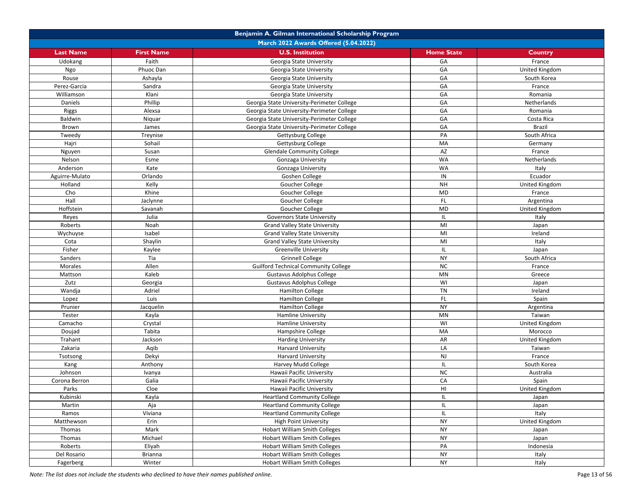| March 2022 Awards Offered (5.04.2022)<br><b>U.S. Institution</b><br><b>Last Name</b><br><b>First Name</b><br><b>Home State</b><br>Country<br>Faith<br>GA<br>Udokang<br>Georgia State University<br>France<br>GA<br>Ngo<br>Phuoc Dan<br>United Kingdom<br>Georgia State University<br>Ashayla<br>GA<br>Rouse<br>South Korea<br>Georgia State University<br>GA<br>Perez-Garcia<br>Sandra<br>Georgia State University<br>France<br>GA<br>Williamson<br>Klani<br>Romania<br>Georgia State University<br>Phillip<br>GA<br>Daniels<br>Georgia State University-Perimeter College<br>Netherlands<br>GA<br>Alexsa<br>Georgia State University-Perimeter College<br>Riggs<br>Romania<br><b>Baldwin</b><br>GA<br>Niquar<br>Georgia State University-Perimeter College<br>Costa Rica<br>GA<br>Georgia State University-Perimeter College<br>Brazil<br>Brown<br>James<br>PA<br>Tweedy<br>Treynise<br>South Africa<br>Gettysburg College<br>Sohail<br>MA<br>Hajri<br>Gettysburg College<br>Germany<br>AZ<br>Susan<br><b>Glendale Community College</b><br>France<br>Nguyen<br><b>WA</b><br>Nelson<br>Esme<br>Gonzaga University<br>Netherlands<br><b>WA</b><br>Anderson<br>Kate<br>Italy<br>Gonzaga University<br>IN<br>Aguirre-Mulato<br>Orlando<br>Goshen College<br>Ecuador<br>Kelly<br><b>NH</b><br>Holland<br>United Kingdom<br>Goucher College<br>Cho<br>MD<br>Khine<br>Goucher College<br>France<br>Hall<br>FL.<br>Goucher College<br>Argentina<br>Jaclynne<br>Hoffstein<br><b>MD</b><br>Savanah<br>United Kingdom<br>Goucher College<br>Julia<br>IL<br>Reyes<br>Italy<br>Governors State University<br>MI<br>Roberts<br>Noah<br><b>Grand Valley State University</b><br>Japan<br>Isabel<br>MI<br>Ireland<br>Wychuyse<br><b>Grand Valley State University</b><br>MI<br>Cota<br>Shaylin<br>Italy<br><b>Grand Valley State University</b><br>Fisher<br>IL<br>Kaylee<br><b>Greenville University</b><br>Japan<br>Tia<br><b>NY</b><br>Sanders<br><b>Grinnell College</b><br>South Africa<br>Allen<br><b>NC</b><br><b>Morales</b><br><b>Guilford Technical Community College</b><br>France<br>MN<br>Kaleb<br>Gustavus Adolphus College<br>Mattson<br>Greece<br>WI<br>Zutz<br>Georgia<br>Gustavus Adolphus College<br>Japan<br>Wandja<br>Adriel<br><b>TN</b><br>Ireland<br><b>Hamilton College</b><br>FL.<br>Luis<br><b>Hamilton College</b><br>Lopez<br>Spain<br><b>NY</b><br>Prunier<br>Jacquelin<br><b>Hamilton College</b><br>Argentina<br>MN<br>Taiwan<br>Tester<br>Kayla<br>Hamline University<br>WI<br>Camacho<br>Crystal<br><b>Hamline University</b><br>United Kingdom<br>MA<br>Doujad<br>Tabita<br>Hampshire College<br>Morocco<br>AR<br>Trahant<br>Jackson<br><b>Harding University</b><br>United Kingdom<br>LA<br>Zakaria<br>Aqib<br><b>Harvard University</b><br>Taiwan<br>Dekyi<br>NJ<br>France<br><b>Harvard University</b><br>Tsotsong<br>IL.<br>South Korea<br>Kang<br>Anthony<br>Harvey Mudd College<br><b>NC</b><br>Johnson<br>Australia<br>Ivanya<br>Hawaii Pacific University<br>CA<br>Corona Berron<br>Galia<br>Hawaii Pacific University<br>Spain<br>HI<br>Parks<br>Cloe<br>United Kingdom<br>Hawaii Pacific University<br>IL<br>Kubinski<br>Kayla<br><b>Heartland Community College</b><br>Japan<br><b>Heartland Community College</b><br>IL<br>Martin<br>Aja<br>Japan<br><b>Heartland Community College</b><br>Ramos<br>Viviana<br>IL.<br>Italy<br><b>NY</b><br>Erin<br><b>High Point University</b><br>United Kingdom<br>Matthewson<br><b>NY</b><br>Mark<br><b>Hobart William Smith Colleges</b><br>Thomas<br>Japan<br><b>NY</b><br>Michael<br><b>Hobart William Smith Colleges</b><br>Thomas<br>Japan<br>PA<br>Roberts<br>Eliyah<br><b>Hobart William Smith Colleges</b><br>Indonesia<br><b>NY</b><br>Del Rosario<br><b>Brianna</b><br>Hobart William Smith Colleges<br>Italy<br><b>NY</b><br>Winter<br><b>Hobart William Smith Colleges</b><br>Fagerberg<br>Italy |  | Benjamin A. Gilman International Scholarship Program |  |  |  |
|-----------------------------------------------------------------------------------------------------------------------------------------------------------------------------------------------------------------------------------------------------------------------------------------------------------------------------------------------------------------------------------------------------------------------------------------------------------------------------------------------------------------------------------------------------------------------------------------------------------------------------------------------------------------------------------------------------------------------------------------------------------------------------------------------------------------------------------------------------------------------------------------------------------------------------------------------------------------------------------------------------------------------------------------------------------------------------------------------------------------------------------------------------------------------------------------------------------------------------------------------------------------------------------------------------------------------------------------------------------------------------------------------------------------------------------------------------------------------------------------------------------------------------------------------------------------------------------------------------------------------------------------------------------------------------------------------------------------------------------------------------------------------------------------------------------------------------------------------------------------------------------------------------------------------------------------------------------------------------------------------------------------------------------------------------------------------------------------------------------------------------------------------------------------------------------------------------------------------------------------------------------------------------------------------------------------------------------------------------------------------------------------------------------------------------------------------------------------------------------------------------------------------------------------------------------------------------------------------------------------------------------------------------------------------------------------------------------------------------------------------------------------------------------------------------------------------------------------------------------------------------------------------------------------------------------------------------------------------------------------------------------------------------------------------------------------------------------------------------------------------------------------------------------------------------------------------------------------------------------------------------------------------------------------------------------------------------------------------------------------------------------------------------------------------------------------------------------------------------------------------------------------------------------------------------------------------------------------------------------------------------------------------------------------------------------------------------------------------------------------------------------------------------------------------------------------------------------------------------------------------------------|--|------------------------------------------------------|--|--|--|
|                                                                                                                                                                                                                                                                                                                                                                                                                                                                                                                                                                                                                                                                                                                                                                                                                                                                                                                                                                                                                                                                                                                                                                                                                                                                                                                                                                                                                                                                                                                                                                                                                                                                                                                                                                                                                                                                                                                                                                                                                                                                                                                                                                                                                                                                                                                                                                                                                                                                                                                                                                                                                                                                                                                                                                                                                                                                                                                                                                                                                                                                                                                                                                                                                                                                                                                                                                                                                                                                                                                                                                                                                                                                                                                                                                                                                                                                                   |  |                                                      |  |  |  |
|                                                                                                                                                                                                                                                                                                                                                                                                                                                                                                                                                                                                                                                                                                                                                                                                                                                                                                                                                                                                                                                                                                                                                                                                                                                                                                                                                                                                                                                                                                                                                                                                                                                                                                                                                                                                                                                                                                                                                                                                                                                                                                                                                                                                                                                                                                                                                                                                                                                                                                                                                                                                                                                                                                                                                                                                                                                                                                                                                                                                                                                                                                                                                                                                                                                                                                                                                                                                                                                                                                                                                                                                                                                                                                                                                                                                                                                                                   |  |                                                      |  |  |  |
|                                                                                                                                                                                                                                                                                                                                                                                                                                                                                                                                                                                                                                                                                                                                                                                                                                                                                                                                                                                                                                                                                                                                                                                                                                                                                                                                                                                                                                                                                                                                                                                                                                                                                                                                                                                                                                                                                                                                                                                                                                                                                                                                                                                                                                                                                                                                                                                                                                                                                                                                                                                                                                                                                                                                                                                                                                                                                                                                                                                                                                                                                                                                                                                                                                                                                                                                                                                                                                                                                                                                                                                                                                                                                                                                                                                                                                                                                   |  |                                                      |  |  |  |
|                                                                                                                                                                                                                                                                                                                                                                                                                                                                                                                                                                                                                                                                                                                                                                                                                                                                                                                                                                                                                                                                                                                                                                                                                                                                                                                                                                                                                                                                                                                                                                                                                                                                                                                                                                                                                                                                                                                                                                                                                                                                                                                                                                                                                                                                                                                                                                                                                                                                                                                                                                                                                                                                                                                                                                                                                                                                                                                                                                                                                                                                                                                                                                                                                                                                                                                                                                                                                                                                                                                                                                                                                                                                                                                                                                                                                                                                                   |  |                                                      |  |  |  |
|                                                                                                                                                                                                                                                                                                                                                                                                                                                                                                                                                                                                                                                                                                                                                                                                                                                                                                                                                                                                                                                                                                                                                                                                                                                                                                                                                                                                                                                                                                                                                                                                                                                                                                                                                                                                                                                                                                                                                                                                                                                                                                                                                                                                                                                                                                                                                                                                                                                                                                                                                                                                                                                                                                                                                                                                                                                                                                                                                                                                                                                                                                                                                                                                                                                                                                                                                                                                                                                                                                                                                                                                                                                                                                                                                                                                                                                                                   |  |                                                      |  |  |  |
|                                                                                                                                                                                                                                                                                                                                                                                                                                                                                                                                                                                                                                                                                                                                                                                                                                                                                                                                                                                                                                                                                                                                                                                                                                                                                                                                                                                                                                                                                                                                                                                                                                                                                                                                                                                                                                                                                                                                                                                                                                                                                                                                                                                                                                                                                                                                                                                                                                                                                                                                                                                                                                                                                                                                                                                                                                                                                                                                                                                                                                                                                                                                                                                                                                                                                                                                                                                                                                                                                                                                                                                                                                                                                                                                                                                                                                                                                   |  |                                                      |  |  |  |
|                                                                                                                                                                                                                                                                                                                                                                                                                                                                                                                                                                                                                                                                                                                                                                                                                                                                                                                                                                                                                                                                                                                                                                                                                                                                                                                                                                                                                                                                                                                                                                                                                                                                                                                                                                                                                                                                                                                                                                                                                                                                                                                                                                                                                                                                                                                                                                                                                                                                                                                                                                                                                                                                                                                                                                                                                                                                                                                                                                                                                                                                                                                                                                                                                                                                                                                                                                                                                                                                                                                                                                                                                                                                                                                                                                                                                                                                                   |  |                                                      |  |  |  |
|                                                                                                                                                                                                                                                                                                                                                                                                                                                                                                                                                                                                                                                                                                                                                                                                                                                                                                                                                                                                                                                                                                                                                                                                                                                                                                                                                                                                                                                                                                                                                                                                                                                                                                                                                                                                                                                                                                                                                                                                                                                                                                                                                                                                                                                                                                                                                                                                                                                                                                                                                                                                                                                                                                                                                                                                                                                                                                                                                                                                                                                                                                                                                                                                                                                                                                                                                                                                                                                                                                                                                                                                                                                                                                                                                                                                                                                                                   |  |                                                      |  |  |  |
|                                                                                                                                                                                                                                                                                                                                                                                                                                                                                                                                                                                                                                                                                                                                                                                                                                                                                                                                                                                                                                                                                                                                                                                                                                                                                                                                                                                                                                                                                                                                                                                                                                                                                                                                                                                                                                                                                                                                                                                                                                                                                                                                                                                                                                                                                                                                                                                                                                                                                                                                                                                                                                                                                                                                                                                                                                                                                                                                                                                                                                                                                                                                                                                                                                                                                                                                                                                                                                                                                                                                                                                                                                                                                                                                                                                                                                                                                   |  |                                                      |  |  |  |
|                                                                                                                                                                                                                                                                                                                                                                                                                                                                                                                                                                                                                                                                                                                                                                                                                                                                                                                                                                                                                                                                                                                                                                                                                                                                                                                                                                                                                                                                                                                                                                                                                                                                                                                                                                                                                                                                                                                                                                                                                                                                                                                                                                                                                                                                                                                                                                                                                                                                                                                                                                                                                                                                                                                                                                                                                                                                                                                                                                                                                                                                                                                                                                                                                                                                                                                                                                                                                                                                                                                                                                                                                                                                                                                                                                                                                                                                                   |  |                                                      |  |  |  |
|                                                                                                                                                                                                                                                                                                                                                                                                                                                                                                                                                                                                                                                                                                                                                                                                                                                                                                                                                                                                                                                                                                                                                                                                                                                                                                                                                                                                                                                                                                                                                                                                                                                                                                                                                                                                                                                                                                                                                                                                                                                                                                                                                                                                                                                                                                                                                                                                                                                                                                                                                                                                                                                                                                                                                                                                                                                                                                                                                                                                                                                                                                                                                                                                                                                                                                                                                                                                                                                                                                                                                                                                                                                                                                                                                                                                                                                                                   |  |                                                      |  |  |  |
|                                                                                                                                                                                                                                                                                                                                                                                                                                                                                                                                                                                                                                                                                                                                                                                                                                                                                                                                                                                                                                                                                                                                                                                                                                                                                                                                                                                                                                                                                                                                                                                                                                                                                                                                                                                                                                                                                                                                                                                                                                                                                                                                                                                                                                                                                                                                                                                                                                                                                                                                                                                                                                                                                                                                                                                                                                                                                                                                                                                                                                                                                                                                                                                                                                                                                                                                                                                                                                                                                                                                                                                                                                                                                                                                                                                                                                                                                   |  |                                                      |  |  |  |
|                                                                                                                                                                                                                                                                                                                                                                                                                                                                                                                                                                                                                                                                                                                                                                                                                                                                                                                                                                                                                                                                                                                                                                                                                                                                                                                                                                                                                                                                                                                                                                                                                                                                                                                                                                                                                                                                                                                                                                                                                                                                                                                                                                                                                                                                                                                                                                                                                                                                                                                                                                                                                                                                                                                                                                                                                                                                                                                                                                                                                                                                                                                                                                                                                                                                                                                                                                                                                                                                                                                                                                                                                                                                                                                                                                                                                                                                                   |  |                                                      |  |  |  |
|                                                                                                                                                                                                                                                                                                                                                                                                                                                                                                                                                                                                                                                                                                                                                                                                                                                                                                                                                                                                                                                                                                                                                                                                                                                                                                                                                                                                                                                                                                                                                                                                                                                                                                                                                                                                                                                                                                                                                                                                                                                                                                                                                                                                                                                                                                                                                                                                                                                                                                                                                                                                                                                                                                                                                                                                                                                                                                                                                                                                                                                                                                                                                                                                                                                                                                                                                                                                                                                                                                                                                                                                                                                                                                                                                                                                                                                                                   |  |                                                      |  |  |  |
|                                                                                                                                                                                                                                                                                                                                                                                                                                                                                                                                                                                                                                                                                                                                                                                                                                                                                                                                                                                                                                                                                                                                                                                                                                                                                                                                                                                                                                                                                                                                                                                                                                                                                                                                                                                                                                                                                                                                                                                                                                                                                                                                                                                                                                                                                                                                                                                                                                                                                                                                                                                                                                                                                                                                                                                                                                                                                                                                                                                                                                                                                                                                                                                                                                                                                                                                                                                                                                                                                                                                                                                                                                                                                                                                                                                                                                                                                   |  |                                                      |  |  |  |
|                                                                                                                                                                                                                                                                                                                                                                                                                                                                                                                                                                                                                                                                                                                                                                                                                                                                                                                                                                                                                                                                                                                                                                                                                                                                                                                                                                                                                                                                                                                                                                                                                                                                                                                                                                                                                                                                                                                                                                                                                                                                                                                                                                                                                                                                                                                                                                                                                                                                                                                                                                                                                                                                                                                                                                                                                                                                                                                                                                                                                                                                                                                                                                                                                                                                                                                                                                                                                                                                                                                                                                                                                                                                                                                                                                                                                                                                                   |  |                                                      |  |  |  |
|                                                                                                                                                                                                                                                                                                                                                                                                                                                                                                                                                                                                                                                                                                                                                                                                                                                                                                                                                                                                                                                                                                                                                                                                                                                                                                                                                                                                                                                                                                                                                                                                                                                                                                                                                                                                                                                                                                                                                                                                                                                                                                                                                                                                                                                                                                                                                                                                                                                                                                                                                                                                                                                                                                                                                                                                                                                                                                                                                                                                                                                                                                                                                                                                                                                                                                                                                                                                                                                                                                                                                                                                                                                                                                                                                                                                                                                                                   |  |                                                      |  |  |  |
|                                                                                                                                                                                                                                                                                                                                                                                                                                                                                                                                                                                                                                                                                                                                                                                                                                                                                                                                                                                                                                                                                                                                                                                                                                                                                                                                                                                                                                                                                                                                                                                                                                                                                                                                                                                                                                                                                                                                                                                                                                                                                                                                                                                                                                                                                                                                                                                                                                                                                                                                                                                                                                                                                                                                                                                                                                                                                                                                                                                                                                                                                                                                                                                                                                                                                                                                                                                                                                                                                                                                                                                                                                                                                                                                                                                                                                                                                   |  |                                                      |  |  |  |
|                                                                                                                                                                                                                                                                                                                                                                                                                                                                                                                                                                                                                                                                                                                                                                                                                                                                                                                                                                                                                                                                                                                                                                                                                                                                                                                                                                                                                                                                                                                                                                                                                                                                                                                                                                                                                                                                                                                                                                                                                                                                                                                                                                                                                                                                                                                                                                                                                                                                                                                                                                                                                                                                                                                                                                                                                                                                                                                                                                                                                                                                                                                                                                                                                                                                                                                                                                                                                                                                                                                                                                                                                                                                                                                                                                                                                                                                                   |  |                                                      |  |  |  |
|                                                                                                                                                                                                                                                                                                                                                                                                                                                                                                                                                                                                                                                                                                                                                                                                                                                                                                                                                                                                                                                                                                                                                                                                                                                                                                                                                                                                                                                                                                                                                                                                                                                                                                                                                                                                                                                                                                                                                                                                                                                                                                                                                                                                                                                                                                                                                                                                                                                                                                                                                                                                                                                                                                                                                                                                                                                                                                                                                                                                                                                                                                                                                                                                                                                                                                                                                                                                                                                                                                                                                                                                                                                                                                                                                                                                                                                                                   |  |                                                      |  |  |  |
|                                                                                                                                                                                                                                                                                                                                                                                                                                                                                                                                                                                                                                                                                                                                                                                                                                                                                                                                                                                                                                                                                                                                                                                                                                                                                                                                                                                                                                                                                                                                                                                                                                                                                                                                                                                                                                                                                                                                                                                                                                                                                                                                                                                                                                                                                                                                                                                                                                                                                                                                                                                                                                                                                                                                                                                                                                                                                                                                                                                                                                                                                                                                                                                                                                                                                                                                                                                                                                                                                                                                                                                                                                                                                                                                                                                                                                                                                   |  |                                                      |  |  |  |
|                                                                                                                                                                                                                                                                                                                                                                                                                                                                                                                                                                                                                                                                                                                                                                                                                                                                                                                                                                                                                                                                                                                                                                                                                                                                                                                                                                                                                                                                                                                                                                                                                                                                                                                                                                                                                                                                                                                                                                                                                                                                                                                                                                                                                                                                                                                                                                                                                                                                                                                                                                                                                                                                                                                                                                                                                                                                                                                                                                                                                                                                                                                                                                                                                                                                                                                                                                                                                                                                                                                                                                                                                                                                                                                                                                                                                                                                                   |  |                                                      |  |  |  |
|                                                                                                                                                                                                                                                                                                                                                                                                                                                                                                                                                                                                                                                                                                                                                                                                                                                                                                                                                                                                                                                                                                                                                                                                                                                                                                                                                                                                                                                                                                                                                                                                                                                                                                                                                                                                                                                                                                                                                                                                                                                                                                                                                                                                                                                                                                                                                                                                                                                                                                                                                                                                                                                                                                                                                                                                                                                                                                                                                                                                                                                                                                                                                                                                                                                                                                                                                                                                                                                                                                                                                                                                                                                                                                                                                                                                                                                                                   |  |                                                      |  |  |  |
|                                                                                                                                                                                                                                                                                                                                                                                                                                                                                                                                                                                                                                                                                                                                                                                                                                                                                                                                                                                                                                                                                                                                                                                                                                                                                                                                                                                                                                                                                                                                                                                                                                                                                                                                                                                                                                                                                                                                                                                                                                                                                                                                                                                                                                                                                                                                                                                                                                                                                                                                                                                                                                                                                                                                                                                                                                                                                                                                                                                                                                                                                                                                                                                                                                                                                                                                                                                                                                                                                                                                                                                                                                                                                                                                                                                                                                                                                   |  |                                                      |  |  |  |
|                                                                                                                                                                                                                                                                                                                                                                                                                                                                                                                                                                                                                                                                                                                                                                                                                                                                                                                                                                                                                                                                                                                                                                                                                                                                                                                                                                                                                                                                                                                                                                                                                                                                                                                                                                                                                                                                                                                                                                                                                                                                                                                                                                                                                                                                                                                                                                                                                                                                                                                                                                                                                                                                                                                                                                                                                                                                                                                                                                                                                                                                                                                                                                                                                                                                                                                                                                                                                                                                                                                                                                                                                                                                                                                                                                                                                                                                                   |  |                                                      |  |  |  |
|                                                                                                                                                                                                                                                                                                                                                                                                                                                                                                                                                                                                                                                                                                                                                                                                                                                                                                                                                                                                                                                                                                                                                                                                                                                                                                                                                                                                                                                                                                                                                                                                                                                                                                                                                                                                                                                                                                                                                                                                                                                                                                                                                                                                                                                                                                                                                                                                                                                                                                                                                                                                                                                                                                                                                                                                                                                                                                                                                                                                                                                                                                                                                                                                                                                                                                                                                                                                                                                                                                                                                                                                                                                                                                                                                                                                                                                                                   |  |                                                      |  |  |  |
|                                                                                                                                                                                                                                                                                                                                                                                                                                                                                                                                                                                                                                                                                                                                                                                                                                                                                                                                                                                                                                                                                                                                                                                                                                                                                                                                                                                                                                                                                                                                                                                                                                                                                                                                                                                                                                                                                                                                                                                                                                                                                                                                                                                                                                                                                                                                                                                                                                                                                                                                                                                                                                                                                                                                                                                                                                                                                                                                                                                                                                                                                                                                                                                                                                                                                                                                                                                                                                                                                                                                                                                                                                                                                                                                                                                                                                                                                   |  |                                                      |  |  |  |
|                                                                                                                                                                                                                                                                                                                                                                                                                                                                                                                                                                                                                                                                                                                                                                                                                                                                                                                                                                                                                                                                                                                                                                                                                                                                                                                                                                                                                                                                                                                                                                                                                                                                                                                                                                                                                                                                                                                                                                                                                                                                                                                                                                                                                                                                                                                                                                                                                                                                                                                                                                                                                                                                                                                                                                                                                                                                                                                                                                                                                                                                                                                                                                                                                                                                                                                                                                                                                                                                                                                                                                                                                                                                                                                                                                                                                                                                                   |  |                                                      |  |  |  |
|                                                                                                                                                                                                                                                                                                                                                                                                                                                                                                                                                                                                                                                                                                                                                                                                                                                                                                                                                                                                                                                                                                                                                                                                                                                                                                                                                                                                                                                                                                                                                                                                                                                                                                                                                                                                                                                                                                                                                                                                                                                                                                                                                                                                                                                                                                                                                                                                                                                                                                                                                                                                                                                                                                                                                                                                                                                                                                                                                                                                                                                                                                                                                                                                                                                                                                                                                                                                                                                                                                                                                                                                                                                                                                                                                                                                                                                                                   |  |                                                      |  |  |  |
|                                                                                                                                                                                                                                                                                                                                                                                                                                                                                                                                                                                                                                                                                                                                                                                                                                                                                                                                                                                                                                                                                                                                                                                                                                                                                                                                                                                                                                                                                                                                                                                                                                                                                                                                                                                                                                                                                                                                                                                                                                                                                                                                                                                                                                                                                                                                                                                                                                                                                                                                                                                                                                                                                                                                                                                                                                                                                                                                                                                                                                                                                                                                                                                                                                                                                                                                                                                                                                                                                                                                                                                                                                                                                                                                                                                                                                                                                   |  |                                                      |  |  |  |
|                                                                                                                                                                                                                                                                                                                                                                                                                                                                                                                                                                                                                                                                                                                                                                                                                                                                                                                                                                                                                                                                                                                                                                                                                                                                                                                                                                                                                                                                                                                                                                                                                                                                                                                                                                                                                                                                                                                                                                                                                                                                                                                                                                                                                                                                                                                                                                                                                                                                                                                                                                                                                                                                                                                                                                                                                                                                                                                                                                                                                                                                                                                                                                                                                                                                                                                                                                                                                                                                                                                                                                                                                                                                                                                                                                                                                                                                                   |  |                                                      |  |  |  |
|                                                                                                                                                                                                                                                                                                                                                                                                                                                                                                                                                                                                                                                                                                                                                                                                                                                                                                                                                                                                                                                                                                                                                                                                                                                                                                                                                                                                                                                                                                                                                                                                                                                                                                                                                                                                                                                                                                                                                                                                                                                                                                                                                                                                                                                                                                                                                                                                                                                                                                                                                                                                                                                                                                                                                                                                                                                                                                                                                                                                                                                                                                                                                                                                                                                                                                                                                                                                                                                                                                                                                                                                                                                                                                                                                                                                                                                                                   |  |                                                      |  |  |  |
|                                                                                                                                                                                                                                                                                                                                                                                                                                                                                                                                                                                                                                                                                                                                                                                                                                                                                                                                                                                                                                                                                                                                                                                                                                                                                                                                                                                                                                                                                                                                                                                                                                                                                                                                                                                                                                                                                                                                                                                                                                                                                                                                                                                                                                                                                                                                                                                                                                                                                                                                                                                                                                                                                                                                                                                                                                                                                                                                                                                                                                                                                                                                                                                                                                                                                                                                                                                                                                                                                                                                                                                                                                                                                                                                                                                                                                                                                   |  |                                                      |  |  |  |
|                                                                                                                                                                                                                                                                                                                                                                                                                                                                                                                                                                                                                                                                                                                                                                                                                                                                                                                                                                                                                                                                                                                                                                                                                                                                                                                                                                                                                                                                                                                                                                                                                                                                                                                                                                                                                                                                                                                                                                                                                                                                                                                                                                                                                                                                                                                                                                                                                                                                                                                                                                                                                                                                                                                                                                                                                                                                                                                                                                                                                                                                                                                                                                                                                                                                                                                                                                                                                                                                                                                                                                                                                                                                                                                                                                                                                                                                                   |  |                                                      |  |  |  |
|                                                                                                                                                                                                                                                                                                                                                                                                                                                                                                                                                                                                                                                                                                                                                                                                                                                                                                                                                                                                                                                                                                                                                                                                                                                                                                                                                                                                                                                                                                                                                                                                                                                                                                                                                                                                                                                                                                                                                                                                                                                                                                                                                                                                                                                                                                                                                                                                                                                                                                                                                                                                                                                                                                                                                                                                                                                                                                                                                                                                                                                                                                                                                                                                                                                                                                                                                                                                                                                                                                                                                                                                                                                                                                                                                                                                                                                                                   |  |                                                      |  |  |  |
|                                                                                                                                                                                                                                                                                                                                                                                                                                                                                                                                                                                                                                                                                                                                                                                                                                                                                                                                                                                                                                                                                                                                                                                                                                                                                                                                                                                                                                                                                                                                                                                                                                                                                                                                                                                                                                                                                                                                                                                                                                                                                                                                                                                                                                                                                                                                                                                                                                                                                                                                                                                                                                                                                                                                                                                                                                                                                                                                                                                                                                                                                                                                                                                                                                                                                                                                                                                                                                                                                                                                                                                                                                                                                                                                                                                                                                                                                   |  |                                                      |  |  |  |
|                                                                                                                                                                                                                                                                                                                                                                                                                                                                                                                                                                                                                                                                                                                                                                                                                                                                                                                                                                                                                                                                                                                                                                                                                                                                                                                                                                                                                                                                                                                                                                                                                                                                                                                                                                                                                                                                                                                                                                                                                                                                                                                                                                                                                                                                                                                                                                                                                                                                                                                                                                                                                                                                                                                                                                                                                                                                                                                                                                                                                                                                                                                                                                                                                                                                                                                                                                                                                                                                                                                                                                                                                                                                                                                                                                                                                                                                                   |  |                                                      |  |  |  |
|                                                                                                                                                                                                                                                                                                                                                                                                                                                                                                                                                                                                                                                                                                                                                                                                                                                                                                                                                                                                                                                                                                                                                                                                                                                                                                                                                                                                                                                                                                                                                                                                                                                                                                                                                                                                                                                                                                                                                                                                                                                                                                                                                                                                                                                                                                                                                                                                                                                                                                                                                                                                                                                                                                                                                                                                                                                                                                                                                                                                                                                                                                                                                                                                                                                                                                                                                                                                                                                                                                                                                                                                                                                                                                                                                                                                                                                                                   |  |                                                      |  |  |  |
|                                                                                                                                                                                                                                                                                                                                                                                                                                                                                                                                                                                                                                                                                                                                                                                                                                                                                                                                                                                                                                                                                                                                                                                                                                                                                                                                                                                                                                                                                                                                                                                                                                                                                                                                                                                                                                                                                                                                                                                                                                                                                                                                                                                                                                                                                                                                                                                                                                                                                                                                                                                                                                                                                                                                                                                                                                                                                                                                                                                                                                                                                                                                                                                                                                                                                                                                                                                                                                                                                                                                                                                                                                                                                                                                                                                                                                                                                   |  |                                                      |  |  |  |
|                                                                                                                                                                                                                                                                                                                                                                                                                                                                                                                                                                                                                                                                                                                                                                                                                                                                                                                                                                                                                                                                                                                                                                                                                                                                                                                                                                                                                                                                                                                                                                                                                                                                                                                                                                                                                                                                                                                                                                                                                                                                                                                                                                                                                                                                                                                                                                                                                                                                                                                                                                                                                                                                                                                                                                                                                                                                                                                                                                                                                                                                                                                                                                                                                                                                                                                                                                                                                                                                                                                                                                                                                                                                                                                                                                                                                                                                                   |  |                                                      |  |  |  |
|                                                                                                                                                                                                                                                                                                                                                                                                                                                                                                                                                                                                                                                                                                                                                                                                                                                                                                                                                                                                                                                                                                                                                                                                                                                                                                                                                                                                                                                                                                                                                                                                                                                                                                                                                                                                                                                                                                                                                                                                                                                                                                                                                                                                                                                                                                                                                                                                                                                                                                                                                                                                                                                                                                                                                                                                                                                                                                                                                                                                                                                                                                                                                                                                                                                                                                                                                                                                                                                                                                                                                                                                                                                                                                                                                                                                                                                                                   |  |                                                      |  |  |  |
|                                                                                                                                                                                                                                                                                                                                                                                                                                                                                                                                                                                                                                                                                                                                                                                                                                                                                                                                                                                                                                                                                                                                                                                                                                                                                                                                                                                                                                                                                                                                                                                                                                                                                                                                                                                                                                                                                                                                                                                                                                                                                                                                                                                                                                                                                                                                                                                                                                                                                                                                                                                                                                                                                                                                                                                                                                                                                                                                                                                                                                                                                                                                                                                                                                                                                                                                                                                                                                                                                                                                                                                                                                                                                                                                                                                                                                                                                   |  |                                                      |  |  |  |
|                                                                                                                                                                                                                                                                                                                                                                                                                                                                                                                                                                                                                                                                                                                                                                                                                                                                                                                                                                                                                                                                                                                                                                                                                                                                                                                                                                                                                                                                                                                                                                                                                                                                                                                                                                                                                                                                                                                                                                                                                                                                                                                                                                                                                                                                                                                                                                                                                                                                                                                                                                                                                                                                                                                                                                                                                                                                                                                                                                                                                                                                                                                                                                                                                                                                                                                                                                                                                                                                                                                                                                                                                                                                                                                                                                                                                                                                                   |  |                                                      |  |  |  |
|                                                                                                                                                                                                                                                                                                                                                                                                                                                                                                                                                                                                                                                                                                                                                                                                                                                                                                                                                                                                                                                                                                                                                                                                                                                                                                                                                                                                                                                                                                                                                                                                                                                                                                                                                                                                                                                                                                                                                                                                                                                                                                                                                                                                                                                                                                                                                                                                                                                                                                                                                                                                                                                                                                                                                                                                                                                                                                                                                                                                                                                                                                                                                                                                                                                                                                                                                                                                                                                                                                                                                                                                                                                                                                                                                                                                                                                                                   |  |                                                      |  |  |  |
|                                                                                                                                                                                                                                                                                                                                                                                                                                                                                                                                                                                                                                                                                                                                                                                                                                                                                                                                                                                                                                                                                                                                                                                                                                                                                                                                                                                                                                                                                                                                                                                                                                                                                                                                                                                                                                                                                                                                                                                                                                                                                                                                                                                                                                                                                                                                                                                                                                                                                                                                                                                                                                                                                                                                                                                                                                                                                                                                                                                                                                                                                                                                                                                                                                                                                                                                                                                                                                                                                                                                                                                                                                                                                                                                                                                                                                                                                   |  |                                                      |  |  |  |
|                                                                                                                                                                                                                                                                                                                                                                                                                                                                                                                                                                                                                                                                                                                                                                                                                                                                                                                                                                                                                                                                                                                                                                                                                                                                                                                                                                                                                                                                                                                                                                                                                                                                                                                                                                                                                                                                                                                                                                                                                                                                                                                                                                                                                                                                                                                                                                                                                                                                                                                                                                                                                                                                                                                                                                                                                                                                                                                                                                                                                                                                                                                                                                                                                                                                                                                                                                                                                                                                                                                                                                                                                                                                                                                                                                                                                                                                                   |  |                                                      |  |  |  |
|                                                                                                                                                                                                                                                                                                                                                                                                                                                                                                                                                                                                                                                                                                                                                                                                                                                                                                                                                                                                                                                                                                                                                                                                                                                                                                                                                                                                                                                                                                                                                                                                                                                                                                                                                                                                                                                                                                                                                                                                                                                                                                                                                                                                                                                                                                                                                                                                                                                                                                                                                                                                                                                                                                                                                                                                                                                                                                                                                                                                                                                                                                                                                                                                                                                                                                                                                                                                                                                                                                                                                                                                                                                                                                                                                                                                                                                                                   |  |                                                      |  |  |  |
|                                                                                                                                                                                                                                                                                                                                                                                                                                                                                                                                                                                                                                                                                                                                                                                                                                                                                                                                                                                                                                                                                                                                                                                                                                                                                                                                                                                                                                                                                                                                                                                                                                                                                                                                                                                                                                                                                                                                                                                                                                                                                                                                                                                                                                                                                                                                                                                                                                                                                                                                                                                                                                                                                                                                                                                                                                                                                                                                                                                                                                                                                                                                                                                                                                                                                                                                                                                                                                                                                                                                                                                                                                                                                                                                                                                                                                                                                   |  |                                                      |  |  |  |
|                                                                                                                                                                                                                                                                                                                                                                                                                                                                                                                                                                                                                                                                                                                                                                                                                                                                                                                                                                                                                                                                                                                                                                                                                                                                                                                                                                                                                                                                                                                                                                                                                                                                                                                                                                                                                                                                                                                                                                                                                                                                                                                                                                                                                                                                                                                                                                                                                                                                                                                                                                                                                                                                                                                                                                                                                                                                                                                                                                                                                                                                                                                                                                                                                                                                                                                                                                                                                                                                                                                                                                                                                                                                                                                                                                                                                                                                                   |  |                                                      |  |  |  |
|                                                                                                                                                                                                                                                                                                                                                                                                                                                                                                                                                                                                                                                                                                                                                                                                                                                                                                                                                                                                                                                                                                                                                                                                                                                                                                                                                                                                                                                                                                                                                                                                                                                                                                                                                                                                                                                                                                                                                                                                                                                                                                                                                                                                                                                                                                                                                                                                                                                                                                                                                                                                                                                                                                                                                                                                                                                                                                                                                                                                                                                                                                                                                                                                                                                                                                                                                                                                                                                                                                                                                                                                                                                                                                                                                                                                                                                                                   |  |                                                      |  |  |  |
|                                                                                                                                                                                                                                                                                                                                                                                                                                                                                                                                                                                                                                                                                                                                                                                                                                                                                                                                                                                                                                                                                                                                                                                                                                                                                                                                                                                                                                                                                                                                                                                                                                                                                                                                                                                                                                                                                                                                                                                                                                                                                                                                                                                                                                                                                                                                                                                                                                                                                                                                                                                                                                                                                                                                                                                                                                                                                                                                                                                                                                                                                                                                                                                                                                                                                                                                                                                                                                                                                                                                                                                                                                                                                                                                                                                                                                                                                   |  |                                                      |  |  |  |
|                                                                                                                                                                                                                                                                                                                                                                                                                                                                                                                                                                                                                                                                                                                                                                                                                                                                                                                                                                                                                                                                                                                                                                                                                                                                                                                                                                                                                                                                                                                                                                                                                                                                                                                                                                                                                                                                                                                                                                                                                                                                                                                                                                                                                                                                                                                                                                                                                                                                                                                                                                                                                                                                                                                                                                                                                                                                                                                                                                                                                                                                                                                                                                                                                                                                                                                                                                                                                                                                                                                                                                                                                                                                                                                                                                                                                                                                                   |  |                                                      |  |  |  |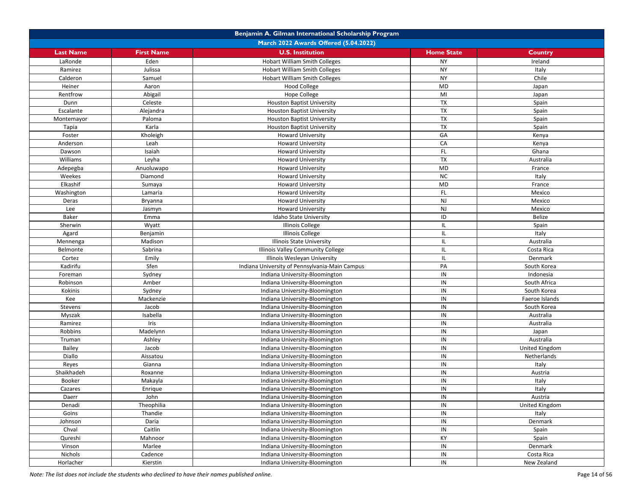|                  |                   | Benjamin A. Gilman International Scholarship Program |                   |                |
|------------------|-------------------|------------------------------------------------------|-------------------|----------------|
|                  |                   | March 2022 Awards Offered (5.04.2022)                |                   |                |
| <b>Last Name</b> | <b>First Name</b> | <b>U.S. Institution</b>                              | <b>Home State</b> | Country        |
| LaRonde          | Eden              | <b>Hobart William Smith Colleges</b>                 | <b>NY</b>         | Ireland        |
| Ramirez          | Julissa           | <b>Hobart William Smith Colleges</b>                 | <b>NY</b>         | Italy          |
| Calderon         | Samuel            | <b>Hobart William Smith Colleges</b>                 | <b>NY</b>         | Chile          |
| Heiner           | Aaron             | <b>Hood College</b>                                  | <b>MD</b>         | Japan          |
| Rentfrow         | Abigail           | Hope College                                         | MI                | Japan          |
| Dunn             | Celeste           | <b>Houston Baptist University</b>                    | TX                | Spain          |
| Escalante        | Alejandra         | Houston Baptist University                           | TX                | Spain          |
| Montemayor       | Paloma            | <b>Houston Baptist University</b>                    | <b>TX</b>         | Spain          |
| Tapia            | Karla             | <b>Houston Baptist University</b>                    | TX                | Spain          |
| Foster           | Kholeigh          | <b>Howard University</b>                             | GA                | Kenya          |
| Anderson         | Leah              | <b>Howard University</b>                             | CA                | Kenya          |
| Dawson           | Isaiah            | <b>Howard University</b>                             | FL.               | Ghana          |
| Williams         | Leyha             | <b>Howard University</b>                             | TX                | Australia      |
| Adepegba         | Anuoluwapo        | <b>Howard University</b>                             | MD                | France         |
| Weekes           | Diamond           | <b>Howard University</b>                             | <b>NC</b>         | Italy          |
| Elkashif         | Sumaya            | <b>Howard University</b>                             | <b>MD</b>         | France         |
| Washington       | Lamaria           | <b>Howard University</b>                             | FL                | Mexico         |
| Deras            | Bryanna           | <b>Howard University</b>                             | NJ                | Mexico         |
| Lee              | Jasmyn            | <b>Howard University</b>                             | NJ                | Mexico         |
| Baker            | Emma              | Idaho State University                               | ID                | Belize         |
| Sherwin          | Wyatt             | <b>Illinois College</b>                              | IL.               | Spain          |
| Agard            | Benjamin          | <b>Illinois College</b>                              | IL.               | Italy          |
| Mennenga         | Madison           | <b>Illinois State University</b>                     | IL.               | Australia      |
| Belmonte         | Sabrina           | Illinois Valley Community College                    | IL                | Costa Rica     |
| Cortez           | Emily             | Illinois Wesleyan University                         | IL.               | Denmark        |
| Kadirifu         | Sfen              | Indiana University of Pennsylvania-Main Campus       | PA                | South Korea    |
| Foreman          | Sydney            | Indiana University-Bloomington                       | IN                | Indonesia      |
| Robinson         | Amber             | Indiana University-Bloomington                       | IN                | South Africa   |
| Kokinis          | Sydney            | Indiana University-Bloomington                       | IN                | South Korea    |
| Kee              | Mackenzie         | Indiana University-Bloomington                       | IN                | Faeroe Islands |
| Stevens          | Jacob             | Indiana University-Bloomington                       | IN                | South Korea    |
| Myszak           | Isabella          | Indiana University-Bloomington                       | IN                | Australia      |
| Ramirez          | Iris              | Indiana University-Bloomington                       | IN                | Australia      |
| Robbins          | Madelynn          | Indiana University-Bloomington                       | IN                | Japan          |
| Truman           | Ashley            | Indiana University-Bloomington                       | IN                | Australia      |
| Bailey           | Jacob             | Indiana University-Bloomington                       | IN                | United Kingdom |
| Diallo           | Aissatou          | Indiana University-Bloomington                       | IN                | Netherlands    |
| Reyes            | Gianna            | Indiana University-Bloomington                       | IN                | Italy          |
| Shaikhadeh       | Roxanne           | Indiana University-Bloomington                       | IN                | Austria        |
| Booker           | Makayla           | Indiana University-Bloomington                       | IN                | Italy          |
| Cazares          | Enrique           | Indiana University-Bloomington                       | IN                | Italy          |
| Daerr            | John              | Indiana University-Bloomington                       | IN                | Austria        |
| Denadi           | Theophilia        | Indiana University-Bloomington                       | IN                | United Kingdom |
| Goins            | Thandie           | Indiana University-Bloomington                       | IN                | Italy          |
| Johnson          | Daria             | Indiana University-Bloomington                       | IN                | Denmark        |
| Chval            | Caitlin           | Indiana University-Bloomington                       | IN                | Spain          |
| Qureshi          | Mahnoor           | Indiana University-Bloomington                       | KY                | Spain          |
| Vinson           | Marlee            | Indiana University-Bloomington                       | IN                | Denmark        |
| Nichols          | Cadence           | Indiana University-Bloomington                       | $\sf IN$          | Costa Rica     |
| Horlacher        | Kierstin          | Indiana University-Bloomington                       | IN                | New Zealand    |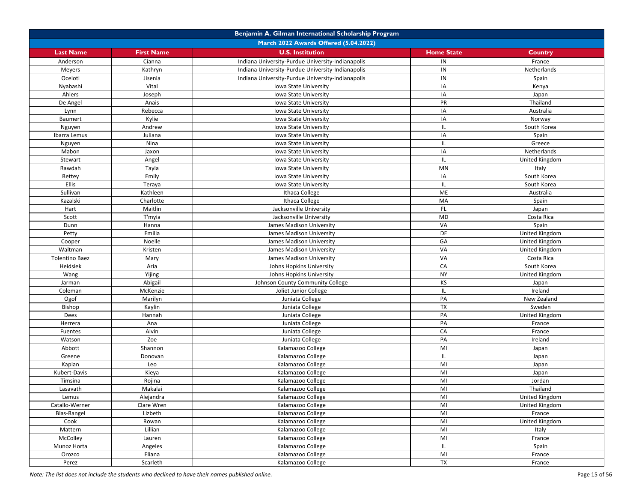|                         |                         | Benjamin A. Gilman International Scholarship Program |                   |                |
|-------------------------|-------------------------|------------------------------------------------------|-------------------|----------------|
|                         |                         | March 2022 Awards Offered (5.04.2022)                |                   |                |
| <b>Last Name</b>        | <b>First Name</b>       | <b>U.S. Institution</b>                              | <b>Home State</b> | Country        |
| Anderson                | Cianna                  | Indiana University-Purdue University-Indianapolis    | IN                | France         |
| Meyers                  | Kathryn                 | Indiana University-Purdue University-Indianapolis    | IN                | Netherlands    |
| Ocelotl                 | Jisenia                 | Indiana University-Purdue University-Indianapolis    | IN                | Spain          |
| Nyabashi                | Vital                   | Iowa State University                                | IA                | Kenya          |
| Ahlers                  | Joseph                  | Iowa State University                                | IA                | Japan          |
| De Angel                | Anais                   | Iowa State University                                | PR                | Thailand       |
| Lynn                    | Rebecca                 | Iowa State University                                | IA                | Australia      |
| Baumert                 | Kylie                   | Iowa State University                                | IA                | Norway         |
| Nguyen                  | Andrew                  | Iowa State University                                | IL.               | South Korea    |
| Ibarra Lemus            | Juliana                 | Iowa State University                                | IA                | Spain          |
| Nguyen                  | Nina                    | Iowa State University                                | IL.               | Greece         |
| Mabon                   | Jaxon                   | Iowa State University                                | IA                | Netherlands    |
| Stewart                 | Angel                   | Iowa State University                                | IL.               | United Kingdom |
| Rawdah                  | Tayla                   | Iowa State University                                | MN                | Italy          |
| <b>Bettey</b>           | Emily                   | Iowa State University                                | IA                | South Korea    |
| Ellis                   | Teraya                  | Iowa State University                                | IL.               | South Korea    |
| Sullivan                | Kathleen                | Ithaca College                                       | <b>ME</b>         | Australia      |
| Kazalski                | Charlotte               | Ithaca College                                       | MA                | Spain          |
| Hart                    | Maitlin                 | Jacksonville University                              | <b>FL</b>         | Japan          |
| Scott                   | T'myia                  | Jacksonville University                              | <b>MD</b>         | Costa Rica     |
| Dunn                    | Hanna                   | James Madison University                             | VA                | Spain          |
| Petty                   | Emilia                  | James Madison University                             | DE                | United Kingdom |
| Cooper                  | Noelle                  | James Madison University                             | GA                | United Kingdom |
| Waltman                 | Kristen                 | James Madison University                             | VA                | United Kingdom |
| <b>Tolentino Baez</b>   | Mary                    | James Madison University                             | VA                | Costa Rica     |
| Heidsiek                | Aria                    | Johns Hopkins University                             | CA                | South Korea    |
| Wang                    | Yijing                  | Johns Hopkins University                             | <b>NY</b>         | United Kingdom |
| Jarman                  | Abigail                 | Johnson County Community College                     | KS                | Japan          |
| Coleman                 | McKenzie                | Joliet Junior College                                | IL                | Ireland        |
| Ogof                    | Marilyn                 | Juniata College                                      | PA                | New Zealand    |
| <b>Bishop</b>           | Kaylin                  | Juniata College                                      | <b>TX</b>         | Sweden         |
| Dees                    | Hannah                  | Juniata College                                      | PA                | United Kingdom |
| Herrera                 | Ana                     | Juniata College                                      | PA                | France         |
| Fuentes                 | Alvin                   | Juniata College                                      | CA                | France         |
| Watson                  | Zoe                     | Juniata College                                      | PA                | Ireland        |
| Abbott                  | Shannon                 | Kalamazoo College                                    | MI                | Japan          |
| Greene                  | Donovan                 | Kalamazoo College                                    | IL.               | Japan          |
| Kaplan                  | Leo                     | Kalamazoo College                                    | MI                |                |
| Kubert-Davis            | Kieya                   | Kalamazoo College                                    | MI                | Japan<br>Japan |
| Timsina                 | Rojina                  | Kalamazoo College                                    | MI                | Jordan         |
| Lasavath                | Makalai                 | Kalamazoo College                                    | MI                | Thailand       |
|                         |                         |                                                      | MI                |                |
| Lemus<br>Catallo-Werner | Alejandra<br>Clare Wren | Kalamazoo College<br>Kalamazoo College               | MI                | United Kingdom |
| Blas-Rangel             | Lizbeth                 | Kalamazoo College                                    | M <sub>l</sub>    | United Kingdom |
|                         |                         |                                                      | MI                | France         |
| Cook                    | Rowan                   | Kalamazoo College                                    | MI                | United Kingdom |
| Mattern                 | Lillian                 | Kalamazoo College                                    |                   | Italy          |
| McColley                | Lauren                  | Kalamazoo College                                    | MI                | France         |
| Munoz Horta             | Angeles                 | Kalamazoo College                                    | IL.               | Spain          |
| Orozco                  | Eliana                  | Kalamazoo College                                    | MI                | France         |
| Perez                   | Scarleth                | Kalamazoo College                                    | $\mathsf{TX}$     | France         |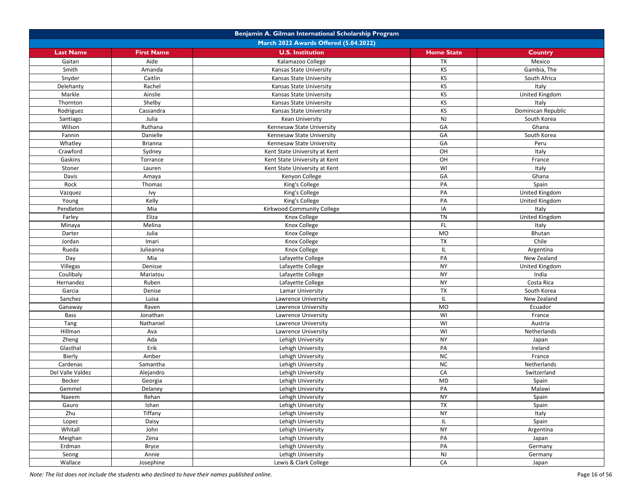| March 2022 Awards Offered (5.04.2022)<br><b>U.S. Institution</b><br><b>Last Name</b><br><b>First Name</b><br><b>Home State</b><br>Country<br><b>TX</b><br>Aide<br>Kalamazoo College<br>Mexico<br>Gaitan<br>KS<br>Smith<br>Amanda<br>Kansas State University<br>Gambia, The<br>KS<br>Caitlin<br>South Africa<br>Snyder<br>Kansas State University<br>KS<br>Delehanty<br>Rachel<br>Italy<br>Kansas State University<br>KS<br>United Kingdom<br>Markle<br>Ainslie<br>Kansas State University<br>KS<br>Shelby<br>Thornton<br>Kansas State University<br>Italy<br>KS<br>Rodriguez<br>Dominican Republic<br>Cassandra<br>Kansas State University<br><b>NJ</b><br>Julia<br><b>Kean University</b><br>South Korea<br>Santiago<br>GA<br>Wilson<br>Ruthana<br>Ghana<br>Kennesaw State University<br>GA<br>Fannin<br>Danielle<br>South Korea<br>Kennesaw State University<br>GA<br>Whatley<br><b>Brianna</b><br>Kennesaw State University<br>Peru<br>OH<br>Crawford<br>Kent State University at Kent<br>Italy<br>Sydney<br>OH<br>Gaskins<br>Torrance<br>Kent State University at Kent<br>France<br>WI<br>Stoner<br>Lauren<br>Italy<br>Kent State University at Kent<br>GA<br>Davis<br>Kenyon College<br>Ghana<br>Amaya<br>PA<br>Rock<br>Thomas<br>Spain<br>King's College<br>PA<br>United Kingdom<br>Vazquez<br>Ivy<br>King's College<br>PA<br>Kelly<br>King's College<br>United Kingdom<br>Young<br>Kirkwood Community College<br>IA<br>Pendleton<br>Mia<br>Italy<br><b>TN</b><br>Eliza<br>Farley<br>United Kingdom<br>Knox College<br><b>FL</b><br>Melina<br>Knox College<br>Minaya<br>Italy<br>Julia<br><b>MO</b><br>Darter<br>Knox College<br>Bhutan<br><b>TX</b><br>Chile<br>Jordan<br>Imari<br>Knox College<br>IL<br>Rueda<br>Julieanna<br>Knox College<br>Argentina<br>Mia<br>PA<br>Day<br>Lafayette College<br>New Zealand<br><b>NY</b><br>Villegas<br><b>United Kingdom</b><br>Denisse<br>Lafayette College<br><b>NY</b><br>Coulibaly<br>Mariatou<br>Lafayette College<br>India<br><b>NY</b><br>Hernandez<br>Ruben<br>Lafayette College<br>Costa Rica<br><b>TX</b><br>Garcia<br>Denise<br>Lamar University<br>South Korea<br>Sanchez<br>Luisa<br>IL.<br>New Zealand<br>Lawrence University<br><b>MO</b><br>Raven<br>Ecuador<br>Ganaway<br>Lawrence University<br>WI<br>Bass<br>Jonathan<br>Lawrence University<br>France<br>WI<br>Tang<br>Nathaniel<br>Lawrence University<br>Austria<br>WI<br>Hillman<br>Lawrence University<br>Netherlands<br>Ava<br>Ada<br><b>NY</b><br>Zheng<br>Lehigh University<br>Japan<br>Erik<br>PA<br>Glasthal<br>Lehigh University<br>Ireland<br><b>NC</b><br>Bierly<br>Amber<br>Lehigh University<br>France<br><b>NC</b><br>Cardenas<br>Samantha<br>Lehigh University<br>Netherlands<br>CA<br>Del Valle Valdez<br>Alejandro<br>Lehigh University<br>Switzerland<br>MD<br>Becker<br>Georgia<br>Lehigh University<br>Spain<br>PA<br>Gemmel<br>Lehigh University<br>Malawi<br>Delaney<br><b>NY</b><br>Rehan<br>Lehigh University<br>Spain<br>Naeem<br>$\overline{TX}$<br>Lehigh University<br>Gauro<br>Ishan<br>Spain<br>Zhu<br>Tiffany<br>Lehigh University<br><b>NY</b><br>Italy<br>Daisy<br>IL.<br>Spain<br>Lopez<br>Lehigh University |         | Benjamin A. Gilman International Scholarship Program |                   |           |           |  |
|------------------------------------------------------------------------------------------------------------------------------------------------------------------------------------------------------------------------------------------------------------------------------------------------------------------------------------------------------------------------------------------------------------------------------------------------------------------------------------------------------------------------------------------------------------------------------------------------------------------------------------------------------------------------------------------------------------------------------------------------------------------------------------------------------------------------------------------------------------------------------------------------------------------------------------------------------------------------------------------------------------------------------------------------------------------------------------------------------------------------------------------------------------------------------------------------------------------------------------------------------------------------------------------------------------------------------------------------------------------------------------------------------------------------------------------------------------------------------------------------------------------------------------------------------------------------------------------------------------------------------------------------------------------------------------------------------------------------------------------------------------------------------------------------------------------------------------------------------------------------------------------------------------------------------------------------------------------------------------------------------------------------------------------------------------------------------------------------------------------------------------------------------------------------------------------------------------------------------------------------------------------------------------------------------------------------------------------------------------------------------------------------------------------------------------------------------------------------------------------------------------------------------------------------------------------------------------------------------------------------------------------------------------------------------------------------------------------------------------------------------------------------------------------------------------------------------------------------------------------------------------------------------------------------------------------------------------------------------------------------------------------------------------------------------------------------------------------------------------------------------------------------------------------|---------|------------------------------------------------------|-------------------|-----------|-----------|--|
|                                                                                                                                                                                                                                                                                                                                                                                                                                                                                                                                                                                                                                                                                                                                                                                                                                                                                                                                                                                                                                                                                                                                                                                                                                                                                                                                                                                                                                                                                                                                                                                                                                                                                                                                                                                                                                                                                                                                                                                                                                                                                                                                                                                                                                                                                                                                                                                                                                                                                                                                                                                                                                                                                                                                                                                                                                                                                                                                                                                                                                                                                                                                                                  |         |                                                      |                   |           |           |  |
|                                                                                                                                                                                                                                                                                                                                                                                                                                                                                                                                                                                                                                                                                                                                                                                                                                                                                                                                                                                                                                                                                                                                                                                                                                                                                                                                                                                                                                                                                                                                                                                                                                                                                                                                                                                                                                                                                                                                                                                                                                                                                                                                                                                                                                                                                                                                                                                                                                                                                                                                                                                                                                                                                                                                                                                                                                                                                                                                                                                                                                                                                                                                                                  |         |                                                      |                   |           |           |  |
|                                                                                                                                                                                                                                                                                                                                                                                                                                                                                                                                                                                                                                                                                                                                                                                                                                                                                                                                                                                                                                                                                                                                                                                                                                                                                                                                                                                                                                                                                                                                                                                                                                                                                                                                                                                                                                                                                                                                                                                                                                                                                                                                                                                                                                                                                                                                                                                                                                                                                                                                                                                                                                                                                                                                                                                                                                                                                                                                                                                                                                                                                                                                                                  |         |                                                      |                   |           |           |  |
|                                                                                                                                                                                                                                                                                                                                                                                                                                                                                                                                                                                                                                                                                                                                                                                                                                                                                                                                                                                                                                                                                                                                                                                                                                                                                                                                                                                                                                                                                                                                                                                                                                                                                                                                                                                                                                                                                                                                                                                                                                                                                                                                                                                                                                                                                                                                                                                                                                                                                                                                                                                                                                                                                                                                                                                                                                                                                                                                                                                                                                                                                                                                                                  |         |                                                      |                   |           |           |  |
|                                                                                                                                                                                                                                                                                                                                                                                                                                                                                                                                                                                                                                                                                                                                                                                                                                                                                                                                                                                                                                                                                                                                                                                                                                                                                                                                                                                                                                                                                                                                                                                                                                                                                                                                                                                                                                                                                                                                                                                                                                                                                                                                                                                                                                                                                                                                                                                                                                                                                                                                                                                                                                                                                                                                                                                                                                                                                                                                                                                                                                                                                                                                                                  |         |                                                      |                   |           |           |  |
|                                                                                                                                                                                                                                                                                                                                                                                                                                                                                                                                                                                                                                                                                                                                                                                                                                                                                                                                                                                                                                                                                                                                                                                                                                                                                                                                                                                                                                                                                                                                                                                                                                                                                                                                                                                                                                                                                                                                                                                                                                                                                                                                                                                                                                                                                                                                                                                                                                                                                                                                                                                                                                                                                                                                                                                                                                                                                                                                                                                                                                                                                                                                                                  |         |                                                      |                   |           |           |  |
|                                                                                                                                                                                                                                                                                                                                                                                                                                                                                                                                                                                                                                                                                                                                                                                                                                                                                                                                                                                                                                                                                                                                                                                                                                                                                                                                                                                                                                                                                                                                                                                                                                                                                                                                                                                                                                                                                                                                                                                                                                                                                                                                                                                                                                                                                                                                                                                                                                                                                                                                                                                                                                                                                                                                                                                                                                                                                                                                                                                                                                                                                                                                                                  |         |                                                      |                   |           |           |  |
|                                                                                                                                                                                                                                                                                                                                                                                                                                                                                                                                                                                                                                                                                                                                                                                                                                                                                                                                                                                                                                                                                                                                                                                                                                                                                                                                                                                                                                                                                                                                                                                                                                                                                                                                                                                                                                                                                                                                                                                                                                                                                                                                                                                                                                                                                                                                                                                                                                                                                                                                                                                                                                                                                                                                                                                                                                                                                                                                                                                                                                                                                                                                                                  |         |                                                      |                   |           |           |  |
|                                                                                                                                                                                                                                                                                                                                                                                                                                                                                                                                                                                                                                                                                                                                                                                                                                                                                                                                                                                                                                                                                                                                                                                                                                                                                                                                                                                                                                                                                                                                                                                                                                                                                                                                                                                                                                                                                                                                                                                                                                                                                                                                                                                                                                                                                                                                                                                                                                                                                                                                                                                                                                                                                                                                                                                                                                                                                                                                                                                                                                                                                                                                                                  |         |                                                      |                   |           |           |  |
|                                                                                                                                                                                                                                                                                                                                                                                                                                                                                                                                                                                                                                                                                                                                                                                                                                                                                                                                                                                                                                                                                                                                                                                                                                                                                                                                                                                                                                                                                                                                                                                                                                                                                                                                                                                                                                                                                                                                                                                                                                                                                                                                                                                                                                                                                                                                                                                                                                                                                                                                                                                                                                                                                                                                                                                                                                                                                                                                                                                                                                                                                                                                                                  |         |                                                      |                   |           |           |  |
|                                                                                                                                                                                                                                                                                                                                                                                                                                                                                                                                                                                                                                                                                                                                                                                                                                                                                                                                                                                                                                                                                                                                                                                                                                                                                                                                                                                                                                                                                                                                                                                                                                                                                                                                                                                                                                                                                                                                                                                                                                                                                                                                                                                                                                                                                                                                                                                                                                                                                                                                                                                                                                                                                                                                                                                                                                                                                                                                                                                                                                                                                                                                                                  |         |                                                      |                   |           |           |  |
|                                                                                                                                                                                                                                                                                                                                                                                                                                                                                                                                                                                                                                                                                                                                                                                                                                                                                                                                                                                                                                                                                                                                                                                                                                                                                                                                                                                                                                                                                                                                                                                                                                                                                                                                                                                                                                                                                                                                                                                                                                                                                                                                                                                                                                                                                                                                                                                                                                                                                                                                                                                                                                                                                                                                                                                                                                                                                                                                                                                                                                                                                                                                                                  |         |                                                      |                   |           |           |  |
|                                                                                                                                                                                                                                                                                                                                                                                                                                                                                                                                                                                                                                                                                                                                                                                                                                                                                                                                                                                                                                                                                                                                                                                                                                                                                                                                                                                                                                                                                                                                                                                                                                                                                                                                                                                                                                                                                                                                                                                                                                                                                                                                                                                                                                                                                                                                                                                                                                                                                                                                                                                                                                                                                                                                                                                                                                                                                                                                                                                                                                                                                                                                                                  |         |                                                      |                   |           |           |  |
|                                                                                                                                                                                                                                                                                                                                                                                                                                                                                                                                                                                                                                                                                                                                                                                                                                                                                                                                                                                                                                                                                                                                                                                                                                                                                                                                                                                                                                                                                                                                                                                                                                                                                                                                                                                                                                                                                                                                                                                                                                                                                                                                                                                                                                                                                                                                                                                                                                                                                                                                                                                                                                                                                                                                                                                                                                                                                                                                                                                                                                                                                                                                                                  |         |                                                      |                   |           |           |  |
|                                                                                                                                                                                                                                                                                                                                                                                                                                                                                                                                                                                                                                                                                                                                                                                                                                                                                                                                                                                                                                                                                                                                                                                                                                                                                                                                                                                                                                                                                                                                                                                                                                                                                                                                                                                                                                                                                                                                                                                                                                                                                                                                                                                                                                                                                                                                                                                                                                                                                                                                                                                                                                                                                                                                                                                                                                                                                                                                                                                                                                                                                                                                                                  |         |                                                      |                   |           |           |  |
|                                                                                                                                                                                                                                                                                                                                                                                                                                                                                                                                                                                                                                                                                                                                                                                                                                                                                                                                                                                                                                                                                                                                                                                                                                                                                                                                                                                                                                                                                                                                                                                                                                                                                                                                                                                                                                                                                                                                                                                                                                                                                                                                                                                                                                                                                                                                                                                                                                                                                                                                                                                                                                                                                                                                                                                                                                                                                                                                                                                                                                                                                                                                                                  |         |                                                      |                   |           |           |  |
|                                                                                                                                                                                                                                                                                                                                                                                                                                                                                                                                                                                                                                                                                                                                                                                                                                                                                                                                                                                                                                                                                                                                                                                                                                                                                                                                                                                                                                                                                                                                                                                                                                                                                                                                                                                                                                                                                                                                                                                                                                                                                                                                                                                                                                                                                                                                                                                                                                                                                                                                                                                                                                                                                                                                                                                                                                                                                                                                                                                                                                                                                                                                                                  |         |                                                      |                   |           |           |  |
|                                                                                                                                                                                                                                                                                                                                                                                                                                                                                                                                                                                                                                                                                                                                                                                                                                                                                                                                                                                                                                                                                                                                                                                                                                                                                                                                                                                                                                                                                                                                                                                                                                                                                                                                                                                                                                                                                                                                                                                                                                                                                                                                                                                                                                                                                                                                                                                                                                                                                                                                                                                                                                                                                                                                                                                                                                                                                                                                                                                                                                                                                                                                                                  |         |                                                      |                   |           |           |  |
|                                                                                                                                                                                                                                                                                                                                                                                                                                                                                                                                                                                                                                                                                                                                                                                                                                                                                                                                                                                                                                                                                                                                                                                                                                                                                                                                                                                                                                                                                                                                                                                                                                                                                                                                                                                                                                                                                                                                                                                                                                                                                                                                                                                                                                                                                                                                                                                                                                                                                                                                                                                                                                                                                                                                                                                                                                                                                                                                                                                                                                                                                                                                                                  |         |                                                      |                   |           |           |  |
|                                                                                                                                                                                                                                                                                                                                                                                                                                                                                                                                                                                                                                                                                                                                                                                                                                                                                                                                                                                                                                                                                                                                                                                                                                                                                                                                                                                                                                                                                                                                                                                                                                                                                                                                                                                                                                                                                                                                                                                                                                                                                                                                                                                                                                                                                                                                                                                                                                                                                                                                                                                                                                                                                                                                                                                                                                                                                                                                                                                                                                                                                                                                                                  |         |                                                      |                   |           |           |  |
|                                                                                                                                                                                                                                                                                                                                                                                                                                                                                                                                                                                                                                                                                                                                                                                                                                                                                                                                                                                                                                                                                                                                                                                                                                                                                                                                                                                                                                                                                                                                                                                                                                                                                                                                                                                                                                                                                                                                                                                                                                                                                                                                                                                                                                                                                                                                                                                                                                                                                                                                                                                                                                                                                                                                                                                                                                                                                                                                                                                                                                                                                                                                                                  |         |                                                      |                   |           |           |  |
|                                                                                                                                                                                                                                                                                                                                                                                                                                                                                                                                                                                                                                                                                                                                                                                                                                                                                                                                                                                                                                                                                                                                                                                                                                                                                                                                                                                                                                                                                                                                                                                                                                                                                                                                                                                                                                                                                                                                                                                                                                                                                                                                                                                                                                                                                                                                                                                                                                                                                                                                                                                                                                                                                                                                                                                                                                                                                                                                                                                                                                                                                                                                                                  |         |                                                      |                   |           |           |  |
|                                                                                                                                                                                                                                                                                                                                                                                                                                                                                                                                                                                                                                                                                                                                                                                                                                                                                                                                                                                                                                                                                                                                                                                                                                                                                                                                                                                                                                                                                                                                                                                                                                                                                                                                                                                                                                                                                                                                                                                                                                                                                                                                                                                                                                                                                                                                                                                                                                                                                                                                                                                                                                                                                                                                                                                                                                                                                                                                                                                                                                                                                                                                                                  |         |                                                      |                   |           |           |  |
|                                                                                                                                                                                                                                                                                                                                                                                                                                                                                                                                                                                                                                                                                                                                                                                                                                                                                                                                                                                                                                                                                                                                                                                                                                                                                                                                                                                                                                                                                                                                                                                                                                                                                                                                                                                                                                                                                                                                                                                                                                                                                                                                                                                                                                                                                                                                                                                                                                                                                                                                                                                                                                                                                                                                                                                                                                                                                                                                                                                                                                                                                                                                                                  |         |                                                      |                   |           |           |  |
|                                                                                                                                                                                                                                                                                                                                                                                                                                                                                                                                                                                                                                                                                                                                                                                                                                                                                                                                                                                                                                                                                                                                                                                                                                                                                                                                                                                                                                                                                                                                                                                                                                                                                                                                                                                                                                                                                                                                                                                                                                                                                                                                                                                                                                                                                                                                                                                                                                                                                                                                                                                                                                                                                                                                                                                                                                                                                                                                                                                                                                                                                                                                                                  |         |                                                      |                   |           |           |  |
|                                                                                                                                                                                                                                                                                                                                                                                                                                                                                                                                                                                                                                                                                                                                                                                                                                                                                                                                                                                                                                                                                                                                                                                                                                                                                                                                                                                                                                                                                                                                                                                                                                                                                                                                                                                                                                                                                                                                                                                                                                                                                                                                                                                                                                                                                                                                                                                                                                                                                                                                                                                                                                                                                                                                                                                                                                                                                                                                                                                                                                                                                                                                                                  |         |                                                      |                   |           |           |  |
|                                                                                                                                                                                                                                                                                                                                                                                                                                                                                                                                                                                                                                                                                                                                                                                                                                                                                                                                                                                                                                                                                                                                                                                                                                                                                                                                                                                                                                                                                                                                                                                                                                                                                                                                                                                                                                                                                                                                                                                                                                                                                                                                                                                                                                                                                                                                                                                                                                                                                                                                                                                                                                                                                                                                                                                                                                                                                                                                                                                                                                                                                                                                                                  |         |                                                      |                   |           |           |  |
|                                                                                                                                                                                                                                                                                                                                                                                                                                                                                                                                                                                                                                                                                                                                                                                                                                                                                                                                                                                                                                                                                                                                                                                                                                                                                                                                                                                                                                                                                                                                                                                                                                                                                                                                                                                                                                                                                                                                                                                                                                                                                                                                                                                                                                                                                                                                                                                                                                                                                                                                                                                                                                                                                                                                                                                                                                                                                                                                                                                                                                                                                                                                                                  |         |                                                      |                   |           |           |  |
|                                                                                                                                                                                                                                                                                                                                                                                                                                                                                                                                                                                                                                                                                                                                                                                                                                                                                                                                                                                                                                                                                                                                                                                                                                                                                                                                                                                                                                                                                                                                                                                                                                                                                                                                                                                                                                                                                                                                                                                                                                                                                                                                                                                                                                                                                                                                                                                                                                                                                                                                                                                                                                                                                                                                                                                                                                                                                                                                                                                                                                                                                                                                                                  |         |                                                      |                   |           |           |  |
|                                                                                                                                                                                                                                                                                                                                                                                                                                                                                                                                                                                                                                                                                                                                                                                                                                                                                                                                                                                                                                                                                                                                                                                                                                                                                                                                                                                                                                                                                                                                                                                                                                                                                                                                                                                                                                                                                                                                                                                                                                                                                                                                                                                                                                                                                                                                                                                                                                                                                                                                                                                                                                                                                                                                                                                                                                                                                                                                                                                                                                                                                                                                                                  |         |                                                      |                   |           |           |  |
|                                                                                                                                                                                                                                                                                                                                                                                                                                                                                                                                                                                                                                                                                                                                                                                                                                                                                                                                                                                                                                                                                                                                                                                                                                                                                                                                                                                                                                                                                                                                                                                                                                                                                                                                                                                                                                                                                                                                                                                                                                                                                                                                                                                                                                                                                                                                                                                                                                                                                                                                                                                                                                                                                                                                                                                                                                                                                                                                                                                                                                                                                                                                                                  |         |                                                      |                   |           |           |  |
|                                                                                                                                                                                                                                                                                                                                                                                                                                                                                                                                                                                                                                                                                                                                                                                                                                                                                                                                                                                                                                                                                                                                                                                                                                                                                                                                                                                                                                                                                                                                                                                                                                                                                                                                                                                                                                                                                                                                                                                                                                                                                                                                                                                                                                                                                                                                                                                                                                                                                                                                                                                                                                                                                                                                                                                                                                                                                                                                                                                                                                                                                                                                                                  |         |                                                      |                   |           |           |  |
|                                                                                                                                                                                                                                                                                                                                                                                                                                                                                                                                                                                                                                                                                                                                                                                                                                                                                                                                                                                                                                                                                                                                                                                                                                                                                                                                                                                                                                                                                                                                                                                                                                                                                                                                                                                                                                                                                                                                                                                                                                                                                                                                                                                                                                                                                                                                                                                                                                                                                                                                                                                                                                                                                                                                                                                                                                                                                                                                                                                                                                                                                                                                                                  |         |                                                      |                   |           |           |  |
|                                                                                                                                                                                                                                                                                                                                                                                                                                                                                                                                                                                                                                                                                                                                                                                                                                                                                                                                                                                                                                                                                                                                                                                                                                                                                                                                                                                                                                                                                                                                                                                                                                                                                                                                                                                                                                                                                                                                                                                                                                                                                                                                                                                                                                                                                                                                                                                                                                                                                                                                                                                                                                                                                                                                                                                                                                                                                                                                                                                                                                                                                                                                                                  |         |                                                      |                   |           |           |  |
|                                                                                                                                                                                                                                                                                                                                                                                                                                                                                                                                                                                                                                                                                                                                                                                                                                                                                                                                                                                                                                                                                                                                                                                                                                                                                                                                                                                                                                                                                                                                                                                                                                                                                                                                                                                                                                                                                                                                                                                                                                                                                                                                                                                                                                                                                                                                                                                                                                                                                                                                                                                                                                                                                                                                                                                                                                                                                                                                                                                                                                                                                                                                                                  |         |                                                      |                   |           |           |  |
|                                                                                                                                                                                                                                                                                                                                                                                                                                                                                                                                                                                                                                                                                                                                                                                                                                                                                                                                                                                                                                                                                                                                                                                                                                                                                                                                                                                                                                                                                                                                                                                                                                                                                                                                                                                                                                                                                                                                                                                                                                                                                                                                                                                                                                                                                                                                                                                                                                                                                                                                                                                                                                                                                                                                                                                                                                                                                                                                                                                                                                                                                                                                                                  |         |                                                      |                   |           |           |  |
|                                                                                                                                                                                                                                                                                                                                                                                                                                                                                                                                                                                                                                                                                                                                                                                                                                                                                                                                                                                                                                                                                                                                                                                                                                                                                                                                                                                                                                                                                                                                                                                                                                                                                                                                                                                                                                                                                                                                                                                                                                                                                                                                                                                                                                                                                                                                                                                                                                                                                                                                                                                                                                                                                                                                                                                                                                                                                                                                                                                                                                                                                                                                                                  |         |                                                      |                   |           |           |  |
|                                                                                                                                                                                                                                                                                                                                                                                                                                                                                                                                                                                                                                                                                                                                                                                                                                                                                                                                                                                                                                                                                                                                                                                                                                                                                                                                                                                                                                                                                                                                                                                                                                                                                                                                                                                                                                                                                                                                                                                                                                                                                                                                                                                                                                                                                                                                                                                                                                                                                                                                                                                                                                                                                                                                                                                                                                                                                                                                                                                                                                                                                                                                                                  |         |                                                      |                   |           |           |  |
|                                                                                                                                                                                                                                                                                                                                                                                                                                                                                                                                                                                                                                                                                                                                                                                                                                                                                                                                                                                                                                                                                                                                                                                                                                                                                                                                                                                                                                                                                                                                                                                                                                                                                                                                                                                                                                                                                                                                                                                                                                                                                                                                                                                                                                                                                                                                                                                                                                                                                                                                                                                                                                                                                                                                                                                                                                                                                                                                                                                                                                                                                                                                                                  |         |                                                      |                   |           |           |  |
|                                                                                                                                                                                                                                                                                                                                                                                                                                                                                                                                                                                                                                                                                                                                                                                                                                                                                                                                                                                                                                                                                                                                                                                                                                                                                                                                                                                                                                                                                                                                                                                                                                                                                                                                                                                                                                                                                                                                                                                                                                                                                                                                                                                                                                                                                                                                                                                                                                                                                                                                                                                                                                                                                                                                                                                                                                                                                                                                                                                                                                                                                                                                                                  |         |                                                      |                   |           |           |  |
|                                                                                                                                                                                                                                                                                                                                                                                                                                                                                                                                                                                                                                                                                                                                                                                                                                                                                                                                                                                                                                                                                                                                                                                                                                                                                                                                                                                                                                                                                                                                                                                                                                                                                                                                                                                                                                                                                                                                                                                                                                                                                                                                                                                                                                                                                                                                                                                                                                                                                                                                                                                                                                                                                                                                                                                                                                                                                                                                                                                                                                                                                                                                                                  |         |                                                      |                   |           |           |  |
|                                                                                                                                                                                                                                                                                                                                                                                                                                                                                                                                                                                                                                                                                                                                                                                                                                                                                                                                                                                                                                                                                                                                                                                                                                                                                                                                                                                                                                                                                                                                                                                                                                                                                                                                                                                                                                                                                                                                                                                                                                                                                                                                                                                                                                                                                                                                                                                                                                                                                                                                                                                                                                                                                                                                                                                                                                                                                                                                                                                                                                                                                                                                                                  |         |                                                      |                   |           |           |  |
|                                                                                                                                                                                                                                                                                                                                                                                                                                                                                                                                                                                                                                                                                                                                                                                                                                                                                                                                                                                                                                                                                                                                                                                                                                                                                                                                                                                                                                                                                                                                                                                                                                                                                                                                                                                                                                                                                                                                                                                                                                                                                                                                                                                                                                                                                                                                                                                                                                                                                                                                                                                                                                                                                                                                                                                                                                                                                                                                                                                                                                                                                                                                                                  |         |                                                      |                   |           |           |  |
|                                                                                                                                                                                                                                                                                                                                                                                                                                                                                                                                                                                                                                                                                                                                                                                                                                                                                                                                                                                                                                                                                                                                                                                                                                                                                                                                                                                                                                                                                                                                                                                                                                                                                                                                                                                                                                                                                                                                                                                                                                                                                                                                                                                                                                                                                                                                                                                                                                                                                                                                                                                                                                                                                                                                                                                                                                                                                                                                                                                                                                                                                                                                                                  |         |                                                      |                   |           |           |  |
|                                                                                                                                                                                                                                                                                                                                                                                                                                                                                                                                                                                                                                                                                                                                                                                                                                                                                                                                                                                                                                                                                                                                                                                                                                                                                                                                                                                                                                                                                                                                                                                                                                                                                                                                                                                                                                                                                                                                                                                                                                                                                                                                                                                                                                                                                                                                                                                                                                                                                                                                                                                                                                                                                                                                                                                                                                                                                                                                                                                                                                                                                                                                                                  |         |                                                      |                   |           |           |  |
|                                                                                                                                                                                                                                                                                                                                                                                                                                                                                                                                                                                                                                                                                                                                                                                                                                                                                                                                                                                                                                                                                                                                                                                                                                                                                                                                                                                                                                                                                                                                                                                                                                                                                                                                                                                                                                                                                                                                                                                                                                                                                                                                                                                                                                                                                                                                                                                                                                                                                                                                                                                                                                                                                                                                                                                                                                                                                                                                                                                                                                                                                                                                                                  |         |                                                      |                   |           |           |  |
|                                                                                                                                                                                                                                                                                                                                                                                                                                                                                                                                                                                                                                                                                                                                                                                                                                                                                                                                                                                                                                                                                                                                                                                                                                                                                                                                                                                                                                                                                                                                                                                                                                                                                                                                                                                                                                                                                                                                                                                                                                                                                                                                                                                                                                                                                                                                                                                                                                                                                                                                                                                                                                                                                                                                                                                                                                                                                                                                                                                                                                                                                                                                                                  |         |                                                      |                   |           |           |  |
|                                                                                                                                                                                                                                                                                                                                                                                                                                                                                                                                                                                                                                                                                                                                                                                                                                                                                                                                                                                                                                                                                                                                                                                                                                                                                                                                                                                                                                                                                                                                                                                                                                                                                                                                                                                                                                                                                                                                                                                                                                                                                                                                                                                                                                                                                                                                                                                                                                                                                                                                                                                                                                                                                                                                                                                                                                                                                                                                                                                                                                                                                                                                                                  | Whitall | John                                                 | Lehigh University | <b>NY</b> | Argentina |  |
| PA<br>Zena<br>Lehigh University<br>Japan<br>Meighan                                                                                                                                                                                                                                                                                                                                                                                                                                                                                                                                                                                                                                                                                                                                                                                                                                                                                                                                                                                                                                                                                                                                                                                                                                                                                                                                                                                                                                                                                                                                                                                                                                                                                                                                                                                                                                                                                                                                                                                                                                                                                                                                                                                                                                                                                                                                                                                                                                                                                                                                                                                                                                                                                                                                                                                                                                                                                                                                                                                                                                                                                                              |         |                                                      |                   |           |           |  |
| PA<br>Erdman<br>Bryce<br>Lehigh University<br>Germany                                                                                                                                                                                                                                                                                                                                                                                                                                                                                                                                                                                                                                                                                                                                                                                                                                                                                                                                                                                                                                                                                                                                                                                                                                                                                                                                                                                                                                                                                                                                                                                                                                                                                                                                                                                                                                                                                                                                                                                                                                                                                                                                                                                                                                                                                                                                                                                                                                                                                                                                                                                                                                                                                                                                                                                                                                                                                                                                                                                                                                                                                                            |         |                                                      |                   |           |           |  |
| NJ<br>Seong<br>Annie<br>Lehigh University<br>Germany                                                                                                                                                                                                                                                                                                                                                                                                                                                                                                                                                                                                                                                                                                                                                                                                                                                                                                                                                                                                                                                                                                                                                                                                                                                                                                                                                                                                                                                                                                                                                                                                                                                                                                                                                                                                                                                                                                                                                                                                                                                                                                                                                                                                                                                                                                                                                                                                                                                                                                                                                                                                                                                                                                                                                                                                                                                                                                                                                                                                                                                                                                             |         |                                                      |                   |           |           |  |
| ${\sf CA}$<br>Lewis & Clark College<br>Wallace<br>Josephine<br>Japan                                                                                                                                                                                                                                                                                                                                                                                                                                                                                                                                                                                                                                                                                                                                                                                                                                                                                                                                                                                                                                                                                                                                                                                                                                                                                                                                                                                                                                                                                                                                                                                                                                                                                                                                                                                                                                                                                                                                                                                                                                                                                                                                                                                                                                                                                                                                                                                                                                                                                                                                                                                                                                                                                                                                                                                                                                                                                                                                                                                                                                                                                             |         |                                                      |                   |           |           |  |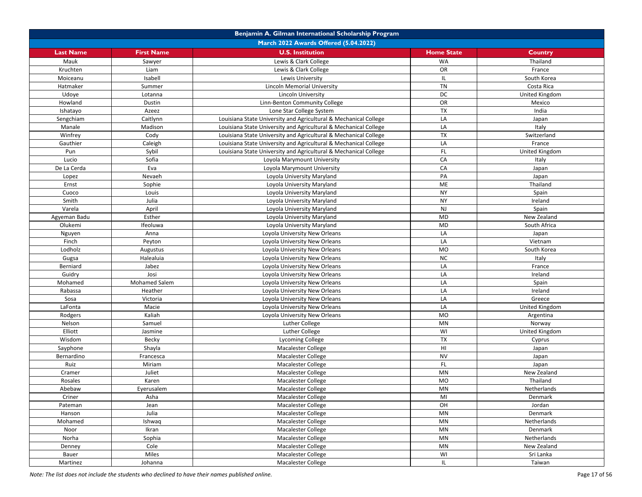| Benjamin A. Gilman International Scholarship Program |                      |                                                                  |                        |                |
|------------------------------------------------------|----------------------|------------------------------------------------------------------|------------------------|----------------|
| March 2022 Awards Offered (5.04.2022)                |                      |                                                                  |                        |                |
| <b>Last Name</b>                                     | <b>First Name</b>    | <b>U.S. Institution</b>                                          | <b>Home State</b>      | <b>Country</b> |
| Mauk                                                 | Sawyer               | Lewis & Clark College                                            | <b>WA</b>              | Thailand       |
| Kruchten                                             | Liam                 | Lewis & Clark College                                            | OR                     | France         |
| Moiceanu                                             | Isabell              | Lewis University                                                 | IL.                    | South Korea    |
| Hatmaker                                             | Summer               | <b>Lincoln Memorial University</b>                               | <b>TN</b>              | Costa Rica     |
| Udoye                                                | Lotanna              | Lincoln University                                               | DC                     | United Kingdom |
| Howland                                              | Dustin               | Linn-Benton Community College                                    | OR                     | Mexico         |
| Ishatayo                                             | Azeez                | Lone Star College System                                         | <b>TX</b>              | India          |
| Sengchiam                                            | Caitlynn             | Louisiana State University and Agricultural & Mechanical College | LA                     | Japan          |
| Manale                                               | Madison              | Louisiana State University and Agricultural & Mechanical College | LA                     | Italy          |
| Winfrey                                              | Cody                 | Louisiana State University and Agricultural & Mechanical College | <b>TX</b>              | Switzerland    |
| Gauthier                                             | Caleigh              | Louisiana State University and Agricultural & Mechanical College | LA                     | France         |
| Pun                                                  | Sybil                | Louisiana State University and Agricultural & Mechanical College | FL.                    | United Kingdom |
| Lucio                                                | Sofia                | Loyola Marymount University                                      | CA                     | Italy          |
| De La Cerda                                          | Eva                  | Loyola Marymount University                                      | CA                     | Japan          |
| Lopez                                                | Nevaeh               | Loyola University Maryland                                       | PA                     | Japan          |
| Ernst                                                | Sophie               | Loyola University Maryland                                       | ME                     | Thailand       |
| Cuoco                                                | Louis                | Loyola University Maryland                                       | <b>NY</b>              | Spain          |
| Smith                                                | Julia                | Loyola University Maryland                                       | <b>NY</b>              | Ireland        |
| Varela                                               | April                | Loyola University Maryland                                       | NJ                     | Spain          |
| Agyeman Badu                                         | Esther               | Loyola University Maryland                                       | MD                     | New Zealand    |
| Olukemi                                              | Ifeoluwa             | Loyola University Maryland                                       | MD                     | South Africa   |
| Nguyen                                               | Anna                 | Loyola University New Orleans                                    | LA                     | Japan          |
| Finch                                                | Peyton               | Loyola University New Orleans                                    | LA                     | Vietnam        |
| Lodholz                                              | Augustus             | Loyola University New Orleans                                    | MO                     | South Korea    |
| Gugsa                                                | Halealuia            | Loyola University New Orleans                                    | NC                     | Italy          |
| Berniard                                             | Jabez                | Loyola University New Orleans                                    | LA                     | France         |
| Guidry                                               | Josi                 | Loyola University New Orleans                                    | LA                     | Ireland        |
| Mohamed                                              | <b>Mohamed Salem</b> | Loyola University New Orleans                                    | LA                     | Spain          |
| Rabassa                                              | Heather              | Loyola University New Orleans                                    | LA                     | Ireland        |
| Sosa                                                 | Victoria             | Loyola University New Orleans                                    | LA                     | Greece         |
| LaFonta                                              | Macie                | Loyola University New Orleans                                    | LA                     | United Kingdom |
| Rodgers                                              | Kaliah               | Loyola University New Orleans                                    | <b>MO</b>              | Argentina      |
| Nelson                                               | Samuel               | Luther College                                                   | MN                     | Norway         |
| Elliott                                              | Jasmine              | Luther College                                                   | WI                     | United Kingdom |
| Wisdom                                               | Becky                | <b>Lycoming College</b>                                          | TX                     | Cyprus         |
| Sayphone                                             | Shayla               | Macalester College                                               | HI                     | Japan          |
| Bernardino                                           | Francesca            | Macalester College                                               | <b>NV</b>              | Japan          |
| Ruiz                                                 | Miriam               | Macalester College                                               | <b>FL</b>              | Japan          |
| Cramer                                               | Juliet               | Macalester College                                               | MN                     | New Zealand    |
| Rosales                                              | Karen                | <b>Macalester College</b>                                        | <b>MO</b>              | Thailand       |
| Abebaw                                               | Eyerusalem           | Macalester College                                               | MN                     | Netherlands    |
| Criner                                               | Asha                 | Macalester College                                               | MI                     | Denmark        |
| Pateman                                              | Jean                 | Macalester College                                               | OH                     | Jordan         |
| Hanson                                               | Julia                | Macalester College                                               | $\mathsf{M}\mathsf{N}$ | Denmark        |
| Mohamed                                              | Ishwaq               | Macalester College                                               | <b>MN</b>              | Netherlands    |
| Noor                                                 | Ikran                | Macalester College                                               | MN                     | Denmark        |
| Norha                                                | Sophia               | Macalester College                                               | $\mathsf{M}\mathsf{N}$ | Netherlands    |
| Denney                                               | Cole                 | Macalester College                                               | MN                     | New Zealand    |
| Bauer                                                | Miles                | Macalester College                                               | WI                     | Sri Lanka      |
| Martinez                                             | Johanna              | Macalester College                                               | IL.                    | Taiwan         |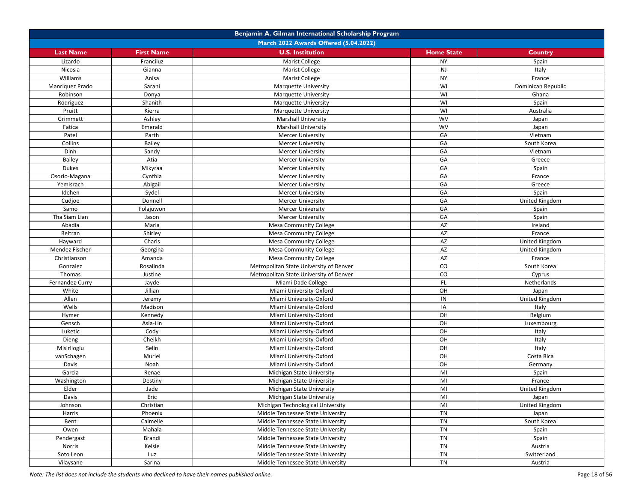|                  | Benjamin A. Gilman International Scholarship Program |                                         |                   |                    |  |
|------------------|------------------------------------------------------|-----------------------------------------|-------------------|--------------------|--|
|                  |                                                      | March 2022 Awards Offered (5.04.2022)   |                   |                    |  |
| <b>Last Name</b> | <b>First Name</b>                                    | <b>U.S. Institution</b>                 | <b>Home State</b> | Country            |  |
| Lizardo          | Franciluz                                            | <b>Marist College</b>                   | <b>NY</b>         | Spain              |  |
| Nicosia          | Gianna                                               | <b>Marist College</b>                   | NJ                | Italy              |  |
| Williams         | Anisa                                                | <b>Marist College</b>                   | <b>NY</b>         | France             |  |
| Manriquez Prado  | Sarahi                                               | <b>Marquette University</b>             | WI                | Dominican Republic |  |
| Robinson         | Donya                                                | <b>Marquette University</b>             | WI                | Ghana              |  |
| Rodriguez        | Shanith                                              | <b>Marquette University</b>             | WI                | Spain              |  |
| Pruitt           | Kierra                                               | <b>Marquette University</b>             | WI                | Australia          |  |
| Grimmett         | Ashley                                               | <b>Marshall University</b>              | <b>WV</b>         | Japan              |  |
| Fatica           | Emerald                                              | <b>Marshall University</b>              | WV                | Japan              |  |
| Patel            | Parth                                                | <b>Mercer University</b>                | GA                | Vietnam            |  |
| Collins          | Bailey                                               | <b>Mercer University</b>                | GA                | South Korea        |  |
| Dinh             | Sandy                                                | <b>Mercer University</b>                | GA                | Vietnam            |  |
| Bailey           | Atia                                                 | <b>Mercer University</b>                | GA                | Greece             |  |
| Dukes            | Mikyraa                                              | <b>Mercer University</b>                | GA                | Spain              |  |
| Osorio-Magana    | Cynthia                                              | <b>Mercer University</b>                | GA                | France             |  |
| Yemisrach        | Abigail                                              | <b>Mercer University</b>                | GA                | Greece             |  |
| Idehen           | Sydel                                                | <b>Mercer University</b>                | GA                | Spain              |  |
| Cudjoe           | Donnell                                              | <b>Mercer University</b>                | GA                | United Kingdom     |  |
| Samo             | Folajuwon                                            | <b>Mercer University</b>                | GA                | Spain              |  |
| Tha Siam Lian    | Jason                                                | <b>Mercer University</b>                | GA                | Spain              |  |
| Abadia           | Maria                                                | Mesa Community College                  | AZ                | Ireland            |  |
| Beltran          | Shirley                                              | <b>Mesa Community College</b>           | AZ                | France             |  |
| Hayward          | Charis                                               | <b>Mesa Community College</b>           | AZ                | United Kingdom     |  |
| Mendez Fischer   | Georgina                                             | <b>Mesa Community College</b>           | AZ                | United Kingdom     |  |
| Christianson     | Amanda                                               | <b>Mesa Community College</b>           | AZ                | France             |  |
| Gonzalez         | Rosalinda                                            | Metropolitan State University of Denver | CO                | South Korea        |  |
| Thomas           | Justine                                              | Metropolitan State University of Denver | CO                | Cyprus             |  |
| Fernandez-Curry  | Jayde                                                | Miami Dade College                      | <b>FL</b>         | Netherlands        |  |
| White            | Jillian                                              | Miami University-Oxford                 | OH                | Japan              |  |
| Allen            | Jeremy                                               | Miami University-Oxford                 | IN                | United Kingdom     |  |
| Wells            | Madison                                              | Miami University-Oxford                 | IA                | Italy              |  |
| Hymer            | Kennedy                                              | Miami University-Oxford                 | OH                | Belgium            |  |
| Gensch           | Asia-Lin                                             | Miami University-Oxford                 | OH                | Luxembourg         |  |
| Luketic          | Cody                                                 | Miami University-Oxford                 | OH                | Italy              |  |
| Dieng            | Cheikh                                               | Miami University-Oxford                 | OH                | Italy              |  |
| Misirlioglu      | Selin                                                | Miami University-Oxford                 | OH                | Italy              |  |
| vanSchagen       | Muriel                                               | Miami University-Oxford                 | OH                | Costa Rica         |  |
| Davis            | Noah                                                 | Miami University-Oxford                 | OH                | Germany            |  |
| Garcia           | Renae                                                | Michigan State University               | MI                | Spain              |  |
| Washington       | Destiny                                              | Michigan State University               | MI                | France             |  |
| Elder            | Jade                                                 | Michigan State University               | MI                | United Kingdom     |  |
| Davis            | Eric                                                 | Michigan State University               | MI                | Japan              |  |
| Johnson          | Christian                                            | Michigan Technological University       | MI                | United Kingdom     |  |
| Harris           | Phoenix                                              | Middle Tennessee State University       | TN                | Japan              |  |
| Bent             | Caimelle                                             | Middle Tennessee State University       | <b>TN</b>         | South Korea        |  |
| Owen             | Mahala                                               | Middle Tennessee State University       | TN                | Spain              |  |
| Pendergast       | Brandi                                               | Middle Tennessee State University       | TN                | Spain              |  |
| Norris           | Kelsie                                               | Middle Tennessee State University       | TN                | Austria            |  |
| Soto Leon        | Luz                                                  | Middle Tennessee State University       | <b>TN</b>         | Switzerland        |  |
| Vilaysane        | Sarina                                               | Middle Tennessee State University       | <b>TN</b>         | Austria            |  |
|                  |                                                      |                                         |                   |                    |  |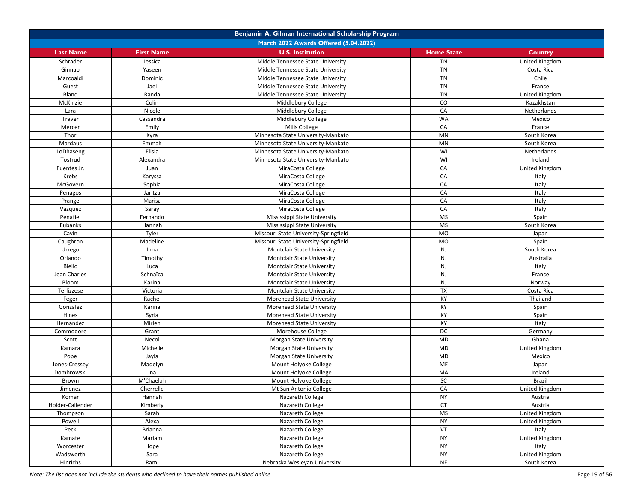|                  | Benjamin A. Gilman International Scholarship Program |                                       |                   |                |  |
|------------------|------------------------------------------------------|---------------------------------------|-------------------|----------------|--|
|                  | March 2022 Awards Offered (5.04.2022)                |                                       |                   |                |  |
| <b>Last Name</b> | <b>First Name</b>                                    | <b>U.S. Institution</b>               | <b>Home State</b> | <b>Country</b> |  |
| Schrader         | Jessica                                              | Middle Tennessee State University     | <b>TN</b>         | United Kingdom |  |
| Ginnab           | Yaseen                                               | Middle Tennessee State University     | <b>TN</b>         | Costa Rica     |  |
| Marcoaldi        | Dominic                                              | Middle Tennessee State University     | <b>TN</b>         | Chile          |  |
| Guest            | Jael                                                 | Middle Tennessee State University     | <b>TN</b>         | France         |  |
| Bland            | Randa                                                | Middle Tennessee State University     | <b>TN</b>         | United Kingdom |  |
| McKinzie         | Colin                                                | Middlebury College                    | CO                | Kazakhstan     |  |
| Lara             | Nicole                                               | Middlebury College                    | CA                | Netherlands    |  |
| Traver           | Cassandra                                            | Middlebury College                    | <b>WA</b>         | Mexico         |  |
| Mercer           | Emily                                                | Mills College                         | CA                | France         |  |
| Thor             | Kyra                                                 | Minnesota State University-Mankato    | MN                | South Korea    |  |
| Mardaus          | Emmah                                                | Minnesota State University-Mankato    | <b>MN</b>         | South Korea    |  |
| LoDhaseng        | Elisia                                               | Minnesota State University-Mankato    | WI                | Netherlands    |  |
| Tostrud          | Alexandra                                            | Minnesota State University-Mankato    | WI                | Ireland        |  |
| Fuentes Jr.      | Juan                                                 | MiraCosta College                     | CA                | United Kingdom |  |
| Krebs            | Karyssa                                              | MiraCosta College                     | CA                | Italy          |  |
| McGovern         | Sophia                                               | MiraCosta College                     | CA                | Italy          |  |
| Penagos          | Jaritza                                              | MiraCosta College                     | CA                | Italy          |  |
| Prange           | Marisa                                               | MiraCosta College                     | CA                | Italy          |  |
| Vazquez          | Saray                                                | MiraCosta College                     | CA                | Italy          |  |
| Penafiel         | Fernando                                             | Mississippi State University          | <b>MS</b>         | Spain          |  |
| Eubanks          | Hannah                                               | Mississippi State University          | <b>MS</b>         | South Korea    |  |
| Cavin            | Tyler                                                | Missouri State University-Springfield | <b>MO</b>         | Japan          |  |
| Caughron         | Madeline                                             | Missouri State University-Springfield | <b>MO</b>         | Spain          |  |
| Urrego           | Inna                                                 | <b>Montclair State University</b>     | NJ                | South Korea    |  |
| Orlando          | Timothy                                              | Montclair State University            | <b>NJ</b>         | Australia      |  |
| Biello           | Luca                                                 | <b>Montclair State University</b>     | <b>NJ</b>         | Italy          |  |
| Jean Charles     | Schnaïca                                             | <b>Montclair State University</b>     | NJ                | France         |  |
| Bloom            | Karina                                               | <b>Montclair State University</b>     | NJ                | Norway         |  |
| Terlizzese       | Victoria                                             | <b>Montclair State University</b>     | <b>TX</b>         | Costa Rica     |  |
| Feger            | Rachel                                               | <b>Morehead State University</b>      | KY                | Thailand       |  |
| Gonzalez         | Karina                                               | Morehead State University             | KY                | Spain          |  |
| Hines            | Syria                                                | Morehead State University             | KY                | Spain          |  |
| Hernandez        | Mirlen                                               | Morehead State University             | KY                | Italy          |  |
| Commodore        | Grant                                                | Morehouse College                     | DC                | Germany        |  |
| Scott            | Necol                                                | <b>Morgan State University</b>        | MD                | Ghana          |  |
| Kamara           | Michelle                                             | <b>Morgan State University</b>        | <b>MD</b>         | United Kingdom |  |
| Pope             | Jayla                                                | Morgan State University               | MD                | Mexico         |  |
| Jones-Cressey    | Madelyn                                              | Mount Holyoke College                 | ME                | Japan          |  |
| Dombrowski       | Ina                                                  | Mount Holyoke College                 | MA                | Ireland        |  |
| Brown            | M'Chaelah                                            | Mount Holyoke College                 | SC                | <b>Brazil</b>  |  |
| Jimenez          | Cherrelle                                            | Mt San Antonio College                | CA                | United Kingdom |  |
| Komar            | Hannah                                               | Nazareth College                      | <b>NY</b>         | Austria        |  |
| Holder-Callender | Kimberly                                             | Nazareth College                      | <b>CT</b>         | Austria        |  |
| Thompson         | Sarah                                                | Nazareth College                      | <b>MS</b>         | United Kingdom |  |
| Powell           | Alexa                                                | Nazareth College                      | <b>NY</b>         | United Kingdom |  |
| Peck             | Brianna                                              | Nazareth College                      | VT                | Italy          |  |
| Kamate           | Mariam                                               | Nazareth College                      | <b>NY</b>         | United Kingdom |  |
| Worcester        | Hope                                                 | Nazareth College                      | <b>NY</b>         | Italy          |  |
| Wadsworth        | Sara                                                 | Nazareth College                      | <b>NY</b>         | United Kingdom |  |
| Hinrichs         | Rami                                                 | Nebraska Wesleyan University          | <b>NE</b>         | South Korea    |  |
|                  |                                                      |                                       |                   |                |  |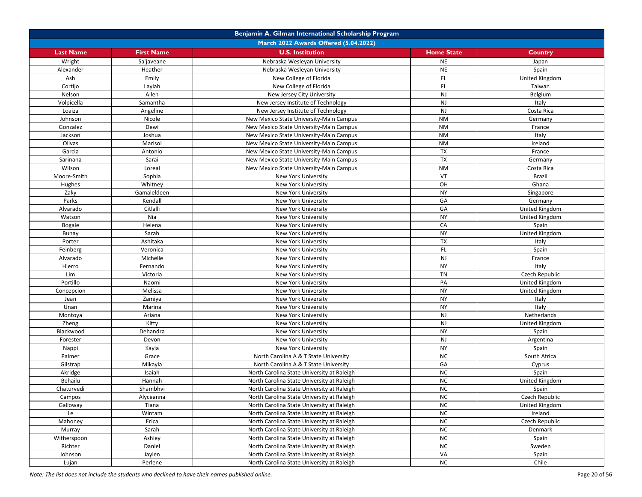|                   |                     | Benjamin A. Gilman International Scholarship Program |                   |                                  |
|-------------------|---------------------|------------------------------------------------------|-------------------|----------------------------------|
|                   |                     | March 2022 Awards Offered (5.04.2022)                |                   |                                  |
| <b>Last Name</b>  | <b>First Name</b>   | <b>U.S. Institution</b>                              | <b>Home State</b> | Country                          |
| Wright            | Sa'javeane          | Nebraska Wesleyan University                         | <b>NE</b>         | Japan                            |
| Alexander         | Heather             | Nebraska Wesleyan University                         | <b>NE</b>         | Spain                            |
| Ash               | Emily               | New College of Florida                               | <b>FL</b>         | United Kingdom                   |
| Cortijo           | Laylah              | New College of Florida                               | FL.               | Taiwan                           |
| Nelson            | Allen               | New Jersey City University                           | NJ                | Belgium                          |
| Volpicella        | Samantha            | New Jersey Institute of Technology                   | <b>NJ</b>         | Italy                            |
| Loaiza            | Angeline            | New Jersey Institute of Technology                   | NJ                | Costa Rica                       |
| Johnson           | Nicole              | New Mexico State University-Main Campus              | <b>NM</b>         | Germany                          |
| Gonzalez          | Dewi                | New Mexico State University-Main Campus              | <b>NM</b>         | France                           |
| Jackson           | Joshua              | New Mexico State University-Main Campus              | <b>NM</b>         | Italy                            |
| Olivas            | Marisol             | New Mexico State University-Main Campus              | <b>NM</b>         | Ireland                          |
| Garcia            | Antonio             | New Mexico State University-Main Campus              | <b>TX</b>         | France                           |
| Sarinana          | Sarai               | New Mexico State University-Main Campus              | TX                | Germany                          |
| Wilson            | Loreal              | New Mexico State University-Main Campus              | <b>NM</b>         | Costa Rica                       |
| Moore-Smith       | Sophia              | New York University                                  | VT                | <b>Brazil</b>                    |
| Hughes            | Whitney             | New York University                                  | OH                | Ghana                            |
| Zaky              | Gamaleldeen         | New York University                                  | <b>NY</b>         | Singapore                        |
|                   |                     |                                                      |                   |                                  |
| Parks<br>Alvarado | Kendall<br>Citlalli | New York University                                  | GA<br>GA          | Germany<br><b>United Kingdom</b> |
|                   | Nia                 | New York University                                  | <b>NY</b>         |                                  |
| Watson            |                     | <b>New York University</b>                           |                   | United Kingdom                   |
| <b>Bogale</b>     | Helena              | New York University                                  | CA                | Spain                            |
| Bunay             | Sarah               | New York University                                  | <b>NY</b>         | United Kingdom                   |
| Porter            | Ashitaka            | New York University                                  | <b>TX</b>         | Italy                            |
| Feinberg          | Veronica            | New York University                                  | FL.               | Spain                            |
| Alvarado          | Michelle            | New York University                                  | <b>NJ</b>         | France                           |
| Hierro            | Fernando            | New York University                                  | <b>NY</b>         | Italy                            |
| Lim               | Victoria            | <b>New York University</b>                           | <b>TN</b>         | Czech Republic                   |
| Portillo          | Naomi               | New York University                                  | PA                | United Kingdom                   |
| Concepcion        | Melissa             | New York University                                  | <b>NY</b>         | United Kingdom                   |
| Jean              | Zamiya              | <b>New York University</b>                           | <b>NY</b>         | Italy                            |
| Unan              | Marina              | New York University                                  | <b>NY</b>         | Italy                            |
| Montoya           | Ariana              | New York University                                  | NJ                | Netherlands                      |
| Zheng             | Kitty               | New York University                                  | <b>NJ</b>         | United Kingdom                   |
| Blackwood         | Dehandra            | New York University                                  | <b>NY</b>         | Spain                            |
| Forester          | Devon               | New York University                                  | NJ                | Argentina                        |
| Nappi             | Kayla               | New York University                                  | <b>NY</b>         | Spain                            |
| Palmer            | Grace               | North Carolina A & T State University                | <b>NC</b>         | South Africa                     |
| Gilstrap          | Mikayla             | North Carolina A & T State University                | GA                | Cyprus                           |
| Akridge           | Isaiah              | North Carolina State University at Raleigh           | <b>NC</b>         | Spain                            |
| Behailu           | Hannah              | North Carolina State University at Raleigh           | <b>NC</b>         | United Kingdom                   |
| Chaturvedi        | Shambhvi            | North Carolina State University at Raleigh           | <b>NC</b>         | Spain                            |
| Campos            | Alyceanna           | North Carolina State University at Raleigh           | ΝC                | Czech Republic                   |
| Galloway          | Tiana               | North Carolina State University at Raleigh           | <b>NC</b>         | United Kingdom                   |
| Le                | Wintam              | North Carolina State University at Raleigh           | <b>NC</b>         | Ireland                          |
| Mahoney           | Erica               | North Carolina State University at Raleigh           | NC                | Czech Republic                   |
| Murray            | Sarah               | North Carolina State University at Raleigh           | <b>NC</b>         | Denmark                          |
| Witherspoon       | Ashley              | North Carolina State University at Raleigh           | <b>NC</b>         | Spain                            |
| Richter           | Daniel              | North Carolina State University at Raleigh           | <b>NC</b>         | Sweden                           |
| Johnson           | Jaylen              | North Carolina State University at Raleigh           | VA                | Spain                            |
| Lujan             | Perlene             | North Carolina State University at Raleigh           | ${\sf NC}$        | Chile                            |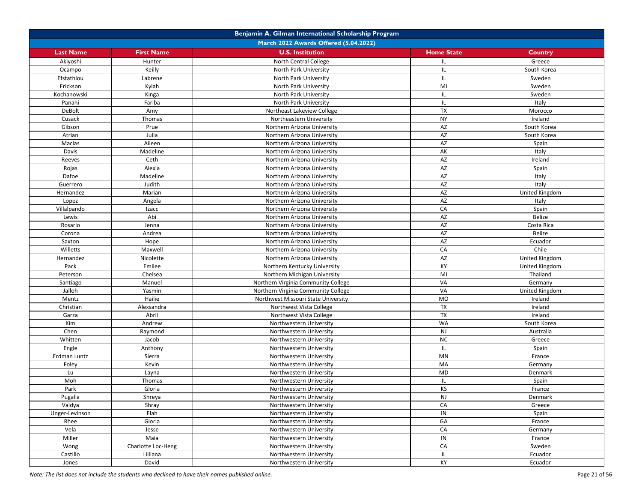|                  | Benjamin A. Gilman International Scholarship Program |                                       |                   |                       |  |
|------------------|------------------------------------------------------|---------------------------------------|-------------------|-----------------------|--|
|                  |                                                      | March 2022 Awards Offered (5.04.2022) |                   |                       |  |
| <b>Last Name</b> | <b>First Name</b>                                    | <b>U.S. Institution</b>               | <b>Home State</b> | Country               |  |
| Akiyoshi         | Hunter                                               | North Central College                 | IL.               | Greece                |  |
| Ocampo           | Keilly                                               | North Park University                 | IL                | South Korea           |  |
| Efstathiou       | Labrene                                              | North Park University                 | IL.               | Sweden                |  |
| Erickson         | Kylah                                                | North Park University                 | MI                | Sweden                |  |
| Kochanowski      | Kinga                                                | North Park University                 | IL.               | Sweden                |  |
| Panahi           | Fariba                                               | North Park University                 | IL                | Italy                 |  |
| DeBolt           | Amy                                                  | Northeast Lakeview College            | TX                | Morocco               |  |
| Cusack           | Thomas                                               | Northeastern University               | <b>NY</b>         | Ireland               |  |
| Gibson           | Prue                                                 | Northern Arizona University           | AZ                | South Korea           |  |
| Atrian           | Julia                                                | Northern Arizona University           | AZ                | South Korea           |  |
| Macias           | Aileen                                               | Northern Arizona University           | AZ                | Spain                 |  |
| Davis            | Madeline                                             | Northern Arizona University           | AK                | Italy                 |  |
| Reeves           | Ceth                                                 | Northern Arizona University           | AZ                | Ireland               |  |
| Rojas            | Alexia                                               | Northern Arizona University           | AZ                | Spain                 |  |
| Dafoe            | Madeline                                             | Northern Arizona University           | AZ                | Italy                 |  |
| Guerrero         | Judith                                               | Northern Arizona University           | AZ                | Italy                 |  |
| Hernandez        | Marian                                               | Northern Arizona University           | AZ                | <b>United Kingdom</b> |  |
| Lopez            | Angela                                               | Northern Arizona University           | AZ                | Italy                 |  |
| Villalpando      | Izacc                                                | Northern Arizona University           | CA                | Spain                 |  |
| Lewis            | Abi                                                  | Northern Arizona University           | AZ                | Belize                |  |
| Rosario          | Jenna                                                | Northern Arizona University           | AZ                | Costa Rica            |  |
| Corona           | Andrea                                               | Northern Arizona University           | AZ                | Belize                |  |
| Saxton           | Hope                                                 | Northern Arizona University           | AZ                | Ecuador               |  |
| Willetts         | Maxwell                                              | Northern Arizona University           | CA                | Chile                 |  |
| Hernandez        | Nicolette                                            | Northern Arizona University           | AZ                | United Kingdom        |  |
| Pack             | Emilee                                               | Northern Kentucky University          | КY                | United Kingdom        |  |
| Peterson         | Chelsea                                              | Northern Michigan University          | MI                | Thailand              |  |
| Santiago         | Manuel                                               | Northern Virginia Community College   | VA                | Germany               |  |
| Jalloh           | Yasmin                                               | Northern Virginia Community College   | VA                | United Kingdom        |  |
| Mentz            | Hailie                                               | Northwest Missouri State University   | <b>MO</b>         | Ireland               |  |
| Christian        | Alexsandra                                           | Northwest Vista College               | TX                | Ireland               |  |
| Garza            | Abril                                                | Northwest Vista College               | $\overline{TX}$   | Ireland               |  |
| Kim              | Andrew                                               | Northwestern University               | <b>WA</b>         | South Korea           |  |
| Chen             | Raymond                                              | Northwestern University               | NJ                | Australia             |  |
| Whitten          | Jacob                                                | Northwestern University               | <b>NC</b>         | Greece                |  |
| Engle            | Anthony                                              | Northwestern University               | IL.               | Spain                 |  |
| Erdman Luntz     | Sierra                                               | Northwestern University               | MN                | France                |  |
| Foley            | Kevin                                                | Northwestern University               | MA                | Germany               |  |
| Lu               | Layna                                                | Northwestern University               | <b>MD</b>         | Denmark               |  |
| Moh              | Thomas                                               | Northwestern University               | IL.               | Spain                 |  |
| Park             | Gloria                                               | Northwestern University               | KS                | France                |  |
| Pugalia          | Shreya                                               | Northwestern University               | NJ                | Denmark               |  |
| Vaidya           | Shray                                                | Northwestern University               | CA                | Greece                |  |
| Unger-Levinson   | Elah                                                 | Northwestern University               | IN                | Spain                 |  |
| Rhee             | Gloria                                               | Northwestern University               | GA                | France                |  |
| Vela             | Jesse                                                | Northwestern University               | CA                | Germany               |  |
| Miller           | Maia                                                 | Northwestern University               | IN                | France                |  |
| Wong             | Charlotte Loc-Heng                                   | Northwestern University               | CA                | Sweden                |  |
| Castillo         | Lilliana                                             | Northwestern University               | IL.               | Ecuador               |  |
| Jones            | David                                                | Northwestern University               | KY                | Ecuador               |  |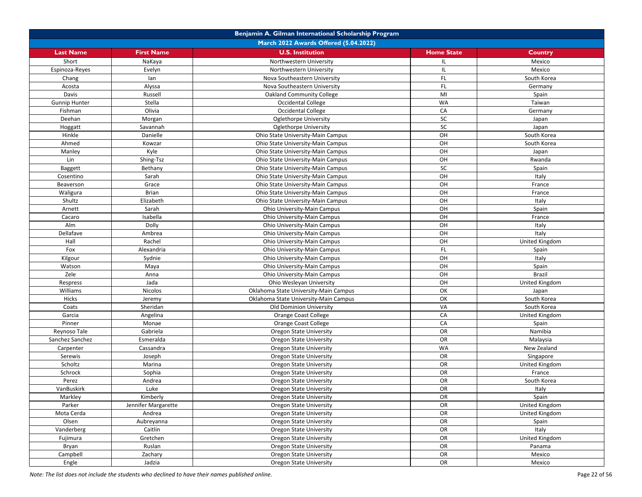|                      | Benjamin A. Gilman International Scholarship Program |                                                                  |                   |                         |  |  |
|----------------------|------------------------------------------------------|------------------------------------------------------------------|-------------------|-------------------------|--|--|
|                      | March 2022 Awards Offered (5.04.2022)                |                                                                  |                   |                         |  |  |
| <b>Last Name</b>     | <b>First Name</b>                                    | <b>U.S. Institution</b>                                          | <b>Home State</b> | Country                 |  |  |
| Short                | NaKaya                                               | Northwestern University                                          | IL.               | Mexico                  |  |  |
| Espinoza-Reyes       | Evelyn                                               | Northwestern University                                          | IL.               | Mexico                  |  |  |
| Chang                | lan                                                  | Nova Southeastern University                                     | FL.               | South Korea             |  |  |
| Acosta               | Alyssa                                               | Nova Southeastern University                                     | FL.               | Germany                 |  |  |
| Davis                | Russell                                              | <b>Oakland Community College</b>                                 | MI                | Spain                   |  |  |
| <b>Gunnip Hunter</b> | Stella                                               | <b>Occidental College</b>                                        | <b>WA</b>         | Taiwan                  |  |  |
| Fishman              | Olivia                                               | Occidental College                                               | CA                | Germany                 |  |  |
| Deehan               | Morgan                                               | Oglethorpe University                                            | <b>SC</b>         | Japan                   |  |  |
| Hoggatt              | Savannah                                             | Oglethorpe University                                            | SC                | Japan                   |  |  |
| Hinkle               | Danielle                                             | Ohio State University-Main Campus                                | OH                | South Korea             |  |  |
| Ahmed                | Kowzar                                               | Ohio State University-Main Campus                                | OH                | South Korea             |  |  |
| Manley               | Kyle                                                 | Ohio State University-Main Campus                                | OH                | Japan                   |  |  |
| Lin                  | Shing-Tsz                                            | Ohio State University-Main Campus                                | OH                | Rwanda                  |  |  |
| <b>Baggett</b>       | Bethany                                              | Ohio State University-Main Campus                                | SC                | Spain                   |  |  |
| Cosentino            | Sarah                                                | Ohio State University-Main Campus                                | OH                | Italy                   |  |  |
| Beaverson            | Grace                                                | Ohio State University-Main Campus                                | OH                | France                  |  |  |
| Waligura             | <b>Brian</b>                                         | Ohio State University-Main Campus                                | OH                | France                  |  |  |
| Shultz               | Elizabeth                                            | Ohio State University-Main Campus                                | OH                | Italy                   |  |  |
| Arnett               | Sarah                                                | Ohio University-Main Campus                                      | OH                | Spain                   |  |  |
| Cacaro               | Isabella                                             | Ohio University-Main Campus                                      | OH                | France                  |  |  |
| Alm                  | Dolly                                                | Ohio University-Main Campus                                      | OH                | Italy                   |  |  |
| Dellafave            | Ambrea                                               | Ohio University-Main Campus                                      | OH                | Italy                   |  |  |
| Hall                 | Rachel                                               | Ohio University-Main Campus                                      | OH                | United Kingdom          |  |  |
| Fox                  | Alexandria                                           | Ohio University-Main Campus                                      | FL.               | Spain                   |  |  |
| Kilgour              | Sydnie                                               | Ohio University-Main Campus                                      | OH                | Italy                   |  |  |
| Watson               | Maya                                                 | Ohio University-Main Campus                                      | OH                | Spain                   |  |  |
| Zele                 | Anna                                                 | Ohio University-Main Campus                                      | OH                | <b>Brazil</b>           |  |  |
| Respress             | Jada                                                 | Ohio Wesleyan University                                         | OH                | United Kingdom          |  |  |
| Williams             | Nicolos                                              | Oklahoma State University-Main Campus                            | OK                | Japan                   |  |  |
| Hicks                | Jeremy                                               | Oklahoma State University-Main Campus                            | OK                | South Korea             |  |  |
| Coats                | Sheridan                                             | <b>Old Dominion University</b>                                   | VA                | South Korea             |  |  |
| Garcia               | Angelina                                             | Orange Coast College                                             | CA                | United Kingdom          |  |  |
| Pinner               | Monae                                                | Orange Coast College                                             | CA                | Spain                   |  |  |
| Reynoso Tale         | Gabriela                                             | Oregon State University                                          | OR                | Namibia                 |  |  |
| Sanchez Sanchez      | Esmeralda                                            | Oregon State University                                          | OR                | Malaysia                |  |  |
| Carpenter            | Cassandra                                            | <b>Oregon State University</b>                                   | <b>WA</b>         | New Zealand             |  |  |
| Serewis              | Joseph                                               | Oregon State University                                          | OR                | Singapore               |  |  |
| Scholtz              | Marina                                               | Oregon State University                                          | OR                | United Kingdom          |  |  |
| Schrock              | Sophia                                               | Oregon State University                                          | OR                | France                  |  |  |
| Perez                | Andrea                                               | Oregon State University                                          | OR                | South Korea             |  |  |
| VanBuskirk           | Luke                                                 |                                                                  | OR                | Italy                   |  |  |
|                      |                                                      | Oregon State University                                          | OR                |                         |  |  |
| Markley<br>Parker    | Kimberly                                             | <b>Oregon State University</b>                                   | OR                | Spain<br>United Kingdom |  |  |
|                      | Jennifer Margarette                                  | Oregon State University                                          | OR                |                         |  |  |
| Mota Cerda<br>Olsen  | Andrea                                               | <b>Oregon State University</b><br><b>Oregon State University</b> | OR                | United Kingdom          |  |  |
|                      | Aubreyanna                                           | <b>Oregon State University</b>                                   | OR                | Spain                   |  |  |
| Vanderberg           | Caitlin                                              |                                                                  |                   | Italy                   |  |  |
| Fujimura             | Gretchen                                             | Oregon State University                                          | OR                | United Kingdom          |  |  |
| Bryan                | Ruslan                                               | <b>Oregon State University</b>                                   | OR                | Panama                  |  |  |
| Campbell             | Zachary                                              | <b>Oregon State University</b>                                   | OR                | Mexico                  |  |  |
| Engle                | Jadzia                                               | <b>Oregon State University</b>                                   | OR                | Mexico                  |  |  |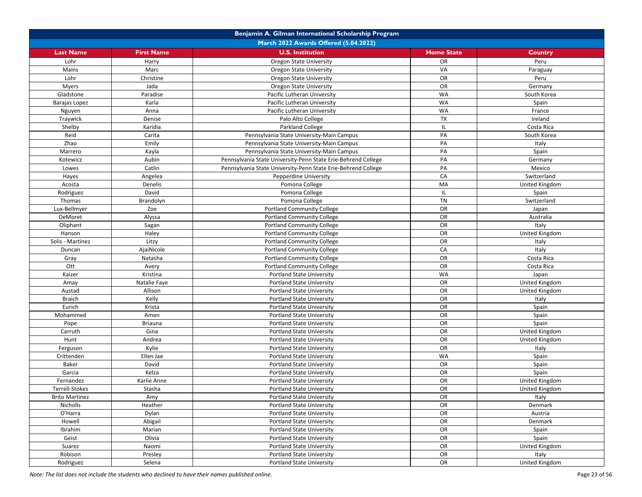|                                       | Benjamin A. Gilman International Scholarship Program |                                                               |                   |                       |  |
|---------------------------------------|------------------------------------------------------|---------------------------------------------------------------|-------------------|-----------------------|--|
| March 2022 Awards Offered (5.04.2022) |                                                      |                                                               |                   |                       |  |
| <b>Last Name</b>                      | <b>First Name</b>                                    | <b>U.S. Institution</b>                                       | <b>Home State</b> | Country               |  |
| Lohr                                  | Harry                                                | <b>Oregon State University</b>                                | <b>OR</b>         | Peru                  |  |
| Mains                                 | Marc                                                 | Oregon State University                                       | VA                | Paraguay              |  |
| Lohr                                  | Christine                                            | Oregon State University                                       | OR                | Peru                  |  |
| <b>Myers</b>                          | Jada                                                 | <b>Oregon State University</b>                                | <b>OR</b>         | Germany               |  |
| Gladstone                             | Paradise                                             | Pacific Lutheran University                                   | <b>WA</b>         | South Korea           |  |
| Barajas Lopez                         | Karla                                                | Pacific Lutheran University                                   | <b>WA</b>         | Spain                 |  |
| Nguyen                                | Anna                                                 | Pacific Lutheran University                                   | <b>WA</b>         | France                |  |
| Traywick                              | Denise                                               | Palo Alto College                                             | TX                | Ireland               |  |
| Shelby                                | Karidia                                              | Parkland College                                              | IL.               | Costa Rica            |  |
| Reid                                  | Carita                                               | Pennsylvania State University-Main Campus                     | PA                | South Korea           |  |
| Zhao                                  | Emily                                                | Pennsylvania State University-Main Campus                     | PA                | Italy                 |  |
| Marrero                               | Kayla                                                | Pennsylvania State University-Main Campus                     | PA                | Spain                 |  |
| Kotewicz                              | Aubin                                                | Pennsylvania State University-Penn State Erie-Behrend College | PA                | Germany               |  |
| Lowes                                 | Catlin                                               | Pennsylvania State University-Penn State Erie-Behrend College | PA                | Mexico                |  |
| Hayes                                 | Angelea                                              | Pepperdine University                                         | CA                | Switzerland           |  |
| Acosta                                | Denelis                                              | Pomona College                                                | MA                | United Kingdom        |  |
| Rodriguez                             | David                                                | Pomona College                                                | IL                | Spain                 |  |
| Thomas                                | Brandolyn                                            | Pomona College                                                | <b>TN</b>         | Switzerland           |  |
| Lux-Bellmyer                          | Zoe                                                  | <b>Portland Community College</b>                             | OR                | Japan                 |  |
| DeMoret                               | Alyssa                                               | <b>Portland Community College</b>                             | OR                | Australia             |  |
| Oliphant                              | Sagan                                                | <b>Portland Community College</b>                             | OR                | Italy                 |  |
| Hanson                                | Haley                                                | <b>Portland Community College</b>                             | OR                | United Kingdom        |  |
| Solis - Martinez                      | Litzy                                                | <b>Portland Community College</b>                             | OR                | Italy                 |  |
| Duncan                                | AjaiNicole                                           | <b>Portland Community College</b>                             | CA                | Italy                 |  |
| Gray                                  | Natasha                                              | <b>Portland Community College</b>                             | OR                | Costa Rica            |  |
| Ott                                   | Avery                                                | <b>Portland Community College</b>                             | <b>OR</b>         | Costa Rica            |  |
| Kaizer                                | Kristina                                             | <b>Portland State University</b>                              | <b>WA</b>         | Japan                 |  |
| Amay                                  | Natalie Faye                                         | <b>Portland State University</b>                              | OR                | United Kingdom        |  |
| Austad                                | Allison                                              | <b>Portland State University</b>                              | <b>OR</b>         | United Kingdom        |  |
| <b>Braich</b>                         | Kelly                                                | <b>Portland State University</b>                              | OR                | Italy                 |  |
| Eurich                                | Krista                                               | <b>Portland State University</b>                              | OR                | Spain                 |  |
| Mohammed                              | Amen                                                 | <b>Portland State University</b>                              | OR                | Spain                 |  |
| Pope                                  | <b>Briauna</b>                                       | <b>Portland State University</b>                              | OR                | Spain                 |  |
| Carruth                               | Gina                                                 | <b>Portland State University</b>                              | OR                | United Kingdom        |  |
| Hunt                                  | Andrea                                               | <b>Portland State University</b>                              | OR                | United Kingdom        |  |
| Ferguson                              | Kylie                                                | Portland State University                                     | OR                | Italy                 |  |
| Crittenden                            | Ellen Jae                                            | <b>Portland State University</b>                              | <b>WA</b>         | Spain                 |  |
| Baker                                 | David                                                | <b>Portland State University</b>                              | OR                | Spain                 |  |
| Garcia                                | Kelza                                                | <b>Portland State University</b>                              | OR                | Spain                 |  |
| Fernandez                             | Karlie Anne                                          | <b>Portland State University</b>                              | OR                | United Kingdom        |  |
| Terrell-Stokes                        | Stasha                                               | <b>Portland State University</b>                              | OR                | <b>United Kingdom</b> |  |
| <b>Brito Martinez</b>                 | Amy                                                  | <b>Portland State University</b>                              | OR                | Italy                 |  |
| Nicholls                              | Heather                                              | <b>Portland State University</b>                              | OR                | Denmark               |  |
| O'Harra                               | Dylan                                                | <b>Portland State University</b>                              | OR                | Austria               |  |
| Howell                                | Abigail                                              | <b>Portland State University</b>                              | OR                | Denmark               |  |
| Ibrahim                               | Marian                                               | <b>Portland State University</b>                              | OR                | Spain                 |  |
| Geist                                 | Olivia                                               | <b>Portland State University</b>                              | OR                | Spain                 |  |
| Suarez                                | Naomi                                                | <b>Portland State University</b>                              | OR                | United Kingdom        |  |
| Robison                               | Presley                                              | <b>Portland State University</b>                              | OR                | Italy                 |  |
| Rodriguez                             | Selena                                               | <b>Portland State University</b>                              | OR                | United Kingdom        |  |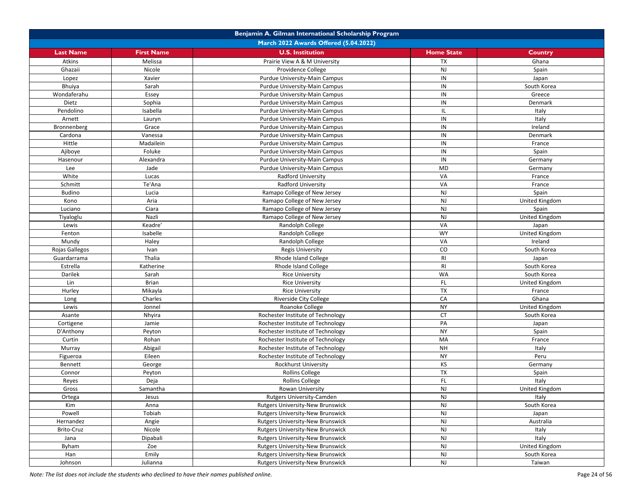|                  | Benjamin A. Gilman International Scholarship Program |                                         |                   |                |  |
|------------------|------------------------------------------------------|-----------------------------------------|-------------------|----------------|--|
|                  |                                                      | March 2022 Awards Offered (5.04.2022)   |                   |                |  |
| <b>Last Name</b> | <b>First Name</b>                                    | <b>U.S. Institution</b>                 | <b>Home State</b> | Country        |  |
| Atkins           | Melissa                                              | Prairie View A & M University           | <b>TX</b>         | Ghana          |  |
| Ghazaii          | Nicole                                               | Providence College                      | <b>NJ</b>         | Spain          |  |
| Lopez            | Xavier                                               | Purdue University-Main Campus           | IN                | Japan          |  |
| Bhuiya           | Sarah                                                | Purdue University-Main Campus           | IN                | South Korea    |  |
| Wondaferahu      | Essey                                                | Purdue University-Main Campus           | IN                | Greece         |  |
| Dietz            | Sophia                                               | Purdue University-Main Campus           | IN                | Denmark        |  |
| Pendolino        | Isabella                                             | Purdue University-Main Campus           | IL                | Italy          |  |
| Arnett           | Lauryn                                               | Purdue University-Main Campus           | IN                | Italy          |  |
| Bronnenberg      | Grace                                                | Purdue University-Main Campus           | IN                | Ireland        |  |
| Cardona          | Vanessa                                              | Purdue University-Main Campus           | IN                | Denmark        |  |
| Hittle           | Madailein                                            | Purdue University-Main Campus           | IN                | France         |  |
| Ajiboye          | Foluke                                               | Purdue University-Main Campus           | IN                | Spain          |  |
| Hasenour         | Alexandra                                            | Purdue University-Main Campus           | IN                | Germany        |  |
| Lee              | Jade                                                 | Purdue University-Main Campus           | MD                | Germany        |  |
| White            | Lucas                                                | <b>Radford University</b>               | VA                | France         |  |
| Schmitt          | Te'Ana                                               | <b>Radford University</b>               | VA                | France         |  |
| <b>Budino</b>    | Lucia                                                | Ramapo College of New Jersey            | <b>NJ</b>         | Spain          |  |
| Kono             | Aria                                                 | Ramapo College of New Jersey            | <b>NJ</b>         | United Kingdom |  |
| Luciano          | Ciara                                                | Ramapo College of New Jersey            | <b>NJ</b>         | Spain          |  |
| Tiyaloglu        | Nazli                                                | Ramapo College of New Jersey            | <b>NJ</b>         | United Kingdom |  |
| Lewis            | Keadre'                                              | Randolph College                        | VA                | Japan          |  |
| Fenton           | Isabelle                                             | Randolph College                        | <b>WY</b>         | United Kingdom |  |
| Mundy            | Haley                                                | Randolph College                        | VA                | Ireland        |  |
| Rojas Gallegos   | Ivan                                                 | <b>Regis University</b>                 | $\rm CO$          | South Korea    |  |
| Guardarrama      | Thalia                                               | Rhode Island College                    | RI                | Japan          |  |
| Estrella         | Katherine                                            | Rhode Island College                    | <b>RI</b>         | South Korea    |  |
| Darilek          | Sarah                                                | <b>Rice University</b>                  | WA                | South Korea    |  |
| Lin              | Brian                                                | <b>Rice University</b>                  | <b>FL</b>         | United Kingdom |  |
| Hurley           | Mikayla                                              | <b>Rice University</b>                  | <b>TX</b>         | France         |  |
| Long             | Charles                                              | <b>Riverside City College</b>           | CA                | Ghana          |  |
| Lewis            | Jonnel                                               | Roanoke College                         | <b>NY</b>         | United Kingdom |  |
| Asante           | Nhyira                                               | Rochester Institute of Technology       | <b>CT</b>         | South Korea    |  |
| Cortigene        | Jamie                                                | Rochester Institute of Technology       | PA                | Japan          |  |
| D'Anthony        | Peyton                                               | Rochester Institute of Technology       | <b>NY</b>         | Spain          |  |
| Curtin           | Rohan                                                | Rochester Institute of Technology       | MA                | France         |  |
| Murray           | Abigail                                              | Rochester Institute of Technology       | <b>NH</b>         | Italy          |  |
| Figueroa         | Eileen                                               | Rochester Institute of Technology       | <b>NY</b>         | Peru           |  |
| Bennett          | George                                               | Rockhurst University                    | KS                | Germany        |  |
| Connor           | Peyton                                               | <b>Rollins College</b>                  | TX                | Spain          |  |
| Reyes            | Deja                                                 | <b>Rollins College</b>                  | FL.               | Italy          |  |
| Gross            | Samantha                                             | Rowan University                        | <b>NJ</b>         | United Kingdom |  |
| Ortega           | Jesus                                                | Rutgers University-Camden               | <b>NJ</b>         | Italy          |  |
| Kim              | Anna                                                 | Rutgers University-New Brunswick        | $\mathsf{NJ}$     | South Korea    |  |
| Powell           | Tobiah                                               | Rutgers University-New Brunswick        | <b>NJ</b>         | Japan          |  |
| Hernandez        | Angie                                                | <b>Rutgers University-New Brunswick</b> | <b>NJ</b>         | Australia      |  |
| Brito-Cruz       | Nicole                                               | Rutgers University-New Brunswick        | <b>NJ</b>         | Italy          |  |
| Jana             | Dipabali                                             | Rutgers University-New Brunswick        | <b>NJ</b>         | Italy          |  |
| Byham            | Zoe                                                  | Rutgers University-New Brunswick        | <b>NJ</b>         | United Kingdom |  |
| Han              | Emily                                                | Rutgers University-New Brunswick        | $\mathsf{NJ}$     | South Korea    |  |
| Johnson          | Julianna                                             | Rutgers University-New Brunswick        | <b>NJ</b>         | Taiwan         |  |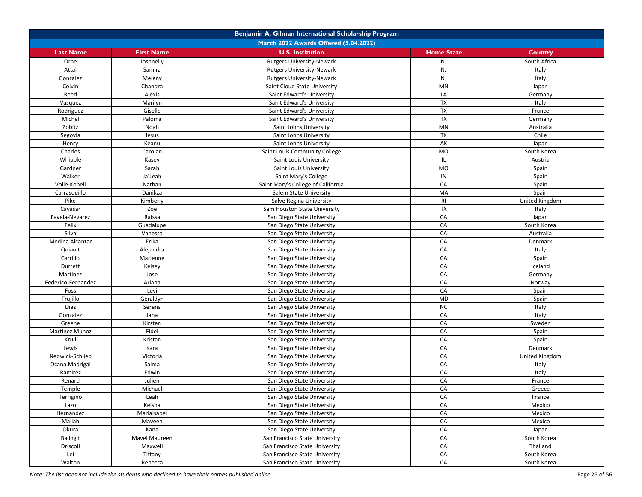|                       | Benjamin A. Gilman International Scholarship Program |                                       |                   |                |  |
|-----------------------|------------------------------------------------------|---------------------------------------|-------------------|----------------|--|
|                       |                                                      | March 2022 Awards Offered (5.04.2022) |                   |                |  |
| <b>Last Name</b>      | <b>First Name</b>                                    | <b>U.S. Institution</b>               | <b>Home State</b> | <b>Country</b> |  |
| Orbe                  | Joshnelly                                            | <b>Rutgers University-Newark</b>      | <b>NJ</b>         | South Africa   |  |
| Attal                 | Samira                                               | <b>Rutgers University-Newark</b>      | <b>NJ</b>         | Italy          |  |
| Gonzalez              | Meleny                                               | <b>Rutgers University-Newark</b>      | <b>NJ</b>         | Italy          |  |
| Colvin                | Chandra                                              | Saint Cloud State University          | <b>MN</b>         | Japan          |  |
| Reed                  | Alexis                                               | Saint Edward's University             | LA                | Germany        |  |
| Vasquez               | Marilyn                                              | Saint Edward's University             | TX                | Italy          |  |
| Rodriguez             | Giselle                                              | Saint Edward's University             | TX                | France         |  |
| Michel                | Paloma                                               | Saint Edward's University             | <b>TX</b>         | Germany        |  |
| Zobitz                | Noah                                                 | Saint Johns University                | MN                | Australia      |  |
| Segovia               | Jesus                                                | Saint Johns University                | TX                | Chile          |  |
| Henry                 | Keanu                                                | Saint Johns University                | AK                | Japan          |  |
| Charles               | Carolan                                              | Saint Louis Community College         | <b>MO</b>         | South Korea    |  |
| Whipple               | Kasey                                                | Saint Louis University                | IL                | Austria        |  |
| Gardner               | Sarah                                                | Saint Louis University                | MO                | Spain          |  |
| Walker                | Ja'Leah                                              | Saint Mary's College                  | IN                | Spain          |  |
| Volle-Kobell          | Nathan                                               | Saint Mary's College of California    | CA                | Spain          |  |
| Carrasquillo          | Danikza                                              | Salem State University                | MA                | Spain          |  |
| Pike                  | Kimberly                                             | Salve Regina University               | RI                | United Kingdom |  |
| Cavasar               | Zoe                                                  | Sam Houston State University          | TX                | Italy          |  |
| Favela-Nevarez        | Raissa                                               | San Diego State University            | CA                | Japan          |  |
| Felix                 | Guadalupe                                            | San Diego State University            | CA                | South Korea    |  |
| Silva                 | Vanessa                                              | San Diego State University            | CA                | Australia      |  |
| Medina Alcantar       | Erika                                                | San Diego State University            | CA                | Denmark        |  |
| Quiaoit               | Alejandra                                            | San Diego State University            | CA                | Italy          |  |
| Carrillo              | Marlenne                                             | San Diego State University            | CA                | Spain          |  |
| Durrett               | Kelsey                                               | San Diego State University            | CA                | Iceland        |  |
| Martinez              | Jose                                                 | San Diego State University            | CA                | Germany        |  |
| Federico-Fernandez    | Ariana                                               | San Diego State University            | CA                | Norway         |  |
| Foss                  | Levi                                                 | San Diego State University            | CA                | Spain          |  |
| Trujillo              | Geraldyn                                             | San Diego State University            | MD                | Spain          |  |
| Diaz                  | Serena                                               | San Diego State University            | <b>NC</b>         | Italy          |  |
| Gonzalez              | Jana                                                 | San Diego State University            | CA                | Italy          |  |
| Greene                | Kirsten                                              | San Diego State University            | CA                | Sweden         |  |
| <b>Martinez Munoz</b> | Fidel                                                | San Diego State University            | CA                | Spain          |  |
| Krull                 | Kristan                                              | San Diego State University            | CA                | Spain          |  |
| Lewis                 | Kara                                                 | San Diego State University            | CA                | Denmark        |  |
| Nedwick-Schliep       | Victoria                                             | San Diego State University            | CA                | United Kingdom |  |
| Ocana Madrigal        | Salma                                                | San Diego State University            | CA                | Italy          |  |
| Ramirez               | Edwin                                                | San Diego State University            | CA                | Italy          |  |
| Renard                | Julien                                               | San Diego State University            | CA                | France         |  |
| Temple                | Michael                                              | San Diego State University            | CA                | Greece         |  |
| Terrigino             | Leah                                                 | San Diego State University            | CA                | France         |  |
| Lazo                  | Keisha                                               | San Diego State University            | CA                | Mexico         |  |
| Hernandez             | Mariaisabel                                          | San Diego State University            | ${\sf CA}$        | Mexico         |  |
| Mallah                | Maveen                                               | San Diego State University            | CA                | Mexico         |  |
| Okura                 | Kana                                                 | San Diego State University            | CA                | Japan          |  |
| Balingit              | Mavel Maureen                                        | San Francisco State University        | CA                | South Korea    |  |
| Driscoll              | Maxwell                                              | San Francisco State University        | CA                | Thailand       |  |
| Lei                   | Tiffany                                              | San Francisco State University        | CA                | South Korea    |  |
| Walton                | Rebecca                                              | San Francisco State University        | CA                | South Korea    |  |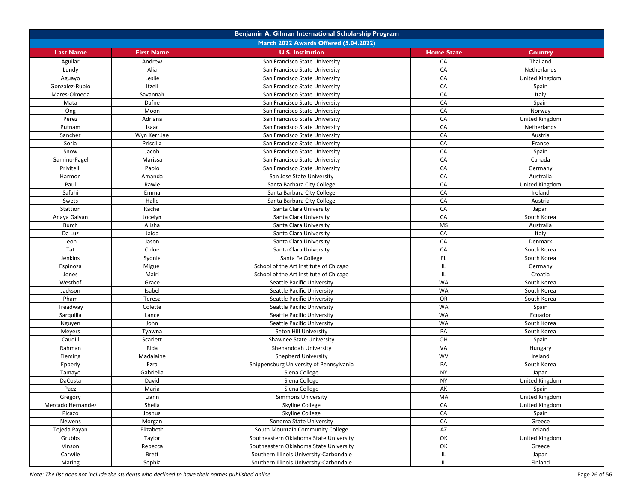|                   |                   | Benjamin A. Gilman International Scholarship Program |                   |                       |
|-------------------|-------------------|------------------------------------------------------|-------------------|-----------------------|
|                   |                   | March 2022 Awards Offered (5.04.2022)                |                   |                       |
| <b>Last Name</b>  | <b>First Name</b> | <b>U.S. Institution</b>                              | <b>Home State</b> | Country               |
| Aguilar           | Andrew            | San Francisco State University                       | CA                | Thailand              |
| Lundy             | Alia              | San Francisco State University                       | CA                | Netherlands           |
| Aguayo            | Leslie            | San Francisco State University                       | CA                | <b>United Kingdom</b> |
| Gonzalez-Rubio    | Itzell            | San Francisco State University                       | CA                | Spain                 |
| Mares-Olmeda      | Savannah          | San Francisco State University                       | CA                | Italy                 |
| Mata              | Dafne             | San Francisco State University                       | CA                | Spain                 |
| Ong               | Moon              | San Francisco State University                       | CA                | Norway                |
| Perez             | Adriana           | San Francisco State University                       | CA                | United Kingdom        |
| Putnam            | Isaac             | San Francisco State University                       | CA                | Netherlands           |
| Sanchez           | Wyn Kerr Jae      | San Francisco State University                       | CA                | Austria               |
| Soria             | Priscilla         | San Francisco State University                       | CA                | France                |
| Snow              | Jacob             | San Francisco State University                       | CA                | Spain                 |
| Gamino-Pagel      | Marissa           | San Francisco State University                       | CA                | Canada                |
| Privitelli        | Paolo             | San Francisco State University                       | CA                | Germany               |
| Harmon            | Amanda            | San Jose State University                            | CA                | Australia             |
| Paul              | Rawle             | Santa Barbara City College                           | CA                | United Kingdom        |
| Safahi            | Emma              | Santa Barbara City College                           | CA                | Ireland               |
| Swets             | Halle             | Santa Barbara City College                           | CA                | Austria               |
| Stattion          | Rachel            | Santa Clara University                               | CA                | Japan                 |
|                   | Jocelyn           |                                                      | CA                | South Korea           |
| Anaya Galvan      |                   | Santa Clara University<br>Santa Clara University     | <b>MS</b>         |                       |
| <b>Burch</b>      | Alisha            |                                                      |                   | Australia             |
| Da Luz            | Jaida             | Santa Clara University                               | CA                | Italy                 |
| Leon              | Jason             | Santa Clara University                               | CA                | Denmark               |
| Tat               | Chloe             | Santa Clara University                               | CA                | South Korea           |
| Jenkins           | Sydnie            | Santa Fe College                                     | FL.               | South Korea           |
| Espinoza          | Miguel            | School of the Art Institute of Chicago               | IL.               | Germany               |
| Jones             | Mairi             | School of the Art Institute of Chicago               | IL.               | Croatia               |
| Westhof           | Grace             | Seattle Pacific University                           | <b>WA</b>         | South Korea           |
| Jackson           | Isabel            | Seattle Pacific University                           | <b>WA</b>         | South Korea           |
| Pham              | Teresa            | Seattle Pacific University                           | OR                | South Korea           |
| Treadway          | Colette           | Seattle Pacific University                           | <b>WA</b>         | Spain                 |
| Sarquilla         | Lance             | Seattle Pacific University                           | <b>WA</b>         | Ecuador               |
| Nguyen            | John              | Seattle Pacific University                           | <b>WA</b>         | South Korea           |
| Meyers            | Tyawna            | Seton Hill University                                | PA                | South Korea           |
| Caudill           | Scarlett          | Shawnee State University                             | OH                | Spain                 |
| Rahman            | Rida              | Shenandoah University                                | VA                | Hungary               |
| Fleming           | Madalaine         | Shepherd University                                  | <b>WV</b>         | Ireland               |
| Epperly           | Ezra              | Shippensburg University of Pennsylvania              | PA                | South Korea           |
| Tamayo            | Gabriella         | Siena College                                        | <b>NY</b>         | Japan                 |
| DaCosta           | David             | Siena College                                        | <b>NY</b>         | United Kingdom        |
| Paez              | Maria             | Siena College                                        | AK                | Spain                 |
| Gregory           | Liann             | <b>Simmons University</b>                            | MA                | United Kingdom        |
| Mercado Hernandez | Sheila            | Skyline College                                      | CA                | United Kingdom        |
| Picazo            | Joshua            | Skyline College                                      | CA                | Spain                 |
| Newens            | Morgan            | Sonoma State University                              | CA                | Greece                |
| Tejeda Payan      | Elizabeth         | South Mountain Community College                     | AZ                | Ireland               |
| Grubbs            | Taylor            | Southeastern Oklahoma State University               | OK                | United Kingdom        |
| Vinson            | Rebecca           | Southeastern Oklahoma State University               | OK                | Greece                |
| Carwile           | Brett             | Southern Illinois University-Carbondale              | IL.               | Japan                 |
| Maring            | Sophia            | Southern Illinois University-Carbondale              | IL.               | Finland               |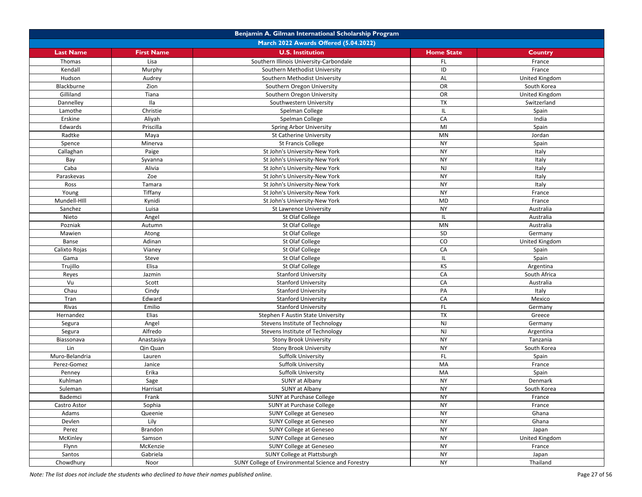|                                       | Benjamin A. Gilman International Scholarship Program |                                                    |                   |                |  |
|---------------------------------------|------------------------------------------------------|----------------------------------------------------|-------------------|----------------|--|
| March 2022 Awards Offered (5.04.2022) |                                                      |                                                    |                   |                |  |
| <b>Last Name</b>                      | <b>First Name</b>                                    | <b>U.S. Institution</b>                            | <b>Home State</b> | Country        |  |
| Thomas                                | Lisa                                                 | Southern Illinois University-Carbondale            | <b>FL</b>         | France         |  |
| Kendall                               | Murphy                                               | Southern Methodist University                      | ID                | France         |  |
| Hudson                                | Audrey                                               | Southern Methodist University                      | AL                | United Kingdom |  |
| Blackburne                            | Zion                                                 | Southern Oregon University                         | <b>OR</b>         | South Korea    |  |
| Gilliland                             | Tiana                                                | Southern Oregon University                         | OR                | United Kingdom |  |
| Dannelley                             | Ila                                                  | Southwestern University                            | <b>TX</b>         | Switzerland    |  |
| Lamothe                               | Christie                                             | Spelman College                                    | IL                | Spain          |  |
| Erskine                               | Aliyah                                               | Spelman College                                    | CA                | India          |  |
| Edwards                               | Priscilla                                            | Spring Arbor University                            | MI                | Spain          |  |
| Radtke                                | Maya                                                 | <b>St Catherine University</b>                     | MN                | Jordan         |  |
| Spence                                | Minerva                                              | <b>St Francis College</b>                          | <b>NY</b>         | Spain          |  |
| Callaghan                             | Paige                                                | St John's University-New York                      | <b>NY</b>         | Italy          |  |
| Bay                                   | Syvanna                                              | St John's University-New York                      | <b>NY</b>         | Italy          |  |
| Caba                                  | Alivia                                               | St John's University-New York                      | $\mathsf{NJ}$     | Italy          |  |
| Paraskevas                            | Zoe                                                  | St John's University-New York                      | <b>NY</b>         | Italy          |  |
| Ross                                  | Tamara                                               | St John's University-New York                      | <b>NY</b>         | Italy          |  |
| Young                                 | Tiffany                                              | St John's University-New York                      | <b>NY</b>         | France         |  |
| Mundell-HIll                          | Kynidi                                               | St John's University-New York                      | <b>MD</b>         | France         |  |
| Sanchez                               | Luisa                                                | St Lawrence University                             | <b>NY</b>         | Australia      |  |
| Nieto                                 | Angel                                                | St Olaf College                                    | IL                | Australia      |  |
| Pozniak                               | Autumn                                               | St Olaf College                                    | MN                | Australia      |  |
| Mawien                                | Atong                                                | St Olaf College                                    | SD                | Germany        |  |
| Banse                                 | Adinan                                               | St Olaf College                                    | CO                | United Kingdom |  |
| Calixto Rojas                         | Vianey                                               | St Olaf College                                    | CA                | Spain          |  |
| Gama                                  | Steve                                                | St Olaf College                                    | IL.               | Spain          |  |
| Trujillo                              | Elisa                                                | St Olaf College                                    | KS                | Argentina      |  |
| Reyes                                 | Jazmin                                               | <b>Stanford University</b>                         | CA                | South Africa   |  |
| Vu                                    | Scott                                                | <b>Stanford University</b>                         | CA                | Australia      |  |
| Chau                                  | Cindy                                                | <b>Stanford University</b>                         | PA                | Italy          |  |
| Tran                                  | Edward                                               | <b>Stanford University</b>                         | CA                | Mexico         |  |
| Rivas                                 | Emilio                                               | <b>Stanford University</b>                         | FL                | Germany        |  |
| Hernandez                             | Elias                                                | Stephen F Austin State University                  | $\overline{TX}$   | Greece         |  |
| Segura                                | Angel                                                | Stevens Institute of Technology                    | <b>NJ</b>         | Germany        |  |
| Segura                                | Alfredo                                              | Stevens Institute of Technology                    | <b>NJ</b>         | Argentina      |  |
| Biassonava                            | Anastasiya                                           | Stony Brook University                             | <b>NY</b>         | Tanzania       |  |
| Lin                                   | Qin Quan                                             | <b>Stony Brook University</b>                      | <b>NY</b>         | South Korea    |  |
| Muro-Belandria                        | Lauren                                               | Suffolk University                                 | FL.               | Spain          |  |
| Perez-Gomez                           | Janice                                               | Suffolk University                                 | MA                | France         |  |
| Penney                                | Erika                                                | Suffolk University                                 | MA                | Spain          |  |
| Kuhlman                               | Sage                                                 | SUNY at Albany                                     | <b>NY</b>         | Denmark        |  |
| Suleman                               | Harrisat                                             | SUNY at Albany                                     | <b>NY</b>         | South Korea    |  |
| Bademci                               | Frank                                                | SUNY at Purchase College                           | <b>NY</b>         | France         |  |
| Castro Astor                          | Sophia                                               | SUNY at Purchase College                           | <b>NY</b>         | France         |  |
| Adams                                 | Queenie                                              | SUNY College at Geneseo                            | <b>NY</b>         | Ghana          |  |
| Devlen                                | Lily                                                 | SUNY College at Geneseo                            | <b>NY</b>         | Ghana          |  |
| Perez                                 | Brandon                                              | SUNY College at Geneseo                            | <b>NY</b>         | Japan          |  |
| McKinley                              | Samson                                               | SUNY College at Geneseo                            | <b>NY</b>         | United Kingdom |  |
| Flynn                                 | McKenzie                                             | <b>SUNY College at Geneseo</b>                     | <b>NY</b>         | France         |  |
| Santos                                | Gabriela                                             | SUNY College at Plattsburgh                        | <b>NY</b>         | Japan          |  |
| Chowdhury                             | Noor                                                 | SUNY College of Environmental Science and Forestry | <b>NY</b>         | Thailand       |  |
|                                       |                                                      |                                                    |                   |                |  |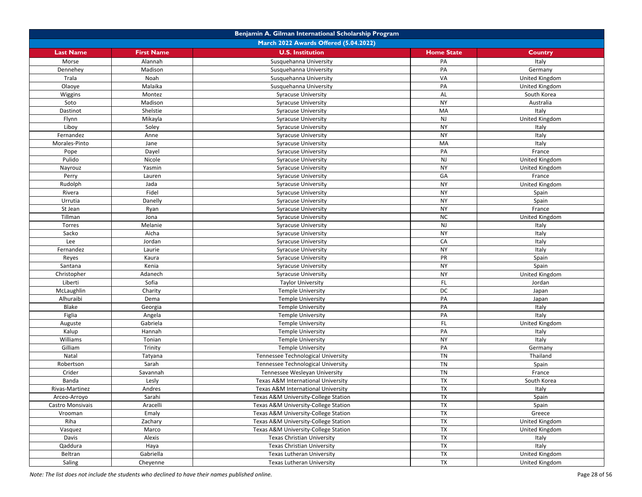|                  | Benjamin A. Gilman International Scholarship Program |                                      |                   |                |  |  |
|------------------|------------------------------------------------------|--------------------------------------|-------------------|----------------|--|--|
|                  | March 2022 Awards Offered (5.04.2022)                |                                      |                   |                |  |  |
| <b>Last Name</b> | <b>First Name</b>                                    | <b>U.S. Institution</b>              | <b>Home State</b> | Country        |  |  |
| Morse            | Alannah                                              | Susquehanna University               | PA                | Italy          |  |  |
| Dennehev         | Madison                                              | Susquehanna University               | PA                | Germany        |  |  |
| Trala            | Noah                                                 | Susquehanna University               | VA                | United Kingdom |  |  |
| Olaoye           | Malaika                                              | Susquehanna University               | PA                | United Kingdom |  |  |
| Wiggins          | Montez                                               | <b>Syracuse University</b>           | AL                | South Korea    |  |  |
| Soto             | Madison                                              | <b>Syracuse University</b>           | <b>NY</b>         | Australia      |  |  |
| Dastinot         | Shelstie                                             | <b>Syracuse University</b>           | MA                | Italy          |  |  |
| Flynn            | Mikayla                                              | <b>Syracuse University</b>           | NJ                | United Kingdom |  |  |
| Liboy            | Soley                                                | <b>Syracuse University</b>           | <b>NY</b>         | Italy          |  |  |
| Fernandez        | Anne                                                 | <b>Syracuse University</b>           | <b>NY</b>         | Italy          |  |  |
| Morales-Pinto    | Jane                                                 | Syracuse University                  | MA                | Italy          |  |  |
| Pope             | Dayel                                                | <b>Syracuse University</b>           | PA                | France         |  |  |
| Pulido           | Nicole                                               | <b>Syracuse University</b>           | NJ                | United Kingdom |  |  |
| Nayrouz          | Yasmin                                               | <b>Syracuse University</b>           | <b>NY</b>         | United Kingdom |  |  |
| Perry            | Lauren                                               | <b>Syracuse University</b>           | GA                | France         |  |  |
| Rudolph          | Jada                                                 | <b>Syracuse University</b>           | <b>NY</b>         | United Kingdom |  |  |
| Rivera           | Fidel                                                | <b>Syracuse University</b>           | <b>NY</b>         | Spain          |  |  |
| Urrutia          | Danelly                                              | <b>Syracuse University</b>           | <b>NY</b>         | Spain          |  |  |
| St Jean          | Ryan                                                 | Syracuse University                  | <b>NY</b>         | France         |  |  |
| Tillman          | Jona                                                 | <b>Syracuse University</b>           | <b>NC</b>         | United Kingdom |  |  |
| Torres           | Melanie                                              | <b>Syracuse University</b>           | <b>NJ</b>         | Italy          |  |  |
| Sacko            | Aicha                                                | <b>Syracuse University</b>           | <b>NY</b>         | Italy          |  |  |
| Lee              | Jordan                                               | <b>Syracuse University</b>           | CA                | Italy          |  |  |
| Fernandez        | Laurie                                               | <b>Syracuse University</b>           | <b>NY</b>         | Italy          |  |  |
| Reyes            | Kaura                                                | <b>Syracuse University</b>           | PR                | Spain          |  |  |
| Santana          | Kenia                                                | <b>Syracuse University</b>           | <b>NY</b>         | Spain          |  |  |
| Christopher      | Adanech                                              | <b>Syracuse University</b>           | <b>NY</b>         | United Kingdom |  |  |
| Liberti          | Sofia                                                | <b>Taylor University</b>             | FL                | Jordan         |  |  |
| McLaughlin       | Charity                                              | <b>Temple University</b>             | DC                | Japan          |  |  |
| Alhuraibi        | Dema                                                 | <b>Temple University</b>             | PA                | Japan          |  |  |
| Blake            | Georgia                                              | <b>Temple University</b>             | PA                | Italy          |  |  |
| Figlia           | Angela                                               | Temple University                    | PA                | Italy          |  |  |
| Auguste          | Gabriela                                             | <b>Temple University</b>             | FL.               | United Kingdom |  |  |
| Kalup            | Hannah                                               | <b>Temple University</b>             | PA                | Italy          |  |  |
| Williams         | Tonian                                               | <b>Temple University</b>             | <b>NY</b>         | Italy          |  |  |
| Gilliam          | Trinity                                              | <b>Temple University</b>             | PA                | Germany        |  |  |
| Natal            | Tatyana                                              | Tennessee Technological University   | TN                | Thailand       |  |  |
| Robertson        | Sarah                                                | Tennessee Technological University   | TN                | Spain          |  |  |
| Crider           | Savannah                                             | Tennessee Wesleyan University        | <b>TN</b>         | France         |  |  |
| Banda            | Lesly                                                | Texas A&M International University   | TX                | South Korea    |  |  |
| Rivas-Martinez   | Andres                                               | Texas A&M International University   | <b>TX</b>         | Italy          |  |  |
| Arceo-Arroyo     | Sarahi                                               | Texas A&M University-College Station | TX                | Spain          |  |  |
| Castro Monsivais | Aracelli                                             | Texas A&M University-College Station | TX                | Spain          |  |  |
| Vrooman          | Emaly                                                | Texas A&M University-College Station | TX                | Greece         |  |  |
| Riha             | Zachary                                              | Texas A&M University-College Station | TX                | United Kingdom |  |  |
|                  | Marco                                                | Texas A&M University-College Station | TX                | United Kingdom |  |  |
| Vasquez<br>Davis | Alexis                                               | <b>Texas Christian University</b>    | TX                |                |  |  |
| Qaddura          |                                                      |                                      | TX                | Italy          |  |  |
|                  | Haya                                                 | <b>Texas Christian University</b>    |                   | Italy          |  |  |
| Beltran          | Gabriella                                            | <b>Texas Lutheran University</b>     | $\mathsf{TX}$     | United Kingdom |  |  |
| Saling           | Cheyenne                                             | Texas Lutheran University            | TX                | United Kingdom |  |  |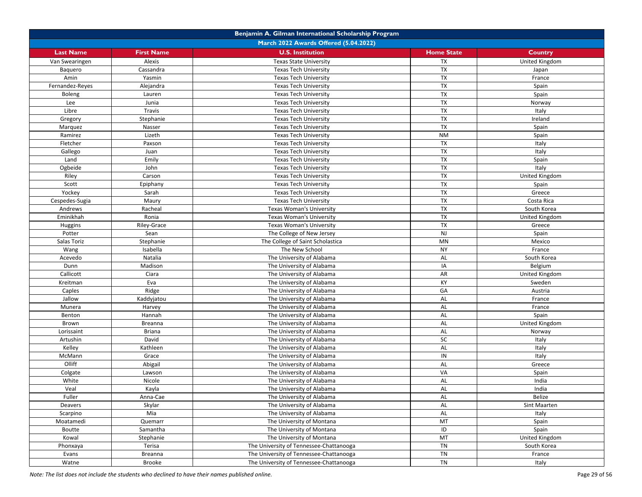|                   | Benjamin A. Gilman International Scholarship Program |                                                        |                          |                |  |  |
|-------------------|------------------------------------------------------|--------------------------------------------------------|--------------------------|----------------|--|--|
|                   | March 2022 Awards Offered (5.04.2022)                |                                                        |                          |                |  |  |
| <b>Last Name</b>  | <b>First Name</b>                                    | <b>U.S. Institution</b>                                | <b>Home State</b>        | <b>Country</b> |  |  |
| Van Swearingen    | Alexis                                               | <b>Texas State University</b>                          | TX                       | United Kingdom |  |  |
| Baquero           | Cassandra                                            | <b>Texas Tech University</b>                           | <b>TX</b>                | Japan          |  |  |
| Amin              | Yasmin                                               | <b>Texas Tech University</b>                           | TX                       | France         |  |  |
| Fernandez-Reyes   | Alejandra                                            | <b>Texas Tech University</b>                           | <b>TX</b>                | Spain          |  |  |
| Boleng            | Lauren                                               | <b>Texas Tech University</b>                           | TX                       | Spain          |  |  |
| Lee               | Junia                                                | <b>Texas Tech University</b>                           | TX                       | Norway         |  |  |
| Libre             | Travis                                               | <b>Texas Tech University</b>                           | $\overline{\mathsf{TX}}$ | Italy          |  |  |
| Gregory           | Stephanie                                            | <b>Texas Tech University</b>                           | <b>TX</b>                | Ireland        |  |  |
| Marquez           | Nasser                                               | <b>Texas Tech University</b>                           | <b>TX</b>                | Spain          |  |  |
| Ramirez           | Lizeth                                               | <b>Texas Tech University</b>                           | <b>NM</b>                | Spain          |  |  |
| Fletcher          | Paxson                                               | <b>Texas Tech University</b>                           | TX                       | Italy          |  |  |
| Gallego           | Juan                                                 | <b>Texas Tech University</b>                           | <b>TX</b>                | Italy          |  |  |
| Land              | Emily                                                | <b>Texas Tech University</b>                           | TX                       | Spain          |  |  |
| Ogbeide           | John                                                 | <b>Texas Tech University</b>                           | TX                       | Italy          |  |  |
| Riley             | Carson                                               | <b>Texas Tech University</b>                           | TX                       | United Kingdom |  |  |
| Scott             | Epiphany                                             | <b>Texas Tech University</b>                           | <b>TX</b>                | Spain          |  |  |
| Yockey            | Sarah                                                | <b>Texas Tech University</b>                           | <b>TX</b>                | Greece         |  |  |
| Cespedes-Sugia    | Maury                                                | <b>Texas Tech University</b>                           | <b>TX</b>                | Costa Rica     |  |  |
| Andrews           | Racheal                                              | <b>Texas Woman's University</b>                        | <b>TX</b>                | South Korea    |  |  |
| Eminikhah         | Ronia                                                | <b>Texas Woman's University</b>                        | <b>TX</b>                | United Kingdom |  |  |
| Huggins           | Riley-Grace                                          | <b>Texas Woman's University</b>                        | <b>TX</b>                | Greece         |  |  |
| Potter            | Sean                                                 | The College of New Jersey                              | <b>NJ</b>                | Spain          |  |  |
| Salas Toriz       | Stephanie                                            | The College of Saint Scholastica                       | <b>MN</b>                | Mexico         |  |  |
| Wang              | Isabella                                             | The New School                                         | <b>NY</b>                | France         |  |  |
| Acevedo           | Natalia                                              | The University of Alabama                              | AL                       | South Korea    |  |  |
| Dunn              | Madison                                              | The University of Alabama                              | IA                       | Belgium        |  |  |
| Callicott         | Ciara                                                | The University of Alabama                              | AR                       | United Kingdom |  |  |
| Kreitman          | Eva                                                  | The University of Alabama                              | KY                       | Sweden         |  |  |
| Caples            | Ridge                                                | The University of Alabama                              | GA                       | Austria        |  |  |
| Jallow            | Kaddyjatou                                           | The University of Alabama                              | AL                       | France         |  |  |
| Munera            | Harvey                                               | The University of Alabama                              | AL                       | France         |  |  |
| Benton            | Hannah                                               | The University of Alabama                              | AL                       | Spain          |  |  |
| Brown             | <b>Breanna</b>                                       | The University of Alabama                              | AL                       | United Kingdom |  |  |
| Lorissaint        | <b>Briana</b>                                        | The University of Alabama                              | AL                       | Norway         |  |  |
| Artushin          | David                                                | The University of Alabama                              | <b>SC</b>                | Italy          |  |  |
| Kelley            | Kathleen                                             | The University of Alabama                              | AL                       | Italy          |  |  |
| McMann            | Grace                                                | The University of Alabama                              | IN                       | Italy          |  |  |
| Olliff            | Abigail                                              | The University of Alabama                              | AL                       | Greece         |  |  |
| Colgate           | Lawson                                               | The University of Alabama                              | VA                       | Spain          |  |  |
| White             | Nicole                                               | The University of Alabama                              | AL                       | India          |  |  |
| Veal              | Kayla                                                | The University of Alabama                              | AL                       | India          |  |  |
| Fuller            |                                                      |                                                        | AL                       | Belize         |  |  |
| Deavers           | Anna-Cae<br>Skylar                                   | The University of Alabama<br>The University of Alabama | AL                       | Sint Maarten   |  |  |
| Scarpino          | Mia                                                  | The University of Alabama                              | AL                       | Italy          |  |  |
| Moatamedi         | Quemarr                                              | The University of Montana                              | MT                       | Spain          |  |  |
| Boutte            | Samantha                                             | The University of Montana                              | ID                       | Spain          |  |  |
|                   | Stephanie                                            | The University of Montana                              | MT                       | United Kingdom |  |  |
| Kowal<br>Phonxaya | Terisa                                               | The University of Tennessee-Chattanooga                | TN                       | South Korea    |  |  |
|                   |                                                      | The University of Tennessee-Chattanooga                | TN                       | France         |  |  |
| Evans<br>Watne    | Breanna<br>Brooke                                    | The University of Tennessee-Chattanooga                | TN                       | Italy          |  |  |
|                   |                                                      |                                                        |                          |                |  |  |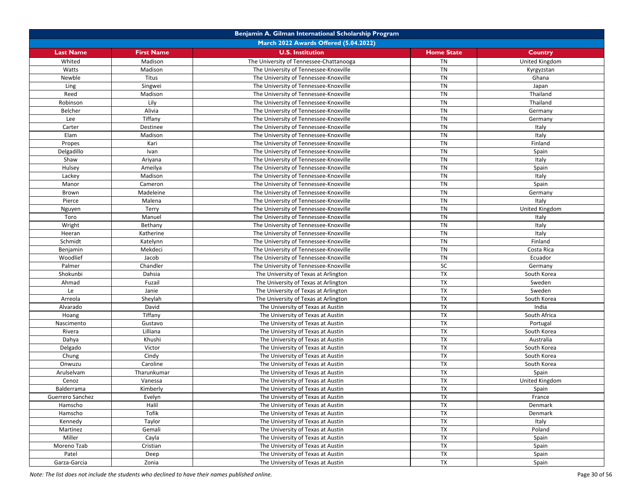|                  |                   | Benjamin A. Gilman International Scholarship Program |                   |                |
|------------------|-------------------|------------------------------------------------------|-------------------|----------------|
|                  |                   | March 2022 Awards Offered (5.04.2022)                |                   |                |
| <b>Last Name</b> | <b>First Name</b> | <b>U.S. Institution</b>                              | <b>Home State</b> | <b>Country</b> |
| Whited           | Madison           | The University of Tennessee-Chattanooga              | <b>TN</b>         | United Kingdom |
| Watts            | Madison           | The University of Tennessee-Knoxville                | <b>TN</b>         | Kyrgyzstan     |
| Newble           | Titus             | The University of Tennessee-Knoxville                | <b>TN</b>         | Ghana          |
| Ling             | Singwei           | The University of Tennessee-Knoxville                | <b>TN</b>         | Japan          |
| Reed             | Madison           | The University of Tennessee-Knoxville                | <b>TN</b>         | Thailand       |
| Robinson         | Lily              | The University of Tennessee-Knoxville                | <b>TN</b>         | Thailand       |
| Belcher          | Alivia            | The University of Tennessee-Knoxville                | <b>TN</b>         | Germany        |
| Lee              | Tiffany           | The University of Tennessee-Knoxville                | <b>TN</b>         | Germany        |
| Carter           | Destinee          | The University of Tennessee-Knoxville                | <b>TN</b>         | Italy          |
| Elam             | Madison           | The University of Tennessee-Knoxville                | <b>TN</b>         | Italy          |
| Propes           | Kari              | The University of Tennessee-Knoxville                | <b>TN</b>         | Finland        |
| Delgadillo       | Ivan              | The University of Tennessee-Knoxville                | <b>TN</b>         | Spain          |
| Shaw             | Ariyana           | The University of Tennessee-Knoxville                | <b>TN</b>         | Italy          |
| Hulsey           | Ameilya           | The University of Tennessee-Knoxville                | <b>TN</b>         | Spain          |
| Lackey           | Madison           | The University of Tennessee-Knoxville                | <b>TN</b>         | Italy          |
| Manor            | Cameron           | The University of Tennessee-Knoxville                | <b>TN</b>         | Spain          |
| Brown            | Madeleine         | The University of Tennessee-Knoxville                | <b>TN</b>         | Germany        |
| Pierce           | Malena            | The University of Tennessee-Knoxville                | <b>TN</b>         | Italy          |
| Nguyen           | Terry             | The University of Tennessee-Knoxville                | <b>TN</b>         | United Kingdom |
| Toro             | Manuel            | The University of Tennessee-Knoxville                | <b>TN</b>         |                |
|                  |                   |                                                      | TN                | Italy          |
| Wright           | Bethany           | The University of Tennessee-Knoxville                |                   | Italy          |
| Heeran           | Katherine         | The University of Tennessee-Knoxville                | TN                | Italy          |
| Schmidt          | Katelynn          | The University of Tennessee-Knoxville                | <b>TN</b>         | Finland        |
| Benjamin         | Mekdeci           | The University of Tennessee-Knoxville                | TN                | Costa Rica     |
| Woodlief         | Jacob             | The University of Tennessee-Knoxville                | <b>TN</b>         | Ecuador        |
| Palmer           | Chandler          | The University of Tennessee-Knoxville                | SC                | Germany        |
| Shokunbi         | Dahsia            | The University of Texas at Arlington                 | TX                | South Korea    |
| Ahmad            | Fuzail            | The University of Texas at Arlington                 | TX                | Sweden         |
| Le               | Janie             | The University of Texas at Arlington                 | <b>TX</b>         | Sweden         |
| Arreola          | Sheylah           | The University of Texas at Arlington                 | TX                | South Korea    |
| Alvarado         | David             | The University of Texas at Austin                    | TX                | India          |
| Hoang            | Tiffany           | The University of Texas at Austin                    | TX                | South Africa   |
| Nascimento       | Gustavo           | The University of Texas at Austin                    | <b>TX</b>         | Portugal       |
| Rivera           | Lilliana          | The University of Texas at Austin                    | TX                | South Korea    |
| Dahya            | Khushi            | The University of Texas at Austin                    | TX                | Australia      |
| Delgado          | Victor            | The University of Texas at Austin                    | TX                | South Korea    |
| Chung            | Cindy             | The University of Texas at Austin                    | <b>TX</b>         | South Korea    |
| Onwuzu           | Caroline          | The University of Texas at Austin                    | TX                | South Korea    |
| Arulselvam       | Tharunkumar       | The University of Texas at Austin                    | TX                | Spain          |
| Cenoz            | Vanessa           | The University of Texas at Austin                    | TX                | United Kingdom |
| Balderrama       | Kimberly          | The University of Texas at Austin                    | <b>TX</b>         | Spain          |
| Guerrero Sanchez | Evelyn            | The University of Texas at Austin                    | TX                | France         |
| Hamscho          | Halil             | The University of Texas at Austin                    | TX                | Denmark        |
| Hamscho          | Tofik             | The University of Texas at Austin                    | TX                | Denmark        |
| Kennedy          | Taylor            | The University of Texas at Austin                    | <b>TX</b>         | Italy          |
| Martinez         | Gemali            | The University of Texas at Austin                    | TX                | Poland         |
| Miller           | Cayla             | The University of Texas at Austin                    | TX                | Spain          |
| Moreno Tzab      | Cristian          | The University of Texas at Austin                    | TX                | Spain          |
| Patel            | Deep              | The University of Texas at Austin                    | TX                | Spain          |
| Garza-Garcia     | Zonia             | The University of Texas at Austin                    | <b>TX</b>         | Spain          |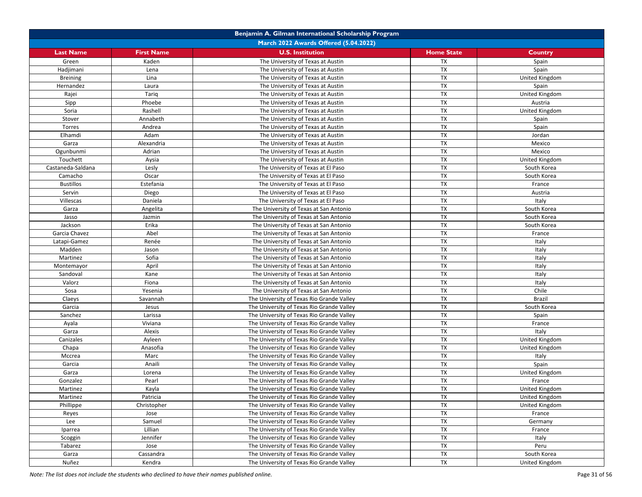|                   | Benjamin A. Gilman International Scholarship Program |                                           |                   |                |  |  |
|-------------------|------------------------------------------------------|-------------------------------------------|-------------------|----------------|--|--|
|                   | March 2022 Awards Offered (5.04.2022)                |                                           |                   |                |  |  |
| <b>Last Name</b>  | <b>First Name</b>                                    | <b>U.S. Institution</b>                   | <b>Home State</b> | Country        |  |  |
| Green             | Kaden                                                | The University of Texas at Austin         | TX                | Spain          |  |  |
| Hadjimani         | Lena                                                 | The University of Texas at Austin         | <b>TX</b>         | Spain          |  |  |
| <b>Breining</b>   | Lina                                                 | The University of Texas at Austin         | TX                | United Kingdom |  |  |
| Hernandez         | Laura                                                | The University of Texas at Austin         | <b>TX</b>         | Spain          |  |  |
| Rajei             | Tariq                                                | The University of Texas at Austin         | TX                | United Kingdom |  |  |
| Sipp              | Phoebe                                               | The University of Texas at Austin         | TX                | Austria        |  |  |
| Soria             | Rashell                                              | The University of Texas at Austin         | <b>TX</b>         | United Kingdom |  |  |
| Stover            | Annabeth                                             | The University of Texas at Austin         | <b>TX</b>         | Spain          |  |  |
| Torres            | Andrea                                               | The University of Texas at Austin         | <b>TX</b>         | Spain          |  |  |
| Elhamdi           | Adam                                                 | The University of Texas at Austin         | <b>TX</b>         | Jordan         |  |  |
| Garza             | Alexandria                                           | The University of Texas at Austin         | <b>TX</b>         | Mexico         |  |  |
| Ogunbunmi         | Adrian                                               | The University of Texas at Austin         | <b>TX</b>         | Mexico         |  |  |
| Touchett          | Aysia                                                | The University of Texas at Austin         | TX                | United Kingdom |  |  |
| Castaneda-Saldana | Lesly                                                | The University of Texas at El Paso        | TX                | South Korea    |  |  |
| Camacho           | Oscar                                                | The University of Texas at El Paso        | TX                | South Korea    |  |  |
| <b>Bustillos</b>  | Estefania                                            | The University of Texas at El Paso        | TX                | France         |  |  |
| Servin            | Diego                                                | The University of Texas at El Paso        | <b>TX</b>         | Austria        |  |  |
| Villescas         | Daniela                                              | The University of Texas at El Paso        | TX                | Italy          |  |  |
| Garza             | Angelita                                             | The University of Texas at San Antonio    | <b>TX</b>         | South Korea    |  |  |
| Jasso             | Jazmin                                               | The University of Texas at San Antonio    | <b>TX</b>         | South Korea    |  |  |
| Jackson           | Erika                                                | The University of Texas at San Antonio    | TX                | South Korea    |  |  |
| Garcia Chavez     | Abel                                                 | The University of Texas at San Antonio    | TX                | France         |  |  |
| Latapi-Gamez      | Renée                                                | The University of Texas at San Antonio    | TX                | Italy          |  |  |
| Madden            | Jason                                                | The University of Texas at San Antonio    | TX                | Italy          |  |  |
| Martinez          | Sofia                                                | The University of Texas at San Antonio    | <b>TX</b>         | Italy          |  |  |
| Montemayor        | April                                                | The University of Texas at San Antonio    | <b>TX</b>         | Italy          |  |  |
| Sandoval          | Kane                                                 | The University of Texas at San Antonio    | TX                | Italy          |  |  |
| Valorz            | Fiona                                                | The University of Texas at San Antonio    | TX                | Italy          |  |  |
| Sosa              | Yesenia                                              | The University of Texas at San Antonio    | <b>TX</b>         | Chile          |  |  |
| Claeys            | Savannah                                             | The University of Texas Rio Grande Valley | TX                | <b>Brazil</b>  |  |  |
| Garcia            | Jesus                                                | The University of Texas Rio Grande Valley | <b>TX</b>         | South Korea    |  |  |
| Sanchez           | Larissa                                              | The University of Texas Rio Grande Valley | TX                | Spain          |  |  |
| Ayala             | Viviana                                              | The University of Texas Rio Grande Valley | <b>TX</b>         | France         |  |  |
| Garza             | Alexis                                               | The University of Texas Rio Grande Valley | <b>TX</b>         | Italy          |  |  |
| Canizales         | Ayleen                                               | The University of Texas Rio Grande Valley | <b>TX</b>         | United Kingdom |  |  |
| Chapa             | Anasofia                                             | The University of Texas Rio Grande Valley | <b>TX</b>         | United Kingdom |  |  |
| Mccrea            | Marc                                                 | The University of Texas Rio Grande Valley | <b>TX</b>         | Italy          |  |  |
| Garcia            | Anaili                                               | The University of Texas Rio Grande Valley | TX                | Spain          |  |  |
| Garza             | Lorena                                               | The University of Texas Rio Grande Valley | TX                | United Kingdom |  |  |
| Gonzalez          | Pearl                                                | The University of Texas Rio Grande Valley | TX                | France         |  |  |
| Martinez          | Kayla                                                | The University of Texas Rio Grande Valley | <b>TX</b>         | United Kingdom |  |  |
| Martinez          | Patricia                                             | The University of Texas Rio Grande Valley | TX                | United Kingdom |  |  |
| Phillippe         | Christopher                                          | The University of Texas Rio Grande Valley | TX                | United Kingdom |  |  |
|                   | Jose                                                 | The University of Texas Rio Grande Valley | TX                | France         |  |  |
| Reyes<br>Lee      |                                                      | The University of Texas Rio Grande Valley | <b>TX</b>         |                |  |  |
|                   | Samuel                                               |                                           | TX                | Germany        |  |  |
| Iparrea           | Lillian                                              | The University of Texas Rio Grande Valley | TX                | France         |  |  |
| Scoggin           | Jennifer                                             | The University of Texas Rio Grande Valley | TX                | Italy          |  |  |
| Tabarez           | Jose                                                 | The University of Texas Rio Grande Valley |                   | Peru           |  |  |
| Garza             | Cassandra                                            | The University of Texas Rio Grande Valley | TX                | South Korea    |  |  |
| Nuñez             | Kendra                                               | The University of Texas Rio Grande Valley | TX                | United Kingdom |  |  |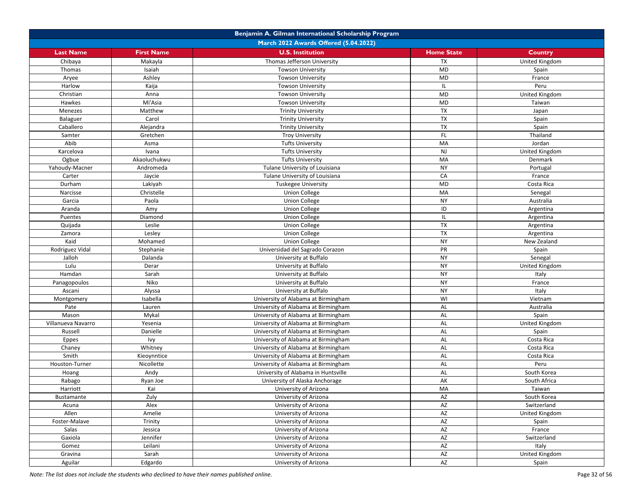|                        | Benjamin A. Gilman International Scholarship Program |                                                         |                              |                            |  |
|------------------------|------------------------------------------------------|---------------------------------------------------------|------------------------------|----------------------------|--|
|                        |                                                      | March 2022 Awards Offered (5.04.2022)                   |                              |                            |  |
| <b>Last Name</b>       | <b>First Name</b>                                    | <b>U.S. Institution</b>                                 | <b>Home State</b>            | <b>Country</b>             |  |
| Chibaya                | Makayla                                              | Thomas Jefferson University                             | <b>TX</b>                    | United Kingdom             |  |
| Thomas                 | Isaiah                                               | <b>Towson University</b>                                | MD                           | Spain                      |  |
| Aryee                  | Ashley                                               | <b>Towson University</b>                                | MD                           | France                     |  |
| Harlow                 | Kaija                                                | <b>Towson University</b>                                | IL                           | Peru                       |  |
| Christian              | Anna                                                 | <b>Towson University</b>                                | MD                           | United Kingdom             |  |
| Hawkes                 | Mi'Asia                                              | <b>Towson University</b>                                | MD                           | Taiwan                     |  |
| Menezes                | Matthew                                              | <b>Trinity University</b>                               | TX                           | Japan                      |  |
| <b>Balaguer</b>        | Carol                                                | <b>Trinity University</b>                               | <b>TX</b>                    | Spain                      |  |
| Caballero              | Alejandra                                            | <b>Trinity University</b>                               | TX                           | Spain                      |  |
| Samter                 | Gretchen                                             | <b>Troy University</b>                                  | FL                           | Thailand                   |  |
| Abib                   | Asma                                                 | <b>Tufts University</b>                                 | MA                           | Jordan                     |  |
| Karcelova              | Ivana                                                | <b>Tufts University</b>                                 | <b>NJ</b>                    | United Kingdom             |  |
| Ogbue                  | Akaoluchukwu                                         | <b>Tufts University</b>                                 | MA                           | Denmark                    |  |
| Yahoudy-Macner         | Andromeda                                            | Tulane University of Louisiana                          | <b>NY</b>                    | Portugal                   |  |
| Carter                 | Jaycie                                               | Tulane University of Louisiana                          | CA                           | France                     |  |
| Durham                 | Lakiyah                                              | Tuskegee University                                     | ${\sf MD}$                   | Costa Rica                 |  |
| Narcisse               | Christelle                                           | <b>Union College</b>                                    | MA                           | Senegal                    |  |
| Garcia                 | Paola                                                | <b>Union College</b>                                    | <b>NY</b>                    | Australia                  |  |
| Aranda                 | Amy                                                  | <b>Union College</b>                                    | ID                           | Argentina                  |  |
| Puentes                | Diamond                                              | <b>Union College</b>                                    | IL                           | Argentina                  |  |
| Quijada                | Leslie                                               | <b>Union College</b>                                    | <b>TX</b>                    | Argentina                  |  |
| Zamora                 | Lesley                                               | <b>Union College</b>                                    | <b>TX</b>                    | Argentina                  |  |
| Kaid                   | Mohamed                                              | <b>Union College</b>                                    | <b>NY</b>                    | New Zealand                |  |
| Rodriguez Vidal        | Stephanie                                            | Universidad del Sagrado Corazon                         | PR                           | Spain                      |  |
| Jalloh                 | Dalanda                                              | University at Buffalo                                   | <b>NY</b>                    | Senegal                    |  |
| Lulu                   | Derar                                                | University at Buffalo                                   | <b>NY</b>                    | United Kingdom             |  |
| Hamdan                 | Sarah                                                | University at Buffalo                                   | <b>NY</b>                    | Italy                      |  |
| Panagopoulos           | Niko                                                 | University at Buffalo                                   | <b>NY</b>                    | France                     |  |
| Ascani                 | Alyssa                                               | University at Buffalo                                   | <b>NY</b>                    | Italy                      |  |
| Montgomery             | Isabella                                             | University of Alabama at Birmingham                     | WI                           | Vietnam                    |  |
| Pate                   |                                                      | University of Alabama at Birmingham                     | AL                           |                            |  |
| Mason                  | Lauren<br>Mykal                                      | University of Alabama at Birmingham                     | AL                           | Australia<br>Spain         |  |
| Villanueva Navarro     | Yesenia                                              | University of Alabama at Birmingham                     | AL                           | United Kingdom             |  |
| Russell                | Danielle                                             | University of Alabama at Birmingham                     | AL                           | Spain                      |  |
| Eppes                  | Ivy                                                  | University of Alabama at Birmingham                     | AL                           | Costa Rica                 |  |
| Chaney                 | Whitney                                              | University of Alabama at Birmingham                     | AL                           | Costa Rica                 |  |
| Smith                  | Kieoynntice                                          | University of Alabama at Birmingham                     | AL                           | Costa Rica                 |  |
| Houston-Turner         | Nicollette                                           | University of Alabama at Birmingham                     | AL                           | Peru                       |  |
|                        | Andy                                                 | University of Alabama in Huntsville                     | AL                           | South Korea                |  |
| Hoang<br>Rabago        |                                                      |                                                         | AK                           | South Africa               |  |
| Harriott               | Ryan Joe<br>Kai                                      | University of Alaska Anchorage<br>University of Arizona | MA                           | Taiwan                     |  |
|                        |                                                      |                                                         |                              |                            |  |
| Bustamante             | Zuly<br>Alex                                         | University of Arizona<br>University of Arizona          | AZ<br>$\mathsf{A}\mathsf{Z}$ | South Korea<br>Switzerland |  |
| Acuna                  |                                                      |                                                         | AZ                           |                            |  |
| Allen<br>Foster-Malave | Amelie                                               | University of Arizona                                   | AZ                           | United Kingdom             |  |
|                        | Trinity                                              | University of Arizona                                   |                              | Spain                      |  |
| Salas                  | Jessica                                              | University of Arizona                                   | AZ<br>AZ                     | France                     |  |
| Gaxiola                | Jennifer                                             | University of Arizona                                   | AZ                           | Switzerland                |  |
| Gomez                  | Leilani<br>Sarah                                     | University of Arizona                                   | $\mathsf{A}\mathsf{Z}$       | Italy                      |  |
| Gravina                |                                                      | University of Arizona<br>University of Arizona          | AZ                           | United Kingdom             |  |
| Aguilar                | Edgardo                                              |                                                         |                              | Spain                      |  |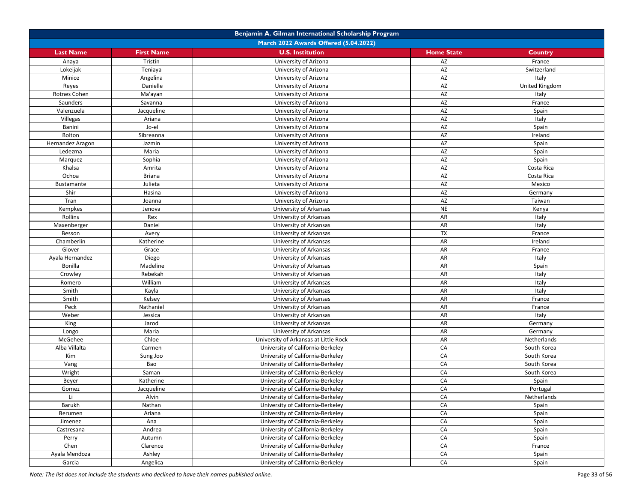|                           | Benjamin A. Gilman International Scholarship Program |                                                  |                   |                       |  |
|---------------------------|------------------------------------------------------|--------------------------------------------------|-------------------|-----------------------|--|
|                           |                                                      | March 2022 Awards Offered (5.04.2022)            |                   |                       |  |
| <b>Last Name</b>          | <b>First Name</b>                                    | <b>U.S. Institution</b>                          | <b>Home State</b> | Country               |  |
| Anaya                     | Tristin                                              | University of Arizona                            | AZ                | France                |  |
| Lokeijak                  | Teniaya                                              | University of Arizona                            | AZ                | Switzerland           |  |
| Minice                    | Angelina                                             | University of Arizona                            | AZ                | Italy                 |  |
| Reyes                     | Danielle                                             | University of Arizona                            | AZ                | <b>United Kingdom</b> |  |
| Rotnes Cohen              | Ma'ayan                                              | University of Arizona                            | AZ                | Italy                 |  |
| Saunders                  | Savanna                                              | University of Arizona                            | AZ                | France                |  |
| Valenzuela                | Jacqueline                                           | University of Arizona                            | AZ                | Spain                 |  |
| Villegas                  | Ariana                                               | University of Arizona                            | AZ                | Italy                 |  |
| Banini                    | Jo-el                                                | University of Arizona                            | AZ                | Spain                 |  |
| Bolton                    | Sibreanna                                            | University of Arizona                            | AZ                | Ireland               |  |
| Hernandez Aragon          | Jazmin                                               | University of Arizona                            | AZ                | Spain                 |  |
| Ledezma                   | Maria                                                | University of Arizona                            | AZ                | Spain                 |  |
| Marquez                   | Sophia                                               | University of Arizona                            | AZ                | Spain                 |  |
| Khalsa                    | Amrita                                               | University of Arizona                            | AZ                | Costa Rica            |  |
| Ochoa                     | <b>Briana</b>                                        | University of Arizona                            | AZ                | Costa Rica            |  |
| <b>Bustamante</b>         | Julieta                                              | University of Arizona                            | AZ                | Mexico                |  |
| Shir                      | Hasina                                               | University of Arizona                            | AZ                | Germany               |  |
| Tran                      | Joanna                                               | University of Arizona                            | AZ                | Taiwan                |  |
| Kempkes                   | Jenova                                               | University of Arkansas                           | <b>NE</b>         | Kenya                 |  |
| Rollins                   | Rex                                                  | University of Arkansas                           | AR                | Italy                 |  |
| Maxenberger               | Daniel                                               | University of Arkansas                           | AR                | Italy                 |  |
|                           | Avery                                                | University of Arkansas                           | <b>TX</b>         |                       |  |
| Besson                    |                                                      |                                                  | AR                | France<br>Ireland     |  |
| Chamberlin                | Katherine                                            | University of Arkansas                           | AR                |                       |  |
| Glover<br>Ayala Hernandez | Grace<br>Diego                                       | University of Arkansas<br>University of Arkansas | AR                | France                |  |
| <b>Bonilla</b>            | Madeline                                             |                                                  | AR                | Italy                 |  |
|                           |                                                      | University of Arkansas                           | AR                | Spain                 |  |
| Crowley                   | Rebekah<br>William                                   | University of Arkansas                           | AR                | Italy                 |  |
| Romero                    |                                                      | University of Arkansas                           | AR                | Italy                 |  |
| Smith                     | Kayla                                                | University of Arkansas                           |                   | Italy                 |  |
| Smith                     | Kelsey                                               | University of Arkansas                           | AR                | France                |  |
| Peck                      | Nathaniel                                            | University of Arkansas                           | AR                | France                |  |
| Weber                     | Jessica                                              | University of Arkansas                           | AR                | Italy                 |  |
| King                      | Jarod                                                | University of Arkansas                           | AR                | Germany               |  |
| Longo                     | Maria                                                | University of Arkansas                           | AR                | Germany               |  |
| McGehee                   | Chloe                                                | University of Arkansas at Little Rock            | AR                | Netherlands           |  |
| Alba Villalta             | Carmen                                               | University of California-Berkeley                | CA                | South Korea           |  |
| Kim                       | Sung Joo                                             | University of California-Berkeley                | CA                | South Korea           |  |
| Vang                      | Bao                                                  | University of California-Berkeley                | CA                | South Korea           |  |
| Wright                    | Saman                                                | University of California-Berkeley                | CA                | South Korea           |  |
| Beyer                     | Katherine                                            | University of California-Berkeley                | CA                | Spain                 |  |
| Gomez                     | Jacqueline                                           | University of California-Berkeley                | CA                | Portugal              |  |
| Li                        | Alvin                                                | University of California-Berkeley                | CA                | Netherlands           |  |
| Barukh                    | Nathan                                               | University of California-Berkeley                | CA                | Spain                 |  |
| Berumen                   | Ariana                                               | University of California-Berkeley                | CA                | Spain                 |  |
| Jimenez                   | Ana                                                  | University of California-Berkeley                | CA                | Spain                 |  |
| Castresana                | Andrea                                               | University of California-Berkeley                | CA                | Spain                 |  |
| Perry                     | Autumn                                               | University of California-Berkeley                | CA                | Spain                 |  |
| Chen                      | Clarence                                             | University of California-Berkeley                | CA                | France                |  |
| Ayala Mendoza             | Ashley                                               | University of California-Berkeley                | CA                | Spain                 |  |
| Garcia                    | Angelica                                             | University of California-Berkeley                | CA                | Spain                 |  |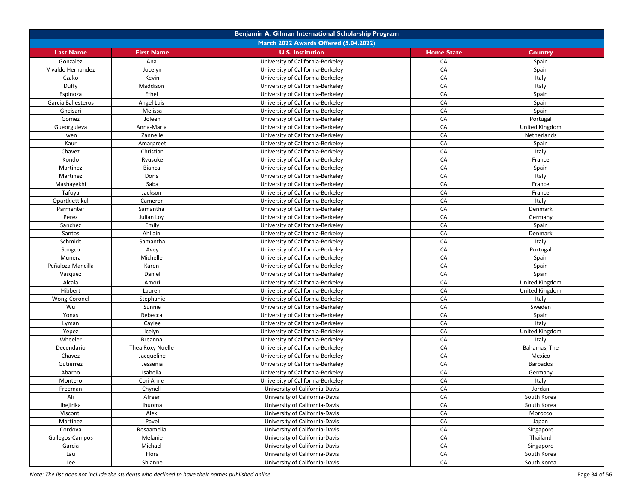|                    | Benjamin A. Gilman International Scholarship Program |                                       |                   |                 |  |
|--------------------|------------------------------------------------------|---------------------------------------|-------------------|-----------------|--|
|                    |                                                      | March 2022 Awards Offered (5.04.2022) |                   |                 |  |
| <b>Last Name</b>   | <b>First Name</b>                                    | <b>U.S. Institution</b>               | <b>Home State</b> | Country         |  |
| Gonzalez           | Ana                                                  | University of California-Berkeley     | CA                | Spain           |  |
| Vivaldo Hernandez  | Jocelyn                                              | University of California-Berkeley     | CA                | Spain           |  |
| Czako              | Kevin                                                | University of California-Berkeley     | CA                | Italy           |  |
| Duffy              | Maddison                                             | University of California-Berkeley     | CA                | Italy           |  |
| Espinoza           | Ethel                                                | University of California-Berkeley     | CA                | Spain           |  |
| Garcia Ballesteros | Angel Luis                                           | University of California-Berkeley     | CA                | Spain           |  |
| Gheisari           | Melissa                                              | University of California-Berkeley     | CA                | Spain           |  |
| Gomez              | Joleen                                               | University of California-Berkeley     | CA                | Portugal        |  |
| Gueorguieva        | Anna-Maria                                           | University of California-Berkeley     | CA                | United Kingdom  |  |
| Iwen               | Zannelle                                             | University of California-Berkeley     | CA                | Netherlands     |  |
| Kaur               | Amarpreet                                            | University of California-Berkeley     | CA                | Spain           |  |
| Chavez             | Christian                                            | University of California-Berkeley     | CA                | Italy           |  |
| Kondo              | Ryusuke                                              | University of California-Berkeley     | CA                | France          |  |
| Martinez           | Bianca                                               | University of California-Berkeley     | CA                | Spain           |  |
| Martinez           | Doris                                                | University of California-Berkeley     | CA                | Italy           |  |
| Mashayekhi         | Saba                                                 | University of California-Berkeley     | CA                | France          |  |
| Tafoya             | Jackson                                              | University of California-Berkeley     | CA                | France          |  |
| Opartkiettikul     | Cameron                                              | University of California-Berkeley     | CA                | Italy           |  |
| Parmenter          | Samantha                                             | University of California-Berkeley     | CA                | Denmark         |  |
| Perez              | Julian Loy                                           | University of California-Berkeley     | CA                | Germany         |  |
| Sanchez            | Emily                                                | University of California-Berkeley     | CA                | Spain           |  |
| Santos             | Ahllain                                              | University of California-Berkeley     | CA                | Denmark         |  |
| Schmidt            | Samantha                                             | University of California-Berkeley     | CA                | Italy           |  |
| Songco             | Avey                                                 | University of California-Berkeley     | CA                | Portugal        |  |
| Munera             | Michelle                                             | University of California-Berkeley     | CA                | Spain           |  |
| Peñaloza Mancilla  | Karen                                                | University of California-Berkeley     | CA                | Spain           |  |
| Vasquez            | Daniel                                               | University of California-Berkeley     | CA                | Spain           |  |
| Alcala             | Amori                                                | University of California-Berkeley     | CA                | United Kingdom  |  |
| Hibbert            | Lauren                                               | University of California-Berkeley     | CA                | United Kingdom  |  |
| Wong-Coronel       | Stephanie                                            | University of California-Berkeley     | CA                | Italy           |  |
| Wu                 | Sunnie                                               | University of California-Berkeley     | CA                | Sweden          |  |
| Yonas              | Rebecca                                              | University of California-Berkeley     | CA                | Spain           |  |
| Lyman              | Caylee                                               | University of California-Berkeley     | CA                | Italy           |  |
| Yepez              | Icelyn                                               | University of California-Berkeley     | CA                | United Kingdom  |  |
| Wheeler            | Breanna                                              | University of California-Berkeley     | CA                | Italy           |  |
| Decendario         | Thea Roxy Noelle                                     | University of California-Berkeley     | CA                | Bahamas, The    |  |
| Chavez             | Jacqueline                                           | University of California-Berkeley     | CA                | Mexico          |  |
| Gutierrez          | Jessenia                                             | University of California-Berkeley     | CA                | <b>Barbados</b> |  |
| Abarno             | Isabella                                             | University of California-Berkeley     | CA                | Germany         |  |
| Montero            | Cori Anne                                            | University of California-Berkeley     | CA                | Italy           |  |
| Freeman            | Chynell                                              | University of California-Davis        | CA                | Jordan          |  |
| Ali                | Afreen                                               | University of California-Davis        | CA                | South Korea     |  |
| Ihejirika          | Ihuoma                                               | University of California-Davis        | CA                | South Korea     |  |
| Visconti           | Alex                                                 | University of California-Davis        | CA                | Morocco         |  |
| Martinez           | Pavel                                                | University of California-Davis        | CA                | Japan           |  |
| Cordova            | Rosaamelia                                           | University of California-Davis        | CA                | Singapore       |  |
| Gallegos-Campos    | Melanie                                              | University of California-Davis        | CA                | Thailand        |  |
| Garcia             | Michael                                              | University of California-Davis        | CA                | Singapore       |  |
| Lau                | Flora                                                | University of California-Davis        | CA                | South Korea     |  |
| Lee                | Shianne                                              | University of California-Davis        | CA                | South Korea     |  |
|                    |                                                      |                                       |                   |                 |  |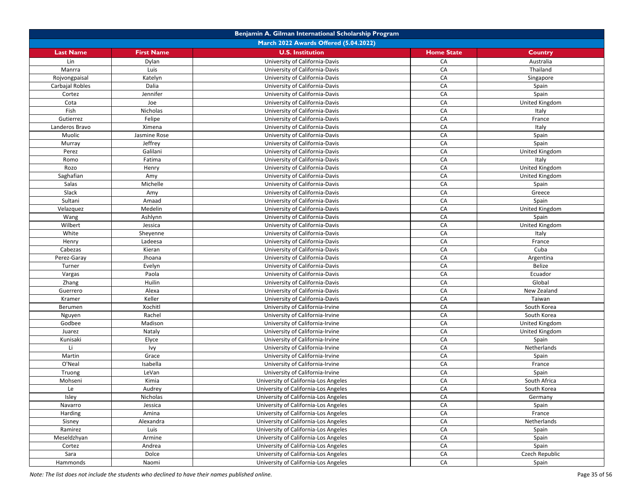|                  | Benjamin A. Gilman International Scholarship Program |                                      |                   |                |  |  |
|------------------|------------------------------------------------------|--------------------------------------|-------------------|----------------|--|--|
|                  | March 2022 Awards Offered (5.04.2022)                |                                      |                   |                |  |  |
| <b>Last Name</b> | <b>First Name</b>                                    | <b>U.S. Institution</b>              | <b>Home State</b> | <b>Country</b> |  |  |
| Lin              | Dylan                                                | University of California-Davis       | CA                | Australia      |  |  |
| Manrra           | Luis                                                 | University of California-Davis       | CA                | Thailand       |  |  |
| Rojvongpaisal    | Katelyn                                              | University of California-Davis       | CA                | Singapore      |  |  |
| Carbajal Robles  | Dalia                                                | University of California-Davis       | CA                | Spain          |  |  |
| Cortez           | Jennifer                                             | University of California-Davis       | CA                | Spain          |  |  |
| Cota             | Joe                                                  | University of California-Davis       | CA                | United Kingdom |  |  |
| Fish             | Nicholas                                             | University of California-Davis       | CA                | Italy          |  |  |
| Gutierrez        | Felipe                                               | University of California-Davis       | CA                | France         |  |  |
| Landeros Bravo   | Ximena                                               | University of California-Davis       | CA                | Italy          |  |  |
| Muolic           | Jasmine Rose                                         | University of California-Davis       | CA                | Spain          |  |  |
| Murray           | Jeffrey                                              | University of California-Davis       | CA                | Spain          |  |  |
| Perez            | Galilani                                             | University of California-Davis       | CA                | United Kingdom |  |  |
| Romo             | Fatima                                               | University of California-Davis       | CA                | Italy          |  |  |
| Rozo             | Henry                                                | University of California-Davis       | CA                | United Kingdom |  |  |
| Saghafian        | Amy                                                  | University of California-Davis       | CA                | United Kingdom |  |  |
| Salas            | Michelle                                             | University of California-Davis       | CA                | Spain          |  |  |
| Slack            | Amy                                                  | University of California-Davis       | CA                | Greece         |  |  |
| Sultani          | Amaad                                                | University of California-Davis       | CA                | Spain          |  |  |
| Velazquez        | Medelin                                              | University of California-Davis       | CA                | United Kingdom |  |  |
| Wang             | Ashlynn                                              | University of California-Davis       | CA                | Spain          |  |  |
| Wilbert          | Jessica                                              | University of California-Davis       | CA                | United Kingdom |  |  |
| White            | Sheyenne                                             | University of California-Davis       | CA                | Italy          |  |  |
| Henry            | Ladeesa                                              | University of California-Davis       | CA                | France         |  |  |
| Cabezas          | Kieran                                               | University of California-Davis       | CA                | Cuba           |  |  |
| Perez-Garay      | Jhoana                                               | University of California-Davis       | CA                | Argentina      |  |  |
| Turner           | Evelyn                                               | University of California-Davis       | CA                | Belize         |  |  |
| Vargas           | Paola                                                | University of California-Davis       | CA                | Ecuador        |  |  |
| Zhang            | Huilin                                               | University of California-Davis       | CA                | Global         |  |  |
| Guerrero         | Alexa                                                | University of California-Davis       | CA                | New Zealand    |  |  |
| Kramer           | Keller                                               | University of California-Davis       | CA                | Taiwan         |  |  |
| Berumen          | Xochitl                                              | University of California-Irvine      | CA                | South Korea    |  |  |
| Nguyen           | Rachel                                               | University of California-Irvine      | CA                | South Korea    |  |  |
| Godbee           | Madison                                              | University of California-Irvine      | CA                | United Kingdom |  |  |
| Juarez           | Nataly                                               | University of California-Irvine      | CA                | United Kingdom |  |  |
| Kunisaki         | Elyce                                                | University of California-Irvine      | CA                | Spain          |  |  |
| Li               | Ivy                                                  | University of California-Irvine      | CA                | Netherlands    |  |  |
| Martin           | Grace                                                | University of California-Irvine      | CA                | Spain          |  |  |
| O'Neal           | Isabella                                             | University of California-Irvine      | CA                | France         |  |  |
| Truong           | LeVan                                                | University of California-Irvine      | CA                | Spain          |  |  |
| Mohseni          | Kimia                                                | University of California-Los Angeles | CA                | South Africa   |  |  |
| Le               | Audrey                                               | University of California-Los Angeles | CA                | South Korea    |  |  |
| Isley            | Nicholas                                             | University of California-Los Angeles | CA                | Germany        |  |  |
| Navarro          | Jessica                                              | University of California-Los Angeles | CA                | Spain          |  |  |
| Harding          | Amina                                                | University of California-Los Angeles | CA                | France         |  |  |
| Sisney           | Alexandra                                            | University of California-Los Angeles | CA                | Netherlands    |  |  |
| Ramirez          | Luis                                                 | University of California-Los Angeles | CA                | Spain          |  |  |
| Meseldzhyan      | Armine                                               | University of California-Los Angeles | CA                | Spain          |  |  |
| Cortez           | Andrea                                               | University of California-Los Angeles | CA                | Spain          |  |  |
| Sara             | Dolce                                                | University of California-Los Angeles | CA                | Czech Republic |  |  |
| Hammonds         | Naomi                                                | University of California-Los Angeles | CA                | Spain          |  |  |
|                  |                                                      |                                      |                   |                |  |  |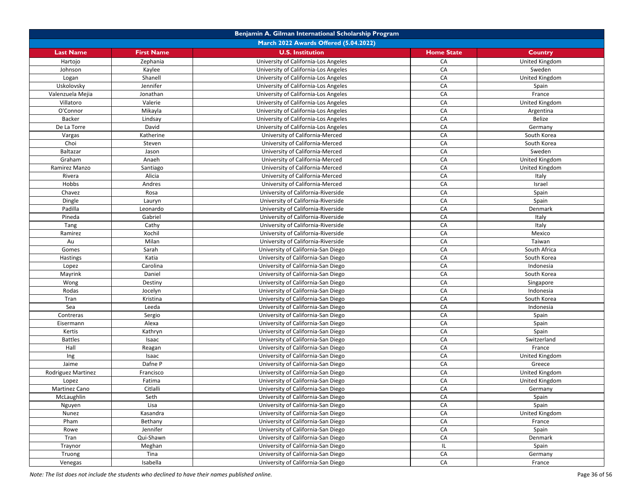|                        | Benjamin A. Gilman International Scholarship Program |                                                                          |                   |                |  |
|------------------------|------------------------------------------------------|--------------------------------------------------------------------------|-------------------|----------------|--|
|                        |                                                      | <b>March 2022 Awards Offered (5.04.2022)</b>                             |                   |                |  |
| <b>Last Name</b>       | <b>First Name</b>                                    | <b>U.S. Institution</b>                                                  | <b>Home State</b> | <b>Country</b> |  |
| Hartojo                | Zephania                                             | University of California-Los Angeles                                     | CA                | United Kingdom |  |
| Johnson                | Kaylee                                               | University of California-Los Angeles                                     | CA                | Sweden         |  |
| Logan                  | Shanell                                              | University of California-Los Angeles                                     | CA                | United Kingdom |  |
| Uskolovsky             | Jennifer                                             | University of California-Los Angeles                                     | CA                | Spain          |  |
| Valenzuela Mejia       | Jonathan                                             | University of California-Los Angeles                                     | CA                | France         |  |
| Villatoro              | Valerie                                              | University of California-Los Angeles                                     | CA                | United Kingdom |  |
| O'Connor               | Mikayla                                              | University of California-Los Angeles                                     | CA                | Argentina      |  |
| <b>Backer</b>          | Lindsay                                              | University of California-Los Angeles                                     | CA                | Belize         |  |
| De La Torre            | David                                                | University of California-Los Angeles                                     | CA                | Germany        |  |
| Vargas                 | Katherine                                            | University of California-Merced                                          | CA                | South Korea    |  |
| Choi                   | Steven                                               | University of California-Merced                                          | CA                | South Korea    |  |
| Baltazar               | Jason                                                | University of California-Merced                                          | CA                | Sweden         |  |
| Graham                 | Anaeh                                                | University of California-Merced                                          | CA                | United Kingdom |  |
| Ramirez Manzo          | Santiago                                             | University of California-Merced                                          | CA                | United Kingdom |  |
| Rivera                 | Alicia                                               | University of California-Merced                                          | CA                | Italy          |  |
| Hobbs                  | Andres                                               | University of California-Merced                                          | CA                | Israel         |  |
| Chavez                 | Rosa                                                 | University of California-Riverside                                       | CA                | Spain          |  |
| Dingle                 | Lauryn                                               | University of California-Riverside                                       | CA                | Spain          |  |
| Padilla                | Leonardo                                             | University of California-Riverside                                       | CA                | Denmark        |  |
| Pineda                 | Gabriel                                              | University of California-Riverside                                       | CA                | Italy          |  |
| Tang                   | Cathy                                                | University of California-Riverside                                       | CA                | Italy          |  |
| Ramirez                | Xochil                                               | University of California-Riverside                                       | CA                | Mexico         |  |
| Au                     | Milan                                                | University of California-Riverside                                       | CA                | Taiwan         |  |
| Gomes                  | Sarah                                                | University of California-San Diego                                       | CA                | South Africa   |  |
| Hastings               | Katia                                                | University of California-San Diego                                       | CA                | South Korea    |  |
| Lopez                  | Carolina                                             | University of California-San Diego                                       | CA                | Indonesia      |  |
| Mayrink                | Daniel                                               | University of California-San Diego                                       | CA                | South Korea    |  |
| Wong                   | Destiny                                              | University of California-San Diego                                       | CA                | Singapore      |  |
| Rodas                  | Jocelyn                                              | University of California-San Diego                                       | CA                | Indonesia      |  |
| Tran                   | Kristina                                             | University of California-San Diego                                       | CA                | South Korea    |  |
| Sea                    | Leeda                                                | University of California-San Diego                                       | CA                | Indonesia      |  |
| Contreras              | Sergio                                               | University of California-San Diego                                       | CA                |                |  |
| Eisermann              | Alexa                                                | University of California-San Diego                                       | CA                | Spain<br>Spain |  |
| Kertis                 | Kathryn                                              | University of California-San Diego                                       | CA                | Spain          |  |
| <b>Battles</b>         | Isaac                                                | University of California-San Diego                                       | CA                | Switzerland    |  |
| Hall                   | Reagan                                               | University of California-San Diego                                       | CA                | France         |  |
| Ing                    | Isaac                                                | University of California-San Diego                                       | CA                | United Kingdom |  |
| Jaime                  | Dafne P                                              | University of California-San Diego                                       | CA                | Greece         |  |
|                        |                                                      | University of California-San Diego                                       | CA                | United Kingdom |  |
| Rodriguez Martinez     | Francisco<br>Fatima                                  | University of California-San Diego                                       | CA                | United Kingdom |  |
| Lopez<br>Martinez Cano | Citlalli                                             | University of California-San Diego                                       | CA                | Germany        |  |
|                        |                                                      |                                                                          |                   |                |  |
| McLaughlin             | Seth<br>Lisa                                         | University of California-San Diego<br>University of California-San Diego | CA<br>CA          | Spain<br>Spain |  |
| Nguyen                 | Kasandra                                             | University of California-San Diego                                       | CA                | United Kingdom |  |
| Nunez                  |                                                      | University of California-San Diego                                       | CA                |                |  |
| Pham                   | Bethany                                              |                                                                          |                   | France         |  |
| Rowe                   | Jennifer                                             | University of California-San Diego                                       | CA                | Spain          |  |
| Tran                   | Qui-Shawn                                            | University of California-San Diego                                       | CA                | Denmark        |  |
| Traynor                | Meghan                                               | University of California-San Diego                                       | IL                | Spain          |  |
| Truong                 | Tina                                                 | University of California-San Diego                                       | CA                | Germany        |  |
| Venegas                | Isabella                                             | University of California-San Diego                                       | CA                | France         |  |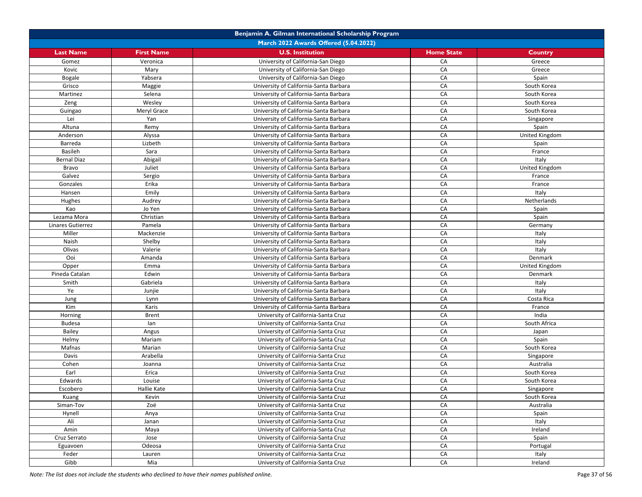|                    |                   | Benjamin A. Gilman International Scholarship Program |                   |                |
|--------------------|-------------------|------------------------------------------------------|-------------------|----------------|
|                    |                   | March 2022 Awards Offered (5.04.2022)                |                   |                |
| <b>Last Name</b>   | <b>First Name</b> | <b>U.S. Institution</b>                              | <b>Home State</b> | Country        |
| Gomez              | Veronica          | University of California-San Diego                   | CA                | Greece         |
| Kovic              | Mary              | University of California-San Diego                   | CA                | Greece         |
| Bogale             | Yabsera           | University of California-San Diego                   | CA                | Spain          |
| Grisco             | Maggie            | University of California-Santa Barbara               | CA                | South Korea    |
| Martinez           | Selena            | University of California-Santa Barbara               | CA                | South Korea    |
| Zeng               | Wesley            | University of California-Santa Barbara               | CA                | South Korea    |
| Guingao            | Meryl Grace       | University of California-Santa Barbara               | CA                | South Korea    |
| Lei                | Yan               | University of California-Santa Barbara               | CA                | Singapore      |
| Altuna             | Remy              | University of California-Santa Barbara               | CA                | Spain          |
| Anderson           | Alyssa            | University of California-Santa Barbara               | CA                | United Kingdom |
| Barreda            | Lizbeth           | University of California-Santa Barbara               | CA                | Spain          |
| <b>Basileh</b>     | Sara              | University of California-Santa Barbara               | CA                | France         |
| <b>Bernal Diaz</b> | Abigail           | University of California-Santa Barbara               | CA                | Italy          |
| Bravo              | Juliet            | University of California-Santa Barbara               | CA                | United Kingdom |
| Galvez             | Sergio            | University of California-Santa Barbara               | CA                | France         |
| Gonzales           | Erika             | University of California-Santa Barbara               | CA                | France         |
| Hansen             | Emily             | University of California-Santa Barbara               | CA                | Italy          |
| Hughes             | Audrey            | University of California-Santa Barbara               | CA                | Netherlands    |
| Kao                | Jo Yen            | University of California-Santa Barbara               | CA                | Spain          |
| Lezama Mora        | Christian         | University of California-Santa Barbara               | CA                | Spain          |
| Linares Gutierrez  | Pamela            | University of California-Santa Barbara               | CA                | Germany        |
| Miller             | Mackenzie         | University of California-Santa Barbara               | CA                | Italy          |
| Naish              | Shelby            | University of California-Santa Barbara               | CA                | Italy          |
| Olivas             | Valerie           | University of California-Santa Barbara               | CA                | Italy          |
| Ooi                | Amanda            | University of California-Santa Barbara               | CA                | Denmark        |
| Opper              | Emma              | University of California-Santa Barbara               | CA                | United Kingdom |
| Pineda Catalan     | Edwin             | University of California-Santa Barbara               | CA                | Denmark        |
| Smith              | Gabriela          | University of California-Santa Barbara               | CA                | Italy          |
| Ye                 | Junjie            | University of California-Santa Barbara               | CA                | Italy          |
| Jung               | Lynn              | University of California-Santa Barbara               | CA                | Costa Rica     |
| Kim                | Karis             | University of California-Santa Barbara               | CA                | France         |
| Horning            | <b>Brent</b>      | University of California-Santa Cruz                  | CA                | India          |
| <b>Budesa</b>      | lan               | University of California-Santa Cruz                  | CA                | South Africa   |
| Bailey             | Angus             | University of California-Santa Cruz                  | CA                | Japan          |
| Helmy              | Mariam            | University of California-Santa Cruz                  | CA                | Spain          |
| Mafnas             | Marian            | University of California-Santa Cruz                  | CA                | South Korea    |
| Davis              | Arabella          | University of California-Santa Cruz                  | CA                | Singapore      |
| Cohen              | Joanna            | University of California-Santa Cruz                  | CA                | Australia      |
| Earl               | Erica             | University of California-Santa Cruz                  | CA                | South Korea    |
| Edwards            | Louise            | University of California-Santa Cruz                  | CA                | South Korea    |
| Escobero           | Hallie Kate       | University of California-Santa Cruz                  | CA                | Singapore      |
| Kuang              | Kevin             | University of California-Santa Cruz                  | CA                | South Korea    |
| Siman-Tov          | Zoë               | University of California-Santa Cruz                  | CA                | Australia      |
| Hynell             | Anya              | University of California-Santa Cruz                  | CA                | Spain          |
| Ali                |                   | University of California-Santa Cruz                  | CA                | Italy          |
| Amin               | Janan             | University of California-Santa Cruz                  | CA                |                |
|                    | Maya              | University of California-Santa Cruz                  | CA                | Ireland        |
| Cruz Serrato       | Jose              |                                                      | CA                | Spain          |
| Eguavoen           | Odeosa            | University of California-Santa Cruz                  |                   | Portugal       |
| Feder              | Lauren            | University of California-Santa Cruz                  | CA                | Italy          |
| Gibb               | Mia               | University of California-Santa Cruz                  | CA                | Ireland        |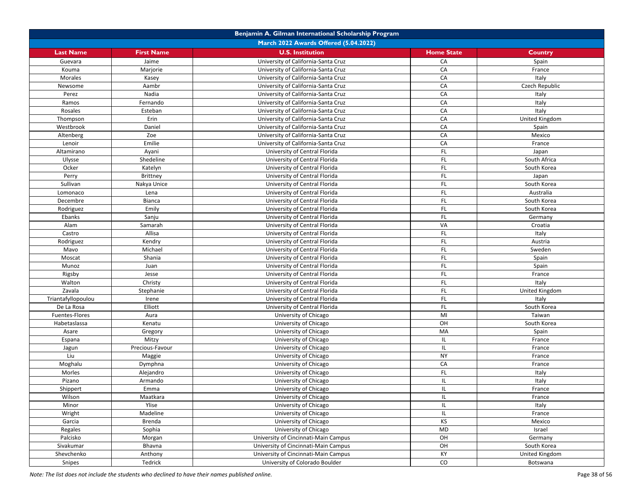|                    |                                       | Benjamin A. Gilman International Scholarship Program |                   |                |  |  |
|--------------------|---------------------------------------|------------------------------------------------------|-------------------|----------------|--|--|
|                    | March 2022 Awards Offered (5.04.2022) |                                                      |                   |                |  |  |
| <b>Last Name</b>   | <b>First Name</b>                     | <b>U.S. Institution</b>                              | <b>Home State</b> | Country        |  |  |
| Guevara            | Jaime                                 | University of California-Santa Cruz                  | CA                | Spain          |  |  |
| Kouma              | Marjorie                              | University of California-Santa Cruz                  | CA                | France         |  |  |
| Morales            | Kasey                                 | University of California-Santa Cruz                  | CA                | Italy          |  |  |
| Newsome            | Aambr                                 | University of California-Santa Cruz                  | CA                | Czech Republic |  |  |
| Perez              | Nadia                                 | University of California-Santa Cruz                  | CA                | Italy          |  |  |
| Ramos              | Fernando                              | University of California-Santa Cruz                  | CA                | Italy          |  |  |
| Rosales            | Esteban                               | University of California-Santa Cruz                  | CA                | Italy          |  |  |
| Thompson           | Erin                                  | University of California-Santa Cruz                  | CA                | United Kingdom |  |  |
| Westbrook          | Daniel                                | University of California-Santa Cruz                  | CA                | Spain          |  |  |
| Altenberg          | Zoe                                   | University of California-Santa Cruz                  | CA                | Mexico         |  |  |
| Lenoir             | Emilie                                | University of California-Santa Cruz                  | CA                | France         |  |  |
| Altamirano         | Ayani                                 | University of Central Florida                        | FL.               | Japan          |  |  |
| Ulysse             | Shedeline                             | University of Central Florida                        | FL                | South Africa   |  |  |
| Ocker              | Katelyn                               | University of Central Florida                        | FL                | South Korea    |  |  |
| Perry              | Brittney                              | University of Central Florida                        | FL.               | Japan          |  |  |
| Sullivan           | Nakya Unice                           | University of Central Florida                        | FL                | South Korea    |  |  |
| Lomonaco           | Lena                                  | University of Central Florida                        | FL.               | Australia      |  |  |
| Decembre           | Bianca                                | University of Central Florida                        | FL.               | South Korea    |  |  |
| Rodriguez          | Emily                                 | University of Central Florida                        | FL                | South Korea    |  |  |
| Ebanks             | Sanju                                 | University of Central Florida                        | FL                | Germany        |  |  |
| Alam               | Samarah                               | University of Central Florida                        | VA                | Croatia        |  |  |
| Castro             | Allisa                                | University of Central Florida                        | FL.               | Italy          |  |  |
| Rodriguez          | Kendry                                | University of Central Florida                        | FL.               | Austria        |  |  |
| Mavo               | Michael                               | University of Central Florida                        | FL                | Sweden         |  |  |
| Moscat             | Shania                                | University of Central Florida                        | FL.               | Spain          |  |  |
| Munoz              | Juan                                  | University of Central Florida                        | FL                | Spain          |  |  |
| Rigsby             | Jesse                                 | University of Central Florida                        | FL.               | France         |  |  |
| Walton             | Christy                               | University of Central Florida                        | FL.               | Italy          |  |  |
| Zavala             | Stephanie                             | University of Central Florida                        | FL.               | United Kingdom |  |  |
| Triantafyllopoulou | Irene                                 | University of Central Florida                        | FL.               | Italy          |  |  |
| De La Rosa         | Elliott                               | University of Central Florida                        | FL                | South Korea    |  |  |
| Fuentes-Flores     | Aura                                  | University of Chicago                                | MI                | Taiwan         |  |  |
| Habetaslassa       | Kenatu                                | University of Chicago                                | OH                | South Korea    |  |  |
| Asare              | Gregory                               | University of Chicago                                | MA                | Spain          |  |  |
| Espana             | Mitzy                                 | University of Chicago                                | IL                | France         |  |  |
| Jagun              | Precious-Favour                       | University of Chicago                                | IL.               | France         |  |  |
| Liu                | Maggie                                | University of Chicago                                | <b>NY</b>         | France         |  |  |
| Moghalu            | Dymphna                               | University of Chicago                                | CA                | France         |  |  |
| Morles             | Alejandro                             | University of Chicago                                | FL                | Italy          |  |  |
| Pizano             | Armando                               | University of Chicago                                | IL                | Italy          |  |  |
| Shippert           | Emma                                  | University of Chicago                                | IL                | France         |  |  |
| Wilson             | Maatkara                              | University of Chicago                                | IL                | France         |  |  |
| Minor              | Ylise                                 | University of Chicago                                | IL                | Italy          |  |  |
| Wright             | Madeline                              | University of Chicago                                | IL                | France         |  |  |
| Garcia             | Brenda                                | University of Chicago                                | KS                | Mexico         |  |  |
| Regales            | Sophia                                | University of Chicago                                | MD                | Israel         |  |  |
| Palcisko           | Morgan                                | University of Cincinnati-Main Campus                 | OH                | Germany        |  |  |
| Sivakumar          | Bhavna                                | University of Cincinnati-Main Campus                 | OH                | South Korea    |  |  |
| Shevchenko         | Anthony                               | University of Cincinnati-Main Campus                 | KY                | United Kingdom |  |  |
| Snipes             | Tedrick                               | University of Colorado Boulder                       | $\mathsf{CO}$     | Botswana       |  |  |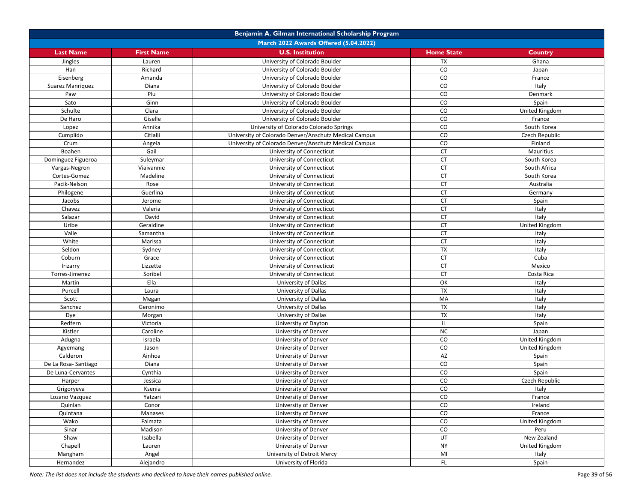|                           |                   | Benjamin A. Gilman International Scholarship Program  |                   |                |
|---------------------------|-------------------|-------------------------------------------------------|-------------------|----------------|
|                           |                   | March 2022 Awards Offered (5.04.2022)                 |                   |                |
| <b>Last Name</b>          | <b>First Name</b> | <b>U.S. Institution</b>                               | <b>Home State</b> | Country        |
| Jingles                   | Lauren            | University of Colorado Boulder                        | <b>TX</b>         | Ghana          |
| Han                       | Richard           | University of Colorado Boulder                        | CO                | Japan          |
| Eisenberg                 | Amanda            | University of Colorado Boulder                        | $\rm CO$          | France         |
| Suarez Manriquez          | Diana             | University of Colorado Boulder                        | CO                | Italy          |
| Paw                       | Plu               | University of Colorado Boulder                        | $\rm CO$          | Denmark        |
| Sato                      | Ginn              | University of Colorado Boulder                        | ${\rm CO}$        | Spain          |
| Schulte                   | Clara             | University of Colorado Boulder                        | CO                | United Kingdom |
| De Haro                   | Giselle           | University of Colorado Boulder                        | CO                | France         |
| Lopez                     | Annika            | University of Colorado Colorado Springs               | CO                | South Korea    |
| Cumplido                  | Citlalli          | University of Colorado Denver/Anschutz Medical Campus | $\rm CO$          | Czech Republic |
| Crum                      | Angela            | University of Colorado Denver/Anschutz Medical Campus | $\rm CO$          | Finland        |
| Boahen                    | Gail              | University of Connecticut                             | <b>CT</b>         | Mauritius      |
| Dominguez Figueroa        | Suleymar          | University of Connecticut                             | <b>CT</b>         | South Korea    |
| Vargas-Negron             | Viaivannie        | University of Connecticut                             | <b>CT</b>         | South Africa   |
| Cortes-Gomez              | Madeline          | University of Connecticut                             | <b>CT</b>         | South Korea    |
| Pacik-Nelson              | Rose              | University of Connecticut                             | <b>CT</b>         | Australia      |
| Philogene                 | Guerlina          | University of Connecticut                             | <b>CT</b>         | Germany        |
| Jacobs                    | Jerome            | University of Connecticut                             | CT                | Spain          |
| Chavez                    | Valeria           | University of Connecticut                             | <b>CT</b>         | Italy          |
| Salazar                   | David             | University of Connecticut                             | <b>CT</b>         | Italy          |
| Uribe                     | Geraldine         | University of Connecticut                             | <b>CT</b>         | United Kingdom |
| Valle                     | Samantha          | University of Connecticut                             | <b>CT</b>         | Italy          |
| White                     | Marissa           | University of Connecticut                             | <b>CT</b>         | Italy          |
| Seldon                    | Sydney            | University of Connecticut                             | TX                | Italy          |
| Coburn                    | Grace             | University of Connecticut                             | <b>CT</b>         | Cuba           |
| Irizarry                  | Lizzette          | University of Connecticut                             | <b>CT</b>         | Mexico         |
| Torres-Jimenez            | Soribel           | University of Connecticut                             | <b>CT</b>         | Costa Rica     |
| Martin                    | Ella              | University of Dallas                                  | OK                | Italy          |
| Purcell                   | Laura             | University of Dallas                                  | <b>TX</b>         | Italy          |
| Scott                     | Megan             | University of Dallas                                  | MA                | Italy          |
| Sanchez                   | Geronimo          | University of Dallas                                  | <b>TX</b>         | Italy          |
| Dye                       | Morgan            | University of Dallas                                  | TX                | Italy          |
| Redfern                   | Victoria          | University of Dayton                                  | IL                | Spain          |
| Kistler                   | Caroline          | University of Denver                                  | <b>NC</b>         | Japan          |
| Adugna                    | Israela           | University of Denver                                  | $\rm CO$          | United Kingdom |
| Agyemang                  | Jason             | University of Denver                                  | $\rm CO$          | United Kingdom |
| Calderon                  | Ainhoa            | University of Denver                                  | AZ                | Spain          |
| De La Rosa-Santiago       | Diana             | University of Denver                                  | CO                | Spain          |
| De Luna-Cervantes         | Cynthia           | University of Denver                                  | CO                | Spain          |
| Harper                    | Jessica           | University of Denver                                  | CO                | Czech Republic |
| Grigoryeva                | Ksenia            | University of Denver                                  | CO                | Italy          |
|                           | Yatzari           | University of Denver                                  | CO                | France         |
| Lozano Vazquez<br>Quinlan | Conor             | University of Denver                                  | $\rm CO$          | Ireland        |
| Quintana                  | Manases           | University of Denver                                  | ${\rm CO}$        | France         |
| Wako                      | Falmata           | University of Denver                                  | CO                | United Kingdom |
| Sinar                     | Madison           | University of Denver                                  | $\rm CO$          | Peru           |
| Shaw                      | Isabella          | University of Denver                                  | UT                | New Zealand    |
| Chapell                   | Lauren            | University of Denver                                  | <b>NY</b>         | United Kingdom |
|                           | Angel             | University of Detroit Mercy                           | MI                | Italy          |
| Mangham<br>Hernandez      | Alejandro         | University of Florida                                 | FL.               | Spain          |
|                           |                   |                                                       |                   |                |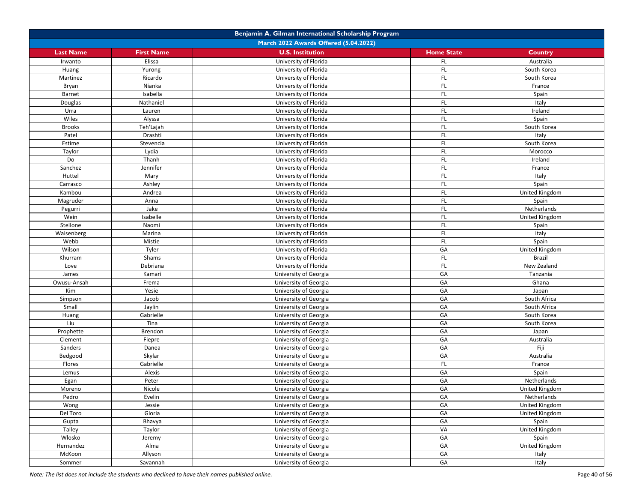|                  |                                       | Benjamin A. Gilman International Scholarship Program |                   |                |  |  |
|------------------|---------------------------------------|------------------------------------------------------|-------------------|----------------|--|--|
|                  | March 2022 Awards Offered (5.04.2022) |                                                      |                   |                |  |  |
| <b>Last Name</b> | <b>First Name</b>                     | <b>U.S. Institution</b>                              | <b>Home State</b> | <b>Country</b> |  |  |
| Irwanto          | Elissa                                | University of Florida                                | <b>FL</b>         | Australia      |  |  |
| Huang            | Yurong                                | University of Florida                                | <b>FL</b>         | South Korea    |  |  |
| Martinez         | Ricardo                               | University of Florida                                | <b>FL</b>         | South Korea    |  |  |
| Bryan            | Nianka                                | University of Florida                                | <b>FL</b>         | France         |  |  |
| Barnet           | Isabella                              | University of Florida                                | <b>FL</b>         | Spain          |  |  |
| Douglas          | Nathaniel                             | University of Florida                                | FL.               | Italy          |  |  |
| Urra             | Lauren                                | University of Florida                                | FL                | Ireland        |  |  |
| Wiles            | Alyssa                                | University of Florida                                | FL                | Spain          |  |  |
| <b>Brooks</b>    | Teh'Lajah                             | University of Florida                                | <b>FL</b>         | South Korea    |  |  |
| Patel            | Drashti                               | University of Florida                                | FL                | Italy          |  |  |
| Estime           | Stevencia                             | University of Florida                                | FL                | South Korea    |  |  |
| Taylor           | Lydia                                 | University of Florida                                | <b>FL</b>         | Morocco        |  |  |
| Do               | Thanh                                 | University of Florida                                | FL                | Ireland        |  |  |
| Sanchez          | Jennifer                              | University of Florida                                | FL                | France         |  |  |
| Huttel           | Mary                                  | University of Florida                                | FL                | Italy          |  |  |
| Carrasco         | Ashley                                | University of Florida                                | FL                | Spain          |  |  |
| Kambou           | Andrea                                | University of Florida                                | FL                | United Kingdom |  |  |
| Magruder         | Anna                                  | University of Florida                                | <b>FL</b>         | Spain          |  |  |
| Pegurri          | Jake                                  | University of Florida                                | <b>FL</b>         | Netherlands    |  |  |
| Wein             | Isabelle                              | University of Florida                                | FL                | United Kingdom |  |  |
| Stellone         | Naomi                                 | University of Florida                                | <b>FL</b>         | Spain          |  |  |
| Waisenberg       | Marina                                | University of Florida                                | FL                | Italy          |  |  |
| Webb             | Mistie                                | University of Florida                                | FL.               | Spain          |  |  |
| Wilson           | Tyler                                 | University of Florida                                | GA                | United Kingdom |  |  |
| Khurram          | Shams                                 | University of Florida                                | <b>FL</b>         | <b>Brazil</b>  |  |  |
| Love             | Debriana                              | University of Florida                                | FL                | New Zealand    |  |  |
| James            | Kamari                                | University of Georgia                                | GA                | Tanzania       |  |  |
| Owusu-Ansah      | Frema                                 | University of Georgia                                | GA                | Ghana          |  |  |
| Kim              | Yesie                                 | University of Georgia                                | GA                | Japan          |  |  |
| Simpson          | Jacob                                 | University of Georgia                                | GA                | South Africa   |  |  |
| Small            | Jaylin                                | University of Georgia                                | GA                | South Africa   |  |  |
| Huang            | Gabrielle                             | University of Georgia                                | GA                | South Korea    |  |  |
| Liu              | Tina                                  | University of Georgia                                | GA                | South Korea    |  |  |
| Prophette        | Brendon                               | University of Georgia                                | GA                | Japan          |  |  |
| Clement          | Fiepre                                | University of Georgia                                | GA                | Australia      |  |  |
| Sanders          | Danea                                 | University of Georgia                                | GA                | Fiji           |  |  |
| Bedgood          | Skylar                                | University of Georgia                                | GA                | Australia      |  |  |
| Flores           | Gabrielle                             | University of Georgia                                | FL                | France         |  |  |
| Lemus            | Alexis                                | University of Georgia                                | GA                | Spain          |  |  |
| Egan             | Peter                                 | University of Georgia                                | GA                | Netherlands    |  |  |
| Moreno           | Nicole                                | University of Georgia                                | GA                | United Kingdom |  |  |
| Pedro            | Evelin                                | University of Georgia                                | GA                | Netherlands    |  |  |
| Wong             | Jessie                                | University of Georgia                                | GA                | United Kingdom |  |  |
| Del Toro         | Gloria                                | University of Georgia                                | GA                | United Kingdom |  |  |
| Gupta            | Bhavya                                | University of Georgia                                | GA                | Spain          |  |  |
| Talley           | Taylor                                | University of Georgia                                | VA                | United Kingdom |  |  |
| Wlosko           | Jeremy                                | University of Georgia                                | GA                | Spain          |  |  |
| Hernandez        | Alma                                  | University of Georgia                                | GA                | United Kingdom |  |  |
| McKoon           | Allyson                               | University of Georgia                                | GA                | Italy          |  |  |
| Sommer           | Savannah                              | University of Georgia                                | GA                | Italy          |  |  |
|                  |                                       |                                                      |                   |                |  |  |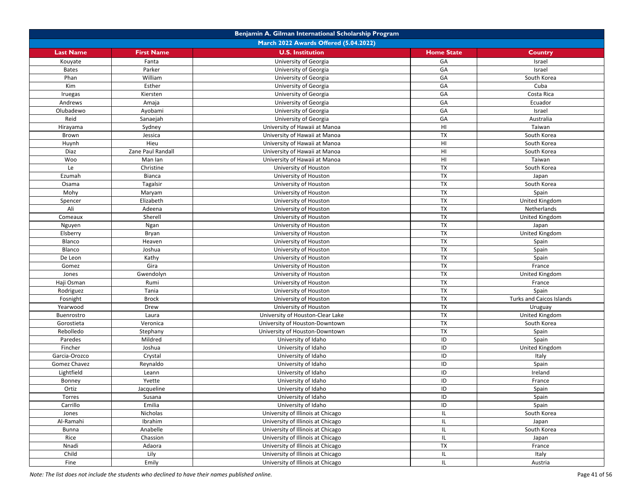|                  |                   | Benjamin A. Gilman International Scholarship Program |                          |                                 |
|------------------|-------------------|------------------------------------------------------|--------------------------|---------------------------------|
|                  |                   | March 2022 Awards Offered (5.04.2022)                |                          |                                 |
| <b>Last Name</b> | <b>First Name</b> | <b>U.S. Institution</b>                              | <b>Home State</b>        | <b>Country</b>                  |
| Kouyate          | Fanta             | University of Georgia                                | GA                       | Israel                          |
| <b>Bates</b>     | Parker            | University of Georgia                                | GA                       | Israel                          |
| Phan             | William           | University of Georgia                                | GA                       | South Korea                     |
| Kim              | Esther            | University of Georgia                                | GA                       | Cuba                            |
| Iruegas          | Kiersten          | University of Georgia                                | GA                       | Costa Rica                      |
| Andrews          | Amaja             | University of Georgia                                | GA                       | Ecuador                         |
| Olubadewo        | Ayobami           | University of Georgia                                | GA                       | Israel                          |
| Reid             | Sanaejah          | University of Georgia                                | GA                       | Australia                       |
| Hirayama         | Sydney            | University of Hawaii at Manoa                        | HI                       | Taiwan                          |
| Brown            | Jessica           | University of Hawaii at Manoa                        | TX                       | South Korea                     |
| Huynh            | Hieu              | University of Hawaii at Manoa                        | HI                       | South Korea                     |
| Diaz             | Zane Paul Randall | University of Hawaii at Manoa                        | HI                       | South Korea                     |
| Woo              | Man Ian           | University of Hawaii at Manoa                        | HI                       | Taiwan                          |
| Le               | Christine         | University of Houston                                | <b>TX</b>                | South Korea                     |
| Ezumah           | Bianca            | University of Houston                                | <b>TX</b>                | Japan                           |
| Osama            | Tagalsir          | University of Houston                                | <b>TX</b>                | South Korea                     |
| Mohy             | Maryam            | University of Houston                                | <b>TX</b>                | Spain                           |
| Spencer          | Elizabeth         | University of Houston                                | <b>TX</b>                | United Kingdom                  |
| Ali              | Adeena            | University of Houston                                | <b>TX</b>                | Netherlands                     |
| Comeaux          | Sherell           | University of Houston                                | $\overline{\mathsf{TX}}$ | United Kingdom                  |
| Nguyen           | Ngan              | University of Houston                                | <b>TX</b>                | Japan                           |
| Elsberry         | Bryan             | University of Houston                                | TX                       | United Kingdom                  |
| Blanco           | Heaven            | University of Houston                                | <b>TX</b>                | Spain                           |
| Blanco           | Joshua            | University of Houston                                | <b>TX</b>                | Spain                           |
| De Leon          | Kathy             | University of Houston                                | TX                       | Spain                           |
| Gomez            | Gira              | University of Houston                                | <b>TX</b>                | France                          |
| Jones            | Gwendolyn         | University of Houston                                | TX                       | United Kingdom                  |
| Haji Osman       | Rumi              | University of Houston                                | <b>TX</b>                | France                          |
| Rodriguez        | Tania             | University of Houston                                | <b>TX</b>                | Spain                           |
| Fosnight         | <b>Brock</b>      | University of Houston                                | <b>TX</b>                | <b>Turks and Caicos Islands</b> |
| Yearwood         | Drew              | University of Houston                                | <b>TX</b>                | Uruguay                         |
| Buenrostro       | Laura             | University of Houston-Clear Lake                     | TX                       | United Kingdom                  |
| Gorostieta       | Veronica          | University of Houston-Downtown                       | <b>TX</b>                | South Korea                     |
| Rebolledo        | Stephany          | University of Houston-Downtown                       | <b>TX</b>                | Spain                           |
| Paredes          | Mildred           | University of Idaho                                  | ID                       | Spain                           |
| Fincher          | Joshua            | University of Idaho                                  | ID                       | United Kingdom                  |
| Garcia-Orozco    | Crystal           | University of Idaho                                  | ID                       | Italy                           |
| Gomez Chavez     | Reynaldo          | University of Idaho                                  | ID                       | Spain                           |
| Lightfield       | Leann             | University of Idaho                                  | ID                       | Ireland                         |
| Bonney           | Yvette            | University of Idaho                                  | ID                       | France                          |
| Ortiz            | Jacqueline        | University of Idaho                                  | ID                       | Spain                           |
| Torres           | Susana            | University of Idaho                                  | ID                       | Spain                           |
| Carrillo         | Emilia            | University of Idaho                                  | ID                       | Spain                           |
| Jones            | Nicholas          | University of Illinois at Chicago                    | IL                       | South Korea                     |
| Al-Ramahi        | Ibrahim           | University of Illinois at Chicago                    | IL                       | Japan                           |
| <b>Bunna</b>     | Anabelle          | University of Illinois at Chicago                    | IL                       | South Korea                     |
| Rice             | Chassion          | University of Illinois at Chicago                    | IL                       | Japan                           |
| Nnadi            | Adaora            | University of Illinois at Chicago                    | <b>TX</b>                | France                          |
| Child            | Lily              | University of Illinois at Chicago                    | IL                       | Italy                           |
| Fine             | Emily             | University of Illinois at Chicago                    | IL                       | Austria                         |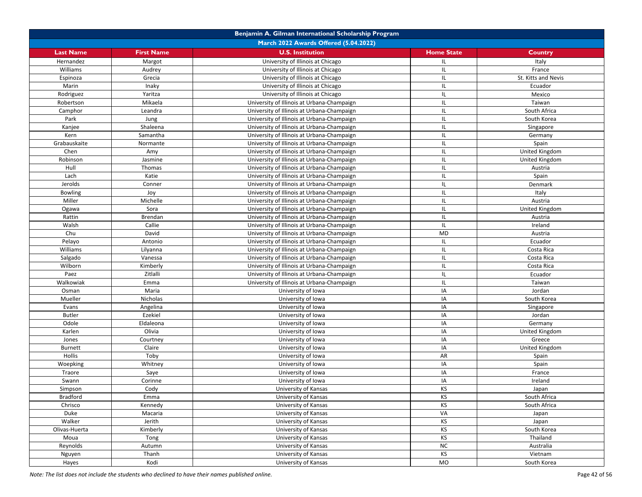|                  |                     | Benjamin A. Gilman International Scholarship Program             |                   |                     |
|------------------|---------------------|------------------------------------------------------------------|-------------------|---------------------|
|                  |                     | March 2022 Awards Offered (5.04.2022)                            |                   |                     |
| <b>Last Name</b> | <b>First Name</b>   | <b>U.S. Institution</b>                                          | <b>Home State</b> | Country             |
| Hernandez        | Margot              | University of Illinois at Chicago                                | IL                | Italy               |
| Williams         | Audrey              | University of Illinois at Chicago                                | IL                | France              |
| Espinoza         | Grecia              | University of Illinois at Chicago                                | IL                | St. Kitts and Nevis |
| Marin            | Inaky               | University of Illinois at Chicago                                | IL                | Ecuador             |
| Rodriguez        | Yaritza             | University of Illinois at Chicago                                | IL                | Mexico              |
| Robertson        | Mikaela             | University of Illinois at Urbana-Champaign                       | IL                | Taiwan              |
| Camphor          | Leandra             | University of Illinois at Urbana-Champaign                       | IL                | South Africa        |
| Park             | Jung                | University of Illinois at Urbana-Champaign                       | IL                | South Korea         |
| Kanjee           | Shaleena            | University of Illinois at Urbana-Champaign                       | IL                | Singapore           |
| Kern             | Samantha            | University of Illinois at Urbana-Champaign                       | IL                | Germany             |
| Grabauskaite     | Normante            | University of Illinois at Urbana-Champaign                       | IL                | Spain               |
| Chen             | Amy                 | University of Illinois at Urbana-Champaign                       | IL                | United Kingdom      |
| Robinson         | Jasmine             | University of Illinois at Urbana-Champaign                       | IL                | United Kingdom      |
| Hull             | Thomas              | University of Illinois at Urbana-Champaign                       | IL                | Austria             |
| Lach             | Katie               | University of Illinois at Urbana-Champaign                       | IL                | Spain               |
| Jerolds          | Conner              | University of Illinois at Urbana-Champaign                       | IL                | Denmark             |
| <b>Bowling</b>   | Joy                 | University of Illinois at Urbana-Champaign                       | IL                | Italy               |
| Miller           | Michelle            | University of Illinois at Urbana-Champaign                       | IL                | Austria             |
| Ogawa            | Sora                | University of Illinois at Urbana-Champaign                       | IL                | United Kingdom      |
| Rattin           | Brendan             | University of Illinois at Urbana-Champaign                       | IL                | Austria             |
| Walsh            | Callie              | University of Illinois at Urbana-Champaign                       | IL                | Ireland             |
| Chu              | David               | University of Illinois at Urbana-Champaign                       | MD                | Austria             |
| Pelayo           | Antonio             | University of Illinois at Urbana-Champaign                       | IL                | Ecuador             |
| Williams         | Lilyanna            | University of Illinois at Urbana-Champaign                       | IL                | Costa Rica          |
| Salgado          | Vanessa             | University of Illinois at Urbana-Champaign                       | IL                | Costa Rica          |
| Wilborn          | Kimberly            | University of Illinois at Urbana-Champaign                       | IL                | Costa Rica          |
| Paez             | Zitlalli            | University of Illinois at Urbana-Champaign                       | IL                | Ecuador             |
| Walkowiak        | Emma                |                                                                  | IL                | Taiwan              |
| Osman            | Maria               | University of Illinois at Urbana-Champaign<br>University of Iowa | IA                | Jordan              |
| Mueller          | Nicholas            |                                                                  | IA                | South Korea         |
|                  |                     | University of Iowa                                               | IA                |                     |
| Evans            | Angelina<br>Ezekiel | University of Iowa                                               |                   | Singapore           |
| <b>Butler</b>    |                     | University of Iowa                                               | IA<br>IA          | Jordan              |
| Odole            | Eldaleona<br>Olivia | University of Iowa                                               | IA                | Germany             |
| Karlen           |                     | University of Iowa                                               | IA                | United Kingdom      |
| Jones            | Courtney            | University of Iowa                                               | IA                | Greece              |
| <b>Burnett</b>   | Claire              | University of Iowa                                               | AR                | United Kingdom      |
| Hollis           | Toby                | University of Iowa                                               |                   | Spain               |
| Woepking         | Whitney             | University of Iowa                                               | IA                | Spain               |
| Traore           | Saye                | University of Iowa                                               | IA                | France              |
| Swann            | Corinne             | University of Iowa                                               | IA                | Ireland             |
| Simpson          | Cody                | University of Kansas                                             | KS                | Japan               |
| <b>Bradford</b>  | Emma                | University of Kansas                                             | KS                | South Africa        |
| Chrisco          | Kennedy             | University of Kansas                                             | KS                | South Africa        |
| Duke             | Macaria             | University of Kansas                                             | VA                | Japan               |
| Walker           | Jerith              | University of Kansas                                             | KS                | Japan               |
| Olivas-Huerta    | Kimberly            | University of Kansas                                             | KS                | South Korea         |
| Moua             | Tong                | University of Kansas                                             | KS                | Thailand            |
| Reynolds         | Autumn              | University of Kansas                                             | <b>NC</b>         | Australia           |
| Nguyen           | Thanh               | University of Kansas                                             | KS                | Vietnam             |
| Hayes            | Kodi                | University of Kansas                                             | MO                | South Korea         |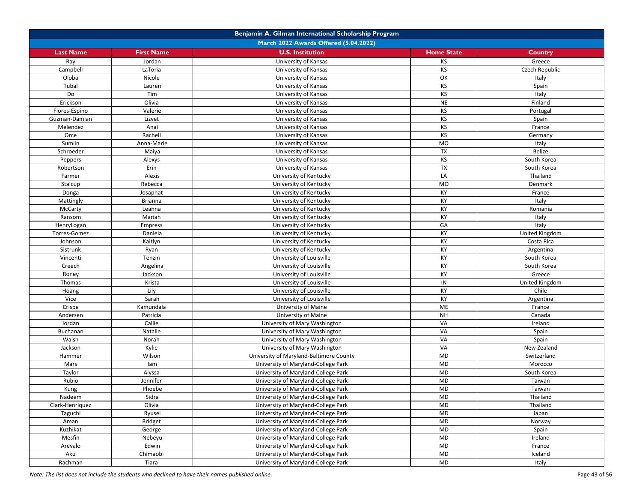|                  |                                       | Benjamin A. Gilman International Scholarship Program |                   |                |  |  |
|------------------|---------------------------------------|------------------------------------------------------|-------------------|----------------|--|--|
|                  | March 2022 Awards Offered (5.04.2022) |                                                      |                   |                |  |  |
| <b>Last Name</b> | <b>First Name</b>                     | <b>U.S. Institution</b>                              | <b>Home State</b> | <b>Country</b> |  |  |
| Ray              | Jordan                                | University of Kansas                                 | KS                | Greece         |  |  |
| Campbell         | LaToria                               | University of Kansas                                 | KS                | Czech Republic |  |  |
| Oloba            | Nicole                                | University of Kansas                                 | OK                | Italy          |  |  |
| Tubal            | Lauren                                | University of Kansas                                 | KS                | Spain          |  |  |
| Do               | Tim                                   | University of Kansas                                 | KS                | Italy          |  |  |
| Erickson         | Olivia                                | University of Kansas                                 | <b>NE</b>         | Finland        |  |  |
| Flores-Espino    | Valerie                               | University of Kansas                                 | KS                | Portugal       |  |  |
| Guzman-Damian    | Lizvet                                | University of Kansas                                 | KS                | Spain          |  |  |
| Melendez         | Anai                                  | University of Kansas                                 | KS                | France         |  |  |
| Orce             | Rachell                               | University of Kansas                                 | KS                | Germany        |  |  |
| Sumlin           | Anna-Marie                            | University of Kansas                                 | <b>MO</b>         | Italy          |  |  |
| Schroeder        | Maiya                                 | University of Kansas                                 | <b>TX</b>         | Belize         |  |  |
| Peppers          | Alexys                                | University of Kansas                                 | KS                | South Korea    |  |  |
| Robertson        | Erin                                  | University of Kansas                                 | <b>TX</b>         | South Korea    |  |  |
| Farmer           | Alexis                                | University of Kentucky                               | LA                | Thailand       |  |  |
| Stalcup          | Rebecca                               | University of Kentucky                               | <b>MO</b>         | Denmark        |  |  |
| Donga            | Josaphat                              | University of Kentucky                               | KY                | France         |  |  |
| Mattingly        | <b>Brianna</b>                        | University of Kentucky                               | КY                | Italy          |  |  |
| McCarty          | Leanna                                | University of Kentucky                               | KY                | Romania        |  |  |
| Ransom           | Mariah                                | University of Kentucky                               | KY                | Italy          |  |  |
| HenryLogan       | <b>Empress</b>                        | University of Kentucky                               | GA                | Italy          |  |  |
| Torres-Gomez     | Daniela                               | University of Kentucky                               | KY                | United Kingdom |  |  |
| Johnson          | Kaitlyn                               | University of Kentucky                               | KY                | Costa Rica     |  |  |
| Sistrunk         | Ryan                                  | University of Kentucky                               | KY                | Argentina      |  |  |
| Vincenti         | Tenzin                                | University of Louisville                             | KY                | South Korea    |  |  |
| Creech           | Angelina                              | University of Louisville                             | KY                | South Korea    |  |  |
| Roney            | Jackson                               | University of Louisville                             | KY                | Greece         |  |  |
| Thomas           | Krista                                | University of Louisville                             | IN                | United Kingdom |  |  |
| Hoang            | Lily                                  | University of Louisville                             | KY                | Chile          |  |  |
| Vice             | Sarah                                 | University of Louisville                             | KY                | Argentina      |  |  |
| Crispe           | Kamundala                             | University of Maine                                  | ME                | France         |  |  |
| Andersen         | Patricia                              | University of Maine                                  | <b>NH</b>         | Canada         |  |  |
| Jordan           | Callie                                | University of Mary Washington                        | VA                | Ireland        |  |  |
| Buchanan         | Natalie                               | University of Mary Washington                        | VA                | Spain          |  |  |
| Walsh            | Norah                                 | University of Mary Washington                        | VA                | Spain          |  |  |
| Jackson          | Kylie                                 | University of Mary Washington                        | VA                | New Zealand    |  |  |
| Hammer           | Wilson                                | University of Maryland-Baltimore County              | <b>MD</b>         | Switzerland    |  |  |
| Mars             | lam                                   | University of Maryland-College Park                  | <b>MD</b>         | Morocco        |  |  |
| Taylor           | Alyssa                                | University of Maryland-College Park                  | <b>MD</b>         | South Korea    |  |  |
| Rubio            | Jennifer                              | University of Maryland-College Park                  | <b>MD</b>         | Taiwan         |  |  |
| Kung             | Phoebe                                | University of Maryland-College Park                  | <b>MD</b>         | Taiwan         |  |  |
| Nadeem           | Sidra                                 | University of Maryland-College Park                  | MD                | Thailand       |  |  |
| Clark-Henriquez  | Olivia                                | University of Maryland-College Park                  | <b>MD</b>         | Thailand       |  |  |
| Taguchi          | Ryusei                                | University of Maryland-College Park                  | <b>MD</b>         | Japan          |  |  |
| Aman             | <b>Bridget</b>                        | University of Maryland-College Park                  | <b>MD</b>         | Norway         |  |  |
| Kuzhikat         | George                                | University of Maryland-College Park                  | <b>MD</b>         | Spain          |  |  |
| Mesfin           | Nebeyu                                | University of Maryland-College Park                  | MD                | Ireland        |  |  |
| Arevalo          | Edwin                                 | University of Maryland-College Park                  | <b>MD</b>         | France         |  |  |
| Aku              | Chimaobi                              | University of Maryland-College Park                  | MD                | Iceland        |  |  |
| Rachman          | Tiara                                 | University of Maryland-College Park                  | <b>MD</b>         | Italy          |  |  |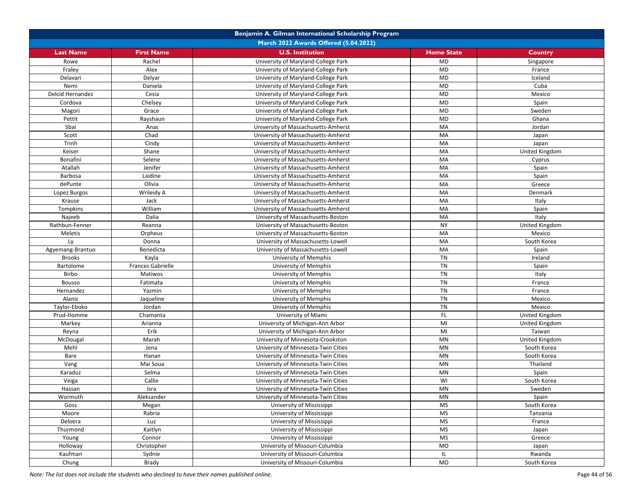|                  |                          | Benjamin A. Gilman International Scholarship Program |                   |                |
|------------------|--------------------------|------------------------------------------------------|-------------------|----------------|
|                  |                          | March 2022 Awards Offered (5.04.2022)                |                   |                |
| <b>Last Name</b> | <b>First Name</b>        | <b>U.S. Institution</b>                              | <b>Home State</b> | <b>Country</b> |
| Rowe             | Rachel                   | University of Maryland-College Park                  | <b>MD</b>         | Singapore      |
| Fraley           | Alex                     | University of Maryland-College Park                  | <b>MD</b>         | France         |
| Delavari         | Delyar                   | University of Maryland-College Park                  | <b>MD</b>         | Iceland        |
| Nemi             | Daniela                  | University of Maryland-College Park                  | <b>MD</b>         | Cuba           |
| Delcid Hernandez | Cesia                    | University of Maryland-College Park                  | <b>MD</b>         | Mexico         |
| Cordova          | Chelsey                  | University of Maryland-College Park                  | <b>MD</b>         | Spain          |
| Magori           | Grace                    | University of Maryland-College Park                  | <b>MD</b>         | Sweden         |
| Pettit           | Rayshaun                 | University of Maryland-College Park                  | <b>MD</b>         | Ghana          |
| Sbai             | Anas                     | University of Massachusetts-Amherst                  | MA                | Jordan         |
| Scott            | Chad                     | University of Massachusetts-Amherst                  | MA                | Japan          |
| Trinh            | Cindy                    | University of Massachusetts-Amherst                  | MA                | Japan          |
| Keiser           | Shane                    | University of Massachusetts-Amherst                  | MA                | United Kingdom |
| Bonafini         | Selene                   | University of Massachusetts-Amherst                  | MA                | Cyprus         |
| Atallah          | Jenifer                  | University of Massachusetts-Amherst                  | MA                | Spain          |
| Barbosa          | Laidine                  | University of Massachusetts-Amherst                  | MA                | Spain          |
| dePunte          | Olivia                   | University of Massachusetts-Amherst                  | MA                | Greece         |
| Lopez Burgos     | Wrileidy A               | University of Massachusetts-Amherst                  | MA                | Denmark        |
| Krause           | Jack                     | University of Massachusetts-Amherst                  | MA                | Italy          |
| Tompkins         | William                  | University of Massachusetts-Amherst                  | MA                | Spain          |
| Najeeb           | Dalia                    | University of Massachusetts-Boston                   | MA                | Italy          |
| Rathbun-Fenner   | Reanna                   | University of Massachusetts-Boston                   | <b>NY</b>         | United Kingdom |
| Meletis          | Orpheus                  | University of Massachusetts-Boston                   | MA                | Mexico         |
| Ly               | Donna                    | University of Massachusetts-Lowell                   | MA                | South Korea    |
| Agyemang-Brantuo | Benedicta                | University of Massachusetts-Lowell                   | MA                | Spain          |
| <b>Brooks</b>    | Kayla                    | University of Memphis                                | TN                | Ireland        |
| Bartolome        | <b>Frances Gabrielle</b> | University of Memphis                                | $\overline{T}N$   | Spain          |
| Birbo            | Matiwos                  | University of Memphis                                | TN                | Italy          |
| <b>Bousso</b>    | Fatimata                 | University of Memphis                                | TN                | France         |
| Hernandez        | Yazmin                   | University of Memphis                                | <b>TN</b>         | France         |
| Alaniz           | Jaqueline                | University of Memphis                                | TN                | Mexico         |
| Taylor-Eboko     | Jordan                   | University of Memphis                                | <b>TN</b>         | Mexico         |
| Prud-Homme       | Chamanta                 | University of Miami                                  | FL.               | United Kingdom |
| Markey           | Arianna                  | University of Michigan-Ann Arbor                     | MI                | United Kingdom |
| Reyna            | Erik                     | University of Michigan-Ann Arbor                     | MI                | Taiwan         |
| McDougal         | Marah                    | University of Minnesota-Crookston                    | MN                | United Kingdom |
| Mehl             | Jena                     | University of Minnesota-Twin Cities                  | <b>MN</b>         | South Korea    |
| Bare             | Hanan                    | University of Minnesota-Twin Cities                  | MN                | South Korea    |
| Vang             | Mai Soua                 | University of Minnesota-Twin Cities                  | MN                | Thailand       |
| Karaduz          | Selma                    | University of Minnesota-Twin Cities                  | MN                | Spain          |
| Veiga            | Callie                   | University of Minnesota-Twin Cities                  | WI                | South Korea    |
| Hassan           | Isra                     | University of Minnesota-Twin Cities                  | MN                | Sweden         |
| Wormuth          | Aleksander               | University of Minnesota-Twin Cities                  | ΜN                | Spain          |
| Goss             | Megan                    | University of Mississippi                            | <b>MS</b>         | South Korea    |
| Moore            | Rabria                   | University of Mississippi                            | <b>MS</b>         | Tanzania       |
| Deloera          | Luz                      | University of Mississippi                            | <b>MS</b>         | France         |
| Thurmond         | Kaitlyn                  | University of Mississippi                            | MS                | Japan          |
| Young            | Connor                   | University of Mississippi                            | <b>MS</b>         | Greece         |
| Holloway         | Christopher              | University of Missouri-Columbia                      | <b>MO</b>         | Japan          |
| Kaufman          | Sydnie                   | University of Missouri-Columbia                      | IL                | Rwanda         |
| Chung            | Brady                    | University of Missouri-Columbia                      | <b>MO</b>         | South Korea    |
|                  |                          |                                                      |                   |                |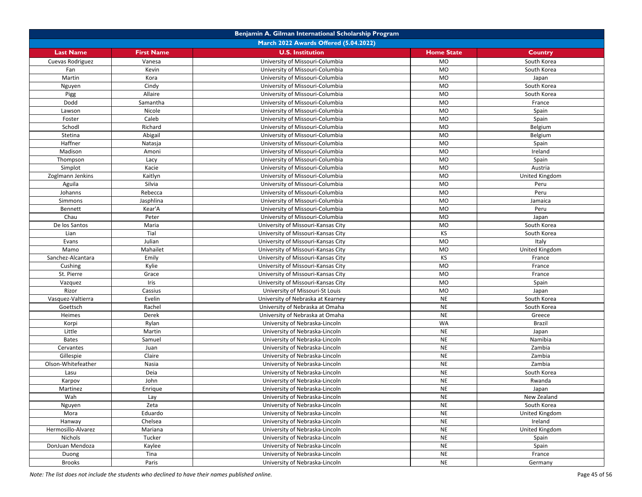|                    |                                       | Benjamin A. Gilman International Scholarship Program |                   |                |  |  |
|--------------------|---------------------------------------|------------------------------------------------------|-------------------|----------------|--|--|
|                    | March 2022 Awards Offered (5.04.2022) |                                                      |                   |                |  |  |
| <b>Last Name</b>   | <b>First Name</b>                     | <b>U.S. Institution</b>                              | <b>Home State</b> | <b>Country</b> |  |  |
| Cuevas Rodriguez   | Vanesa                                | University of Missouri-Columbia                      | <b>MO</b>         | South Korea    |  |  |
| Fan                | Kevin                                 | University of Missouri-Columbia                      | <b>MO</b>         | South Korea    |  |  |
| Martin             | Kora                                  | University of Missouri-Columbia                      | <b>MO</b>         | Japan          |  |  |
| Nguyen             | Cindy                                 | University of Missouri-Columbia                      | <b>MO</b>         | South Korea    |  |  |
| Pigg               | Allaire                               | University of Missouri-Columbia                      | <b>MO</b>         | South Korea    |  |  |
| Dodd               | Samantha                              | University of Missouri-Columbia                      | <b>MO</b>         | France         |  |  |
| Lawson             | Nicole                                | University of Missouri-Columbia                      | <b>MO</b>         | Spain          |  |  |
| Foster             | Caleb                                 | University of Missouri-Columbia                      | <b>MO</b>         | Spain          |  |  |
| Schodl             | Richard                               | University of Missouri-Columbia                      | <b>MO</b>         | Belgium        |  |  |
| Stetina            | Abigail                               | University of Missouri-Columbia                      | <b>MO</b>         | Belgium        |  |  |
| Haffner            | Natasja                               | University of Missouri-Columbia                      | <b>MO</b>         | Spain          |  |  |
| Madison            | Amoni                                 | University of Missouri-Columbia                      | <b>MO</b>         | Ireland        |  |  |
| Thompson           | Lacy                                  | University of Missouri-Columbia                      | <b>MO</b>         | Spain          |  |  |
| Simplot            | Kacie                                 | University of Missouri-Columbia                      | <b>MO</b>         | Austria        |  |  |
| Zoglmann Jenkins   | Kaitlyn                               | University of Missouri-Columbia                      | <b>MO</b>         | United Kingdom |  |  |
| Aguila             | Silvia                                | University of Missouri-Columbia                      | <b>MO</b>         | Peru           |  |  |
| Johanns            | Rebecca                               | University of Missouri-Columbia                      | <b>MO</b>         | Peru           |  |  |
| Simmons            | Jasphlina                             | University of Missouri-Columbia                      | <b>MO</b>         | Jamaica        |  |  |
| Bennett            | Kear'A                                | University of Missouri-Columbia                      | <b>MO</b>         | Peru           |  |  |
| Chau               | Peter                                 | University of Missouri-Columbia                      | <b>MO</b>         | Japan          |  |  |
| De los Santos      | Maria                                 | University of Missouri-Kansas City                   | <b>MO</b>         | South Korea    |  |  |
| Lian               | Tial                                  | University of Missouri-Kansas City                   | KS                | South Korea    |  |  |
| Evans              | Julian                                | University of Missouri-Kansas City                   | <b>MO</b>         | Italy          |  |  |
| Mamo               | Mahailet                              | University of Missouri-Kansas City                   | <b>MO</b>         | United Kingdom |  |  |
| Sanchez-Alcantara  | Emily                                 | University of Missouri-Kansas City                   | KS                | France         |  |  |
| Cushing            | Kylie                                 | University of Missouri-Kansas City                   | <b>MO</b>         | France         |  |  |
| St. Pierre         | Grace                                 | University of Missouri-Kansas City                   | <b>MO</b>         | France         |  |  |
| Vazquez            | Iris                                  | University of Missouri-Kansas City                   | <b>MO</b>         | Spain          |  |  |
| Rizor              | Cassius                               | University of Missouri-St Louis                      | <b>MO</b>         | Japan          |  |  |
| Vasquez-Valtierra  | Evelin                                | University of Nebraska at Kearney                    | <b>NE</b>         | South Korea    |  |  |
| Goettsch           | Rachel                                | University of Nebraska at Omaha                      | <b>NE</b>         | South Korea    |  |  |
| Heimes             | Derek                                 | University of Nebraska at Omaha                      | <b>NE</b>         | Greece         |  |  |
| Korpi              | Rylan                                 | University of Nebraska-Lincoln                       | WA                | Brazil         |  |  |
| Little             | Martin                                | University of Nebraska-Lincoln                       | <b>NE</b>         | Japan          |  |  |
| <b>Bates</b>       | Samuel                                | University of Nebraska-Lincoln                       | <b>NE</b>         | Namibia        |  |  |
| Cervantes          | Juan                                  | University of Nebraska-Lincoln                       | <b>NE</b>         | Zambia         |  |  |
| Gillespie          | Claire                                | University of Nebraska-Lincoln                       | <b>NE</b>         | Zambia         |  |  |
| Olson-Whitefeather | Nasia                                 | University of Nebraska-Lincoln                       | <b>NE</b>         | Zambia         |  |  |
| Lasu               | Deia                                  | University of Nebraska-Lincoln                       | <b>NE</b>         | South Korea    |  |  |
| Karpov             | John                                  | University of Nebraska-Lincoln                       | <b>NE</b>         | Rwanda         |  |  |
| Martinez           | Enrique                               | University of Nebraska-Lincoln                       | <b>NE</b>         | Japan          |  |  |
| Wah                | Lay                                   | University of Nebraska-Lincoln                       | <b>NE</b>         | New Zealand    |  |  |
| Nguyen             | Zeta                                  | University of Nebraska-Lincoln                       | <b>NE</b>         | South Korea    |  |  |
| Mora               | Eduardo                               | University of Nebraska-Lincoln                       | <b>NE</b>         | United Kingdom |  |  |
| Hanway             | Chelsea                               | University of Nebraska-Lincoln                       | <b>NE</b>         | Ireland        |  |  |
| Hermosillo-Alvarez | Mariana                               | University of Nebraska-Lincoln                       | <b>NE</b>         | United Kingdom |  |  |
| Nichols            | Tucker                                | University of Nebraska-Lincoln                       | <b>NE</b>         | Spain          |  |  |
| DonJuan Mendoza    | Kaylee                                | University of Nebraska-Lincoln                       | <b>NE</b>         | Spain          |  |  |
| Duong              | Tina                                  | University of Nebraska-Lincoln                       | <b>NE</b>         | France         |  |  |
| <b>Brooks</b>      | Paris                                 | University of Nebraska-Lincoln                       | <b>NE</b>         | Germany        |  |  |

*Note: The list does not include the students who declined to have their names published online.* Page 45 of 56 of 56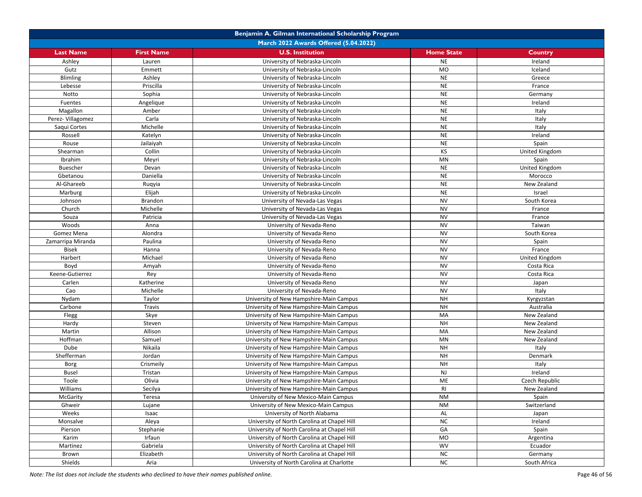|                   |                   | Benjamin A. Gilman International Scholarship Program |                   |                |
|-------------------|-------------------|------------------------------------------------------|-------------------|----------------|
|                   |                   | March 2022 Awards Offered (5.04.2022)                |                   |                |
| <b>Last Name</b>  | <b>First Name</b> | <b>U.S. Institution</b>                              | <b>Home State</b> | Country        |
| Ashley            | Lauren            | University of Nebraska-Lincoln                       | <b>NE</b>         | Ireland        |
| Gutz              | Emmett            | University of Nebraska-Lincoln                       | <b>MO</b>         | Iceland        |
| <b>Blimling</b>   | Ashley            | University of Nebraska-Lincoln                       | <b>NE</b>         | Greece         |
| Lebesse           | Priscilla         | University of Nebraska-Lincoln                       | <b>NE</b>         | France         |
| Notto             | Sophia            | University of Nebraska-Lincoln                       | <b>NE</b>         | Germany        |
| Fuentes           | Angelique         | University of Nebraska-Lincoln                       | <b>NE</b>         | Ireland        |
| Magallon          | Amber             | University of Nebraska-Lincoln                       | <b>NE</b>         | Italy          |
| Perez-Villagomez  | Carla             | University of Nebraska-Lincoln                       | <b>NE</b>         | Italy          |
| Saqui Cortes      | Michelle          | University of Nebraska-Lincoln                       | <b>NE</b>         | Italy          |
| Rossell           | Katelyn           | University of Nebraska-Lincoln                       | <b>NE</b>         | Ireland        |
| Rouse             | Jailaiyah         | University of Nebraska-Lincoln                       | <b>NE</b>         | Spain          |
| Shearman          | Collin            | University of Nebraska-Lincoln                       | KS                | United Kingdom |
| Ibrahim           | Meyri             | University of Nebraska-Lincoln                       | MN                | Spain          |
| <b>Buescher</b>   | Devan             | University of Nebraska-Lincoln                       | <b>NE</b>         | United Kingdom |
| Gbetanou          | Daniella          | University of Nebraska-Lincoln                       | <b>NE</b>         | Morocco        |
| Al-Ghareeb        | Ruqyia            | University of Nebraska-Lincoln                       | <b>NE</b>         | New Zealand    |
| Marburg           | Elijah            | University of Nebraska-Lincoln                       | <b>NE</b>         | Israel         |
| Johnson           | <b>Brandon</b>    | University of Nevada-Las Vegas                       | <b>NV</b>         | South Korea    |
| Church            | Michelle          | University of Nevada-Las Vegas                       | <b>NV</b>         | France         |
| Souza             | Patricia          | University of Nevada-Las Vegas                       | <b>NV</b>         | France         |
| Woods             | Anna              | University of Nevada-Reno                            | <b>NV</b>         | Taiwan         |
| Gomez Mena        | Alondra           | University of Nevada-Reno                            | <b>NV</b>         | South Korea    |
| Zamarripa Miranda | Paulina           | University of Nevada-Reno                            | <b>NV</b>         | Spain          |
| <b>Bisek</b>      | Hanna             | University of Nevada-Reno                            | <b>NV</b>         | France         |
| Harbert           | Michael           | University of Nevada-Reno                            | <b>NV</b>         | United Kingdom |
| Boyd              | Amyah             | University of Nevada-Reno                            | <b>NV</b>         | Costa Rica     |
| Keene-Gutierrez   | Rey               | University of Nevada-Reno                            | <b>NV</b>         | Costa Rica     |
| Carlen            | Katherine         | University of Nevada-Reno                            | <b>NV</b>         | Japan          |
| Cao               | Michelle          | University of Nevada-Reno                            | <b>NV</b>         | Italy          |
| Nydam             | Taylor            | University of New Hampshire-Main Campus              | <b>NH</b>         | Kyrgyzstan     |
| Carbone           | <b>Travis</b>     | University of New Hampshire-Main Campus              | <b>NH</b>         | Australia      |
| Flegg             | Skye              | University of New Hampshire-Main Campus              | MA                | New Zealand    |
| Hardy             | Steven            | University of New Hampshire-Main Campus              | <b>NH</b>         | New Zealand    |
| Martin            | Allison           | University of New Hampshire-Main Campus              | MA                | New Zealand    |
| Hoffman           | Samuel            | University of New Hampshire-Main Campus              | MN                | New Zealand    |
| Dube              | Nikaila           | University of New Hampshire-Main Campus              | <b>NH</b>         | Italy          |
| Shefferman        | Jordan            | University of New Hampshire-Main Campus              | <b>NH</b>         | Denmark        |
| Borg              | Crismeily         | University of New Hampshire-Main Campus              | <b>NH</b>         | Italy          |
| <b>Busel</b>      | Tristan           | University of New Hampshire-Main Campus              | <b>NJ</b>         | Ireland        |
| Toole             | Olivia            | University of New Hampshire-Main Campus              | ME                | Czech Republic |
| Williams          | Secilya           | University of New Hampshire-Main Campus              | <b>RI</b>         | New Zealand    |
| McGarity          | Teresa            | University of New Mexico-Main Campus                 | NM                | Spain          |
| Ghweir            | Lujane            | University of New Mexico-Main Campus                 | <b>NM</b>         | Switzerland    |
| Weeks             | Isaac             | University of North Alabama                          | AL                | Japan          |
| Monsalve          | Aleya             | University of North Carolina at Chapel Hill          | <b>NC</b>         | Ireland        |
| Pierson           | Stephanie         | University of North Carolina at Chapel Hill          | GA                | Spain          |
| Karim             | Irfaun            | University of North Carolina at Chapel Hill          | <b>MO</b>         | Argentina      |
| Martinez          | Gabriela          | University of North Carolina at Chapel Hill          | WV                | Ecuador        |
| Brown             | Elizabeth         | University of North Carolina at Chapel Hill          | <b>NC</b>         | Germany        |
| Shields           | Aria              | University of North Carolina at Charlotte            | <b>NC</b>         | South Africa   |
|                   |                   |                                                      |                   |                |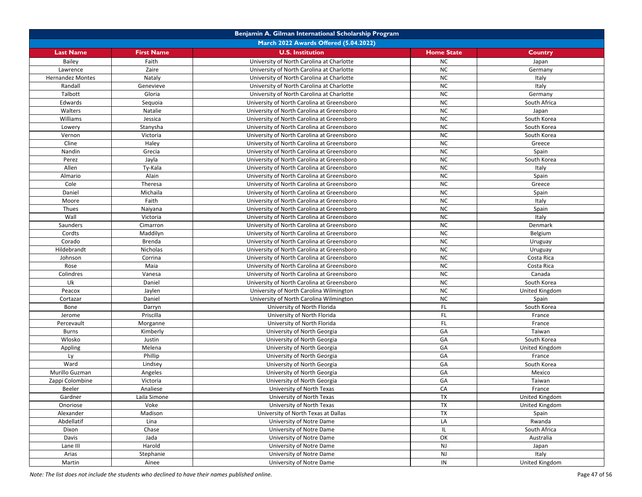| <b>March 2022 Awards Offered (5.04.2022)</b><br><b>U.S. Institution</b><br><b>First Name</b><br><b>Home State</b><br><b>Last Name</b><br>Country<br>Bailey<br>Faith<br>University of North Carolina at Charlotte<br><b>NC</b><br>Japan<br><b>NC</b><br>Zaire<br>Lawrence<br>University of North Carolina at Charlotte<br>Germany<br><b>NC</b><br>Nataly<br><b>Hernandez Montes</b><br>University of North Carolina at Charlotte<br>Italy<br><b>NC</b><br>Italy<br>Randall<br>Genevieve<br>University of North Carolina at Charlotte<br>Talbott<br><b>NC</b><br>Gloria<br>University of North Carolina at Charlotte<br>Germany<br><b>NC</b><br>Edwards<br>South Africa<br>Sequoia<br>University of North Carolina at Greensboro<br><b>NC</b><br>Walters<br>Natalie<br>University of North Carolina at Greensboro<br>Japan<br><b>NC</b><br>Williams<br>Jessica<br>South Korea<br>University of North Carolina at Greensboro<br><b>NC</b><br>Stanysha<br>University of North Carolina at Greensboro<br>South Korea<br>Lowery<br><b>NC</b><br>Victoria<br>Vernon<br>University of North Carolina at Greensboro<br>South Korea<br><b>NC</b><br>Cline<br>Haley<br>University of North Carolina at Greensboro<br>Greece<br><b>NC</b><br>Spain<br>Nandin<br>Grecia<br>University of North Carolina at Greensboro<br><b>NC</b><br>Jayla<br>South Korea<br>Perez<br>University of North Carolina at Greensboro<br><b>NC</b><br>Allen<br>Ty-Kala<br>University of North Carolina at Greensboro<br>Italy<br><b>NC</b><br>Almario<br>Alain<br>University of North Carolina at Greensboro<br>Spain<br><b>NC</b><br>Cole<br>Theresa<br>University of North Carolina at Greensboro<br>Greece<br><b>NC</b><br>Daniel<br>Michaila<br>University of North Carolina at Greensboro<br>Spain<br><b>NC</b><br>Faith<br>Moore<br>University of North Carolina at Greensboro<br>Italy<br><b>NC</b><br>Thues<br>Naiyana<br>University of North Carolina at Greensboro<br>Spain<br>Wall<br><b>NC</b><br>Victoria<br>University of North Carolina at Greensboro<br>Italy<br><b>NC</b><br>Saunders<br>Cimarron<br>University of North Carolina at Greensboro<br>Denmark<br><b>NC</b><br>Cordts<br>Maddilyn<br>University of North Carolina at Greensboro<br>Belgium<br><b>NC</b><br>Corado<br>Brenda<br>University of North Carolina at Greensboro<br>Uruguay<br><b>NC</b><br>Hildebrandt<br>Nicholas<br>University of North Carolina at Greensboro<br>Uruguay<br><b>NC</b><br>Johnson<br>Corrina<br>Costa Rica<br>University of North Carolina at Greensboro<br>Maia<br><b>NC</b><br>Rose<br>Costa Rica<br>University of North Carolina at Greensboro<br><b>NC</b><br>Colindres<br>Vanesa<br>University of North Carolina at Greensboro<br>Canada<br>Uk<br><b>NC</b><br>Daniel<br>University of North Carolina at Greensboro<br>South Korea<br><b>NC</b><br>United Kingdom<br>Peacox<br>Jaylen<br>University of North Carolina Wilmington<br><b>NC</b><br>Cortazar<br>Daniel<br>University of North Carolina Wilmington<br>Spain<br>FL<br>South Korea<br>Bone<br>Darryn<br>University of North Florida<br>FL.<br>Priscilla<br>University of North Florida<br>France<br>Jerome<br>FL.<br>Morganne<br>Percevault<br>University of North Florida<br>France<br>GA<br>Kimberly<br><b>Burns</b><br>University of North Georgia<br>Taiwan<br>GA<br>Wlosko<br>Justin<br>South Korea<br>University of North Georgia<br>GA<br>United Kingdom<br>Appling<br>Melena<br>University of North Georgia<br>Phillip<br>GA<br>Ly<br>University of North Georgia<br>France<br>GA<br>Ward<br>Lindsey<br>University of North Georgia<br>South Korea<br>GA<br>Murillo Guzman<br>Angeles<br>University of North Georgia<br>Mexico<br>Zappi Colombine<br>Victoria<br>GA<br>Taiwan<br>University of North Georgia<br>CA<br>Beeler<br>Analiese<br>University of North Texas<br>France<br>United Kingdom<br>Gardner<br>Laila Simone<br>University of North Texas<br>TX<br>TX<br>United Kingdom<br>Onoriose<br>Voke<br>University of North Texas<br>TX<br>Madison<br>University of North Texas at Dallas<br>Alexander<br>Spain<br>Abdellatif<br>LA<br>Lina<br>University of Notre Dame<br>Rwanda<br>Chase<br>University of Notre Dame<br>IL<br>South Africa<br>Dixon<br>OK<br>Davis<br>Jada<br>University of Notre Dame<br>Australia<br>Lane III<br>Harold<br>University of Notre Dame<br>NJ<br>Japan<br><b>NJ</b><br>Arias<br>Stephanie<br>University of Notre Dame<br>Italy<br>IN<br>Martin<br>Ainee<br>University of Notre Dame<br>United Kingdom |  | Benjamin A. Gilman International Scholarship Program |  |
|---------------------------------------------------------------------------------------------------------------------------------------------------------------------------------------------------------------------------------------------------------------------------------------------------------------------------------------------------------------------------------------------------------------------------------------------------------------------------------------------------------------------------------------------------------------------------------------------------------------------------------------------------------------------------------------------------------------------------------------------------------------------------------------------------------------------------------------------------------------------------------------------------------------------------------------------------------------------------------------------------------------------------------------------------------------------------------------------------------------------------------------------------------------------------------------------------------------------------------------------------------------------------------------------------------------------------------------------------------------------------------------------------------------------------------------------------------------------------------------------------------------------------------------------------------------------------------------------------------------------------------------------------------------------------------------------------------------------------------------------------------------------------------------------------------------------------------------------------------------------------------------------------------------------------------------------------------------------------------------------------------------------------------------------------------------------------------------------------------------------------------------------------------------------------------------------------------------------------------------------------------------------------------------------------------------------------------------------------------------------------------------------------------------------------------------------------------------------------------------------------------------------------------------------------------------------------------------------------------------------------------------------------------------------------------------------------------------------------------------------------------------------------------------------------------------------------------------------------------------------------------------------------------------------------------------------------------------------------------------------------------------------------------------------------------------------------------------------------------------------------------------------------------------------------------------------------------------------------------------------------------------------------------------------------------------------------------------------------------------------------------------------------------------------------------------------------------------------------------------------------------------------------------------------------------------------------------------------------------------------------------------------------------------------------------------------------------------------------------------------------------------------------------------------------------------------------------------------------------------------------------------------------------------------------------------------------------------------------------------------------------------------------------------------------------------------------------------------------------------------------------------------------------------------------------------------------------------------------------------------------------------------------------------------------------------------------------------------------------------------------------------------------------------------------------------------------------------------------------------------|--|------------------------------------------------------|--|
|                                                                                                                                                                                                                                                                                                                                                                                                                                                                                                                                                                                                                                                                                                                                                                                                                                                                                                                                                                                                                                                                                                                                                                                                                                                                                                                                                                                                                                                                                                                                                                                                                                                                                                                                                                                                                                                                                                                                                                                                                                                                                                                                                                                                                                                                                                                                                                                                                                                                                                                                                                                                                                                                                                                                                                                                                                                                                                                                                                                                                                                                                                                                                                                                                                                                                                                                                                                                                                                                                                                                                                                                                                                                                                                                                                                                                                                                                                                                                                                                                                                                                                                                                                                                                                                                                                                                                                                                                                                                                             |  |                                                      |  |
|                                                                                                                                                                                                                                                                                                                                                                                                                                                                                                                                                                                                                                                                                                                                                                                                                                                                                                                                                                                                                                                                                                                                                                                                                                                                                                                                                                                                                                                                                                                                                                                                                                                                                                                                                                                                                                                                                                                                                                                                                                                                                                                                                                                                                                                                                                                                                                                                                                                                                                                                                                                                                                                                                                                                                                                                                                                                                                                                                                                                                                                                                                                                                                                                                                                                                                                                                                                                                                                                                                                                                                                                                                                                                                                                                                                                                                                                                                                                                                                                                                                                                                                                                                                                                                                                                                                                                                                                                                                                                             |  |                                                      |  |
|                                                                                                                                                                                                                                                                                                                                                                                                                                                                                                                                                                                                                                                                                                                                                                                                                                                                                                                                                                                                                                                                                                                                                                                                                                                                                                                                                                                                                                                                                                                                                                                                                                                                                                                                                                                                                                                                                                                                                                                                                                                                                                                                                                                                                                                                                                                                                                                                                                                                                                                                                                                                                                                                                                                                                                                                                                                                                                                                                                                                                                                                                                                                                                                                                                                                                                                                                                                                                                                                                                                                                                                                                                                                                                                                                                                                                                                                                                                                                                                                                                                                                                                                                                                                                                                                                                                                                                                                                                                                                             |  |                                                      |  |
|                                                                                                                                                                                                                                                                                                                                                                                                                                                                                                                                                                                                                                                                                                                                                                                                                                                                                                                                                                                                                                                                                                                                                                                                                                                                                                                                                                                                                                                                                                                                                                                                                                                                                                                                                                                                                                                                                                                                                                                                                                                                                                                                                                                                                                                                                                                                                                                                                                                                                                                                                                                                                                                                                                                                                                                                                                                                                                                                                                                                                                                                                                                                                                                                                                                                                                                                                                                                                                                                                                                                                                                                                                                                                                                                                                                                                                                                                                                                                                                                                                                                                                                                                                                                                                                                                                                                                                                                                                                                                             |  |                                                      |  |
|                                                                                                                                                                                                                                                                                                                                                                                                                                                                                                                                                                                                                                                                                                                                                                                                                                                                                                                                                                                                                                                                                                                                                                                                                                                                                                                                                                                                                                                                                                                                                                                                                                                                                                                                                                                                                                                                                                                                                                                                                                                                                                                                                                                                                                                                                                                                                                                                                                                                                                                                                                                                                                                                                                                                                                                                                                                                                                                                                                                                                                                                                                                                                                                                                                                                                                                                                                                                                                                                                                                                                                                                                                                                                                                                                                                                                                                                                                                                                                                                                                                                                                                                                                                                                                                                                                                                                                                                                                                                                             |  |                                                      |  |
|                                                                                                                                                                                                                                                                                                                                                                                                                                                                                                                                                                                                                                                                                                                                                                                                                                                                                                                                                                                                                                                                                                                                                                                                                                                                                                                                                                                                                                                                                                                                                                                                                                                                                                                                                                                                                                                                                                                                                                                                                                                                                                                                                                                                                                                                                                                                                                                                                                                                                                                                                                                                                                                                                                                                                                                                                                                                                                                                                                                                                                                                                                                                                                                                                                                                                                                                                                                                                                                                                                                                                                                                                                                                                                                                                                                                                                                                                                                                                                                                                                                                                                                                                                                                                                                                                                                                                                                                                                                                                             |  |                                                      |  |
|                                                                                                                                                                                                                                                                                                                                                                                                                                                                                                                                                                                                                                                                                                                                                                                                                                                                                                                                                                                                                                                                                                                                                                                                                                                                                                                                                                                                                                                                                                                                                                                                                                                                                                                                                                                                                                                                                                                                                                                                                                                                                                                                                                                                                                                                                                                                                                                                                                                                                                                                                                                                                                                                                                                                                                                                                                                                                                                                                                                                                                                                                                                                                                                                                                                                                                                                                                                                                                                                                                                                                                                                                                                                                                                                                                                                                                                                                                                                                                                                                                                                                                                                                                                                                                                                                                                                                                                                                                                                                             |  |                                                      |  |
|                                                                                                                                                                                                                                                                                                                                                                                                                                                                                                                                                                                                                                                                                                                                                                                                                                                                                                                                                                                                                                                                                                                                                                                                                                                                                                                                                                                                                                                                                                                                                                                                                                                                                                                                                                                                                                                                                                                                                                                                                                                                                                                                                                                                                                                                                                                                                                                                                                                                                                                                                                                                                                                                                                                                                                                                                                                                                                                                                                                                                                                                                                                                                                                                                                                                                                                                                                                                                                                                                                                                                                                                                                                                                                                                                                                                                                                                                                                                                                                                                                                                                                                                                                                                                                                                                                                                                                                                                                                                                             |  |                                                      |  |
|                                                                                                                                                                                                                                                                                                                                                                                                                                                                                                                                                                                                                                                                                                                                                                                                                                                                                                                                                                                                                                                                                                                                                                                                                                                                                                                                                                                                                                                                                                                                                                                                                                                                                                                                                                                                                                                                                                                                                                                                                                                                                                                                                                                                                                                                                                                                                                                                                                                                                                                                                                                                                                                                                                                                                                                                                                                                                                                                                                                                                                                                                                                                                                                                                                                                                                                                                                                                                                                                                                                                                                                                                                                                                                                                                                                                                                                                                                                                                                                                                                                                                                                                                                                                                                                                                                                                                                                                                                                                                             |  |                                                      |  |
|                                                                                                                                                                                                                                                                                                                                                                                                                                                                                                                                                                                                                                                                                                                                                                                                                                                                                                                                                                                                                                                                                                                                                                                                                                                                                                                                                                                                                                                                                                                                                                                                                                                                                                                                                                                                                                                                                                                                                                                                                                                                                                                                                                                                                                                                                                                                                                                                                                                                                                                                                                                                                                                                                                                                                                                                                                                                                                                                                                                                                                                                                                                                                                                                                                                                                                                                                                                                                                                                                                                                                                                                                                                                                                                                                                                                                                                                                                                                                                                                                                                                                                                                                                                                                                                                                                                                                                                                                                                                                             |  |                                                      |  |
|                                                                                                                                                                                                                                                                                                                                                                                                                                                                                                                                                                                                                                                                                                                                                                                                                                                                                                                                                                                                                                                                                                                                                                                                                                                                                                                                                                                                                                                                                                                                                                                                                                                                                                                                                                                                                                                                                                                                                                                                                                                                                                                                                                                                                                                                                                                                                                                                                                                                                                                                                                                                                                                                                                                                                                                                                                                                                                                                                                                                                                                                                                                                                                                                                                                                                                                                                                                                                                                                                                                                                                                                                                                                                                                                                                                                                                                                                                                                                                                                                                                                                                                                                                                                                                                                                                                                                                                                                                                                                             |  |                                                      |  |
|                                                                                                                                                                                                                                                                                                                                                                                                                                                                                                                                                                                                                                                                                                                                                                                                                                                                                                                                                                                                                                                                                                                                                                                                                                                                                                                                                                                                                                                                                                                                                                                                                                                                                                                                                                                                                                                                                                                                                                                                                                                                                                                                                                                                                                                                                                                                                                                                                                                                                                                                                                                                                                                                                                                                                                                                                                                                                                                                                                                                                                                                                                                                                                                                                                                                                                                                                                                                                                                                                                                                                                                                                                                                                                                                                                                                                                                                                                                                                                                                                                                                                                                                                                                                                                                                                                                                                                                                                                                                                             |  |                                                      |  |
|                                                                                                                                                                                                                                                                                                                                                                                                                                                                                                                                                                                                                                                                                                                                                                                                                                                                                                                                                                                                                                                                                                                                                                                                                                                                                                                                                                                                                                                                                                                                                                                                                                                                                                                                                                                                                                                                                                                                                                                                                                                                                                                                                                                                                                                                                                                                                                                                                                                                                                                                                                                                                                                                                                                                                                                                                                                                                                                                                                                                                                                                                                                                                                                                                                                                                                                                                                                                                                                                                                                                                                                                                                                                                                                                                                                                                                                                                                                                                                                                                                                                                                                                                                                                                                                                                                                                                                                                                                                                                             |  |                                                      |  |
|                                                                                                                                                                                                                                                                                                                                                                                                                                                                                                                                                                                                                                                                                                                                                                                                                                                                                                                                                                                                                                                                                                                                                                                                                                                                                                                                                                                                                                                                                                                                                                                                                                                                                                                                                                                                                                                                                                                                                                                                                                                                                                                                                                                                                                                                                                                                                                                                                                                                                                                                                                                                                                                                                                                                                                                                                                                                                                                                                                                                                                                                                                                                                                                                                                                                                                                                                                                                                                                                                                                                                                                                                                                                                                                                                                                                                                                                                                                                                                                                                                                                                                                                                                                                                                                                                                                                                                                                                                                                                             |  |                                                      |  |
|                                                                                                                                                                                                                                                                                                                                                                                                                                                                                                                                                                                                                                                                                                                                                                                                                                                                                                                                                                                                                                                                                                                                                                                                                                                                                                                                                                                                                                                                                                                                                                                                                                                                                                                                                                                                                                                                                                                                                                                                                                                                                                                                                                                                                                                                                                                                                                                                                                                                                                                                                                                                                                                                                                                                                                                                                                                                                                                                                                                                                                                                                                                                                                                                                                                                                                                                                                                                                                                                                                                                                                                                                                                                                                                                                                                                                                                                                                                                                                                                                                                                                                                                                                                                                                                                                                                                                                                                                                                                                             |  |                                                      |  |
|                                                                                                                                                                                                                                                                                                                                                                                                                                                                                                                                                                                                                                                                                                                                                                                                                                                                                                                                                                                                                                                                                                                                                                                                                                                                                                                                                                                                                                                                                                                                                                                                                                                                                                                                                                                                                                                                                                                                                                                                                                                                                                                                                                                                                                                                                                                                                                                                                                                                                                                                                                                                                                                                                                                                                                                                                                                                                                                                                                                                                                                                                                                                                                                                                                                                                                                                                                                                                                                                                                                                                                                                                                                                                                                                                                                                                                                                                                                                                                                                                                                                                                                                                                                                                                                                                                                                                                                                                                                                                             |  |                                                      |  |
|                                                                                                                                                                                                                                                                                                                                                                                                                                                                                                                                                                                                                                                                                                                                                                                                                                                                                                                                                                                                                                                                                                                                                                                                                                                                                                                                                                                                                                                                                                                                                                                                                                                                                                                                                                                                                                                                                                                                                                                                                                                                                                                                                                                                                                                                                                                                                                                                                                                                                                                                                                                                                                                                                                                                                                                                                                                                                                                                                                                                                                                                                                                                                                                                                                                                                                                                                                                                                                                                                                                                                                                                                                                                                                                                                                                                                                                                                                                                                                                                                                                                                                                                                                                                                                                                                                                                                                                                                                                                                             |  |                                                      |  |
|                                                                                                                                                                                                                                                                                                                                                                                                                                                                                                                                                                                                                                                                                                                                                                                                                                                                                                                                                                                                                                                                                                                                                                                                                                                                                                                                                                                                                                                                                                                                                                                                                                                                                                                                                                                                                                                                                                                                                                                                                                                                                                                                                                                                                                                                                                                                                                                                                                                                                                                                                                                                                                                                                                                                                                                                                                                                                                                                                                                                                                                                                                                                                                                                                                                                                                                                                                                                                                                                                                                                                                                                                                                                                                                                                                                                                                                                                                                                                                                                                                                                                                                                                                                                                                                                                                                                                                                                                                                                                             |  |                                                      |  |
|                                                                                                                                                                                                                                                                                                                                                                                                                                                                                                                                                                                                                                                                                                                                                                                                                                                                                                                                                                                                                                                                                                                                                                                                                                                                                                                                                                                                                                                                                                                                                                                                                                                                                                                                                                                                                                                                                                                                                                                                                                                                                                                                                                                                                                                                                                                                                                                                                                                                                                                                                                                                                                                                                                                                                                                                                                                                                                                                                                                                                                                                                                                                                                                                                                                                                                                                                                                                                                                                                                                                                                                                                                                                                                                                                                                                                                                                                                                                                                                                                                                                                                                                                                                                                                                                                                                                                                                                                                                                                             |  |                                                      |  |
|                                                                                                                                                                                                                                                                                                                                                                                                                                                                                                                                                                                                                                                                                                                                                                                                                                                                                                                                                                                                                                                                                                                                                                                                                                                                                                                                                                                                                                                                                                                                                                                                                                                                                                                                                                                                                                                                                                                                                                                                                                                                                                                                                                                                                                                                                                                                                                                                                                                                                                                                                                                                                                                                                                                                                                                                                                                                                                                                                                                                                                                                                                                                                                                                                                                                                                                                                                                                                                                                                                                                                                                                                                                                                                                                                                                                                                                                                                                                                                                                                                                                                                                                                                                                                                                                                                                                                                                                                                                                                             |  |                                                      |  |
|                                                                                                                                                                                                                                                                                                                                                                                                                                                                                                                                                                                                                                                                                                                                                                                                                                                                                                                                                                                                                                                                                                                                                                                                                                                                                                                                                                                                                                                                                                                                                                                                                                                                                                                                                                                                                                                                                                                                                                                                                                                                                                                                                                                                                                                                                                                                                                                                                                                                                                                                                                                                                                                                                                                                                                                                                                                                                                                                                                                                                                                                                                                                                                                                                                                                                                                                                                                                                                                                                                                                                                                                                                                                                                                                                                                                                                                                                                                                                                                                                                                                                                                                                                                                                                                                                                                                                                                                                                                                                             |  |                                                      |  |
|                                                                                                                                                                                                                                                                                                                                                                                                                                                                                                                                                                                                                                                                                                                                                                                                                                                                                                                                                                                                                                                                                                                                                                                                                                                                                                                                                                                                                                                                                                                                                                                                                                                                                                                                                                                                                                                                                                                                                                                                                                                                                                                                                                                                                                                                                                                                                                                                                                                                                                                                                                                                                                                                                                                                                                                                                                                                                                                                                                                                                                                                                                                                                                                                                                                                                                                                                                                                                                                                                                                                                                                                                                                                                                                                                                                                                                                                                                                                                                                                                                                                                                                                                                                                                                                                                                                                                                                                                                                                                             |  |                                                      |  |
|                                                                                                                                                                                                                                                                                                                                                                                                                                                                                                                                                                                                                                                                                                                                                                                                                                                                                                                                                                                                                                                                                                                                                                                                                                                                                                                                                                                                                                                                                                                                                                                                                                                                                                                                                                                                                                                                                                                                                                                                                                                                                                                                                                                                                                                                                                                                                                                                                                                                                                                                                                                                                                                                                                                                                                                                                                                                                                                                                                                                                                                                                                                                                                                                                                                                                                                                                                                                                                                                                                                                                                                                                                                                                                                                                                                                                                                                                                                                                                                                                                                                                                                                                                                                                                                                                                                                                                                                                                                                                             |  |                                                      |  |
|                                                                                                                                                                                                                                                                                                                                                                                                                                                                                                                                                                                                                                                                                                                                                                                                                                                                                                                                                                                                                                                                                                                                                                                                                                                                                                                                                                                                                                                                                                                                                                                                                                                                                                                                                                                                                                                                                                                                                                                                                                                                                                                                                                                                                                                                                                                                                                                                                                                                                                                                                                                                                                                                                                                                                                                                                                                                                                                                                                                                                                                                                                                                                                                                                                                                                                                                                                                                                                                                                                                                                                                                                                                                                                                                                                                                                                                                                                                                                                                                                                                                                                                                                                                                                                                                                                                                                                                                                                                                                             |  |                                                      |  |
|                                                                                                                                                                                                                                                                                                                                                                                                                                                                                                                                                                                                                                                                                                                                                                                                                                                                                                                                                                                                                                                                                                                                                                                                                                                                                                                                                                                                                                                                                                                                                                                                                                                                                                                                                                                                                                                                                                                                                                                                                                                                                                                                                                                                                                                                                                                                                                                                                                                                                                                                                                                                                                                                                                                                                                                                                                                                                                                                                                                                                                                                                                                                                                                                                                                                                                                                                                                                                                                                                                                                                                                                                                                                                                                                                                                                                                                                                                                                                                                                                                                                                                                                                                                                                                                                                                                                                                                                                                                                                             |  |                                                      |  |
|                                                                                                                                                                                                                                                                                                                                                                                                                                                                                                                                                                                                                                                                                                                                                                                                                                                                                                                                                                                                                                                                                                                                                                                                                                                                                                                                                                                                                                                                                                                                                                                                                                                                                                                                                                                                                                                                                                                                                                                                                                                                                                                                                                                                                                                                                                                                                                                                                                                                                                                                                                                                                                                                                                                                                                                                                                                                                                                                                                                                                                                                                                                                                                                                                                                                                                                                                                                                                                                                                                                                                                                                                                                                                                                                                                                                                                                                                                                                                                                                                                                                                                                                                                                                                                                                                                                                                                                                                                                                                             |  |                                                      |  |
|                                                                                                                                                                                                                                                                                                                                                                                                                                                                                                                                                                                                                                                                                                                                                                                                                                                                                                                                                                                                                                                                                                                                                                                                                                                                                                                                                                                                                                                                                                                                                                                                                                                                                                                                                                                                                                                                                                                                                                                                                                                                                                                                                                                                                                                                                                                                                                                                                                                                                                                                                                                                                                                                                                                                                                                                                                                                                                                                                                                                                                                                                                                                                                                                                                                                                                                                                                                                                                                                                                                                                                                                                                                                                                                                                                                                                                                                                                                                                                                                                                                                                                                                                                                                                                                                                                                                                                                                                                                                                             |  |                                                      |  |
|                                                                                                                                                                                                                                                                                                                                                                                                                                                                                                                                                                                                                                                                                                                                                                                                                                                                                                                                                                                                                                                                                                                                                                                                                                                                                                                                                                                                                                                                                                                                                                                                                                                                                                                                                                                                                                                                                                                                                                                                                                                                                                                                                                                                                                                                                                                                                                                                                                                                                                                                                                                                                                                                                                                                                                                                                                                                                                                                                                                                                                                                                                                                                                                                                                                                                                                                                                                                                                                                                                                                                                                                                                                                                                                                                                                                                                                                                                                                                                                                                                                                                                                                                                                                                                                                                                                                                                                                                                                                                             |  |                                                      |  |
|                                                                                                                                                                                                                                                                                                                                                                                                                                                                                                                                                                                                                                                                                                                                                                                                                                                                                                                                                                                                                                                                                                                                                                                                                                                                                                                                                                                                                                                                                                                                                                                                                                                                                                                                                                                                                                                                                                                                                                                                                                                                                                                                                                                                                                                                                                                                                                                                                                                                                                                                                                                                                                                                                                                                                                                                                                                                                                                                                                                                                                                                                                                                                                                                                                                                                                                                                                                                                                                                                                                                                                                                                                                                                                                                                                                                                                                                                                                                                                                                                                                                                                                                                                                                                                                                                                                                                                                                                                                                                             |  |                                                      |  |
|                                                                                                                                                                                                                                                                                                                                                                                                                                                                                                                                                                                                                                                                                                                                                                                                                                                                                                                                                                                                                                                                                                                                                                                                                                                                                                                                                                                                                                                                                                                                                                                                                                                                                                                                                                                                                                                                                                                                                                                                                                                                                                                                                                                                                                                                                                                                                                                                                                                                                                                                                                                                                                                                                                                                                                                                                                                                                                                                                                                                                                                                                                                                                                                                                                                                                                                                                                                                                                                                                                                                                                                                                                                                                                                                                                                                                                                                                                                                                                                                                                                                                                                                                                                                                                                                                                                                                                                                                                                                                             |  |                                                      |  |
|                                                                                                                                                                                                                                                                                                                                                                                                                                                                                                                                                                                                                                                                                                                                                                                                                                                                                                                                                                                                                                                                                                                                                                                                                                                                                                                                                                                                                                                                                                                                                                                                                                                                                                                                                                                                                                                                                                                                                                                                                                                                                                                                                                                                                                                                                                                                                                                                                                                                                                                                                                                                                                                                                                                                                                                                                                                                                                                                                                                                                                                                                                                                                                                                                                                                                                                                                                                                                                                                                                                                                                                                                                                                                                                                                                                                                                                                                                                                                                                                                                                                                                                                                                                                                                                                                                                                                                                                                                                                                             |  |                                                      |  |
|                                                                                                                                                                                                                                                                                                                                                                                                                                                                                                                                                                                                                                                                                                                                                                                                                                                                                                                                                                                                                                                                                                                                                                                                                                                                                                                                                                                                                                                                                                                                                                                                                                                                                                                                                                                                                                                                                                                                                                                                                                                                                                                                                                                                                                                                                                                                                                                                                                                                                                                                                                                                                                                                                                                                                                                                                                                                                                                                                                                                                                                                                                                                                                                                                                                                                                                                                                                                                                                                                                                                                                                                                                                                                                                                                                                                                                                                                                                                                                                                                                                                                                                                                                                                                                                                                                                                                                                                                                                                                             |  |                                                      |  |
|                                                                                                                                                                                                                                                                                                                                                                                                                                                                                                                                                                                                                                                                                                                                                                                                                                                                                                                                                                                                                                                                                                                                                                                                                                                                                                                                                                                                                                                                                                                                                                                                                                                                                                                                                                                                                                                                                                                                                                                                                                                                                                                                                                                                                                                                                                                                                                                                                                                                                                                                                                                                                                                                                                                                                                                                                                                                                                                                                                                                                                                                                                                                                                                                                                                                                                                                                                                                                                                                                                                                                                                                                                                                                                                                                                                                                                                                                                                                                                                                                                                                                                                                                                                                                                                                                                                                                                                                                                                                                             |  |                                                      |  |
|                                                                                                                                                                                                                                                                                                                                                                                                                                                                                                                                                                                                                                                                                                                                                                                                                                                                                                                                                                                                                                                                                                                                                                                                                                                                                                                                                                                                                                                                                                                                                                                                                                                                                                                                                                                                                                                                                                                                                                                                                                                                                                                                                                                                                                                                                                                                                                                                                                                                                                                                                                                                                                                                                                                                                                                                                                                                                                                                                                                                                                                                                                                                                                                                                                                                                                                                                                                                                                                                                                                                                                                                                                                                                                                                                                                                                                                                                                                                                                                                                                                                                                                                                                                                                                                                                                                                                                                                                                                                                             |  |                                                      |  |
|                                                                                                                                                                                                                                                                                                                                                                                                                                                                                                                                                                                                                                                                                                                                                                                                                                                                                                                                                                                                                                                                                                                                                                                                                                                                                                                                                                                                                                                                                                                                                                                                                                                                                                                                                                                                                                                                                                                                                                                                                                                                                                                                                                                                                                                                                                                                                                                                                                                                                                                                                                                                                                                                                                                                                                                                                                                                                                                                                                                                                                                                                                                                                                                                                                                                                                                                                                                                                                                                                                                                                                                                                                                                                                                                                                                                                                                                                                                                                                                                                                                                                                                                                                                                                                                                                                                                                                                                                                                                                             |  |                                                      |  |
|                                                                                                                                                                                                                                                                                                                                                                                                                                                                                                                                                                                                                                                                                                                                                                                                                                                                                                                                                                                                                                                                                                                                                                                                                                                                                                                                                                                                                                                                                                                                                                                                                                                                                                                                                                                                                                                                                                                                                                                                                                                                                                                                                                                                                                                                                                                                                                                                                                                                                                                                                                                                                                                                                                                                                                                                                                                                                                                                                                                                                                                                                                                                                                                                                                                                                                                                                                                                                                                                                                                                                                                                                                                                                                                                                                                                                                                                                                                                                                                                                                                                                                                                                                                                                                                                                                                                                                                                                                                                                             |  |                                                      |  |
|                                                                                                                                                                                                                                                                                                                                                                                                                                                                                                                                                                                                                                                                                                                                                                                                                                                                                                                                                                                                                                                                                                                                                                                                                                                                                                                                                                                                                                                                                                                                                                                                                                                                                                                                                                                                                                                                                                                                                                                                                                                                                                                                                                                                                                                                                                                                                                                                                                                                                                                                                                                                                                                                                                                                                                                                                                                                                                                                                                                                                                                                                                                                                                                                                                                                                                                                                                                                                                                                                                                                                                                                                                                                                                                                                                                                                                                                                                                                                                                                                                                                                                                                                                                                                                                                                                                                                                                                                                                                                             |  |                                                      |  |
|                                                                                                                                                                                                                                                                                                                                                                                                                                                                                                                                                                                                                                                                                                                                                                                                                                                                                                                                                                                                                                                                                                                                                                                                                                                                                                                                                                                                                                                                                                                                                                                                                                                                                                                                                                                                                                                                                                                                                                                                                                                                                                                                                                                                                                                                                                                                                                                                                                                                                                                                                                                                                                                                                                                                                                                                                                                                                                                                                                                                                                                                                                                                                                                                                                                                                                                                                                                                                                                                                                                                                                                                                                                                                                                                                                                                                                                                                                                                                                                                                                                                                                                                                                                                                                                                                                                                                                                                                                                                                             |  |                                                      |  |
|                                                                                                                                                                                                                                                                                                                                                                                                                                                                                                                                                                                                                                                                                                                                                                                                                                                                                                                                                                                                                                                                                                                                                                                                                                                                                                                                                                                                                                                                                                                                                                                                                                                                                                                                                                                                                                                                                                                                                                                                                                                                                                                                                                                                                                                                                                                                                                                                                                                                                                                                                                                                                                                                                                                                                                                                                                                                                                                                                                                                                                                                                                                                                                                                                                                                                                                                                                                                                                                                                                                                                                                                                                                                                                                                                                                                                                                                                                                                                                                                                                                                                                                                                                                                                                                                                                                                                                                                                                                                                             |  |                                                      |  |
|                                                                                                                                                                                                                                                                                                                                                                                                                                                                                                                                                                                                                                                                                                                                                                                                                                                                                                                                                                                                                                                                                                                                                                                                                                                                                                                                                                                                                                                                                                                                                                                                                                                                                                                                                                                                                                                                                                                                                                                                                                                                                                                                                                                                                                                                                                                                                                                                                                                                                                                                                                                                                                                                                                                                                                                                                                                                                                                                                                                                                                                                                                                                                                                                                                                                                                                                                                                                                                                                                                                                                                                                                                                                                                                                                                                                                                                                                                                                                                                                                                                                                                                                                                                                                                                                                                                                                                                                                                                                                             |  |                                                      |  |
|                                                                                                                                                                                                                                                                                                                                                                                                                                                                                                                                                                                                                                                                                                                                                                                                                                                                                                                                                                                                                                                                                                                                                                                                                                                                                                                                                                                                                                                                                                                                                                                                                                                                                                                                                                                                                                                                                                                                                                                                                                                                                                                                                                                                                                                                                                                                                                                                                                                                                                                                                                                                                                                                                                                                                                                                                                                                                                                                                                                                                                                                                                                                                                                                                                                                                                                                                                                                                                                                                                                                                                                                                                                                                                                                                                                                                                                                                                                                                                                                                                                                                                                                                                                                                                                                                                                                                                                                                                                                                             |  |                                                      |  |
|                                                                                                                                                                                                                                                                                                                                                                                                                                                                                                                                                                                                                                                                                                                                                                                                                                                                                                                                                                                                                                                                                                                                                                                                                                                                                                                                                                                                                                                                                                                                                                                                                                                                                                                                                                                                                                                                                                                                                                                                                                                                                                                                                                                                                                                                                                                                                                                                                                                                                                                                                                                                                                                                                                                                                                                                                                                                                                                                                                                                                                                                                                                                                                                                                                                                                                                                                                                                                                                                                                                                                                                                                                                                                                                                                                                                                                                                                                                                                                                                                                                                                                                                                                                                                                                                                                                                                                                                                                                                                             |  |                                                      |  |
|                                                                                                                                                                                                                                                                                                                                                                                                                                                                                                                                                                                                                                                                                                                                                                                                                                                                                                                                                                                                                                                                                                                                                                                                                                                                                                                                                                                                                                                                                                                                                                                                                                                                                                                                                                                                                                                                                                                                                                                                                                                                                                                                                                                                                                                                                                                                                                                                                                                                                                                                                                                                                                                                                                                                                                                                                                                                                                                                                                                                                                                                                                                                                                                                                                                                                                                                                                                                                                                                                                                                                                                                                                                                                                                                                                                                                                                                                                                                                                                                                                                                                                                                                                                                                                                                                                                                                                                                                                                                                             |  |                                                      |  |
|                                                                                                                                                                                                                                                                                                                                                                                                                                                                                                                                                                                                                                                                                                                                                                                                                                                                                                                                                                                                                                                                                                                                                                                                                                                                                                                                                                                                                                                                                                                                                                                                                                                                                                                                                                                                                                                                                                                                                                                                                                                                                                                                                                                                                                                                                                                                                                                                                                                                                                                                                                                                                                                                                                                                                                                                                                                                                                                                                                                                                                                                                                                                                                                                                                                                                                                                                                                                                                                                                                                                                                                                                                                                                                                                                                                                                                                                                                                                                                                                                                                                                                                                                                                                                                                                                                                                                                                                                                                                                             |  |                                                      |  |
|                                                                                                                                                                                                                                                                                                                                                                                                                                                                                                                                                                                                                                                                                                                                                                                                                                                                                                                                                                                                                                                                                                                                                                                                                                                                                                                                                                                                                                                                                                                                                                                                                                                                                                                                                                                                                                                                                                                                                                                                                                                                                                                                                                                                                                                                                                                                                                                                                                                                                                                                                                                                                                                                                                                                                                                                                                                                                                                                                                                                                                                                                                                                                                                                                                                                                                                                                                                                                                                                                                                                                                                                                                                                                                                                                                                                                                                                                                                                                                                                                                                                                                                                                                                                                                                                                                                                                                                                                                                                                             |  |                                                      |  |
|                                                                                                                                                                                                                                                                                                                                                                                                                                                                                                                                                                                                                                                                                                                                                                                                                                                                                                                                                                                                                                                                                                                                                                                                                                                                                                                                                                                                                                                                                                                                                                                                                                                                                                                                                                                                                                                                                                                                                                                                                                                                                                                                                                                                                                                                                                                                                                                                                                                                                                                                                                                                                                                                                                                                                                                                                                                                                                                                                                                                                                                                                                                                                                                                                                                                                                                                                                                                                                                                                                                                                                                                                                                                                                                                                                                                                                                                                                                                                                                                                                                                                                                                                                                                                                                                                                                                                                                                                                                                                             |  |                                                      |  |
|                                                                                                                                                                                                                                                                                                                                                                                                                                                                                                                                                                                                                                                                                                                                                                                                                                                                                                                                                                                                                                                                                                                                                                                                                                                                                                                                                                                                                                                                                                                                                                                                                                                                                                                                                                                                                                                                                                                                                                                                                                                                                                                                                                                                                                                                                                                                                                                                                                                                                                                                                                                                                                                                                                                                                                                                                                                                                                                                                                                                                                                                                                                                                                                                                                                                                                                                                                                                                                                                                                                                                                                                                                                                                                                                                                                                                                                                                                                                                                                                                                                                                                                                                                                                                                                                                                                                                                                                                                                                                             |  |                                                      |  |
|                                                                                                                                                                                                                                                                                                                                                                                                                                                                                                                                                                                                                                                                                                                                                                                                                                                                                                                                                                                                                                                                                                                                                                                                                                                                                                                                                                                                                                                                                                                                                                                                                                                                                                                                                                                                                                                                                                                                                                                                                                                                                                                                                                                                                                                                                                                                                                                                                                                                                                                                                                                                                                                                                                                                                                                                                                                                                                                                                                                                                                                                                                                                                                                                                                                                                                                                                                                                                                                                                                                                                                                                                                                                                                                                                                                                                                                                                                                                                                                                                                                                                                                                                                                                                                                                                                                                                                                                                                                                                             |  |                                                      |  |
|                                                                                                                                                                                                                                                                                                                                                                                                                                                                                                                                                                                                                                                                                                                                                                                                                                                                                                                                                                                                                                                                                                                                                                                                                                                                                                                                                                                                                                                                                                                                                                                                                                                                                                                                                                                                                                                                                                                                                                                                                                                                                                                                                                                                                                                                                                                                                                                                                                                                                                                                                                                                                                                                                                                                                                                                                                                                                                                                                                                                                                                                                                                                                                                                                                                                                                                                                                                                                                                                                                                                                                                                                                                                                                                                                                                                                                                                                                                                                                                                                                                                                                                                                                                                                                                                                                                                                                                                                                                                                             |  |                                                      |  |
|                                                                                                                                                                                                                                                                                                                                                                                                                                                                                                                                                                                                                                                                                                                                                                                                                                                                                                                                                                                                                                                                                                                                                                                                                                                                                                                                                                                                                                                                                                                                                                                                                                                                                                                                                                                                                                                                                                                                                                                                                                                                                                                                                                                                                                                                                                                                                                                                                                                                                                                                                                                                                                                                                                                                                                                                                                                                                                                                                                                                                                                                                                                                                                                                                                                                                                                                                                                                                                                                                                                                                                                                                                                                                                                                                                                                                                                                                                                                                                                                                                                                                                                                                                                                                                                                                                                                                                                                                                                                                             |  |                                                      |  |
|                                                                                                                                                                                                                                                                                                                                                                                                                                                                                                                                                                                                                                                                                                                                                                                                                                                                                                                                                                                                                                                                                                                                                                                                                                                                                                                                                                                                                                                                                                                                                                                                                                                                                                                                                                                                                                                                                                                                                                                                                                                                                                                                                                                                                                                                                                                                                                                                                                                                                                                                                                                                                                                                                                                                                                                                                                                                                                                                                                                                                                                                                                                                                                                                                                                                                                                                                                                                                                                                                                                                                                                                                                                                                                                                                                                                                                                                                                                                                                                                                                                                                                                                                                                                                                                                                                                                                                                                                                                                                             |  |                                                      |  |
|                                                                                                                                                                                                                                                                                                                                                                                                                                                                                                                                                                                                                                                                                                                                                                                                                                                                                                                                                                                                                                                                                                                                                                                                                                                                                                                                                                                                                                                                                                                                                                                                                                                                                                                                                                                                                                                                                                                                                                                                                                                                                                                                                                                                                                                                                                                                                                                                                                                                                                                                                                                                                                                                                                                                                                                                                                                                                                                                                                                                                                                                                                                                                                                                                                                                                                                                                                                                                                                                                                                                                                                                                                                                                                                                                                                                                                                                                                                                                                                                                                                                                                                                                                                                                                                                                                                                                                                                                                                                                             |  |                                                      |  |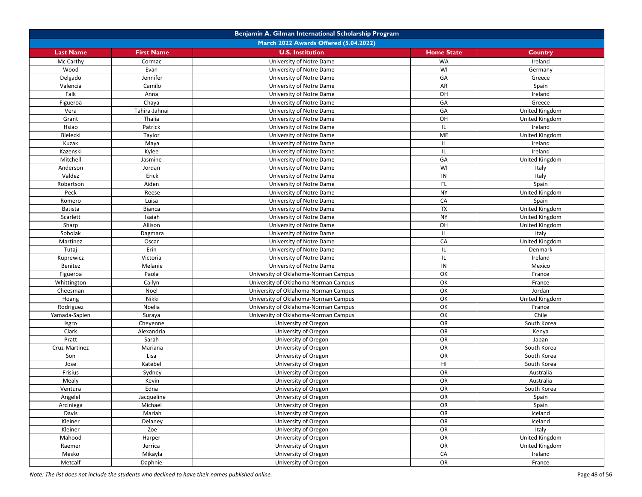|                  |                   | Benjamin A. Gilman International Scholarship Program |                   |                |
|------------------|-------------------|------------------------------------------------------|-------------------|----------------|
|                  |                   | March 2022 Awards Offered (5.04.2022)                |                   |                |
| <b>Last Name</b> | <b>First Name</b> | <b>U.S. Institution</b>                              | <b>Home State</b> | Country        |
| Mc Carthy        | Cormac            | University of Notre Dame                             | <b>WA</b>         | Ireland        |
| Wood             | Evan              | University of Notre Dame                             | WI                | Germany        |
| Delgado          | Jennifer          | University of Notre Dame                             | GA                | Greece         |
| Valencia         | Camilo            | University of Notre Dame                             | AR                | Spain          |
| Falk             | Anna              | University of Notre Dame                             | OH                | Ireland        |
| Figueroa         | Chaya             | University of Notre Dame                             | GA                | Greece         |
| Vera             | Tahira-Jahnai     | University of Notre Dame                             | GA                | United Kingdom |
| Grant            | Thalia            | University of Notre Dame                             | OH                | United Kingdom |
| Hsiao            | Patrick           | University of Notre Dame                             | IL                | Ireland        |
| Bielecki         | Taylor            | University of Notre Dame                             | ME                | United Kingdom |
| Kuzak            | Maya              | University of Notre Dame                             | IL                | Ireland        |
| Kazenski         | Kylee             | University of Notre Dame                             | IL                | Ireland        |
| Mitchell         | Jasmine           | University of Notre Dame                             | GA                | United Kingdom |
| Anderson         | Jordan            | University of Notre Dame                             | WI                | Italy          |
| Valdez           | Erick             | University of Notre Dame                             | IN                | Italy          |
| Robertson        | Aiden             | University of Notre Dame                             | FL                | Spain          |
| Peck             | Reese             | University of Notre Dame                             | <b>NY</b>         | United Kingdom |
| Romero           | Luisa             | University of Notre Dame                             | CA                | Spain          |
| <b>Batista</b>   | Bianca            | University of Notre Dame                             | <b>TX</b>         | United Kingdom |
| Scarlett         | Isaiah            | University of Notre Dame                             | <b>NY</b>         | United Kingdom |
| Sharp            | Allison           | University of Notre Dame                             | OH                | United Kingdom |
| Sobolak          | Dagmara           | University of Notre Dame                             | IL                | Italy          |
| Martinez         | Oscar             | University of Notre Dame                             | CA                | United Kingdom |
| Tutaj            | Erin              | University of Notre Dame                             | IL                | Denmark        |
| Kuprewicz        | Victoria          | University of Notre Dame                             | IL                | Ireland        |
| Benitez          | Melanie           | University of Notre Dame                             | $\mathsf{IN}$     | Mexico         |
| Figueroa         | Paola             | University of Oklahoma-Norman Campus                 | OK                | France         |
| Whittington      | Cailyn            | University of Oklahoma-Norman Campus                 | OK                | France         |
| Cheesman         | Noel              | University of Oklahoma-Norman Campus                 | OK                | Jordan         |
| Hoang            | Nikki             | University of Oklahoma-Norman Campus                 | OK                | United Kingdom |
| Rodriguez        | Noelia            | University of Oklahoma-Norman Campus                 | OK                | France         |
| Yamada-Sapien    | Suraya            | University of Oklahoma-Norman Campus                 | OK                | Chile          |
| Isgro            | Cheyenne          | University of Oregon                                 | OR                | South Korea    |
| Clark            | Alexandria        | University of Oregon                                 | OR                | Kenya          |
| Pratt            | Sarah             | University of Oregon                                 | OR                | Japan          |
| Cruz-Martinez    | Mariana           | University of Oregon                                 | OR                | South Korea    |
| Son              | Lisa              | University of Oregon                                 | OR                | South Korea    |
| Jose             | Katebel           | University of Oregon                                 | HI                | South Korea    |
| Frisius          | Sydney            | University of Oregon                                 | OR                | Australia      |
| Mealy            | Kevin             | University of Oregon                                 | OR                | Australia      |
| Ventura          | Edna              | University of Oregon                                 | OR                | South Korea    |
| Angelel          | Jacqueline        | University of Oregon                                 | OR                | Spain          |
| Arciniega        | Michael           | University of Oregon                                 | OR                | Spain          |
| Davis            | Mariah            | University of Oregon                                 | OR                | Iceland        |
| Kleiner          | Delaney           | University of Oregon                                 | OR                | Iceland        |
| Kleiner          | Zoe               | University of Oregon                                 | OR                | Italy          |
| Mahood           | Harper            | University of Oregon                                 | OR                | United Kingdom |
| Raemer           | Jerrica           | University of Oregon                                 | OR                | United Kingdom |
| Mesko            | Mikayla           | University of Oregon                                 | CA                | Ireland        |
| Metcalf          | Daphnie           | University of Oregon                                 | OR                | France         |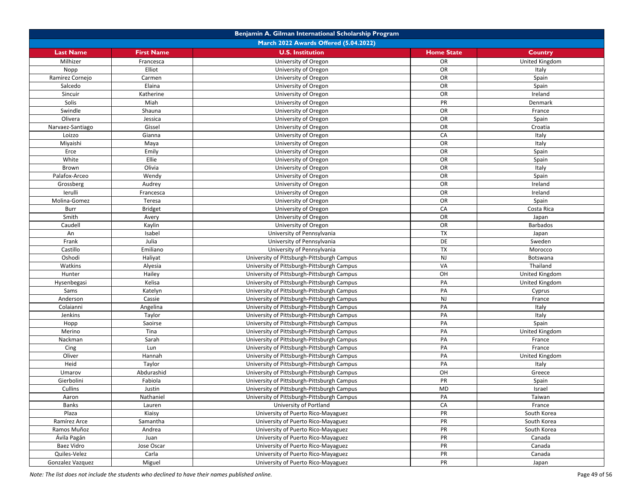| Benjamin A. Gilman International Scholarship Program |                   |                                                                                          |                   |                  |  |
|------------------------------------------------------|-------------------|------------------------------------------------------------------------------------------|-------------------|------------------|--|
| March 2022 Awards Offered (5.04.2022)                |                   |                                                                                          |                   |                  |  |
| <b>Last Name</b>                                     | <b>First Name</b> | <b>U.S. Institution</b>                                                                  | <b>Home State</b> | Country          |  |
| Milhizer                                             | Francesca         | University of Oregon                                                                     | OR                | United Kingdom   |  |
| Nopp                                                 | Elliot            | University of Oregon                                                                     | OR                | Italy            |  |
| Ramirez Cornejo                                      | Carmen            | University of Oregon                                                                     | OR                | Spain            |  |
| Salcedo                                              | Elaina            | University of Oregon                                                                     | OR                | Spain            |  |
| Sincuir                                              | Katherine         | University of Oregon                                                                     | OR                | Ireland          |  |
| Solis                                                | Miah              | University of Oregon                                                                     | PR                | Denmark          |  |
| Swindle                                              | Shauna            | University of Oregon                                                                     | OR                | France           |  |
| Olivera                                              | Jessica           | University of Oregon                                                                     | OR                | Spain            |  |
| Narvaez-Santiago                                     | Gissel            | University of Oregon                                                                     | OR                | Croatia          |  |
| Loizzo                                               | Gianna            | University of Oregon                                                                     | CA                | Italy            |  |
| Miyaishi                                             | Maya              | University of Oregon                                                                     | OR                | Italy            |  |
| Erce                                                 | Emily             | University of Oregon                                                                     | OR                | Spain            |  |
| White                                                | Ellie             | University of Oregon                                                                     | OR                | Spain            |  |
| Brown                                                | Olivia            | University of Oregon                                                                     | OR                | Italy            |  |
| Palafox-Arceo                                        | Wendy             | University of Oregon                                                                     | OR                | Spain            |  |
| Grossberg                                            | Audrey            | University of Oregon                                                                     | OR                | Ireland          |  |
| lerulli                                              | Francesca         | University of Oregon                                                                     | OR                | Ireland          |  |
| Molina-Gomez                                         | Teresa            | University of Oregon                                                                     | OR                | Spain            |  |
| Burr                                                 | <b>Bridget</b>    | University of Oregon                                                                     | CA                | Costa Rica       |  |
| Smith                                                | Avery             | University of Oregon                                                                     | OR                | Japan            |  |
| Caudell                                              | Kaylin            | University of Oregon                                                                     | OR                | <b>Barbados</b>  |  |
| An                                                   | Isabel            | University of Pennsylvania                                                               | TX                | Japan            |  |
| Frank                                                | Julia             | University of Pennsylvania                                                               | DE                | Sweden           |  |
| Castillo                                             | Emiliano          | University of Pennsylvania                                                               | <b>TX</b>         | Morocco          |  |
| Oshodi                                               | Haliyat           | University of Pittsburgh-Pittsburgh Campus                                               | <b>NJ</b>         | Botswana         |  |
| Watkins                                              | Alyesia           | University of Pittsburgh-Pittsburgh Campus                                               | VA                | Thailand         |  |
| Hunter                                               | Hailey            | University of Pittsburgh-Pittsburgh Campus                                               | OH                | United Kingdom   |  |
|                                                      | Kelisa            | University of Pittsburgh-Pittsburgh Campus                                               | PA                |                  |  |
| Hysenbegasi<br>Sams                                  | Katelyn           |                                                                                          | PA                | United Kingdom   |  |
| Anderson                                             | Cassie            | University of Pittsburgh-Pittsburgh Campus<br>University of Pittsburgh-Pittsburgh Campus | <b>NJ</b>         | Cyprus<br>France |  |
| Colaianni                                            | Angelina          | University of Pittsburgh-Pittsburgh Campus                                               | PA                |                  |  |
|                                                      | Taylor            |                                                                                          | PA                | Italy            |  |
| Jenkins                                              |                   | University of Pittsburgh-Pittsburgh Campus                                               | PA                | Italy            |  |
| Hopp<br>Merino                                       | Saoirse<br>Tina   | University of Pittsburgh-Pittsburgh Campus                                               | PA                | Spain            |  |
|                                                      |                   | University of Pittsburgh-Pittsburgh Campus                                               | PA                | United Kingdom   |  |
| Nackman                                              | Sarah             | University of Pittsburgh-Pittsburgh Campus                                               |                   | France           |  |
| Cing                                                 | Lun               | University of Pittsburgh-Pittsburgh Campus                                               | PA                | France           |  |
| Oliver                                               | Hannah            | University of Pittsburgh-Pittsburgh Campus                                               | PA<br>PA          | United Kingdom   |  |
| Heid                                                 | Taylor            | University of Pittsburgh-Pittsburgh Campus                                               |                   | Italy            |  |
| Umarov                                               | Abdurashid        | University of Pittsburgh-Pittsburgh Campus                                               | OH                | Greece           |  |
| Gierbolini                                           | Fabiola           | University of Pittsburgh-Pittsburgh Campus                                               | PR                | Spain            |  |
| Cullins                                              | Justin            | University of Pittsburgh-Pittsburgh Campus                                               | MD                | Israel           |  |
| Aaron                                                | Nathaniel         | University of Pittsburgh-Pittsburgh Campus                                               | PA                | Taiwan           |  |
| Banks                                                | Lauren            | University of Portland                                                                   | CA                | France           |  |
| Plaza                                                | Kiaisy            | University of Puerto Rico-Mayaguez                                                       | PR                | South Korea      |  |
| Ramírez Arce                                         | Samantha          | University of Puerto Rico-Mayaguez                                                       | PR                | South Korea      |  |
| Ramos Muñoz                                          | Andrea            | University of Puerto Rico-Mayaguez                                                       | PR                | South Korea      |  |
| Ávila Pagán                                          | Juan              | University of Puerto Rico-Mayaguez                                                       | PR                | Canada           |  |
| Baez Vidro                                           | Jose Oscar        | University of Puerto Rico-Mayaguez                                                       | PR                | Canada           |  |
| Quiles-Velez                                         | Carla             | University of Puerto Rico-Mayaguez                                                       | PR                | Canada           |  |
| Gonzalez Vazquez                                     | Miguel            | University of Puerto Rico-Mayaguez                                                       | PR                | Japan            |  |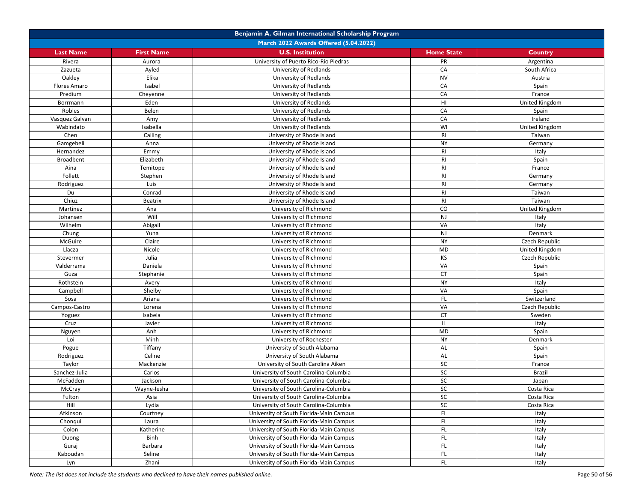| Benjamin A. Gilman International Scholarship Program |                   |                                         |                   |                |  |
|------------------------------------------------------|-------------------|-----------------------------------------|-------------------|----------------|--|
| March 2022 Awards Offered (5.04.2022)                |                   |                                         |                   |                |  |
| <b>Last Name</b>                                     | <b>First Name</b> | <b>U.S. Institution</b>                 | <b>Home State</b> | <b>Country</b> |  |
| Rivera                                               | Aurora            | University of Puerto Rico-Rio Piedras   | PR                | Argentina      |  |
| Zazueta                                              | Ayled             | University of Redlands                  | CA                | South Africa   |  |
| Oakley                                               | Elika             | University of Redlands                  | <b>NV</b>         | Austria        |  |
| Flores Amaro                                         | Isabel            | University of Redlands                  | CA                | Spain          |  |
| Predium                                              | Cheyenne          | University of Redlands                  | CA                | France         |  |
| Borrmann                                             | Eden              | University of Redlands                  | HI                | United Kingdom |  |
| Robles                                               | Belen             | University of Redlands                  | CA                | Spain          |  |
| Vasquez Galvan                                       | Amy               | University of Redlands                  | CA                | Ireland        |  |
| Wabindato                                            | Isabella          | University of Redlands                  | WI                | United Kingdom |  |
| Chen                                                 | Cailing           | University of Rhode Island              | RI                | Taiwan         |  |
| Gamgebeli                                            | Anna              | University of Rhode Island              | <b>NY</b>         | Germany        |  |
| Hernandez                                            | Emmy              | University of Rhode Island              | RI                | Italy          |  |
| Broadbent                                            | Elizabeth         | University of Rhode Island              | RI                | Spain          |  |
| Aina                                                 | Temitope          | University of Rhode Island              | RI                | France         |  |
| Follett                                              | Stephen           | University of Rhode Island              | RI                | Germany        |  |
| Rodriguez                                            | Luis              | University of Rhode Island              | RI                | Germany        |  |
| Du                                                   | Conrad            | University of Rhode Island              | RI                | Taiwan         |  |
| Chiuz                                                | <b>Beatrix</b>    | University of Rhode Island              | RI                | Taiwan         |  |
| Martinez                                             | Ana               | University of Richmond                  | CO                | United Kingdom |  |
| Johansen                                             | Will              | University of Richmond                  | NJ                | Italy          |  |
| Wilhelm                                              | Abigail           | University of Richmond                  | VA                | Italy          |  |
| Chung                                                | Yuna              | University of Richmond                  | NJ                | Denmark        |  |
| McGuire                                              | Claire            | University of Richmond                  | <b>NY</b>         | Czech Republic |  |
| Llacza                                               | Nicole            | University of Richmond                  | <b>MD</b>         | United Kingdom |  |
| Stevermer                                            | Julia             | University of Richmond                  | KS                | Czech Republic |  |
| Valderrama                                           | Daniela           | University of Richmond                  | VA                | Spain          |  |
| Guza                                                 | Stephanie         | University of Richmond                  | <b>CT</b>         | Spain          |  |
| Rothstein                                            | Avery             | University of Richmond                  | <b>NY</b>         | Italy          |  |
| Campbell                                             | Shelby            | University of Richmond                  | VA                | Spain          |  |
| Sosa                                                 | Ariana            | University of Richmond                  | FL.               | Switzerland    |  |
| Campos-Castro                                        | Lorena            | University of Richmond                  | VA                | Czech Republic |  |
| Yoguez                                               | Isabela           | University of Richmond                  | <b>CT</b>         | Sweden         |  |
| Cruz                                                 | Javier            | University of Richmond                  | IL                | Italy          |  |
| Nguyen                                               | Anh               | University of Richmond                  | <b>MD</b>         | Spain          |  |
| Loi                                                  | Minh              | University of Rochester                 | <b>NY</b>         | Denmark        |  |
| Pogue                                                | Tiffany           | University of South Alabama             | AL                | Spain          |  |
| Rodriguez                                            | Celine            | University of South Alabama             | AL                | Spain          |  |
| Taylor                                               | Mackenzie         | University of South Carolina Aiken      | SC                | France         |  |
| Sanchez-Julia                                        | Carlos            | University of South Carolina-Columbia   | SC                | <b>Brazil</b>  |  |
| McFadden                                             | Jackson           | University of South Carolina-Columbia   | ${\sf SC}$        | Japan          |  |
| McCray                                               | Wayne-lesha       | University of South Carolina-Columbia   | SC                | Costa Rica     |  |
| Fulton                                               | Asia              | University of South Carolina-Columbia   | SC                | Costa Rica     |  |
| Hill                                                 | Lydia             | University of South Carolina-Columbia   | ${\sf SC}$        | Costa Rica     |  |
| Atkinson                                             | Courtney          | University of South Florida-Main Campus | FL.               | Italy          |  |
| Chonqui                                              | Laura             | University of South Florida-Main Campus | FL.               | Italy          |  |
| Colon                                                | Katherine         | University of South Florida-Main Campus | FL.               | Italy          |  |
| Duong                                                | Binh              | University of South Florida-Main Campus | FL.               | Italy          |  |
| Guraj                                                | Barbara           | University of South Florida-Main Campus | FL.               | Italy          |  |
| Kaboudan                                             | Seline            | University of South Florida-Main Campus | FL.               | Italy          |  |
| Lyn                                                  | Zhani             | University of South Florida-Main Campus | FL.               | Italy          |  |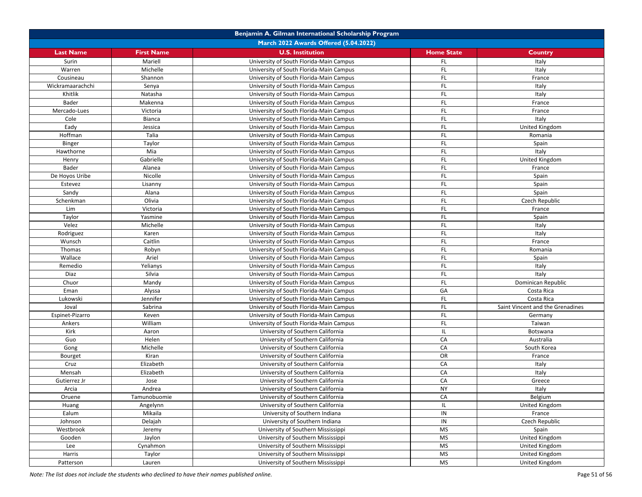| Benjamin A. Gilman International Scholarship Program |                   |                                         |                   |                                  |  |
|------------------------------------------------------|-------------------|-----------------------------------------|-------------------|----------------------------------|--|
| March 2022 Awards Offered (5.04.2022)                |                   |                                         |                   |                                  |  |
| <b>Last Name</b>                                     | <b>First Name</b> | <b>U.S. Institution</b>                 | <b>Home State</b> | <b>Country</b>                   |  |
| Surin                                                | Mariell           | University of South Florida-Main Campus | FL.               | Italy                            |  |
| Warren                                               | Michelle          | University of South Florida-Main Campus | FL                | Italy                            |  |
| Cousineau                                            | Shannon           | University of South Florida-Main Campus | FL.               | France                           |  |
| Wickramaarachchi                                     | Senya             | University of South Florida-Main Campus | FL.               | Italy                            |  |
| Khitlik                                              | Natasha           | University of South Florida-Main Campus | FL.               | Italy                            |  |
| Bader                                                | Makenna           | University of South Florida-Main Campus | FL                | France                           |  |
| Mercado-Lues                                         | Victoria          | University of South Florida-Main Campus | FL                | France                           |  |
| Cole                                                 | Bianca            | University of South Florida-Main Campus | FL.               | Italy                            |  |
| Eady                                                 | Jessica           | University of South Florida-Main Campus | <b>FL</b>         | United Kingdom                   |  |
| Hoffman                                              | Talia             | University of South Florida-Main Campus | FL.               | Romania                          |  |
| Binger                                               | Taylor            | University of South Florida-Main Campus | FL.               | Spain                            |  |
| Hawthorne                                            | Mia               | University of South Florida-Main Campus | FL.               | Italy                            |  |
| Henry                                                | Gabrielle         | University of South Florida-Main Campus | FL.               | United Kingdom                   |  |
| Bader                                                | Alanea            | University of South Florida-Main Campus | FL                | France                           |  |
| De Hoyos Uribe                                       | Nicolle           | University of South Florida-Main Campus | FL.               | Spain                            |  |
| Estevez                                              | Lisanny           | University of South Florida-Main Campus | FL.               | Spain                            |  |
| Sandy                                                | Alana             | University of South Florida-Main Campus | <b>FL</b>         | Spain                            |  |
| Schenkman                                            | Olivia            | University of South Florida-Main Campus | FL.               | Czech Republic                   |  |
| Lim                                                  | Victoria          | University of South Florida-Main Campus | FL.               | France                           |  |
| Taylor                                               | Yasmine           | University of South Florida-Main Campus | FL                | Spain                            |  |
| Velez                                                | Michelle          | University of South Florida-Main Campus | FL.               | Italy                            |  |
| Rodriguez                                            | Karen             | University of South Florida-Main Campus | FL.               | Italy                            |  |
| Wunsch                                               | Caitlin           | University of South Florida-Main Campus | FL.               | France                           |  |
| Thomas                                               | Robyn             | University of South Florida-Main Campus | FL.               | Romania                          |  |
| Wallace                                              | Ariel             | University of South Florida-Main Campus | FL.               | Spain                            |  |
| Remedio                                              | Yelianys          | University of South Florida-Main Campus | FL                | Italy                            |  |
| Diaz                                                 | Silvia            | University of South Florida-Main Campus | FL.               | Italy                            |  |
| Chuor                                                | Mandy             | University of South Florida-Main Campus | FL.               | Dominican Republic               |  |
| Eman                                                 | Alyssa            | University of South Florida-Main Campus | GA                | Costa Rica                       |  |
| Lukowski                                             | Jennifer          | University of South Florida-Main Campus | FL.               | Costa Rica                       |  |
| Joval                                                | Sabrina           | University of South Florida-Main Campus | FL                | Saint Vincent and the Grenadines |  |
| Espinet-Pizarro                                      | Keven             | University of South Florida-Main Campus | FL.               | Germany                          |  |
| Ankers                                               | William           | University of South Florida-Main Campus | FL.               | Taiwan                           |  |
| Kirk                                                 | Aaron             | University of Southern California       | IL.               | Botswana                         |  |
| Guo                                                  | Helen             | University of Southern California       | CA                | Australia                        |  |
| Gong                                                 | Michelle          | University of Southern California       | CA                | South Korea                      |  |
| Bourget                                              | Kiran             | University of Southern California       | OR                | France                           |  |
| Cruz                                                 | Elizabeth         | University of Southern California       | CA                | Italy                            |  |
| Mensah                                               | Elizabeth         | University of Southern California       | CA                | Italy                            |  |
| Gutierrez Jr                                         | Jose              | University of Southern California       | CA                | Greece                           |  |
| Arcia                                                | Andrea            | University of Southern California       | <b>NY</b>         | Italy                            |  |
| Oruene                                               | Tamunobuomie      | University of Southern California       | CA                | Belgium                          |  |
| Huang                                                | Angelynn          | University of Southern California       | IL.               | <b>United Kingdom</b>            |  |
| Ealum                                                | Mikaila           | University of Southern Indiana          | IN                | France                           |  |
| Johnson                                              | Delajah           | University of Southern Indiana          | IN                | Czech Republic                   |  |
| Westbrook                                            | Jeremy            | University of Southern Mississippi      | <b>MS</b>         | Spain                            |  |
| Gooden                                               | Jaylon            | University of Southern Mississippi      | <b>MS</b>         | United Kingdom                   |  |
| Lee                                                  | Cynahmon          | University of Southern Mississippi      | MS                | United Kingdom                   |  |
| Harris                                               | Taylor            | University of Southern Mississippi      | <b>MS</b>         | United Kingdom                   |  |
| Patterson                                            | Lauren            | University of Southern Mississippi      | <b>MS</b>         | United Kingdom                   |  |
|                                                      |                   |                                         |                   |                                  |  |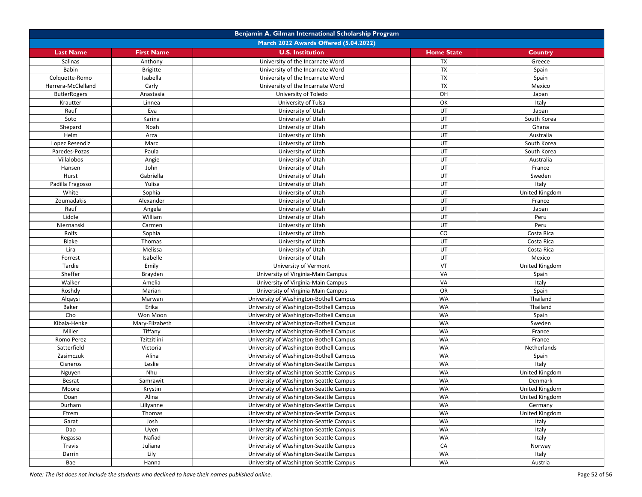| March 2022 Awards Offered (5.04.2022)<br><b>U.S. Institution</b><br><b>Last Name</b><br><b>First Name</b><br><b>Home State</b><br>Country<br><b>TX</b><br>Salinas<br>Anthony<br>University of the Incarnate Word<br>Greece<br>TX<br>Babin<br>University of the Incarnate Word<br><b>Brigitte</b><br>Spain<br><b>TX</b><br>Isabella<br>University of the Incarnate Word<br>Spain<br>Colquette-Romo<br><b>TX</b><br>Carly<br>Herrera-McClelland<br>University of the Incarnate Word<br>Mexico<br>OH<br>University of Toledo<br><b>ButlerRogers</b><br>Anastasia<br>Japan<br>OK<br>University of Tulsa<br>Italy<br>Krautter<br>Linnea<br>UT<br>Rauf<br>Eva<br>University of Utah<br>Japan<br>Soto<br>UT<br>Karina<br>University of Utah<br>South Korea<br>UT<br>Shepard<br>Noah<br>Ghana<br>University of Utah<br>UT<br>Helm<br>Arza<br>Australia<br>University of Utah<br>UT<br>Marc<br>University of Utah<br>South Korea<br>Lopez Resendiz<br>UT<br>Paredes-Pozas<br>Paula<br>University of Utah<br>South Korea<br>UT<br>Villalobos<br>University of Utah<br>Angie<br>Australia<br>John<br>UT<br>University of Utah<br>Hansen<br>France<br>UT<br>Hurst<br>Gabriella<br>University of Utah<br>Sweden<br>Yulisa<br>UT<br>Italy<br>University of Utah<br>Padilla Fragosso<br>UT<br>White<br>Sophia<br>University of Utah<br>United Kingdom<br>Zoumadakis<br>UT<br>Alexander<br>University of Utah<br>France<br>Rauf<br>UT<br>University of Utah<br>Angela<br>Japan<br>Liddle<br>UT<br>William<br>University of Utah<br>Peru<br>UT<br>University of Utah<br>Peru<br>Nieznanski<br>Carmen<br>Rolfs<br>$\rm CO$<br>Sophia<br>University of Utah<br>Costa Rica<br><b>Blake</b><br>UT<br>Thomas<br>University of Utah<br>Costa Rica<br>UT<br>Lira<br>Melissa<br>University of Utah<br>Costa Rica<br>UT<br>Isabelle<br>University of Utah<br>Mexico<br>Forrest<br>VT<br>Emily<br>Tardie<br>University of Vermont<br>United Kingdom<br>VA<br>Sheffer<br>University of Virginia-Main Campus<br>Brayden<br>Spain<br>VA<br>Walker<br>Amelia<br>University of Virginia-Main Campus<br>Italy<br><b>OR</b><br>Roshdy<br>Marian<br>University of Virginia-Main Campus<br>Spain<br><b>WA</b><br>University of Washington-Bothell Campus<br>Thailand<br>Alqaysi<br>Marwan<br>Erika<br>WA<br>Baker<br>Thailand<br>University of Washington-Bothell Campus<br>Cho<br><b>WA</b><br>Won Moon<br>University of Washington-Bothell Campus<br>Spain<br><b>WA</b><br>Kibala-Henke<br>Mary-Elizabeth<br>University of Washington-Bothell Campus<br>Sweden<br>Tiffany<br><b>WA</b><br>Miller<br>University of Washington-Bothell Campus<br>France<br><b>WA</b><br>Tzitzitlini<br>France<br>Romo Perez<br>University of Washington-Bothell Campus<br><b>WA</b><br>Satterfield<br>Victoria<br>University of Washington-Bothell Campus<br>Netherlands<br>WA<br>Zasimczuk<br>Alina<br>University of Washington-Bothell Campus<br>Spain<br><b>WA</b><br>Leslie<br>Italy<br>Cisneros<br>University of Washington-Seattle Campus<br><b>WA</b><br>Nhu<br>United Kingdom<br>University of Washington-Seattle Campus<br>Nguyen<br>WA<br>Besrat<br>Samrawit<br>University of Washington-Seattle Campus<br>Denmark<br>WA<br>Moore<br>Krystin<br>University of Washington-Seattle Campus<br>United Kingdom<br><b>WA</b><br>Doan<br>Alina<br>University of Washington-Seattle Campus<br>United Kingdom<br>WA<br>Lillyanne<br>University of Washington-Seattle Campus<br>Durham<br>Germany | Benjamin A. Gilman International Scholarship Program |  |  |  |  |  |
|-----------------------------------------------------------------------------------------------------------------------------------------------------------------------------------------------------------------------------------------------------------------------------------------------------------------------------------------------------------------------------------------------------------------------------------------------------------------------------------------------------------------------------------------------------------------------------------------------------------------------------------------------------------------------------------------------------------------------------------------------------------------------------------------------------------------------------------------------------------------------------------------------------------------------------------------------------------------------------------------------------------------------------------------------------------------------------------------------------------------------------------------------------------------------------------------------------------------------------------------------------------------------------------------------------------------------------------------------------------------------------------------------------------------------------------------------------------------------------------------------------------------------------------------------------------------------------------------------------------------------------------------------------------------------------------------------------------------------------------------------------------------------------------------------------------------------------------------------------------------------------------------------------------------------------------------------------------------------------------------------------------------------------------------------------------------------------------------------------------------------------------------------------------------------------------------------------------------------------------------------------------------------------------------------------------------------------------------------------------------------------------------------------------------------------------------------------------------------------------------------------------------------------------------------------------------------------------------------------------------------------------------------------------------------------------------------------------------------------------------------------------------------------------------------------------------------------------------------------------------------------------------------------------------------------------------------------------------------------------------------------------------------------------------------------------------------------------------------------------------------------------------------------------------------------------------------------------------------------------------------------------------------------------------------------------------------------------------------------------------------------------------------------------------------------------------------|------------------------------------------------------|--|--|--|--|--|
|                                                                                                                                                                                                                                                                                                                                                                                                                                                                                                                                                                                                                                                                                                                                                                                                                                                                                                                                                                                                                                                                                                                                                                                                                                                                                                                                                                                                                                                                                                                                                                                                                                                                                                                                                                                                                                                                                                                                                                                                                                                                                                                                                                                                                                                                                                                                                                                                                                                                                                                                                                                                                                                                                                                                                                                                                                                                                                                                                                                                                                                                                                                                                                                                                                                                                                                                                                                                                                               |                                                      |  |  |  |  |  |
|                                                                                                                                                                                                                                                                                                                                                                                                                                                                                                                                                                                                                                                                                                                                                                                                                                                                                                                                                                                                                                                                                                                                                                                                                                                                                                                                                                                                                                                                                                                                                                                                                                                                                                                                                                                                                                                                                                                                                                                                                                                                                                                                                                                                                                                                                                                                                                                                                                                                                                                                                                                                                                                                                                                                                                                                                                                                                                                                                                                                                                                                                                                                                                                                                                                                                                                                                                                                                                               |                                                      |  |  |  |  |  |
|                                                                                                                                                                                                                                                                                                                                                                                                                                                                                                                                                                                                                                                                                                                                                                                                                                                                                                                                                                                                                                                                                                                                                                                                                                                                                                                                                                                                                                                                                                                                                                                                                                                                                                                                                                                                                                                                                                                                                                                                                                                                                                                                                                                                                                                                                                                                                                                                                                                                                                                                                                                                                                                                                                                                                                                                                                                                                                                                                                                                                                                                                                                                                                                                                                                                                                                                                                                                                                               |                                                      |  |  |  |  |  |
|                                                                                                                                                                                                                                                                                                                                                                                                                                                                                                                                                                                                                                                                                                                                                                                                                                                                                                                                                                                                                                                                                                                                                                                                                                                                                                                                                                                                                                                                                                                                                                                                                                                                                                                                                                                                                                                                                                                                                                                                                                                                                                                                                                                                                                                                                                                                                                                                                                                                                                                                                                                                                                                                                                                                                                                                                                                                                                                                                                                                                                                                                                                                                                                                                                                                                                                                                                                                                                               |                                                      |  |  |  |  |  |
|                                                                                                                                                                                                                                                                                                                                                                                                                                                                                                                                                                                                                                                                                                                                                                                                                                                                                                                                                                                                                                                                                                                                                                                                                                                                                                                                                                                                                                                                                                                                                                                                                                                                                                                                                                                                                                                                                                                                                                                                                                                                                                                                                                                                                                                                                                                                                                                                                                                                                                                                                                                                                                                                                                                                                                                                                                                                                                                                                                                                                                                                                                                                                                                                                                                                                                                                                                                                                                               |                                                      |  |  |  |  |  |
|                                                                                                                                                                                                                                                                                                                                                                                                                                                                                                                                                                                                                                                                                                                                                                                                                                                                                                                                                                                                                                                                                                                                                                                                                                                                                                                                                                                                                                                                                                                                                                                                                                                                                                                                                                                                                                                                                                                                                                                                                                                                                                                                                                                                                                                                                                                                                                                                                                                                                                                                                                                                                                                                                                                                                                                                                                                                                                                                                                                                                                                                                                                                                                                                                                                                                                                                                                                                                                               |                                                      |  |  |  |  |  |
|                                                                                                                                                                                                                                                                                                                                                                                                                                                                                                                                                                                                                                                                                                                                                                                                                                                                                                                                                                                                                                                                                                                                                                                                                                                                                                                                                                                                                                                                                                                                                                                                                                                                                                                                                                                                                                                                                                                                                                                                                                                                                                                                                                                                                                                                                                                                                                                                                                                                                                                                                                                                                                                                                                                                                                                                                                                                                                                                                                                                                                                                                                                                                                                                                                                                                                                                                                                                                                               |                                                      |  |  |  |  |  |
|                                                                                                                                                                                                                                                                                                                                                                                                                                                                                                                                                                                                                                                                                                                                                                                                                                                                                                                                                                                                                                                                                                                                                                                                                                                                                                                                                                                                                                                                                                                                                                                                                                                                                                                                                                                                                                                                                                                                                                                                                                                                                                                                                                                                                                                                                                                                                                                                                                                                                                                                                                                                                                                                                                                                                                                                                                                                                                                                                                                                                                                                                                                                                                                                                                                                                                                                                                                                                                               |                                                      |  |  |  |  |  |
|                                                                                                                                                                                                                                                                                                                                                                                                                                                                                                                                                                                                                                                                                                                                                                                                                                                                                                                                                                                                                                                                                                                                                                                                                                                                                                                                                                                                                                                                                                                                                                                                                                                                                                                                                                                                                                                                                                                                                                                                                                                                                                                                                                                                                                                                                                                                                                                                                                                                                                                                                                                                                                                                                                                                                                                                                                                                                                                                                                                                                                                                                                                                                                                                                                                                                                                                                                                                                                               |                                                      |  |  |  |  |  |
|                                                                                                                                                                                                                                                                                                                                                                                                                                                                                                                                                                                                                                                                                                                                                                                                                                                                                                                                                                                                                                                                                                                                                                                                                                                                                                                                                                                                                                                                                                                                                                                                                                                                                                                                                                                                                                                                                                                                                                                                                                                                                                                                                                                                                                                                                                                                                                                                                                                                                                                                                                                                                                                                                                                                                                                                                                                                                                                                                                                                                                                                                                                                                                                                                                                                                                                                                                                                                                               |                                                      |  |  |  |  |  |
|                                                                                                                                                                                                                                                                                                                                                                                                                                                                                                                                                                                                                                                                                                                                                                                                                                                                                                                                                                                                                                                                                                                                                                                                                                                                                                                                                                                                                                                                                                                                                                                                                                                                                                                                                                                                                                                                                                                                                                                                                                                                                                                                                                                                                                                                                                                                                                                                                                                                                                                                                                                                                                                                                                                                                                                                                                                                                                                                                                                                                                                                                                                                                                                                                                                                                                                                                                                                                                               |                                                      |  |  |  |  |  |
|                                                                                                                                                                                                                                                                                                                                                                                                                                                                                                                                                                                                                                                                                                                                                                                                                                                                                                                                                                                                                                                                                                                                                                                                                                                                                                                                                                                                                                                                                                                                                                                                                                                                                                                                                                                                                                                                                                                                                                                                                                                                                                                                                                                                                                                                                                                                                                                                                                                                                                                                                                                                                                                                                                                                                                                                                                                                                                                                                                                                                                                                                                                                                                                                                                                                                                                                                                                                                                               |                                                      |  |  |  |  |  |
|                                                                                                                                                                                                                                                                                                                                                                                                                                                                                                                                                                                                                                                                                                                                                                                                                                                                                                                                                                                                                                                                                                                                                                                                                                                                                                                                                                                                                                                                                                                                                                                                                                                                                                                                                                                                                                                                                                                                                                                                                                                                                                                                                                                                                                                                                                                                                                                                                                                                                                                                                                                                                                                                                                                                                                                                                                                                                                                                                                                                                                                                                                                                                                                                                                                                                                                                                                                                                                               |                                                      |  |  |  |  |  |
|                                                                                                                                                                                                                                                                                                                                                                                                                                                                                                                                                                                                                                                                                                                                                                                                                                                                                                                                                                                                                                                                                                                                                                                                                                                                                                                                                                                                                                                                                                                                                                                                                                                                                                                                                                                                                                                                                                                                                                                                                                                                                                                                                                                                                                                                                                                                                                                                                                                                                                                                                                                                                                                                                                                                                                                                                                                                                                                                                                                                                                                                                                                                                                                                                                                                                                                                                                                                                                               |                                                      |  |  |  |  |  |
|                                                                                                                                                                                                                                                                                                                                                                                                                                                                                                                                                                                                                                                                                                                                                                                                                                                                                                                                                                                                                                                                                                                                                                                                                                                                                                                                                                                                                                                                                                                                                                                                                                                                                                                                                                                                                                                                                                                                                                                                                                                                                                                                                                                                                                                                                                                                                                                                                                                                                                                                                                                                                                                                                                                                                                                                                                                                                                                                                                                                                                                                                                                                                                                                                                                                                                                                                                                                                                               |                                                      |  |  |  |  |  |
|                                                                                                                                                                                                                                                                                                                                                                                                                                                                                                                                                                                                                                                                                                                                                                                                                                                                                                                                                                                                                                                                                                                                                                                                                                                                                                                                                                                                                                                                                                                                                                                                                                                                                                                                                                                                                                                                                                                                                                                                                                                                                                                                                                                                                                                                                                                                                                                                                                                                                                                                                                                                                                                                                                                                                                                                                                                                                                                                                                                                                                                                                                                                                                                                                                                                                                                                                                                                                                               |                                                      |  |  |  |  |  |
|                                                                                                                                                                                                                                                                                                                                                                                                                                                                                                                                                                                                                                                                                                                                                                                                                                                                                                                                                                                                                                                                                                                                                                                                                                                                                                                                                                                                                                                                                                                                                                                                                                                                                                                                                                                                                                                                                                                                                                                                                                                                                                                                                                                                                                                                                                                                                                                                                                                                                                                                                                                                                                                                                                                                                                                                                                                                                                                                                                                                                                                                                                                                                                                                                                                                                                                                                                                                                                               |                                                      |  |  |  |  |  |
|                                                                                                                                                                                                                                                                                                                                                                                                                                                                                                                                                                                                                                                                                                                                                                                                                                                                                                                                                                                                                                                                                                                                                                                                                                                                                                                                                                                                                                                                                                                                                                                                                                                                                                                                                                                                                                                                                                                                                                                                                                                                                                                                                                                                                                                                                                                                                                                                                                                                                                                                                                                                                                                                                                                                                                                                                                                                                                                                                                                                                                                                                                                                                                                                                                                                                                                                                                                                                                               |                                                      |  |  |  |  |  |
|                                                                                                                                                                                                                                                                                                                                                                                                                                                                                                                                                                                                                                                                                                                                                                                                                                                                                                                                                                                                                                                                                                                                                                                                                                                                                                                                                                                                                                                                                                                                                                                                                                                                                                                                                                                                                                                                                                                                                                                                                                                                                                                                                                                                                                                                                                                                                                                                                                                                                                                                                                                                                                                                                                                                                                                                                                                                                                                                                                                                                                                                                                                                                                                                                                                                                                                                                                                                                                               |                                                      |  |  |  |  |  |
|                                                                                                                                                                                                                                                                                                                                                                                                                                                                                                                                                                                                                                                                                                                                                                                                                                                                                                                                                                                                                                                                                                                                                                                                                                                                                                                                                                                                                                                                                                                                                                                                                                                                                                                                                                                                                                                                                                                                                                                                                                                                                                                                                                                                                                                                                                                                                                                                                                                                                                                                                                                                                                                                                                                                                                                                                                                                                                                                                                                                                                                                                                                                                                                                                                                                                                                                                                                                                                               |                                                      |  |  |  |  |  |
|                                                                                                                                                                                                                                                                                                                                                                                                                                                                                                                                                                                                                                                                                                                                                                                                                                                                                                                                                                                                                                                                                                                                                                                                                                                                                                                                                                                                                                                                                                                                                                                                                                                                                                                                                                                                                                                                                                                                                                                                                                                                                                                                                                                                                                                                                                                                                                                                                                                                                                                                                                                                                                                                                                                                                                                                                                                                                                                                                                                                                                                                                                                                                                                                                                                                                                                                                                                                                                               |                                                      |  |  |  |  |  |
|                                                                                                                                                                                                                                                                                                                                                                                                                                                                                                                                                                                                                                                                                                                                                                                                                                                                                                                                                                                                                                                                                                                                                                                                                                                                                                                                                                                                                                                                                                                                                                                                                                                                                                                                                                                                                                                                                                                                                                                                                                                                                                                                                                                                                                                                                                                                                                                                                                                                                                                                                                                                                                                                                                                                                                                                                                                                                                                                                                                                                                                                                                                                                                                                                                                                                                                                                                                                                                               |                                                      |  |  |  |  |  |
|                                                                                                                                                                                                                                                                                                                                                                                                                                                                                                                                                                                                                                                                                                                                                                                                                                                                                                                                                                                                                                                                                                                                                                                                                                                                                                                                                                                                                                                                                                                                                                                                                                                                                                                                                                                                                                                                                                                                                                                                                                                                                                                                                                                                                                                                                                                                                                                                                                                                                                                                                                                                                                                                                                                                                                                                                                                                                                                                                                                                                                                                                                                                                                                                                                                                                                                                                                                                                                               |                                                      |  |  |  |  |  |
|                                                                                                                                                                                                                                                                                                                                                                                                                                                                                                                                                                                                                                                                                                                                                                                                                                                                                                                                                                                                                                                                                                                                                                                                                                                                                                                                                                                                                                                                                                                                                                                                                                                                                                                                                                                                                                                                                                                                                                                                                                                                                                                                                                                                                                                                                                                                                                                                                                                                                                                                                                                                                                                                                                                                                                                                                                                                                                                                                                                                                                                                                                                                                                                                                                                                                                                                                                                                                                               |                                                      |  |  |  |  |  |
|                                                                                                                                                                                                                                                                                                                                                                                                                                                                                                                                                                                                                                                                                                                                                                                                                                                                                                                                                                                                                                                                                                                                                                                                                                                                                                                                                                                                                                                                                                                                                                                                                                                                                                                                                                                                                                                                                                                                                                                                                                                                                                                                                                                                                                                                                                                                                                                                                                                                                                                                                                                                                                                                                                                                                                                                                                                                                                                                                                                                                                                                                                                                                                                                                                                                                                                                                                                                                                               |                                                      |  |  |  |  |  |
|                                                                                                                                                                                                                                                                                                                                                                                                                                                                                                                                                                                                                                                                                                                                                                                                                                                                                                                                                                                                                                                                                                                                                                                                                                                                                                                                                                                                                                                                                                                                                                                                                                                                                                                                                                                                                                                                                                                                                                                                                                                                                                                                                                                                                                                                                                                                                                                                                                                                                                                                                                                                                                                                                                                                                                                                                                                                                                                                                                                                                                                                                                                                                                                                                                                                                                                                                                                                                                               |                                                      |  |  |  |  |  |
|                                                                                                                                                                                                                                                                                                                                                                                                                                                                                                                                                                                                                                                                                                                                                                                                                                                                                                                                                                                                                                                                                                                                                                                                                                                                                                                                                                                                                                                                                                                                                                                                                                                                                                                                                                                                                                                                                                                                                                                                                                                                                                                                                                                                                                                                                                                                                                                                                                                                                                                                                                                                                                                                                                                                                                                                                                                                                                                                                                                                                                                                                                                                                                                                                                                                                                                                                                                                                                               |                                                      |  |  |  |  |  |
|                                                                                                                                                                                                                                                                                                                                                                                                                                                                                                                                                                                                                                                                                                                                                                                                                                                                                                                                                                                                                                                                                                                                                                                                                                                                                                                                                                                                                                                                                                                                                                                                                                                                                                                                                                                                                                                                                                                                                                                                                                                                                                                                                                                                                                                                                                                                                                                                                                                                                                                                                                                                                                                                                                                                                                                                                                                                                                                                                                                                                                                                                                                                                                                                                                                                                                                                                                                                                                               |                                                      |  |  |  |  |  |
|                                                                                                                                                                                                                                                                                                                                                                                                                                                                                                                                                                                                                                                                                                                                                                                                                                                                                                                                                                                                                                                                                                                                                                                                                                                                                                                                                                                                                                                                                                                                                                                                                                                                                                                                                                                                                                                                                                                                                                                                                                                                                                                                                                                                                                                                                                                                                                                                                                                                                                                                                                                                                                                                                                                                                                                                                                                                                                                                                                                                                                                                                                                                                                                                                                                                                                                                                                                                                                               |                                                      |  |  |  |  |  |
|                                                                                                                                                                                                                                                                                                                                                                                                                                                                                                                                                                                                                                                                                                                                                                                                                                                                                                                                                                                                                                                                                                                                                                                                                                                                                                                                                                                                                                                                                                                                                                                                                                                                                                                                                                                                                                                                                                                                                                                                                                                                                                                                                                                                                                                                                                                                                                                                                                                                                                                                                                                                                                                                                                                                                                                                                                                                                                                                                                                                                                                                                                                                                                                                                                                                                                                                                                                                                                               |                                                      |  |  |  |  |  |
|                                                                                                                                                                                                                                                                                                                                                                                                                                                                                                                                                                                                                                                                                                                                                                                                                                                                                                                                                                                                                                                                                                                                                                                                                                                                                                                                                                                                                                                                                                                                                                                                                                                                                                                                                                                                                                                                                                                                                                                                                                                                                                                                                                                                                                                                                                                                                                                                                                                                                                                                                                                                                                                                                                                                                                                                                                                                                                                                                                                                                                                                                                                                                                                                                                                                                                                                                                                                                                               |                                                      |  |  |  |  |  |
|                                                                                                                                                                                                                                                                                                                                                                                                                                                                                                                                                                                                                                                                                                                                                                                                                                                                                                                                                                                                                                                                                                                                                                                                                                                                                                                                                                                                                                                                                                                                                                                                                                                                                                                                                                                                                                                                                                                                                                                                                                                                                                                                                                                                                                                                                                                                                                                                                                                                                                                                                                                                                                                                                                                                                                                                                                                                                                                                                                                                                                                                                                                                                                                                                                                                                                                                                                                                                                               |                                                      |  |  |  |  |  |
|                                                                                                                                                                                                                                                                                                                                                                                                                                                                                                                                                                                                                                                                                                                                                                                                                                                                                                                                                                                                                                                                                                                                                                                                                                                                                                                                                                                                                                                                                                                                                                                                                                                                                                                                                                                                                                                                                                                                                                                                                                                                                                                                                                                                                                                                                                                                                                                                                                                                                                                                                                                                                                                                                                                                                                                                                                                                                                                                                                                                                                                                                                                                                                                                                                                                                                                                                                                                                                               |                                                      |  |  |  |  |  |
|                                                                                                                                                                                                                                                                                                                                                                                                                                                                                                                                                                                                                                                                                                                                                                                                                                                                                                                                                                                                                                                                                                                                                                                                                                                                                                                                                                                                                                                                                                                                                                                                                                                                                                                                                                                                                                                                                                                                                                                                                                                                                                                                                                                                                                                                                                                                                                                                                                                                                                                                                                                                                                                                                                                                                                                                                                                                                                                                                                                                                                                                                                                                                                                                                                                                                                                                                                                                                                               |                                                      |  |  |  |  |  |
|                                                                                                                                                                                                                                                                                                                                                                                                                                                                                                                                                                                                                                                                                                                                                                                                                                                                                                                                                                                                                                                                                                                                                                                                                                                                                                                                                                                                                                                                                                                                                                                                                                                                                                                                                                                                                                                                                                                                                                                                                                                                                                                                                                                                                                                                                                                                                                                                                                                                                                                                                                                                                                                                                                                                                                                                                                                                                                                                                                                                                                                                                                                                                                                                                                                                                                                                                                                                                                               |                                                      |  |  |  |  |  |
|                                                                                                                                                                                                                                                                                                                                                                                                                                                                                                                                                                                                                                                                                                                                                                                                                                                                                                                                                                                                                                                                                                                                                                                                                                                                                                                                                                                                                                                                                                                                                                                                                                                                                                                                                                                                                                                                                                                                                                                                                                                                                                                                                                                                                                                                                                                                                                                                                                                                                                                                                                                                                                                                                                                                                                                                                                                                                                                                                                                                                                                                                                                                                                                                                                                                                                                                                                                                                                               |                                                      |  |  |  |  |  |
|                                                                                                                                                                                                                                                                                                                                                                                                                                                                                                                                                                                                                                                                                                                                                                                                                                                                                                                                                                                                                                                                                                                                                                                                                                                                                                                                                                                                                                                                                                                                                                                                                                                                                                                                                                                                                                                                                                                                                                                                                                                                                                                                                                                                                                                                                                                                                                                                                                                                                                                                                                                                                                                                                                                                                                                                                                                                                                                                                                                                                                                                                                                                                                                                                                                                                                                                                                                                                                               |                                                      |  |  |  |  |  |
|                                                                                                                                                                                                                                                                                                                                                                                                                                                                                                                                                                                                                                                                                                                                                                                                                                                                                                                                                                                                                                                                                                                                                                                                                                                                                                                                                                                                                                                                                                                                                                                                                                                                                                                                                                                                                                                                                                                                                                                                                                                                                                                                                                                                                                                                                                                                                                                                                                                                                                                                                                                                                                                                                                                                                                                                                                                                                                                                                                                                                                                                                                                                                                                                                                                                                                                                                                                                                                               |                                                      |  |  |  |  |  |
|                                                                                                                                                                                                                                                                                                                                                                                                                                                                                                                                                                                                                                                                                                                                                                                                                                                                                                                                                                                                                                                                                                                                                                                                                                                                                                                                                                                                                                                                                                                                                                                                                                                                                                                                                                                                                                                                                                                                                                                                                                                                                                                                                                                                                                                                                                                                                                                                                                                                                                                                                                                                                                                                                                                                                                                                                                                                                                                                                                                                                                                                                                                                                                                                                                                                                                                                                                                                                                               |                                                      |  |  |  |  |  |
|                                                                                                                                                                                                                                                                                                                                                                                                                                                                                                                                                                                                                                                                                                                                                                                                                                                                                                                                                                                                                                                                                                                                                                                                                                                                                                                                                                                                                                                                                                                                                                                                                                                                                                                                                                                                                                                                                                                                                                                                                                                                                                                                                                                                                                                                                                                                                                                                                                                                                                                                                                                                                                                                                                                                                                                                                                                                                                                                                                                                                                                                                                                                                                                                                                                                                                                                                                                                                                               |                                                      |  |  |  |  |  |
|                                                                                                                                                                                                                                                                                                                                                                                                                                                                                                                                                                                                                                                                                                                                                                                                                                                                                                                                                                                                                                                                                                                                                                                                                                                                                                                                                                                                                                                                                                                                                                                                                                                                                                                                                                                                                                                                                                                                                                                                                                                                                                                                                                                                                                                                                                                                                                                                                                                                                                                                                                                                                                                                                                                                                                                                                                                                                                                                                                                                                                                                                                                                                                                                                                                                                                                                                                                                                                               |                                                      |  |  |  |  |  |
|                                                                                                                                                                                                                                                                                                                                                                                                                                                                                                                                                                                                                                                                                                                                                                                                                                                                                                                                                                                                                                                                                                                                                                                                                                                                                                                                                                                                                                                                                                                                                                                                                                                                                                                                                                                                                                                                                                                                                                                                                                                                                                                                                                                                                                                                                                                                                                                                                                                                                                                                                                                                                                                                                                                                                                                                                                                                                                                                                                                                                                                                                                                                                                                                                                                                                                                                                                                                                                               |                                                      |  |  |  |  |  |
|                                                                                                                                                                                                                                                                                                                                                                                                                                                                                                                                                                                                                                                                                                                                                                                                                                                                                                                                                                                                                                                                                                                                                                                                                                                                                                                                                                                                                                                                                                                                                                                                                                                                                                                                                                                                                                                                                                                                                                                                                                                                                                                                                                                                                                                                                                                                                                                                                                                                                                                                                                                                                                                                                                                                                                                                                                                                                                                                                                                                                                                                                                                                                                                                                                                                                                                                                                                                                                               |                                                      |  |  |  |  |  |
|                                                                                                                                                                                                                                                                                                                                                                                                                                                                                                                                                                                                                                                                                                                                                                                                                                                                                                                                                                                                                                                                                                                                                                                                                                                                                                                                                                                                                                                                                                                                                                                                                                                                                                                                                                                                                                                                                                                                                                                                                                                                                                                                                                                                                                                                                                                                                                                                                                                                                                                                                                                                                                                                                                                                                                                                                                                                                                                                                                                                                                                                                                                                                                                                                                                                                                                                                                                                                                               |                                                      |  |  |  |  |  |
|                                                                                                                                                                                                                                                                                                                                                                                                                                                                                                                                                                                                                                                                                                                                                                                                                                                                                                                                                                                                                                                                                                                                                                                                                                                                                                                                                                                                                                                                                                                                                                                                                                                                                                                                                                                                                                                                                                                                                                                                                                                                                                                                                                                                                                                                                                                                                                                                                                                                                                                                                                                                                                                                                                                                                                                                                                                                                                                                                                                                                                                                                                                                                                                                                                                                                                                                                                                                                                               |                                                      |  |  |  |  |  |
| <b>WA</b><br>Efrem<br>Thomas<br>University of Washington-Seattle Campus<br>United Kingdom                                                                                                                                                                                                                                                                                                                                                                                                                                                                                                                                                                                                                                                                                                                                                                                                                                                                                                                                                                                                                                                                                                                                                                                                                                                                                                                                                                                                                                                                                                                                                                                                                                                                                                                                                                                                                                                                                                                                                                                                                                                                                                                                                                                                                                                                                                                                                                                                                                                                                                                                                                                                                                                                                                                                                                                                                                                                                                                                                                                                                                                                                                                                                                                                                                                                                                                                                     |                                                      |  |  |  |  |  |
| WA<br>Josh<br>University of Washington-Seattle Campus<br>Garat<br>Italy                                                                                                                                                                                                                                                                                                                                                                                                                                                                                                                                                                                                                                                                                                                                                                                                                                                                                                                                                                                                                                                                                                                                                                                                                                                                                                                                                                                                                                                                                                                                                                                                                                                                                                                                                                                                                                                                                                                                                                                                                                                                                                                                                                                                                                                                                                                                                                                                                                                                                                                                                                                                                                                                                                                                                                                                                                                                                                                                                                                                                                                                                                                                                                                                                                                                                                                                                                       |                                                      |  |  |  |  |  |
| University of Washington-Seattle Campus<br>WA<br>Dao<br>Uyen<br>Italy                                                                                                                                                                                                                                                                                                                                                                                                                                                                                                                                                                                                                                                                                                                                                                                                                                                                                                                                                                                                                                                                                                                                                                                                                                                                                                                                                                                                                                                                                                                                                                                                                                                                                                                                                                                                                                                                                                                                                                                                                                                                                                                                                                                                                                                                                                                                                                                                                                                                                                                                                                                                                                                                                                                                                                                                                                                                                                                                                                                                                                                                                                                                                                                                                                                                                                                                                                         |                                                      |  |  |  |  |  |
| Nafiad<br>University of Washington-Seattle Campus<br>WA<br>Italy<br>Regassa                                                                                                                                                                                                                                                                                                                                                                                                                                                                                                                                                                                                                                                                                                                                                                                                                                                                                                                                                                                                                                                                                                                                                                                                                                                                                                                                                                                                                                                                                                                                                                                                                                                                                                                                                                                                                                                                                                                                                                                                                                                                                                                                                                                                                                                                                                                                                                                                                                                                                                                                                                                                                                                                                                                                                                                                                                                                                                                                                                                                                                                                                                                                                                                                                                                                                                                                                                   |                                                      |  |  |  |  |  |
| CA<br>Juliana<br>University of Washington-Seattle Campus<br>Travis<br>Norway                                                                                                                                                                                                                                                                                                                                                                                                                                                                                                                                                                                                                                                                                                                                                                                                                                                                                                                                                                                                                                                                                                                                                                                                                                                                                                                                                                                                                                                                                                                                                                                                                                                                                                                                                                                                                                                                                                                                                                                                                                                                                                                                                                                                                                                                                                                                                                                                                                                                                                                                                                                                                                                                                                                                                                                                                                                                                                                                                                                                                                                                                                                                                                                                                                                                                                                                                                  |                                                      |  |  |  |  |  |
| WA<br>Lily<br>University of Washington-Seattle Campus<br>Darrin<br>Italy                                                                                                                                                                                                                                                                                                                                                                                                                                                                                                                                                                                                                                                                                                                                                                                                                                                                                                                                                                                                                                                                                                                                                                                                                                                                                                                                                                                                                                                                                                                                                                                                                                                                                                                                                                                                                                                                                                                                                                                                                                                                                                                                                                                                                                                                                                                                                                                                                                                                                                                                                                                                                                                                                                                                                                                                                                                                                                                                                                                                                                                                                                                                                                                                                                                                                                                                                                      |                                                      |  |  |  |  |  |
| University of Washington-Seattle Campus<br>WA<br>Bae<br>Hanna<br>Austria                                                                                                                                                                                                                                                                                                                                                                                                                                                                                                                                                                                                                                                                                                                                                                                                                                                                                                                                                                                                                                                                                                                                                                                                                                                                                                                                                                                                                                                                                                                                                                                                                                                                                                                                                                                                                                                                                                                                                                                                                                                                                                                                                                                                                                                                                                                                                                                                                                                                                                                                                                                                                                                                                                                                                                                                                                                                                                                                                                                                                                                                                                                                                                                                                                                                                                                                                                      |                                                      |  |  |  |  |  |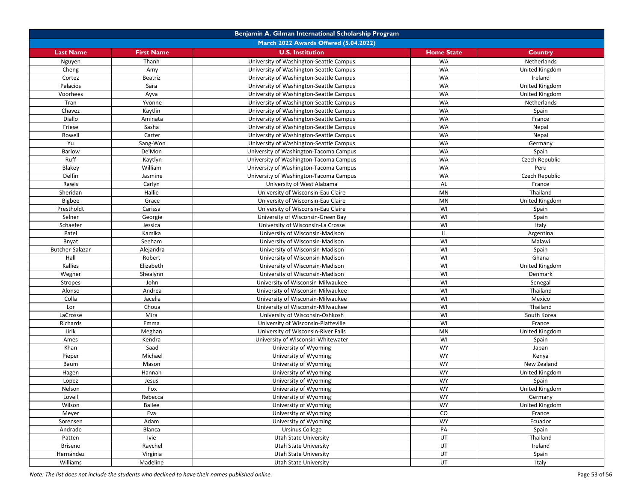| Benjamin A. Gilman International Scholarship Program |                   |                                                       |                   |                       |  |
|------------------------------------------------------|-------------------|-------------------------------------------------------|-------------------|-----------------------|--|
| March 2022 Awards Offered (5.04.2022)                |                   |                                                       |                   |                       |  |
| <b>Last Name</b>                                     | <b>First Name</b> | <b>U.S. Institution</b>                               | <b>Home State</b> | <b>Country</b>        |  |
| Nguyen                                               | Thanh             | University of Washington-Seattle Campus               | <b>WA</b>         | Netherlands           |  |
| Cheng                                                | Amy               | University of Washington-Seattle Campus               | WA                | United Kingdom        |  |
| Cortez                                               | Beatriz           | University of Washington-Seattle Campus               | WA                | Ireland               |  |
| Palacios                                             | Sara              | University of Washington-Seattle Campus               | <b>WA</b>         | United Kingdom        |  |
| Voorhees                                             | Ayva              | University of Washington-Seattle Campus               | <b>WA</b>         | United Kingdom        |  |
| Tran                                                 | Yvonne            | University of Washington-Seattle Campus               | WA                | Netherlands           |  |
| Chavez                                               | Kaytlin           | University of Washington-Seattle Campus               | WA                | Spain                 |  |
| Diallo                                               | Aminata           | University of Washington-Seattle Campus               | WA                | France                |  |
| Friese                                               | Sasha             | University of Washington-Seattle Campus               | WA                | Nepal                 |  |
| Rowell                                               | Carter            | University of Washington-Seattle Campus               | <b>WA</b>         | Nepal                 |  |
| Yu                                                   | Sang-Won          | University of Washington-Seattle Campus               | <b>WA</b>         | Germany               |  |
| <b>Barlow</b>                                        | De'Mon            | University of Washington-Tacoma Campus                | WA                | Spain                 |  |
| Ruff                                                 | Kaytlyn           | University of Washington-Tacoma Campus                | <b>WA</b>         | Czech Republic        |  |
| Blakey                                               | William           | University of Washington-Tacoma Campus                | WA                | Peru                  |  |
| Delfin                                               | Jasmine           | University of Washington-Tacoma Campus                | WA                | Czech Republic        |  |
| Rawls                                                | Carlyn            | University of West Alabama                            | AL                | France                |  |
| Sheridan                                             | Hallie            | University of Wisconsin-Eau Claire                    | MN                | Thailand              |  |
| <b>Bigbee</b>                                        | Grace             | University of Wisconsin-Eau Claire                    | MN                | United Kingdom        |  |
| Prestholdt                                           | Carissa           | University of Wisconsin-Eau Claire                    | WI                | Spain                 |  |
| Selner                                               | Georgie           | University of Wisconsin-Green Bay                     | WI                | Spain                 |  |
| Schaefer                                             | Jessica           | University of Wisconsin-La Crosse                     | WI                | Italy                 |  |
| Patel                                                | Kamika            | University of Wisconsin-Madison                       | IL                | Argentina             |  |
| Bnyat                                                | Seeham            | University of Wisconsin-Madison                       | WI                | Malawi                |  |
| Butcher-Salazar                                      | Alejandra         | University of Wisconsin-Madison                       | WI                | Spain                 |  |
| Hall                                                 | Robert            | University of Wisconsin-Madison                       | WI                | Ghana                 |  |
| Kallies                                              | Elizabeth         | University of Wisconsin-Madison                       | WI                | United Kingdom        |  |
| Wegner                                               | Shealynn          | University of Wisconsin-Madison                       | WI                | Denmark               |  |
| Stropes                                              | John              | University of Wisconsin-Milwaukee                     | WI                | Senegal               |  |
| Alonso                                               | Andrea            | University of Wisconsin-Milwaukee                     | WI                | Thailand              |  |
| Colla                                                | Jacelia           | University of Wisconsin-Milwaukee                     | WI                | Mexico                |  |
| Lor                                                  | Choua             | University of Wisconsin-Milwaukee                     | WI                | Thailand              |  |
| LaCrosse                                             | Mira              | University of Wisconsin-Oshkosh                       | WI                | South Korea           |  |
| Richards                                             | Emma              | University of Wisconsin-Platteville                   | WI                | France                |  |
| Jirik                                                | Meghan            | University of Wisconsin-River Falls                   | MN                | United Kingdom        |  |
| Ames                                                 | Kendra            | University of Wisconsin-Whitewater                    | WI                | Spain                 |  |
| Khan                                                 | Saad              | University of Wyoming                                 | <b>WY</b>         | Japan                 |  |
| Pieper                                               | Michael           | University of Wyoming                                 | <b>WY</b>         | Kenya                 |  |
| Baum                                                 | Mason             | University of Wyoming                                 | <b>WY</b>         | New Zealand           |  |
| Hagen                                                | Hannah            | University of Wyoming                                 | <b>WY</b>         | United Kingdom        |  |
| Lopez                                                | Jesus             | University of Wyoming                                 | <b>WY</b>         | Spain                 |  |
| Nelson                                               | Fox               | University of Wyoming                                 | <b>WY</b>         | United Kingdom        |  |
| Lovell                                               | Rebecca           | University of Wyoming                                 | WY                | Germany               |  |
| Wilson                                               | Bailee            | University of Wyoming                                 | <b>WY</b>         | <b>United Kingdom</b> |  |
| Meyer                                                | Eva               | University of Wyoming                                 | ${\rm CO}$        | France                |  |
| Sorensen                                             | Adam              | University of Wyoming                                 | <b>WY</b>         | Ecuador               |  |
|                                                      | Blanca            | <b>Ursinus College</b>                                | PA                |                       |  |
| Andrade                                              |                   |                                                       | UT                | Spain<br>Thailand     |  |
| Patten                                               | Ivie              | <b>Utah State University</b><br>Utah State University | UT                | Ireland               |  |
| <b>Briseno</b>                                       | Raychel           |                                                       |                   |                       |  |
| Hernández                                            | Virginia          | Utah State University                                 | UT                | Spain                 |  |
| Williams                                             | Madeline          | <b>Utah State University</b>                          | UT                | Italy                 |  |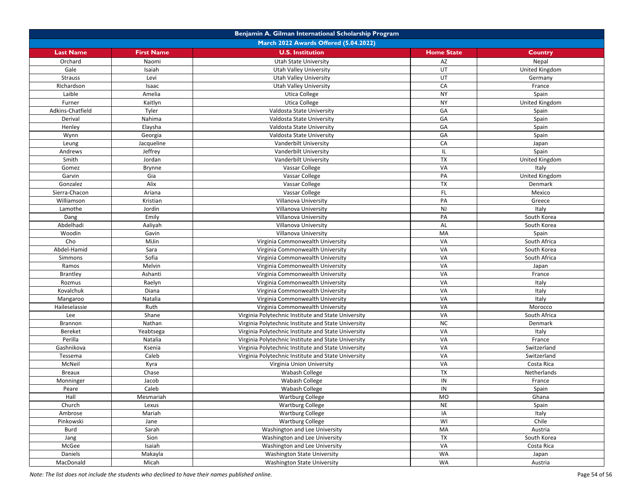| Benjamin A. Gilman International Scholarship Program |                   |                                                                     |                   |                           |  |
|------------------------------------------------------|-------------------|---------------------------------------------------------------------|-------------------|---------------------------|--|
| March 2022 Awards Offered (5.04.2022)                |                   |                                                                     |                   |                           |  |
| <b>Last Name</b>                                     | <b>First Name</b> | <b>U.S. Institution</b>                                             | <b>Home State</b> | <b>Country</b>            |  |
| Orchard                                              | Naomi             | Utah State University                                               | AZ                | Nepal                     |  |
| Gale                                                 | Isaiah            | <b>Utah Valley University</b>                                       | UT                | United Kingdom            |  |
| <b>Strauss</b>                                       | Levi              | <b>Utah Valley University</b>                                       | UT                | Germany                   |  |
| Richardson                                           | Isaac             | Utah Valley University                                              | CA                | France                    |  |
| Laible                                               | Amelia            | <b>Utica College</b>                                                | <b>NY</b>         | Spain                     |  |
| Furner                                               | Kaitlyn           | <b>Utica College</b>                                                | <b>NY</b>         | United Kingdom            |  |
| Adkins-Chatfield                                     | Tyler             | Valdosta State University                                           | GA                | Spain                     |  |
| Derival                                              | Nahima            | Valdosta State University                                           | GA                | Spain                     |  |
| Henley                                               | Elaysha           | Valdosta State University                                           | GA                | Spain                     |  |
| Wynn                                                 | Georgia           | Valdosta State University                                           | GA                | Spain                     |  |
| Leung                                                | Jacqueline        | Vanderbilt University                                               | CA                | Japan                     |  |
| Andrews                                              | Jeffrey           | Vanderbilt University                                               | IL.               | Spain                     |  |
| Smith                                                | Jordan            | Vanderbilt University                                               | TX                | United Kingdom            |  |
| Gomez                                                | <b>Brynne</b>     | Vassar College                                                      | VA                | Italy                     |  |
| Garvin                                               | Gia               | Vassar College                                                      | PA                | United Kingdom            |  |
| Gonzalez                                             | Alix              | Vassar College                                                      | <b>TX</b>         | Denmark                   |  |
| Sierra-Chacon                                        | Ariana            | Vassar College                                                      | FL                | Mexico                    |  |
| Williamson                                           | Kristian          | Villanova University                                                | PA                | Greece                    |  |
| Lamothe                                              | Jordin            | Villanova University                                                | NJ                | Italy                     |  |
| Dang                                                 | Emily             | Villanova University                                                | PA                | South Korea               |  |
| Abdelhadi                                            | Aaliyah           | Villanova University                                                | AL                | South Korea               |  |
| Woodin                                               | Gavin             | Villanova University                                                | <b>MA</b>         | Spain                     |  |
| Cho                                                  | MiJin             | Virginia Commonwealth University                                    | VA                | South Africa              |  |
| Abdel-Hamid                                          | Sara              | Virginia Commonwealth University                                    | VA                | South Korea               |  |
| Simmons                                              | Sofia             | Virginia Commonwealth University                                    | VA                | South Africa              |  |
| Ramos                                                | Melvin            | Virginia Commonwealth University                                    | VA                | Japan                     |  |
| <b>Brantley</b>                                      | Ashanti           | Virginia Commonwealth University                                    | VA                | France                    |  |
| Rozmus                                               | Raelyn            | Virginia Commonwealth University                                    | VA                | Italy                     |  |
| Kovalchuk                                            | Diana             | Virginia Commonwealth University                                    | VA                | Italy                     |  |
| Mangaroo                                             | Natalia           | Virginia Commonwealth University                                    | VA                | Italy                     |  |
| Haileselassie                                        | Ruth              | Virginia Commonwealth University                                    | VA                | Morocco                   |  |
| Lee                                                  | Shane             | Virginia Polytechnic Institute and State University                 | VA                | South Africa              |  |
| Brannon                                              | Nathan            | Virginia Polytechnic Institute and State University                 | <b>NC</b>         | Denmark                   |  |
| <b>Bereket</b>                                       | Yeabtsega         | Virginia Polytechnic Institute and State University                 | VA                | Italy                     |  |
| Perilla                                              | Natalia           | Virginia Polytechnic Institute and State University                 | VA                | France                    |  |
| Gashnikova                                           | Ksenia            | Virginia Polytechnic Institute and State University                 | VA                | Switzerland               |  |
| Tessema                                              | Caleb             | Virginia Polytechnic Institute and State University                 | VA                | Switzerland               |  |
| McNeil                                               | Kyra              |                                                                     | VA                |                           |  |
| <b>Breaux</b>                                        | Chase             | Virginia Union University<br>Wabash College                         | <b>TX</b>         | Costa Rica<br>Netherlands |  |
| Monninger                                            | Jacob             | Wabash College                                                      | IN                | France                    |  |
| Peare                                                | Caleb             |                                                                     | IN                | Spain                     |  |
|                                                      | Mesmariah         | Wabash College                                                      |                   |                           |  |
| Hall<br>Church                                       | Lexus             | <b>Wartburg College</b><br><b>Wartburg College</b>                  | MO<br><b>NE</b>   | Ghana<br>Spain            |  |
| Ambrose                                              | Mariah            | <b>Wartburg College</b>                                             | IA                | Italy                     |  |
| Pinkowski                                            |                   |                                                                     | WI                | Chile                     |  |
|                                                      | Jane              | <b>Wartburg College</b>                                             | MA                |                           |  |
| Burd                                                 | Sarah<br>Sion     | Washington and Lee University<br>Washington and Lee University      | TX                | Austria                   |  |
| Jang                                                 |                   |                                                                     | VA                | South Korea               |  |
| McGee                                                | Isaiah            | Washington and Lee University<br><b>Washington State University</b> | WA                | Costa Rica                |  |
| Daniels                                              | Makayla           |                                                                     | WA                | Japan                     |  |
| MacDonald                                            | Micah             | <b>Washington State University</b>                                  |                   | Austria                   |  |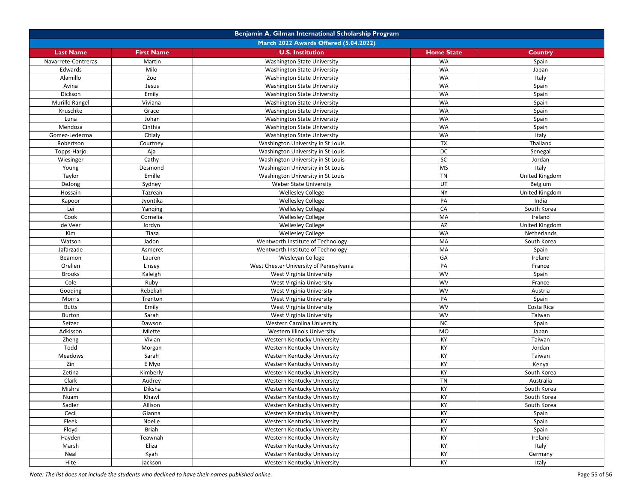| Benjamin A. Gilman International Scholarship Program |                   |                                         |                   |                |  |
|------------------------------------------------------|-------------------|-----------------------------------------|-------------------|----------------|--|
| March 2022 Awards Offered (5.04.2022)                |                   |                                         |                   |                |  |
| <b>Last Name</b>                                     | <b>First Name</b> | <b>U.S. Institution</b>                 | <b>Home State</b> | Country        |  |
| Navarrete-Contreras                                  | Martin            | <b>Washington State University</b>      | <b>WA</b>         | Spain          |  |
| Edwards                                              | Milo              | <b>Washington State University</b>      | <b>WA</b>         | Japan          |  |
| Alamillo                                             | Zoe               | <b>Washington State University</b>      | <b>WA</b>         | Italy          |  |
| Avina                                                | Jesus             | <b>Washington State University</b>      | <b>WA</b>         | Spain          |  |
| Dickson                                              | Emily             | <b>Washington State University</b>      | WA                | Spain          |  |
| Murillo Rangel                                       | Viviana           | <b>Washington State University</b>      | <b>WA</b>         | Spain          |  |
| Kruschke                                             | Grace             | Washington State University             | <b>WA</b>         | Spain          |  |
| Luna                                                 | Johan             | <b>Washington State University</b>      | <b>WA</b>         | Spain          |  |
| Mendoza                                              | Cinthia           | <b>Washington State University</b>      | WA                | Spain          |  |
| Gomez-Ledezma                                        | Citlaly           | <b>Washington State University</b>      | <b>WA</b>         | Italy          |  |
| Robertson                                            | Courtney          | Washington University in St Louis       | TX                | Thailand       |  |
| Topps-Harjo                                          | Aja               | Washington University in St Louis       | DC                | Senegal        |  |
| Wiesinger                                            | Cathy             | Washington University in St Louis       | SC                | Jordan         |  |
| Young                                                | Desmond           | Washington University in St Louis       | <b>MS</b>         | Italy          |  |
| Taylor                                               | Emille            | Washington University in St Louis       | <b>TN</b>         | United Kingdom |  |
| DeJong                                               | Sydney            | <b>Weber State University</b>           | UT                | Belgium        |  |
| Hossain                                              | Tazrean           | <b>Wellesley College</b>                | <b>NY</b>         | United Kingdom |  |
| Kapoor                                               | Jyontika          | <b>Wellesley College</b>                | PA                | India          |  |
| Lei                                                  | Yanging           | <b>Wellesley College</b>                | CA                | South Korea    |  |
| Cook                                                 | Cornelia          | <b>Wellesley College</b>                | MA                | Ireland        |  |
| de Veer                                              | Jordyn            | Wellesley College                       | AZ                | United Kingdom |  |
| Kim                                                  | Tiasa             | <b>Wellesley College</b>                | <b>WA</b>         | Netherlands    |  |
| Watson                                               | Jadon             | Wentworth Institute of Technology       | MA                | South Korea    |  |
| Jafarzade                                            | Asmeret           | Wentworth Institute of Technology       | MA                | Spain          |  |
| Beamon                                               | Lauren            | Wesleyan College                        | GA                | Ireland        |  |
| Orelien                                              | Linsey            | West Chester University of Pennsylvania | PA                | France         |  |
| <b>Brooks</b>                                        | Kaleigh           | West Virginia University                | <b>WV</b>         | Spain          |  |
| Cole                                                 | Ruby              | West Virginia University                | <b>WV</b>         | France         |  |
| Gooding                                              | Rebekah           | West Virginia University                | <b>WV</b>         | Austria        |  |
| Morris                                               | Trenton           | West Virginia University                | PA                | Spain          |  |
| <b>Butts</b>                                         | Emily             | West Virginia University                | <b>WV</b>         | Costa Rica     |  |
| <b>Burton</b>                                        | Sarah             | West Virginia University                | <b>WV</b>         | Taiwan         |  |
| Setzer                                               | Dawson            | Western Carolina University             | <b>NC</b>         | Spain          |  |
| Adkisson                                             | Miette            | Western Illinois University             | <b>MO</b>         | Japan          |  |
| Zheng                                                | Vivian            | Western Kentucky University             | KY                | Taiwan         |  |
| Todd                                                 | Morgan            | Western Kentucky University             | KY                | Jordan         |  |
| <b>Meadows</b>                                       | Sarah             | Western Kentucky University             | KY                | Taiwan         |  |
| Zin                                                  | E Myo             | Western Kentucky University             | KY                | Kenya          |  |
| Zetina                                               | Kimberly          | Western Kentucky University             | KY                | South Korea    |  |
| Clark                                                | Audrey            | Western Kentucky University             | TN                | Australia      |  |
| Mishra                                               | Diksha            | Western Kentucky University             | KY                | South Korea    |  |
| Nuam                                                 | Khawl             | Western Kentucky University             | KY                | South Korea    |  |
| Sadler                                               | Allison           | Western Kentucky University             | KY                | South Korea    |  |
| Cecil                                                | Gianna            | Western Kentucky University             | KY                | Spain          |  |
| Fleek                                                | Noelle            | Western Kentucky University             | KY                | Spain          |  |
| Floyd                                                | Briah             | Western Kentucky University             | KY                | Spain          |  |
| Hayden                                               | Teawnah           | Western Kentucky University             | KY                | Ireland        |  |
| Marsh                                                | Eliza             | Western Kentucky University             | KY                | Italy          |  |
| Neal                                                 | Kyah              | Western Kentucky University             | KY                | Germany        |  |
| Hite                                                 | Jackson           | Western Kentucky University             | KY                | Italy          |  |